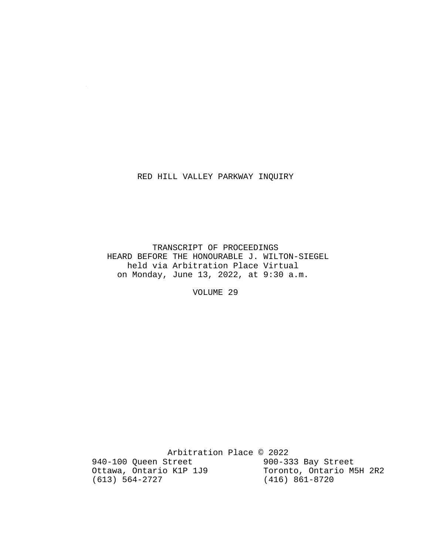### RED HILL VALLEY PARKWAY INQUIRY

 $\sim 10^7$ 

 TRANSCRIPT OF PROCEEDINGS HEARD BEFORE THE HONOURABLE J. WILTON-SIEGEL held via Arbitration Place Virtual on Monday, June 13, 2022, at 9:30 a.m.

VOLUME 29

Arbitration Place © 2022<br>Street 900-333 Bay Street 940-100 Queen Street 900-333 Bay Street<br>Ottawa, Ontario K1P 1J9 Toronto, Ontario M5H 2R2 Ottawa, Ontario K1P 1J9<br>(613) 564-2727 (416) 861-8720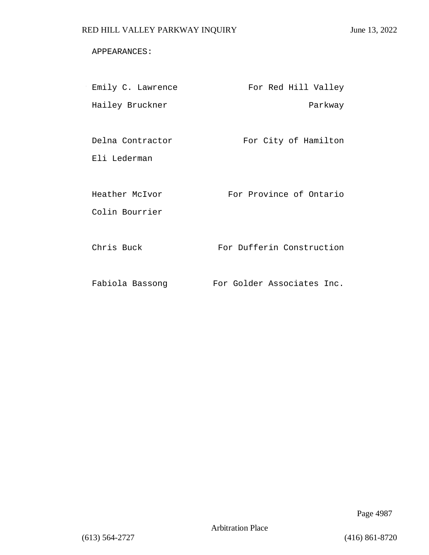### APPEARANCES:

| Emily C. Lawrence | For Red Hill Valley        |
|-------------------|----------------------------|
| Hailey Bruckner   | Parkway                    |
|                   |                            |
| Delna Contractor  | For City of Hamilton       |
| Eli Lederman      |                            |
|                   |                            |
| Heather McIvor    | For Province of Ontario    |
| Colin Bourrier    |                            |
|                   |                            |
| Chris Buck        | For Dufferin Construction  |
|                   |                            |
| Fabiola Bassong   | For Golder Associates Inc. |

Page 4987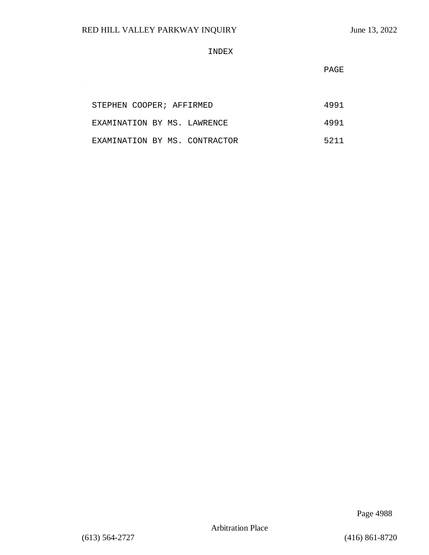$\sim$ 

INDEX

**PAGE** 

| STEPHEN COOPER; AFFIRMED      | 4991 |
|-------------------------------|------|
| EXAMINATION BY MS. LAWRENCE   | 4991 |
| EXAMINATION BY MS. CONTRACTOR | 5211 |

Page 4988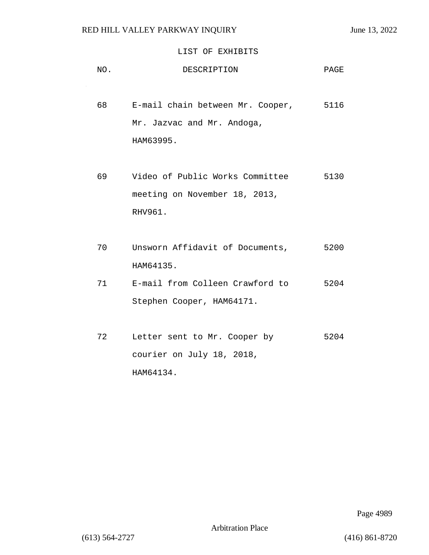$\sim$ 

# LIST OF EXHIBITS

| NO. | DESCRIPTION                                                                      | PAGE |
|-----|----------------------------------------------------------------------------------|------|
| 68  | E-mail chain between Mr. Cooper, 5116<br>Mr. Jazvac and Mr. Andoga,<br>HAM63995. |      |
| 69  | Video of Public Works Committee<br>meeting on November 18, 2013,<br>RHV961.      | 5130 |
| 70  | Unsworn Affidavit of Documents,<br>HAM64135.                                     | 5200 |
| 71  | E-mail from Colleen Crawford to<br>Stephen Cooper, HAM64171.                     | 5204 |
| 72  | Letter sent to Mr. Cooper by<br>courier on July 18, 2018,<br>HAM64134.           | 5204 |

Page 4989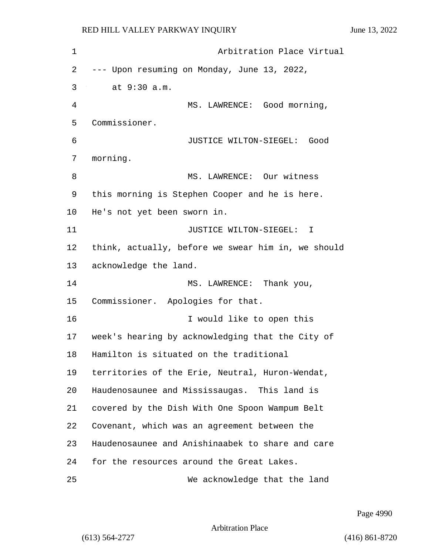| 1       | Arbitration Place Virtual                          |
|---------|----------------------------------------------------|
| 2       | --- Upon resuming on Monday, June 13, 2022,        |
| 3       | at 9:30 a.m.                                       |
| 4       | MS. LAWRENCE: Good morning,                        |
| 5       | Commissioner.                                      |
| 6       | JUSTICE WILTON-SIEGEL: Good                        |
| 7       | morning.                                           |
| 8       | MS. LAWRENCE: Our witness                          |
| 9       | this morning is Stephen Cooper and he is here.     |
| $10 \,$ | He's not yet been sworn in.                        |
| 11      | JUSTICE WILTON-SIEGEL:<br>I                        |
| 12      | think, actually, before we swear him in, we should |
| 13      | acknowledge the land.                              |
| 14      | MS. LAWRENCE: Thank you,                           |
| 15      | Commissioner. Apologies for that.                  |
| 16      | I would like to open this                          |
| 17      | week's hearing by acknowledging that the City of   |
| 18      | Hamilton is situated on the traditional            |
| 19      | territories of the Erie, Neutral, Huron-Wendat,    |
| 20      | Haudenosaunee and Mississaugas. This land is       |
| 21      | covered by the Dish With One Spoon Wampum Belt     |
| 22      | Covenant, which was an agreement between the       |
| 23      | Haudenosaunee and Anishinaabek to share and care   |
| 24      | for the resources around the Great Lakes.          |
| 25      | We acknowledge that the land                       |

Page 4990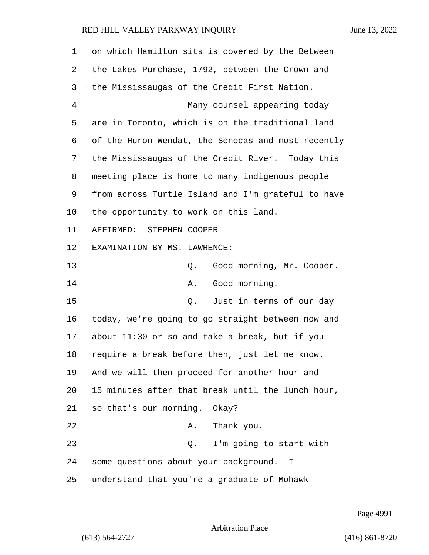| 1  | on which Hamilton sits is covered by the Between   |
|----|----------------------------------------------------|
| 2  | the Lakes Purchase, 1792, between the Crown and    |
| 3  | the Mississaugas of the Credit First Nation.       |
| 4  | Many counsel appearing today                       |
| 5  | are in Toronto, which is on the traditional land   |
| 6  | of the Huron-Wendat, the Senecas and most recently |
| 7  | the Mississaugas of the Credit River. Today this   |
| 8  | meeting place is home to many indigenous people    |
| 9  | from across Turtle Island and I'm grateful to have |
| 10 | the opportunity to work on this land.              |
| 11 | AFFIRMED: STEPHEN COOPER                           |
| 12 | EXAMINATION BY MS. LAWRENCE:                       |
| 13 | Good morning, Mr. Cooper.<br>Q.                    |
| 14 | Good morning.<br>Α.                                |
| 15 | Q.<br>Just in terms of our day                     |
| 16 | today, we're going to go straight between now and  |
| 17 | about 11:30 or so and take a break, but if you     |
| 18 | require a break before then, just let me know.     |
| 19 | And we will then proceed for another hour and      |
| 20 | 15 minutes after that break until the lunch hour,  |
| 21 | so that's our morning. Okay?                       |
| 22 | Thank you.<br>Α.                                   |
| 23 | I'm going to start with<br>Q.                      |
| 24 | some questions about your background.<br>T.        |
| 25 | understand that you're a graduate of Mohawk        |

Page 4991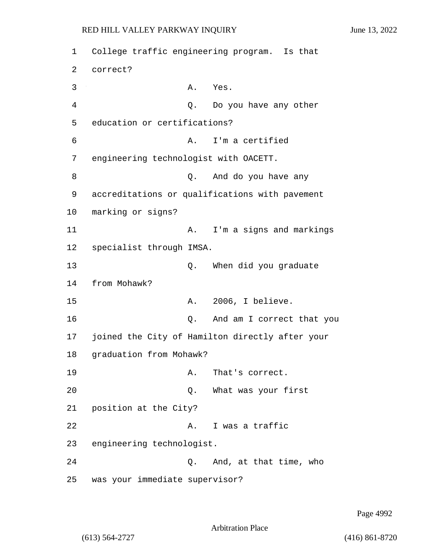| 1  |                                       | College traffic engineering program. Is that    |
|----|---------------------------------------|-------------------------------------------------|
| 2  | correct?                              |                                                 |
| 3  |                                       | Α.<br>Yes.                                      |
| 4  | Q.                                    | Do you have any other                           |
| 5  | education or certifications?          |                                                 |
| 6  | Α.                                    | I'm a certified                                 |
| 7  | engineering technologist with OACETT. |                                                 |
| 8  | О.                                    | And do you have any                             |
| 9  |                                       | accreditations or qualifications with pavement  |
| 10 | marking or signs?                     |                                                 |
| 11 |                                       | I'm a signs and markings<br>Α.                  |
| 12 | specialist through IMSA.              |                                                 |
| 13 | Q.                                    | When did you graduate                           |
| 14 | from Mohawk?                          |                                                 |
| 15 | Α.                                    | 2006, I believe.                                |
| 16 | Q.                                    | And am I correct that you                       |
| 17 |                                       | joined the City of Hamilton directly after your |
| 18 | graduation from Mohawk?               |                                                 |
| 19 | Α.                                    | That's correct.                                 |
| 20 |                                       | What was your first<br>Q.                       |
| 21 | position at the City?                 |                                                 |
| 22 | Α.                                    | I was a traffic                                 |
| 23 | engineering technologist.             |                                                 |
| 24 |                                       | Q. And, at that time, who                       |
| 25 | was your immediate supervisor?        |                                                 |

Page 4992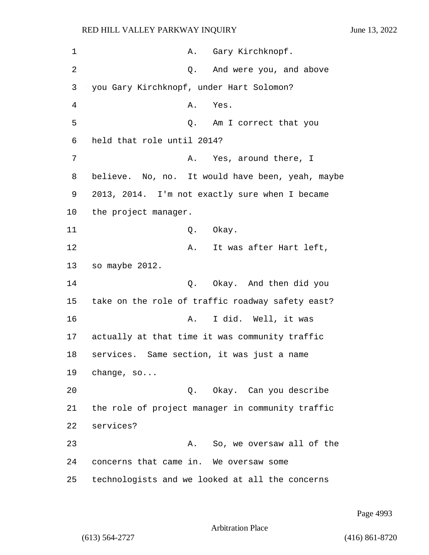| 1          | A. Gary Kirchknopf.                              |
|------------|--------------------------------------------------|
| $\sqrt{2}$ | Q. And were you, and above                       |
| 3          | you Gary Kirchknopf, under Hart Solomon?         |
| 4          | Yes.<br>Α.                                       |
| 5          | Q. Am I correct that you                         |
| 6          | held that role until 2014?                       |
| 7          | Α.<br>Yes, around there, I                       |
| 8          | believe. No, no. It would have been, yeah, maybe |
| 9          | 2013, 2014. I'm not exactly sure when I became   |
| $10 \,$    | the project manager.                             |
| 11         | Q. Okay.                                         |
| 12         | It was after Hart left,<br>Α.                    |
| 13         | so maybe 2012.                                   |
| 14         | Okay. And then did you<br>Q.                     |
| 15         | take on the role of traffic roadway safety east? |
| 16         | I did. Well, it was<br>Α.                        |
| 17         | actually at that time it was community traffic   |
| 18         | services. Same section, it was just a name       |
| 19         | change, so                                       |
| 20         | Q. Okay. Can you describe                        |
| 21         | the role of project manager in community traffic |
| 22         | services?                                        |
| 23         | So, we oversaw all of the<br>Α.                  |
| 24         | concerns that came in. We oversaw some           |
| 25         | technologists and we looked at all the concerns  |

Page 4993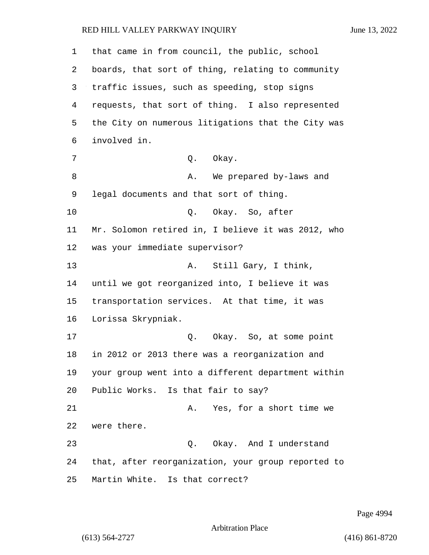| 1  | that came in from council, the public, school      |
|----|----------------------------------------------------|
| 2  | boards, that sort of thing, relating to community  |
| 3  | traffic issues, such as speeding, stop signs       |
| 4  | requests, that sort of thing. I also represented   |
| 5  | the City on numerous litigations that the City was |
| 6  | involved in.                                       |
| 7  | Q. Okay.                                           |
| 8  | We prepared by-laws and<br>Α.                      |
| 9  | legal documents and that sort of thing.            |
| 10 | Q. Okay. So, after                                 |
| 11 | Mr. Solomon retired in, I believe it was 2012, who |
| 12 | was your immediate supervisor?                     |
| 13 | A. Still Gary, I think,                            |
| 14 | until we got reorganized into, I believe it was    |
| 15 | transportation services. At that time, it was      |
| 16 | Lorissa Skrypniak.                                 |
| 17 | Q. Okay. So, at some point                         |
| 18 | in 2012 or 2013 there was a reorganization and     |
| 19 | your group went into a different department within |
| 20 | Public Works. Is that fair to say?                 |
| 21 | Yes, for a short time we<br>Α.                     |
| 22 | were there.                                        |
| 23 | Q. Okay. And I understand                          |
| 24 | that, after reorganization, your group reported to |
| 25 | Martin White. Is that correct?                     |

Page 4994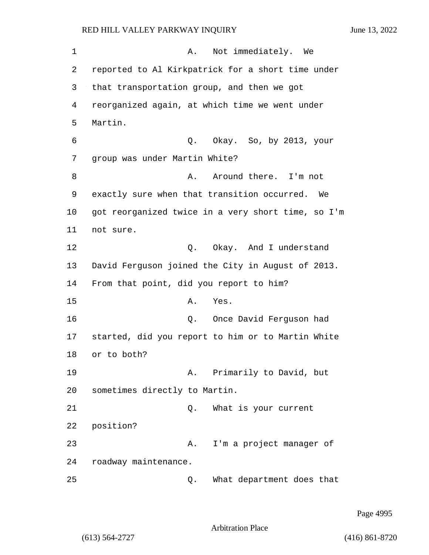1 A. Not immediately. We 2 reported to Al Kirkpatrick for a short time under 3 that transportation group, and then we got 4 reorganized again, at which time we went under 5 Martin. 6 Q. Okay. So, by 2013, your 7 group was under Martin White? 8 A. Around there. I'm not 9 exactly sure when that transition occurred. We 10 got reorganized twice in a very short time, so I'm 11 not sure. 12 C. Okay. And I understand 13 David Ferguson joined the City in August of 2013. 14 From that point, did you report to him? 15 A. Yes. 16 Q. Once David Ferguson had 17 started, did you report to him or to Martin White 18 or to both? 19 A. Primarily to David, but 20 sometimes directly to Martin. 21 Q. What is your current 22 position? 23 A. I'm a project manager of 24 roadway maintenance. 25 Q. What department does that

Page 4995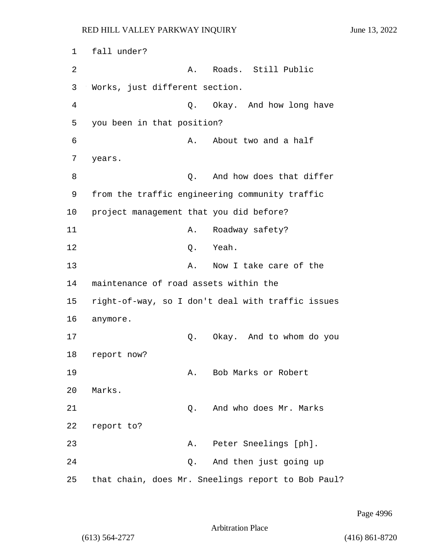1 fall under? 2 A. Roads. Still Public 3 Works, just different section. 4 Q. Okay. And how long have 5 you been in that position? 6 A. About two and a half 7 years. 8 and how does that differ 9 from the traffic engineering community traffic 10 project management that you did before? 11 A. Roadway safety? 12 Q. Yeah. 13 A. Now I take care of the 14 maintenance of road assets within the 15 right-of-way, so I don't deal with traffic issues 16 anymore. 17 Q. Okay. And to whom do you 18 report now? 19 A. Bob Marks or Robert 20 Marks. 21 Q. And who does Mr. Marks 22 report to? 23 A. Peter Sneelings [ph]. 24 Q. And then just going up 25 that chain, does Mr. Sneelings report to Bob Paul?

Page 4996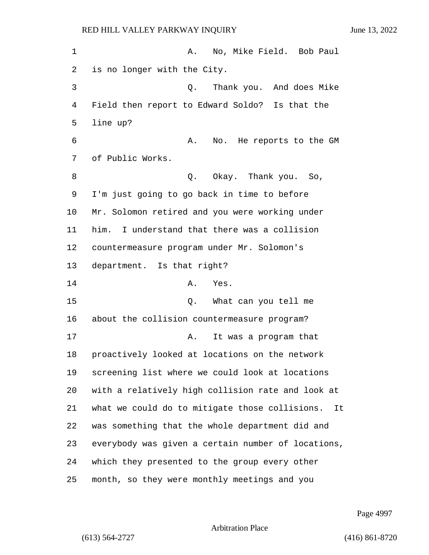1 A. No. Mike Field. Bob Paul is no longer with the City. 3 Q. Thank you. And does Mike Field then report to Edward Soldo? Is that the line up? **6** A. No. He reports to the GM of Public Works. 8 a. S. Q. Okay. Thank you. So, I'm just going to go back in time to before Mr. Solomon retired and you were working under him. I understand that there was a collision countermeasure program under Mr. Solomon's department. Is that right? 14 A. Yes. 15 Q. What can you tell me about the collision countermeasure program? 17 A. It was a program that proactively looked at locations on the network screening list where we could look at locations with a relatively high collision rate and look at what we could do to mitigate those collisions. It was something that the whole department did and everybody was given a certain number of locations, which they presented to the group every other month, so they were monthly meetings and you

Page 4997

Arbitration Place

(613) 564-2727 (416) 861-8720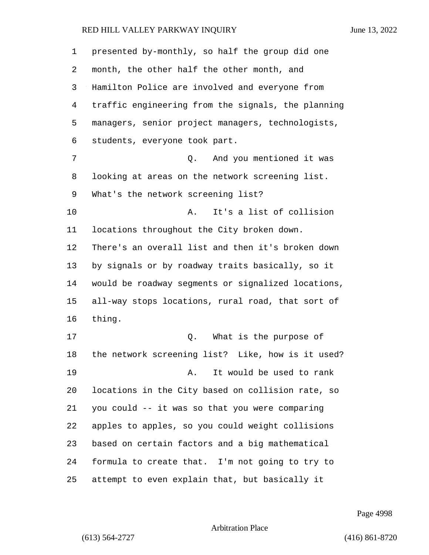| 1  | presented by-monthly, so half the group did one    |
|----|----------------------------------------------------|
| 2  | month, the other half the other month, and         |
| 3  | Hamilton Police are involved and everyone from     |
| 4  | traffic engineering from the signals, the planning |
| 5  | managers, senior project managers, technologists,  |
| 6  | students, everyone took part.                      |
| 7  | And you mentioned it was<br>Q.                     |
| 8  | looking at areas on the network screening list.    |
| 9  | What's the network screening list?                 |
| 10 | It's a list of collision<br>Α.                     |
| 11 | locations throughout the City broken down.         |
| 12 | There's an overall list and then it's broken down  |
| 13 | by signals or by roadway traits basically, so it   |
| 14 | would be roadway segments or signalized locations, |
| 15 | all-way stops locations, rural road, that sort of  |
| 16 | thing.                                             |
| 17 | What is the purpose of<br>Q.                       |
| 18 | the network screening list? Like, how is it used?  |
| 19 | It would be used to rank<br>Α.                     |
| 20 | locations in the City based on collision rate, so  |
| 21 | you could -- it was so that you were comparing     |
| 22 | apples to apples, so you could weight collisions   |
| 23 | based on certain factors and a big mathematical    |
| 24 | formula to create that. I'm not going to try to    |
| 25 | attempt to even explain that, but basically it     |

Page 4998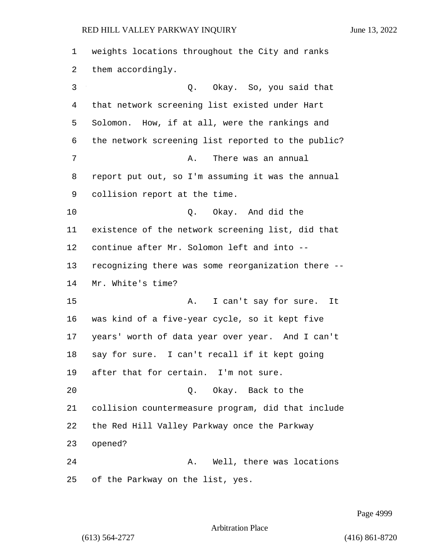weights locations throughout the City and ranks them accordingly. 3 Q. Okay. So, you said that that network screening list existed under Hart Solomon. How, if at all, were the rankings and the network screening list reported to the public? 7 A. There was an annual report put out, so I'm assuming it was the annual collision report at the time. 10 Q. Okay. And did the existence of the network screening list, did that continue after Mr. Solomon left and into -- recognizing there was some reorganization there -- Mr. White's time? 15 A. I can't say for sure. It was kind of a five-year cycle, so it kept five years' worth of data year over year. And I can't say for sure. I can't recall if it kept going after that for certain. I'm not sure. 20 Q. Okay. Back to the collision countermeasure program, did that include the Red Hill Valley Parkway once the Parkway opened? 24 A. Well, there was locations of the Parkway on the list, yes.

Page 4999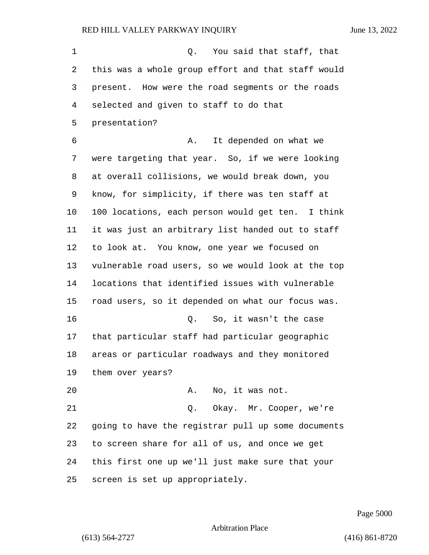| 1       | You said that staff, that<br>Q.                    |
|---------|----------------------------------------------------|
| 2       | this was a whole group effort and that staff would |
| 3       | present. How were the road segments or the roads   |
| 4       | selected and given to staff to do that             |
| 5       | presentation?                                      |
| 6       | It depended on what we<br>Α.                       |
| 7       | were targeting that year. So, if we were looking   |
| 8       | at overall collisions, we would break down, you    |
| 9       | know, for simplicity, if there was ten staff at    |
| $10 \,$ | 100 locations, each person would get ten. I think  |
| 11      | it was just an arbitrary list handed out to staff  |
| 12      | to look at. You know, one year we focused on       |
| 13      | vulnerable road users, so we would look at the top |
| 14      | locations that identified issues with vulnerable   |
| 15      | road users, so it depended on what our focus was.  |
| 16      | So, it wasn't the case<br>Q.                       |
| 17      | that particular staff had particular geographic    |
| 18      | areas or particular roadways and they monitored    |
| 19      | them over years?                                   |
| 20      | A. No, it was not.                                 |
| 21      | Q. Okay. Mr. Cooper, we're                         |
| 22      | going to have the registrar pull up some documents |
| 23      | to screen share for all of us, and once we get     |
| 24      | this first one up we'll just make sure that your   |
| 25      | screen is set up appropriately.                    |

Page 5000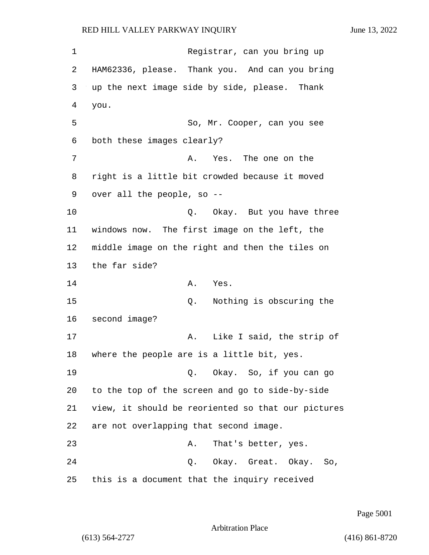1 Registrar, can you bring up 2 HAM62336, please. Thank you. And can you bring 3 up the next image side by side, please. Thank 4 you. 5 So, Mr. Cooper, can you see 6 both these images clearly? 7 A. Yes. The one on the 8 right is a little bit crowded because it moved 9 over all the people, so -- 10 **Q.** Okay. But you have three 11 windows now. The first image on the left, the 12 middle image on the right and then the tiles on 13 the far side? 14 A. Yes. 15 Q. Nothing is obscuring the 16 second image? 17 A. Like I said, the strip of 18 where the people are is a little bit, yes. 19 Q. Okay. So, if you can go 20 to the top of the screen and go to side-by-side 21 view, it should be reoriented so that our pictures 22 are not overlapping that second image. 23 A. That's better, yes. 24 Q. Okay. Great. Okay. So, 25 this is a document that the inquiry received

Page 5001

Arbitration Place

(613) 564-2727 (416) 861-8720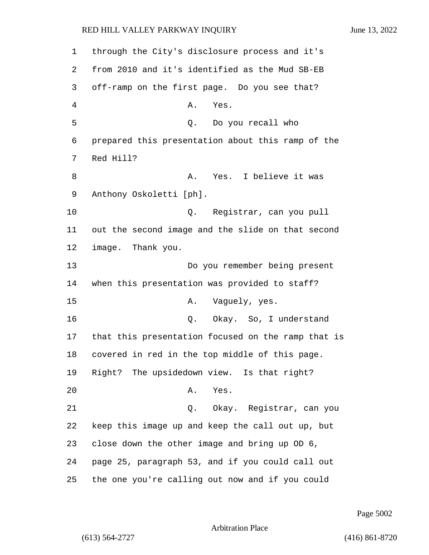| 1  | through the City's disclosure process and it's     |
|----|----------------------------------------------------|
| 2  | from 2010 and it's identified as the Mud SB-EB     |
| 3  | off-ramp on the first page. Do you see that?       |
| 4  | Α.<br>Yes.                                         |
| 5  | Q. Do you recall who                               |
| 6  | prepared this presentation about this ramp of the  |
| 7  | Red Hill?                                          |
| 8  | A. Yes. I believe it was                           |
| 9  | Anthony Oskoletti [ph].                            |
| 10 | Q. Registrar, can you pull                         |
| 11 | out the second image and the slide on that second  |
| 12 | image. Thank you.                                  |
| 13 | Do you remember being present                      |
| 14 | when this presentation was provided to staff?      |
| 15 | Vaguely, yes.<br>Α.                                |
| 16 | Q. Okay. So, I understand                          |
| 17 | that this presentation focused on the ramp that is |
| 18 | covered in red in the top middle of this page.     |
| 19 | Right? The upsidedown view. Is that right?         |
| 20 | Yes.<br>Α.                                         |
| 21 | Q. Okay. Registrar, can you                        |
| 22 | keep this image up and keep the call out up, but   |
| 23 | close down the other image and bring up OD 6,      |
| 24 | page 25, paragraph 53, and if you could call out   |
| 25 | the one you're calling out now and if you could    |

Page 5002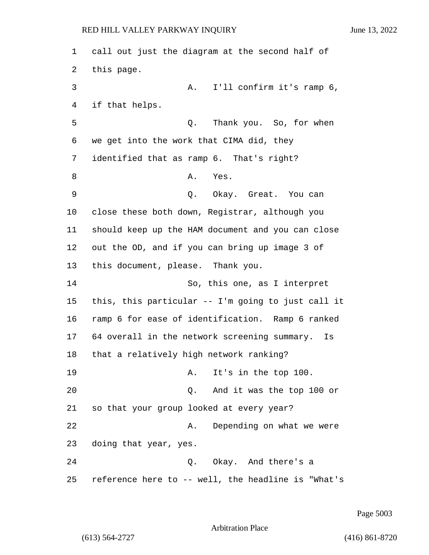call out just the diagram at the second half of this page. 3 A. I'll confirm it's ramp 6, if that helps. 5 Q. Thank you. So, for when we get into the work that CIMA did, they identified that as ramp 6. That's right? 8 A. Yes. 9 Q. Okay. Great. You can close these both down, Registrar, although you should keep up the HAM document and you can close out the OD, and if you can bring up image 3 of this document, please. Thank you. 14 So, this one, as I interpret this, this particular -- I'm going to just call it ramp 6 for ease of identification. Ramp 6 ranked 64 overall in the network screening summary. Is that a relatively high network ranking? 19 A. It's in the top 100. 20 Q. And it was the top 100 or so that your group looked at every year? 22 A. Depending on what we were doing that year, yes. 24 Q. Okay. And there's a reference here to -- well, the headline is "What's

Page 5003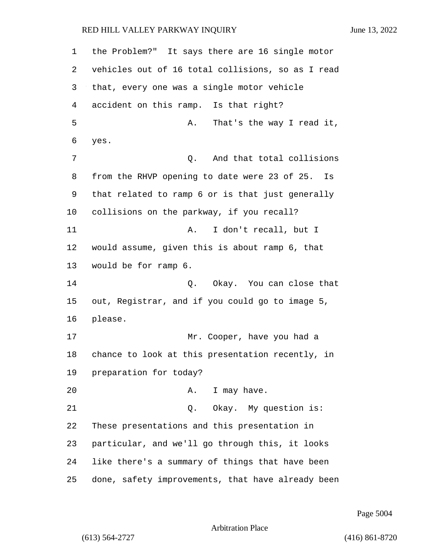the Problem?" It says there are 16 single motor vehicles out of 16 total collisions, so as I read that, every one was a single motor vehicle accident on this ramp. Is that right? 5 A. That's the way I read it, yes. 7 and that total collisions from the RHVP opening to date were 23 of 25. Is that related to ramp 6 or is that just generally collisions on the parkway, if you recall? 11 A. I don't recall, but I would assume, given this is about ramp 6, that would be for ramp 6. 14 Q. Okay. You can close that out, Registrar, and if you could go to image 5, please. 17 Mr. Cooper, have you had a chance to look at this presentation recently, in preparation for today? 20 A. I may have. 21 Q. Okay. My question is: These presentations and this presentation in particular, and we'll go through this, it looks like there's a summary of things that have been done, safety improvements, that have already been

Page 5004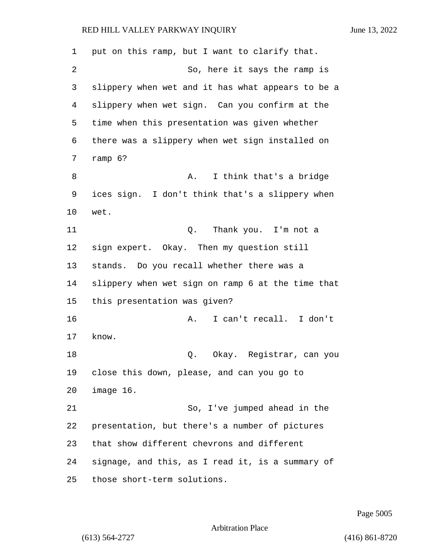| 1  | put on this ramp, but I want to clarify that.     |
|----|---------------------------------------------------|
| 2  | So, here it says the ramp is                      |
| 3  | slippery when wet and it has what appears to be a |
| 4  | slippery when wet sign. Can you confirm at the    |
| 5  | time when this presentation was given whether     |
| 6  | there was a slippery when wet sign installed on   |
| 7  | ramp 6?                                           |
| 8  | I think that's a bridge<br>Α.                     |
| 9  | ices sign. I don't think that's a slippery when   |
| 10 | wet.                                              |
| 11 | Thank you. I'm not a<br>Q.                        |
| 12 | sign expert. Okay. Then my question still         |
| 13 | stands. Do you recall whether there was a         |
| 14 | slippery when wet sign on ramp 6 at the time that |
| 15 | this presentation was given?                      |
| 16 | I can't recall. I don't<br>Α.                     |
| 17 | know.                                             |
| 18 | Okay. Registrar, can you<br>Q.                    |
| 19 | close this down, please, and can you go to        |
| 20 | image 16.                                         |
| 21 | So, I've jumped ahead in the                      |
| 22 | presentation, but there's a number of pictures    |
| 23 | that show different chevrons and different        |
| 24 | signage, and this, as I read it, is a summary of  |
| 25 | those short-term solutions.                       |

Page 5005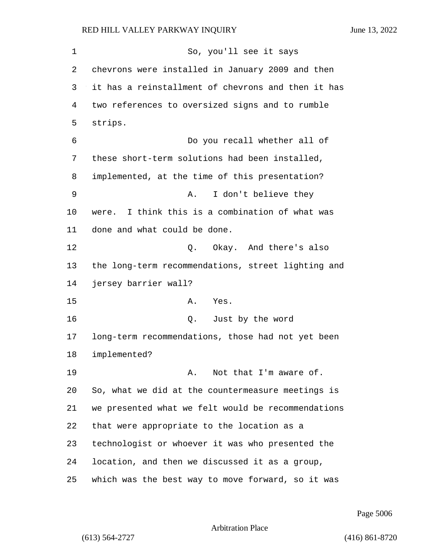| 1  | So, you'll see it says                             |
|----|----------------------------------------------------|
| 2  | chevrons were installed in January 2009 and then   |
| 3  | it has a reinstallment of chevrons and then it has |
| 4  | two references to oversized signs and to rumble    |
| 5  | strips.                                            |
| 6  | Do you recall whether all of                       |
| 7  | these short-term solutions had been installed,     |
| 8  | implemented, at the time of this presentation?     |
| 9  | I don't believe they<br>Α.                         |
| 10 | were. I think this is a combination of what was    |
| 11 | done and what could be done.                       |
| 12 | 0. Okay. And there's also                          |
| 13 | the long-term recommendations, street lighting and |
| 14 | jersey barrier wall?                               |
| 15 | Α.<br>Yes.                                         |
| 16 | Q. Just by the word                                |
| 17 | long-term recommendations, those had not yet been  |
| 18 | implemented?                                       |
| 19 | Not that I'm aware of.<br>Α.                       |
| 20 | So, what we did at the countermeasure meetings is  |
| 21 | we presented what we felt would be recommendations |
| 22 | that were appropriate to the location as a         |
| 23 | technologist or whoever it was who presented the   |
| 24 | location, and then we discussed it as a group,     |
| 25 | which was the best way to move forward, so it was  |

Page 5006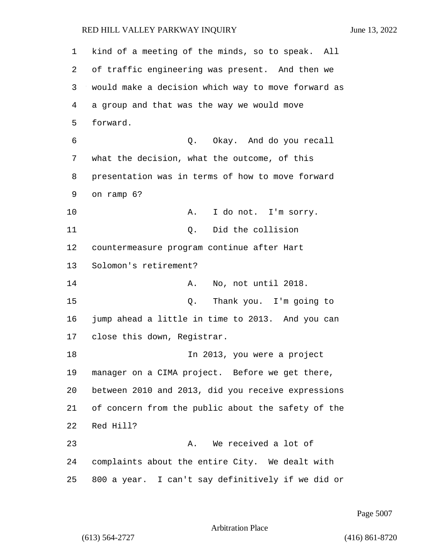kind of a meeting of the minds, so to speak. All of traffic engineering was present. And then we would make a decision which way to move forward as a group and that was the way we would move forward. 6 Q. Okay. And do you recall what the decision, what the outcome, of this presentation was in terms of how to move forward on ramp 6? 10 A. I do not. I'm sorry. 11 Q. Did the collision countermeasure program continue after Hart Solomon's retirement? 14 A. No, not until 2018. 15 Q. Thank you. I'm going to jump ahead a little in time to 2013. And you can close this down, Registrar. 18 In 2013, you were a project manager on a CIMA project. Before we get there, between 2010 and 2013, did you receive expressions of concern from the public about the safety of the Red Hill? 23 A. We received a lot of complaints about the entire City. We dealt with 800 a year. I can't say definitively if we did or

Page 5007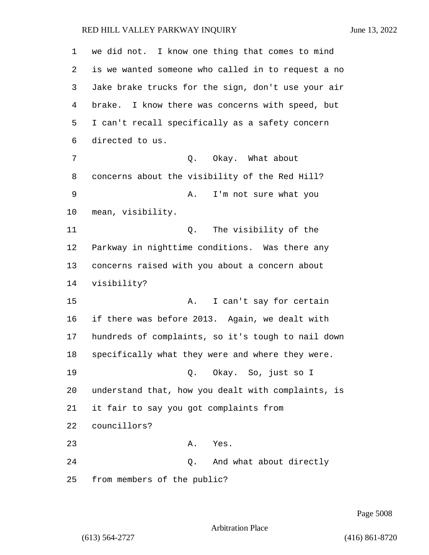| $\mathbf 1$    | we did not. I know one thing that comes to mind     |
|----------------|-----------------------------------------------------|
| 2              | is we wanted someone who called in to request a no  |
| 3              | Jake brake trucks for the sign, don't use your air  |
| $\overline{4}$ | I know there was concerns with speed, but<br>brake. |
| 5              | I can't recall specifically as a safety concern     |
| 6              | directed to us.                                     |
| 7              | Okay. What about<br>Q.                              |
| 8              | concerns about the visibility of the Red Hill?      |
| 9              | I'm not sure what you<br>Α.                         |
| 10             | mean, visibility.                                   |
| 11             | The visibility of the<br>Q.                         |
| 12             | Parkway in nighttime conditions. Was there any      |
| 13             | concerns raised with you about a concern about      |
| 14             | visibility?                                         |
| 15             | I can't say for certain<br>Α.                       |
| 16             | if there was before 2013. Again, we dealt with      |
| 17             | hundreds of complaints, so it's tough to nail down  |
| 18             | specifically what they were and where they were.    |
| 19             | Q. Okay. So, just so I                              |
| 20             | understand that, how you dealt with complaints, is  |
| 21             | it fair to say you got complaints from              |
| 22             | councillors?                                        |
| 23             | Yes.<br>Α.                                          |
| 24             | And what about directly<br>Q.                       |
| 25             | from members of the public?                         |

Page 5008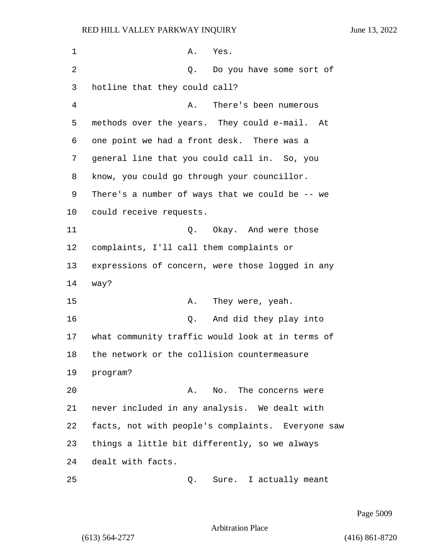1 A. Yes. 2 Q. Do you have some sort of 3 hotline that they could call? 4 A. There's been numerous 5 methods over the years. They could e-mail. At 6 one point we had a front desk. There was a 7 general line that you could call in. So, you 8 know, you could go through your councillor. 9 There's a number of ways that we could be -- we 10 could receive requests. 11 C. Okay. And were those 12 complaints, I'll call them complaints or 13 expressions of concern, were those logged in any 14 way? 15 A. They were, yeah. 16 Q. And did they play into 17 what community traffic would look at in terms of 18 the network or the collision countermeasure 19 program? 20 A. No. The concerns were 21 never included in any analysis. We dealt with 22 facts, not with people's complaints. Everyone saw 23 things a little bit differently, so we always 24 dealt with facts. 25 Q. Sure. I actually meant

Page 5009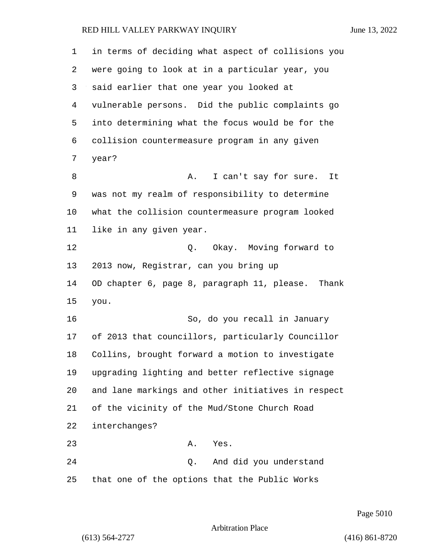| 1  | in terms of deciding what aspect of collisions you |
|----|----------------------------------------------------|
| 2  | were going to look at in a particular year, you    |
| 3  | said earlier that one year you looked at           |
| 4  | vulnerable persons. Did the public complaints go   |
| 5  | into determining what the focus would be for the   |
| 6  | collision countermeasure program in any given      |
| 7  | year?                                              |
| 8  | A. I can't say for sure. It                        |
| 9  | was not my realm of responsibility to determine    |
| 10 | what the collision countermeasure program looked   |
| 11 | like in any given year.                            |
| 12 | Q. Okay. Moving forward to                         |
| 13 | 2013 now, Registrar, can you bring up              |
| 14 | OD chapter 6, page 8, paragraph 11, please. Thank  |
| 15 | you.                                               |
| 16 | So, do you recall in January                       |
| 17 | of 2013 that councillors, particularly Councillor  |
| 18 | Collins, brought forward a motion to investigate   |
| 19 | upgrading lighting and better reflective signage   |
| 20 | and lane markings and other initiatives in respect |
| 21 | of the vicinity of the Mud/Stone Church Road       |
| 22 | interchanges?                                      |
| 23 | Α.<br>Yes.                                         |
| 24 | And did you understand<br>Q.                       |
| 25 | that one of the options that the Public Works      |

Page 5010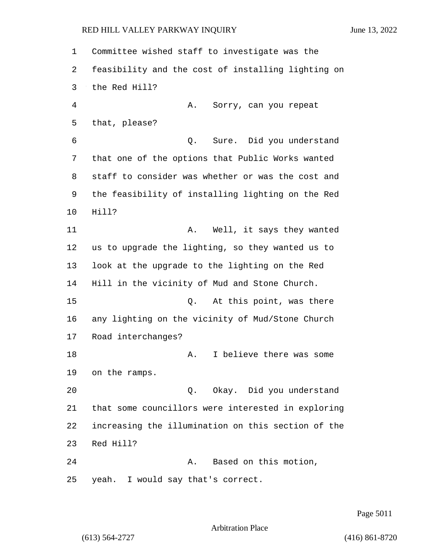Committee wished staff to investigate was the feasibility and the cost of installing lighting on the Red Hill? 4 A. Sorry, can you repeat that, please? 6 Q. Sure. Did you understand that one of the options that Public Works wanted staff to consider was whether or was the cost and the feasibility of installing lighting on the Red Hill? 11 A. Well, it says they wanted us to upgrade the lighting, so they wanted us to look at the upgrade to the lighting on the Red Hill in the vicinity of Mud and Stone Church. 15 Q. At this point, was there any lighting on the vicinity of Mud/Stone Church Road interchanges? 18 A. I believe there was some on the ramps. 20 Q. Okay. Did you understand that some councillors were interested in exploring increasing the illumination on this section of the Red Hill? 24 A. Based on this motion, yeah. I would say that's correct.

Page 5011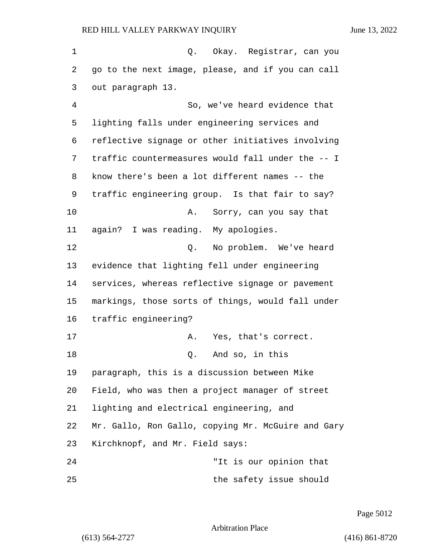| 1  | Q. Okay. Registrar, can you                        |
|----|----------------------------------------------------|
| 2  | go to the next image, please, and if you can call  |
| 3  | out paragraph 13.                                  |
| 4  | So, we've heard evidence that                      |
| 5  | lighting falls under engineering services and      |
| 6  | reflective signage or other initiatives involving  |
| 7  | traffic countermeasures would fall under the -- I  |
| 8  | know there's been a lot different names -- the     |
| 9  | traffic engineering group. Is that fair to say?    |
| 10 | Sorry, can you say that<br>Α.                      |
| 11 | again? I was reading. My apologies.                |
| 12 | No problem. We've heard<br>Q.                      |
| 13 | evidence that lighting fell under engineering      |
| 14 | services, whereas reflective signage or pavement   |
| 15 | markings, those sorts of things, would fall under  |
| 16 | traffic engineering?                               |
| 17 | Yes, that's correct.<br>Α.                         |
| 18 | And so, in this<br>Q.                              |
| 19 | paragraph, this is a discussion between Mike       |
| 20 | Field, who was then a project manager of street    |
| 21 | lighting and electrical engineering, and           |
| 22 | Mr. Gallo, Ron Gallo, copying Mr. McGuire and Gary |
| 23 | Kirchknopf, and Mr. Field says:                    |
| 24 | "It is our opinion that                            |
| 25 | the safety issue should                            |

Page 5012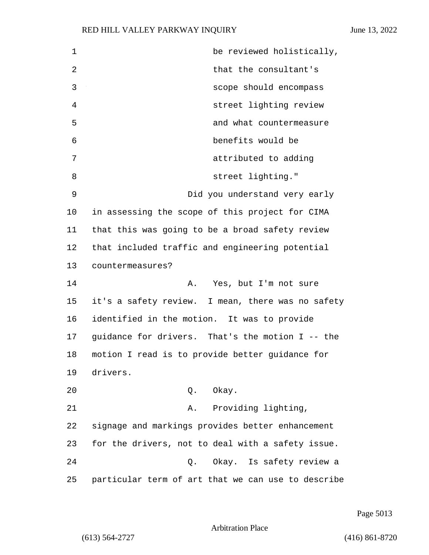1 be reviewed holistically, 2 that the consultant's 3 scope should encompass 4 street lighting review 5 and what countermeasure 6 benefits would be 7 attributed to adding 8 street lighting." 9 Did you understand very early 10 in assessing the scope of this project for CIMA 11 that this was going to be a broad safety review 12 that included traffic and engineering potential 13 countermeasures? 14 A. Yes, but I'm not sure 15 it's a safety review. I mean, there was no safety 16 identified in the motion. It was to provide 17 guidance for drivers. That's the motion I -- the 18 motion I read is to provide better guidance for 19 drivers. 20 Q. Okay. 21 A. Providing lighting, 22 signage and markings provides better enhancement 23 for the drivers, not to deal with a safety issue. 24 Q. Okay. Is safety review a 25 particular term of art that we can use to describe

Page 5013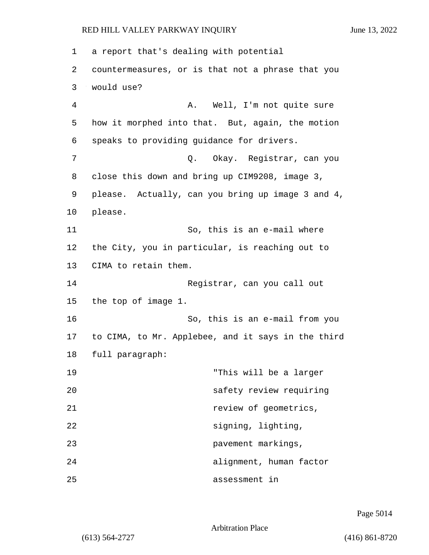1 a report that's dealing with potential 2 countermeasures, or is that not a phrase that you 3 would use? 4 A. Well, I'm not quite sure 5 how it morphed into that. But, again, the motion 6 speaks to providing guidance for drivers. 7 Q. Okay. Registrar, can you 8 close this down and bring up CIM9208, image 3, 9 please. Actually, can you bring up image 3 and 4, 10 please. 11 So, this is an e-mail where 12 the City, you in particular, is reaching out to 13 CIMA to retain them. 14 Registrar, can you call out 15 the top of image 1. 16 So, this is an e-mail from you 17 to CIMA, to Mr. Applebee, and it says in the third 18 full paragraph: 19 "This will be a larger 20 safety review requiring 21 *Properties Properties*, *Properties*, 22 signing, lighting, 23 pavement markings, 24 alignment, human factor 25 assessment in

Page 5014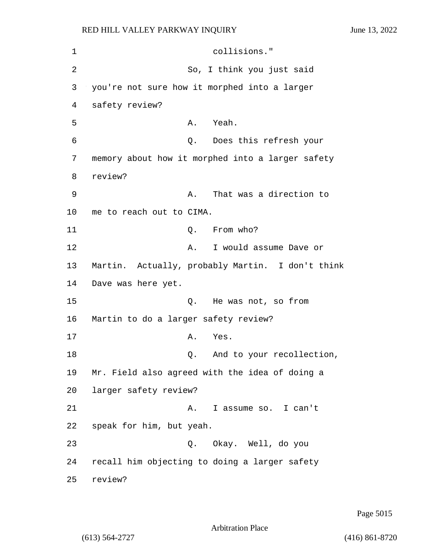1 collisions." 2 So, I think you just said 3 you're not sure how it morphed into a larger 4 safety review? 5 A. Yeah. 6 Q. Does this refresh your 7 memory about how it morphed into a larger safety 8 review? 9 A. That was a direction to 10 me to reach out to CIMA. 11 Q. From who? 12 A. I would assume Dave or 13 Martin. Actually, probably Martin. I don't think 14 Dave was here yet. 15 Q. He was not, so from 16 Martin to do a larger safety review? 17 A. Yes. 18 and to your recollection, 19 Mr. Field also agreed with the idea of doing a 20 larger safety review? 21 A. I assume so. I can't 22 speak for him, but yeah. 23 Q. Okay. Well, do you 24 recall him objecting to doing a larger safety 25 review?

Page 5015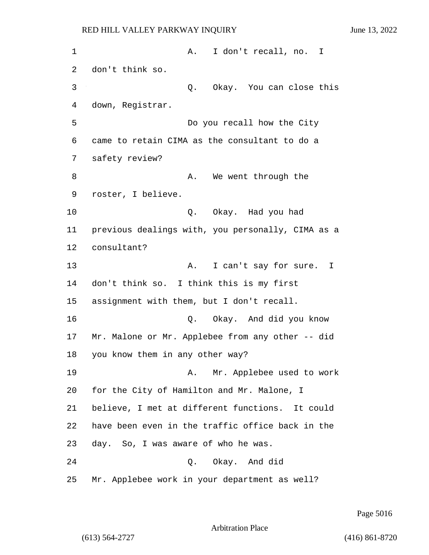1 A. I don't recall, no. I don't think so. 3 Q. Okay. You can close this down, Registrar. 5 Do you recall how the City came to retain CIMA as the consultant to do a safety review? 8 A. We went through the roster, I believe. 10 Q. Okay. Had you had previous dealings with, you personally, CIMA as a consultant? 13 A. I can't say for sure. I don't think so. I think this is my first assignment with them, but I don't recall. 16 Q. Okay. And did you know Mr. Malone or Mr. Applebee from any other -- did you know them in any other way? 19 A. Mr. Applebee used to work for the City of Hamilton and Mr. Malone, I believe, I met at different functions. It could have been even in the traffic office back in the day. So, I was aware of who he was. 24 Q. Okay. And did Mr. Applebee work in your department as well?

Page 5016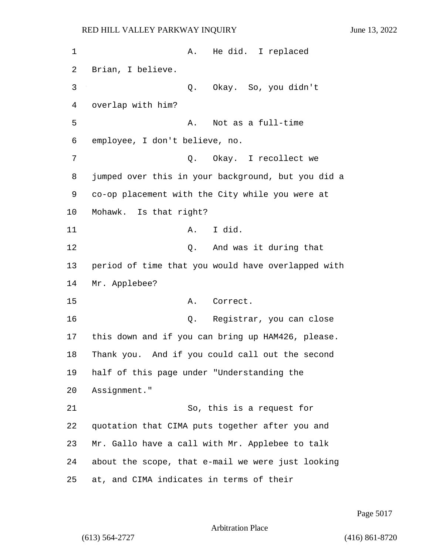1 A. He did. I replaced Brian, I believe. 3 Q. Okay. So, you didn't overlap with him? 5 A. Not as a full-time employee, I don't believe, no. 7 C. Okay. I recollect we jumped over this in your background, but you did a co-op placement with the City while you were at Mohawk. Is that right? 11 A. I did. 12 O. And was it during that period of time that you would have overlapped with Mr. Applebee? 15 A. Correct. 16 Q. Registrar, you can close this down and if you can bring up HAM426, please. Thank you. And if you could call out the second half of this page under "Understanding the Assignment." 21 So, this is a request for quotation that CIMA puts together after you and Mr. Gallo have a call with Mr. Applebee to talk about the scope, that e-mail we were just looking at, and CIMA indicates in terms of their

Page 5017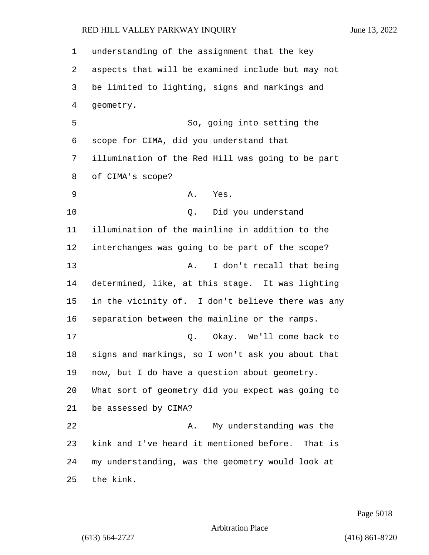understanding of the assignment that the key aspects that will be examined include but may not be limited to lighting, signs and markings and geometry. 5 So, going into setting the scope for CIMA, did you understand that illumination of the Red Hill was going to be part of CIMA's scope? 9 A. Yes. 10 Q. Did you understand illumination of the mainline in addition to the interchanges was going to be part of the scope? 13 A. I don't recall that being determined, like, at this stage. It was lighting in the vicinity of. I don't believe there was any separation between the mainline or the ramps. 17 C. Okay. We'll come back to signs and markings, so I won't ask you about that now, but I do have a question about geometry. What sort of geometry did you expect was going to be assessed by CIMA? 22 A. My understanding was the kink and I've heard it mentioned before. That is my understanding, was the geometry would look at the kink.

Page 5018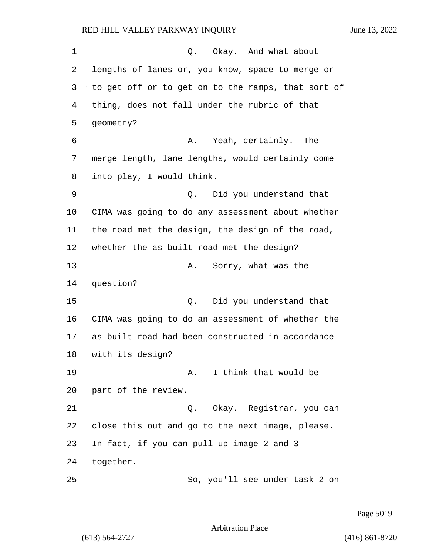1 C. Okay. And what about lengths of lanes or, you know, space to merge or to get off or to get on to the ramps, that sort of thing, does not fall under the rubric of that geometry? 6 A. Yeah, certainly. The merge length, lane lengths, would certainly come into play, I would think. 9 Q. Did you understand that CIMA was going to do any assessment about whether the road met the design, the design of the road, whether the as-built road met the design? 13 A. Sorry, what was the question? 15 0. Did you understand that CIMA was going to do an assessment of whether the as-built road had been constructed in accordance with its design? 19 A. I think that would be part of the review. 21 Q. Okay. Registrar, you can close this out and go to the next image, please. In fact, if you can pull up image 2 and 3 together. 25 So, you'll see under task 2 on

Page 5019

Arbitration Place

(613) 564-2727 (416) 861-8720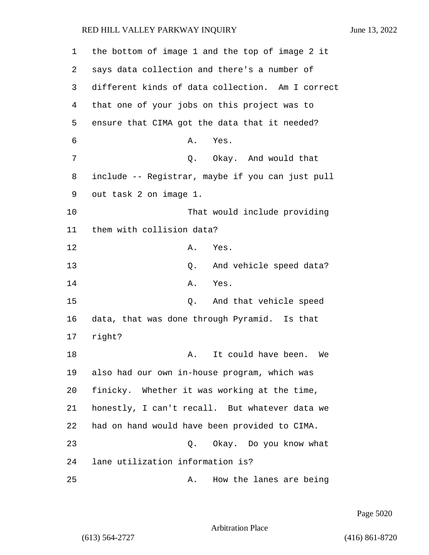| 1  | the bottom of image 1 and the top of image 2 it  |
|----|--------------------------------------------------|
| 2  | says data collection and there's a number of     |
| 3  | different kinds of data collection. Am I correct |
| 4  | that one of your jobs on this project was to     |
| 5  | ensure that CIMA got the data that it needed?    |
| 6  | Α.<br>Yes.                                       |
| 7  | Q. Okay. And would that                          |
| 8  | include -- Registrar, maybe if you can just pull |
| 9  | out task 2 on image 1.                           |
| 10 | That would include providing                     |
| 11 | them with collision data?                        |
| 12 | Α.<br>Yes.                                       |
| 13 | And vehicle speed data?<br>Q.                    |
| 14 | Yes.<br>Α.                                       |
| 15 | And that vehicle speed<br>Q.                     |
| 16 | data, that was done through Pyramid. Is that     |
| 17 | right?                                           |
| 18 | It could have been. We<br>Α.                     |
| 19 | also had our own in-house program, which was     |
| 20 | finicky. Whether it was working at the time,     |
| 21 | honestly, I can't recall. But whatever data we   |
| 22 | had on hand would have been provided to CIMA.    |
| 23 | Q. Okay. Do you know what                        |
| 24 | lane utilization information is?                 |
| 25 | How the lanes are being<br>Α.                    |

Page 5020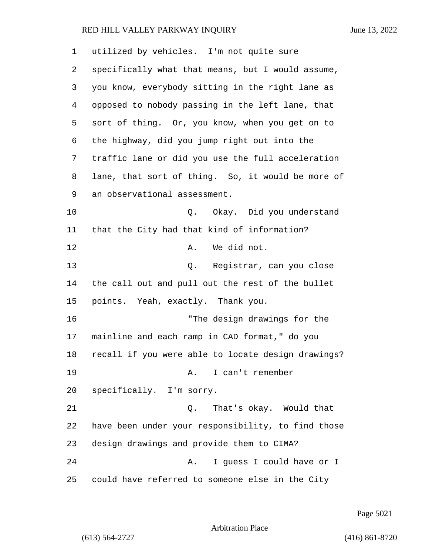| 1  | utilized by vehicles. I'm not quite sure           |
|----|----------------------------------------------------|
| 2  | specifically what that means, but I would assume,  |
| 3  | you know, everybody sitting in the right lane as   |
| 4  | opposed to nobody passing in the left lane, that   |
| 5  | sort of thing. Or, you know, when you get on to    |
| 6  | the highway, did you jump right out into the       |
| 7  | traffic lane or did you use the full acceleration  |
| 8  | lane, that sort of thing. So, it would be more of  |
| 9  | an observational assessment.                       |
| 10 | Q. Okay. Did you understand                        |
| 11 | that the City had that kind of information?        |
| 12 | We did not.<br>Α.                                  |
| 13 | Q. Registrar, can you close                        |
| 14 | the call out and pull out the rest of the bullet   |
| 15 | points. Yeah, exactly. Thank you.                  |
| 16 | "The design drawings for the                       |
| 17 | mainline and each ramp in CAD format," do you      |
| 18 | recall if you were able to locate design drawings? |
| 19 | I can't remember<br>A.                             |
| 20 | specifically. I'm sorry.                           |
| 21 | That's okay. Would that<br>Q.                      |
| 22 | have been under your responsibility, to find those |
| 23 | design drawings and provide them to CIMA?          |
| 24 | I guess I could have or I<br>Α.                    |
| 25 | could have referred to someone else in the City    |

Page 5021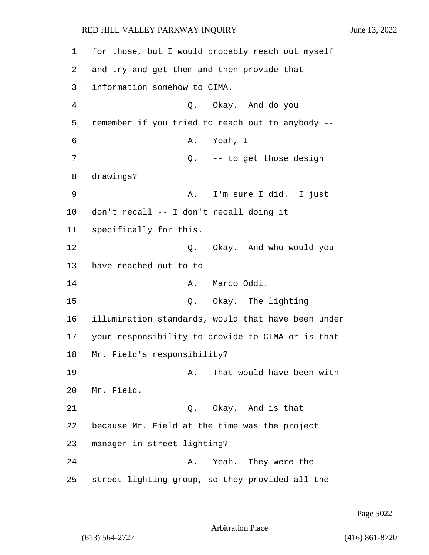1 for those, but I would probably reach out myself 2 and try and get them and then provide that 3 information somehow to CIMA. 4 Q. Okay. And do you 5 remember if you tried to reach out to anybody -- 6 A. Yeah, I -- 7 0. -- to get those design 8 drawings? 9 A. I'm sure I did. I just 10 don't recall -- I don't recall doing it 11 specifically for this. 12 Q. Okay. And who would you 13 have reached out to to --14 A. Marco Oddi. 15 Q. Okay. The lighting 16 illumination standards, would that have been under 17 your responsibility to provide to CIMA or is that 18 Mr. Field's responsibility? 19 A. That would have been with 20 Mr. Field. 21 Q. Okay. And is that 22 because Mr. Field at the time was the project 23 manager in street lighting? 24 A. Yeah. They were the 25 street lighting group, so they provided all the

Page 5022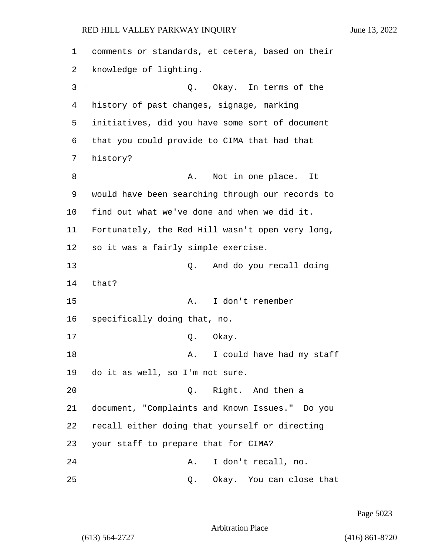1 comments or standards, et cetera, based on their 2 knowledge of lighting. 3 Q. Okay. In terms of the 4 history of past changes, signage, marking 5 initiatives, did you have some sort of document 6 that you could provide to CIMA that had that 7 history? 8 A. Not in one place. It 9 would have been searching through our records to 10 find out what we've done and when we did it. 11 Fortunately, the Red Hill wasn't open very long, 12 so it was a fairly simple exercise. 13 Q. And do you recall doing 14 that? 15 A. I don't remember 16 specifically doing that, no. 17 O. Okay. 18 A. I could have had my staff 19 do it as well, so I'm not sure. 20 Q. Right. And then a 21 document, "Complaints and Known Issues." Do you 22 recall either doing that yourself or directing 23 your staff to prepare that for CIMA? 24 A. I don't recall, no. 25 Q. Okay. You can close that

Page 5023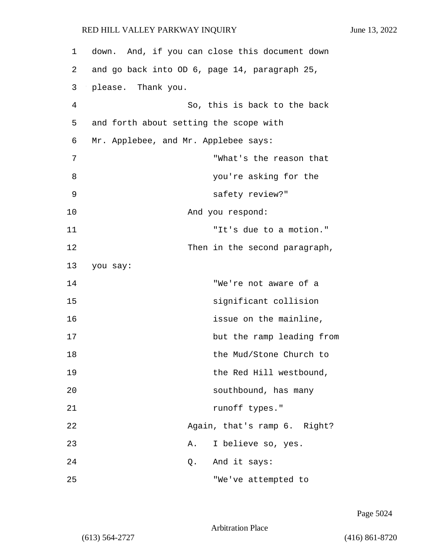| 1  | down. And, if you can close this document down |
|----|------------------------------------------------|
| 2  | and go back into OD 6, page 14, paragraph 25,  |
| 3  | please. Thank you.                             |
| 4  | So, this is back to the back                   |
| 5  | and forth about setting the scope with         |
| 6  | Mr. Applebee, and Mr. Applebee says:           |
| 7  | "What's the reason that                        |
| 8  | you're asking for the                          |
| 9  | safety review?"                                |
| 10 | And you respond:                               |
| 11 | "It's due to a motion."                        |
| 12 | Then in the second paragraph,                  |
| 13 | you say:                                       |
| 14 | "We're not aware of a                          |
| 15 | significant collision                          |
| 16 | issue on the mainline,                         |
| 17 | but the ramp leading from                      |
| 18 | the Mud/Stone Church to                        |
| 19 | the Red Hill westbound,                        |
| 20 | southbound, has many                           |
| 21 | runoff types."                                 |
| 22 | Again, that's ramp 6. Right?                   |
| 23 | I believe so, yes.<br>Α.                       |
| 24 | And it says:<br>Q.                             |
| 25 | "We've attempted to                            |

Page 5024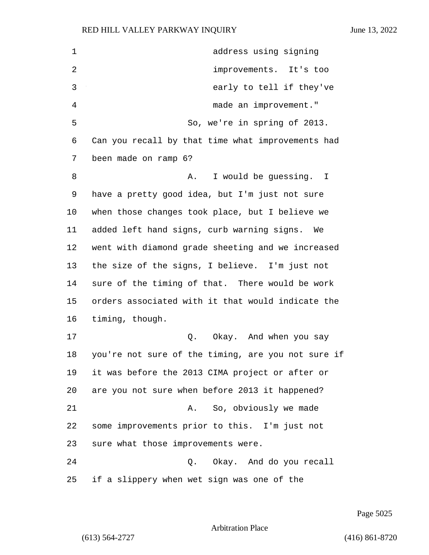| 1              | address using signing                              |
|----------------|----------------------------------------------------|
| $\sqrt{2}$     | improvements. It's too                             |
| 3              | early to tell if they've                           |
| $\overline{4}$ | made an improvement."                              |
| 5              | So, we're in spring of 2013.                       |
| 6              | Can you recall by that time what improvements had  |
| 7              | been made on ramp 6?                               |
| 8              | I would be guessing. I<br>Α.                       |
| 9              | have a pretty good idea, but I'm just not sure     |
| 10             | when those changes took place, but I believe we    |
| 11             | added left hand signs, curb warning signs. We      |
| 12             | went with diamond grade sheeting and we increased  |
| 13             | the size of the signs, I believe. I'm just not     |
| 14             | sure of the timing of that. There would be work    |
| 15             | orders associated with it that would indicate the  |
| 16             | timing, though.                                    |
| 17             | Q.<br>Okay. And when you say                       |
| 18             | you're not sure of the timing, are you not sure if |
| 19             | it was before the 2013 CIMA project or after or    |
| 20             | are you not sure when before 2013 it happened?     |
| 21             | So, obviously we made<br>Α.                        |
| 22             | some improvements prior to this. I'm just not      |
| 23             | sure what those improvements were.                 |
| 24             | Okay. And do you recall<br>Q.                      |
| 25             | if a slippery when wet sign was one of the         |

Page 5025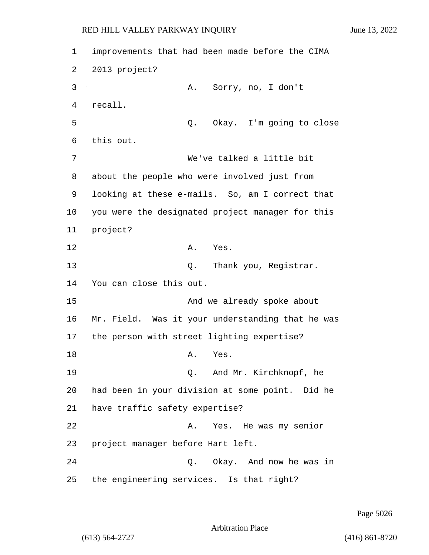1 improvements that had been made before the CIMA 2 2013 project? 3 A. Sorry, no, I don't 4 recall. 5 Q. Okay. I'm going to close 6 this out. 7 We've talked a little bit 8 about the people who were involved just from 9 looking at these e-mails. So, am I correct that 10 you were the designated project manager for this 11 project? 12 A. Yes. 13 Q. Thank you, Registrar. 14 You can close this out. 15 And we already spoke about 16 Mr. Field. Was it your understanding that he was 17 the person with street lighting expertise? 18 A. Yes. 19 Q. And Mr. Kirchknopf, he 20 had been in your division at some point. Did he 21 have traffic safety expertise? 22 A. Yes. He was my senior 23 project manager before Hart left. 24 Q. Okay. And now he was in 25 the engineering services. Is that right?

Page 5026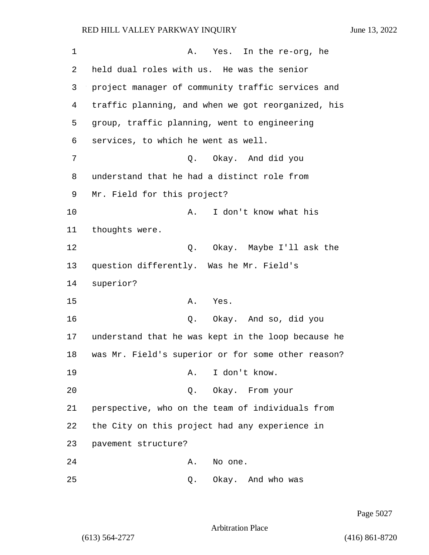| 1  | Yes. In the re-org, he<br>Α.                       |
|----|----------------------------------------------------|
| 2  | held dual roles with us. He was the senior         |
| 3  | project manager of community traffic services and  |
| 4  | traffic planning, and when we got reorganized, his |
| 5  | group, traffic planning, went to engineering       |
| 6  | services, to which he went as well.                |
| 7  | Okay. And did you<br>Q.                            |
| 8  | understand that he had a distinct role from        |
| 9  | Mr. Field for this project?                        |
| 10 | I don't know what his<br>Α.                        |
| 11 | thoughts were.                                     |
| 12 | Okay. Maybe I'll ask the<br>Q.                     |
| 13 | question differently. Was he Mr. Field's           |
| 14 | superior?                                          |
| 15 | Yes.<br>Α.                                         |
| 16 | Q. Okay. And so, did you                           |
| 17 | understand that he was kept in the loop because he |
| 18 | was Mr. Field's superior or for some other reason? |
| 19 | A. I don't know.                                   |
| 20 | Q. Okay. From your                                 |
| 21 | perspective, who on the team of individuals from   |
| 22 | the City on this project had any experience in     |
| 23 | pavement structure?                                |
| 24 | No one.<br>Α.                                      |
| 25 | Okay. And who was<br>Q.                            |

Page 5027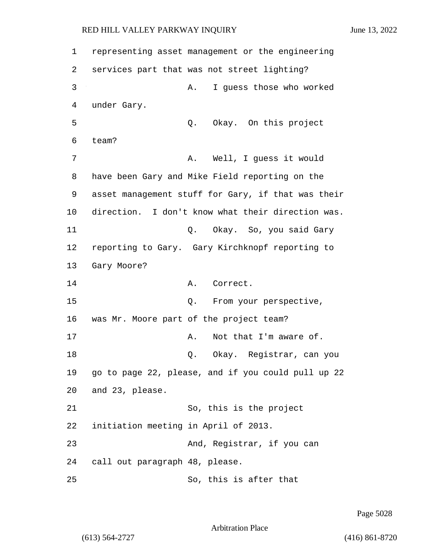1 representing asset management or the engineering 2 services part that was not street lighting? 3 A. I guess those who worked 4 under Gary. 5 Q. Okay. On this project 6 team? 7 A. Well, I quess it would 8 have been Gary and Mike Field reporting on the 9 asset management stuff for Gary, if that was their 10 direction. I don't know what their direction was. 11 Q. Okay. So, you said Gary 12 reporting to Gary. Gary Kirchknopf reporting to 13 Gary Moore? 14 A. Correct. 15 0. From your perspective, 16 was Mr. Moore part of the project team? 17 A. Not that I'm aware of. 18 Q. Okay. Registrar, can you 19 go to page 22, please, and if you could pull up 22 20 and 23, please. 21 So, this is the project 22 initiation meeting in April of 2013. 23 And, Registrar, if you can 24 call out paragraph 48, please. 25 So, this is after that

Page 5028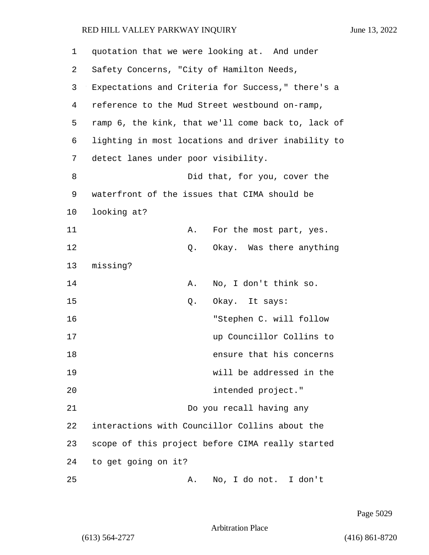| 1  | quotation that we were looking at. And under       |
|----|----------------------------------------------------|
| 2  | Safety Concerns, "City of Hamilton Needs,          |
| 3  | Expectations and Criteria for Success," there's a  |
| 4  | reference to the Mud Street westbound on-ramp,     |
| 5  | ramp 6, the kink, that we'll come back to, lack of |
| 6  | lighting in most locations and driver inability to |
| 7  | detect lanes under poor visibility.                |
| 8  | Did that, for you, cover the                       |
| 9  | waterfront of the issues that CIMA should be       |
| 10 | looking at?                                        |
| 11 | For the most part, yes.<br>Α.                      |
| 12 | Okay. Was there anything<br>Q.                     |
| 13 | missing?                                           |
| 14 | No, I don't think so.<br>Α.                        |
| 15 | Okay. It says:<br>Q.                               |
| 16 | "Stephen C. will follow                            |
| 17 | up Councillor Collins to                           |
| 18 | ensure that his concerns                           |
| 19 | will be addressed in the                           |
| 20 | intended project."                                 |
| 21 | Do you recall having any                           |
| 22 | interactions with Councillor Collins about the     |
| 23 | scope of this project before CIMA really started   |
| 24 | to get going on it?                                |
| 25 | No, I do not. I don't<br>Α.                        |

Page 5029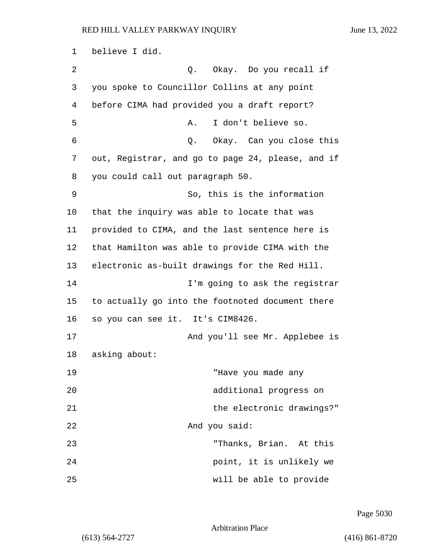1 believe I did. 2 Q. Okay. Do you recall if 3 you spoke to Councillor Collins at any point 4 before CIMA had provided you a draft report? 5 A. I don't believe so. 6 Q. Okay. Can you close this 7 out, Registrar, and go to page 24, please, and if 8 you could call out paragraph 50. 9 So, this is the information 10 that the inquiry was able to locate that was 11 provided to CIMA, and the last sentence here is 12 that Hamilton was able to provide CIMA with the 13 electronic as-built drawings for the Red Hill. 14 I'm going to ask the registrar 15 to actually go into the footnoted document there 16 so you can see it. It's CIM8426. 17 And you'll see Mr. Applebee is 18 asking about: 19 "Have you made any 20 additional progress on 21 **the electronic drawings?"** 22 And you said: 23 "Thanks, Brian. At this 24 point, it is unlikely we 25 will be able to provide

Page 5030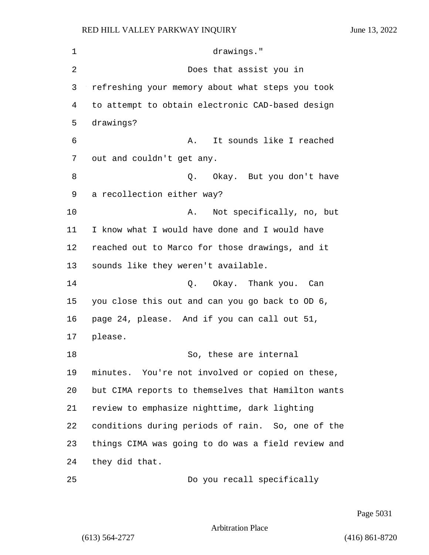| 1  | drawings."                                         |
|----|----------------------------------------------------|
| 2  | Does that assist you in                            |
| 3  | refreshing your memory about what steps you took   |
| 4  | to attempt to obtain electronic CAD-based design   |
| 5  | drawings?                                          |
| 6  | It sounds like I reached<br>Α.                     |
| 7  | out and couldn't get any.                          |
| 8  | Okay.  But you don't have<br>Q.                    |
| 9  | a recollection either way?                         |
| 10 | Not specifically, no, but<br>Α.                    |
| 11 | I know what I would have done and I would have     |
| 12 | reached out to Marco for those drawings, and it    |
| 13 | sounds like they weren't available.                |
| 14 | Okay. Thank you. Can<br>Q.                         |
| 15 | you close this out and can you go back to OD 6,    |
| 16 | page 24, please. And if you can call out 51,       |
| 17 | please.                                            |
| 18 | So, these are internal                             |
| 19 | minutes. You're not involved or copied on these,   |
| 20 | but CIMA reports to themselves that Hamilton wants |
| 21 | review to emphasize nighttime, dark lighting       |
| 22 | conditions during periods of rain. So, one of the  |
| 23 | things CIMA was going to do was a field review and |
| 24 | they did that.                                     |
| 25 | Do you recall specifically                         |

Page 5031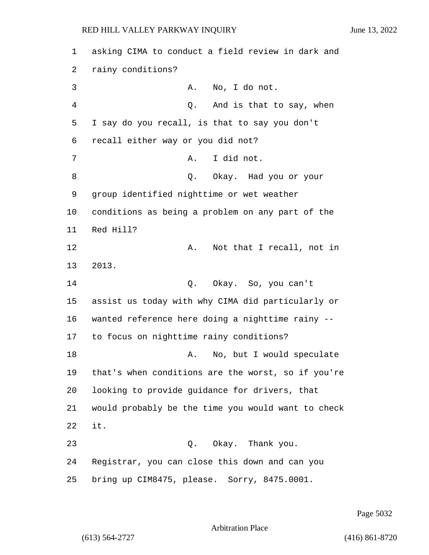1 asking CIMA to conduct a field review in dark and 2 rainy conditions? 3 A. No, I do not. 4 Q. And is that to say, when 5 I say do you recall, is that to say you don't 6 recall either way or you did not? 7 A. I did not. 8 Q. Okay. Had you or your 9 group identified nighttime or wet weather 10 conditions as being a problem on any part of the 11 Red Hill? 12 A. Not that I recall, not in 13 2013. 14 Q. Okay. So, you can't 15 assist us today with why CIMA did particularly or 16 wanted reference here doing a nighttime rainy -- 17 to focus on nighttime rainy conditions? 18 A. No, but I would speculate 19 that's when conditions are the worst, so if you're 20 looking to provide guidance for drivers, that 21 would probably be the time you would want to check 22 it. 23 Q. Okay. Thank you. 24 Registrar, you can close this down and can you 25 bring up CIM8475, please. Sorry, 8475.0001.

Page 5032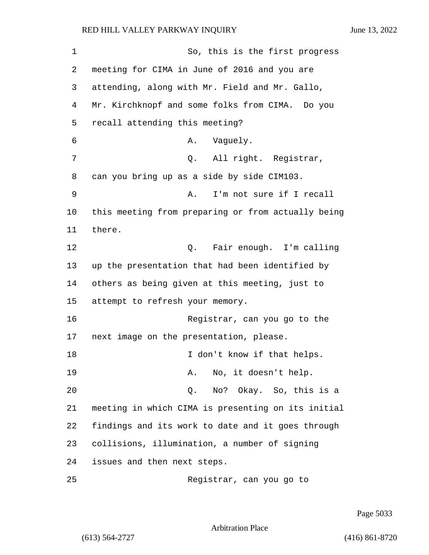1 So, this is the first progress 2 meeting for CIMA in June of 2016 and you are 3 attending, along with Mr. Field and Mr. Gallo, 4 Mr. Kirchknopf and some folks from CIMA. Do you 5 recall attending this meeting? 6 A. Vaguely. 7 C. All right. Registrar, 8 can you bring up as a side by side CIM103. 9 A. I'm not sure if I recall 10 this meeting from preparing or from actually being 11 there. 12 Q. Fair enough. I'm calling 13 up the presentation that had been identified by 14 others as being given at this meeting, just to 15 attempt to refresh your memory. 16 Registrar, can you go to the 17 next image on the presentation, please. 18 I don't know if that helps. 19 A. No, it doesn't help. 20 Q. No? Okay. So, this is a 21 meeting in which CIMA is presenting on its initial 22 findings and its work to date and it goes through 23 collisions, illumination, a number of signing 24 issues and then next steps. 25 Registrar, can you go to

Page 5033

Arbitration Place

(613) 564-2727 (416) 861-8720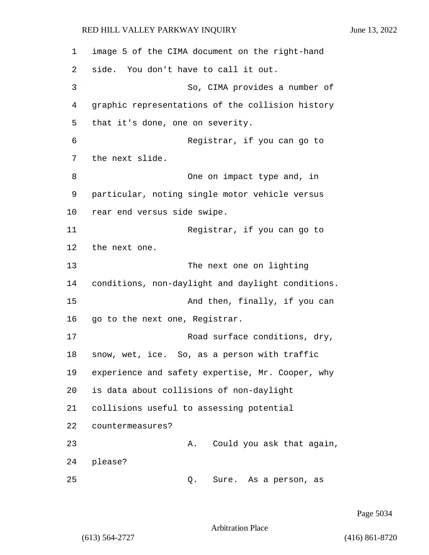| 1  | image 5 of the CIMA document on the right-hand    |
|----|---------------------------------------------------|
| 2  | side. You don't have to call it out.              |
| 3  | So, CIMA provides a number of                     |
| 4  | graphic representations of the collision history  |
| 5  | that it's done, one on severity.                  |
| 6  | Registrar, if you can go to                       |
| 7  | the next slide.                                   |
| 8  | One on impact type and, in                        |
| 9  | particular, noting single motor vehicle versus    |
| 10 | rear end versus side swipe.                       |
| 11 | Registrar, if you can go to                       |
| 12 | the next one.                                     |
| 13 | The next one on lighting                          |
| 14 | conditions, non-daylight and daylight conditions. |
| 15 | And then, finally, if you can                     |
| 16 | go to the next one, Registrar.                    |
| 17 | Road surface conditions, dry,                     |
| 18 | snow, wet, ice. So, as a person with traffic      |
| 19 | experience and safety expertise, Mr. Cooper, why  |
| 20 | is data about collisions of non-daylight          |
| 21 | collisions useful to assessing potential          |
| 22 | countermeasures?                                  |
| 23 | Could you ask that again,<br>Α.                   |
| 24 | please?                                           |
| 25 | Sure.<br>Q.<br>As a person, as                    |

Page 5034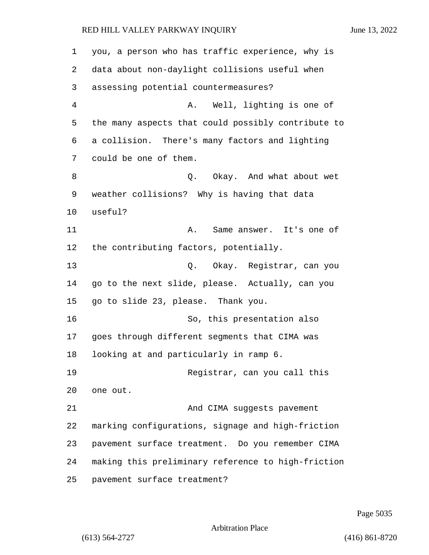you, a person who has traffic experience, why is data about non-daylight collisions useful when assessing potential countermeasures? 4 A. Well, lighting is one of the many aspects that could possibly contribute to a collision. There's many factors and lighting could be one of them. 8 and 2. Okay. And what about wet weather collisions? Why is having that data useful? 11 A. Same answer. It's one of the contributing factors, potentially. 13 Q. Okay. Registrar, can you go to the next slide, please. Actually, can you go to slide 23, please. Thank you. 16 So, this presentation also goes through different segments that CIMA was looking at and particularly in ramp 6. 19 Registrar, can you call this one out. 21 And CIMA suggests pavement marking configurations, signage and high-friction pavement surface treatment. Do you remember CIMA making this preliminary reference to high-friction pavement surface treatment?

Page 5035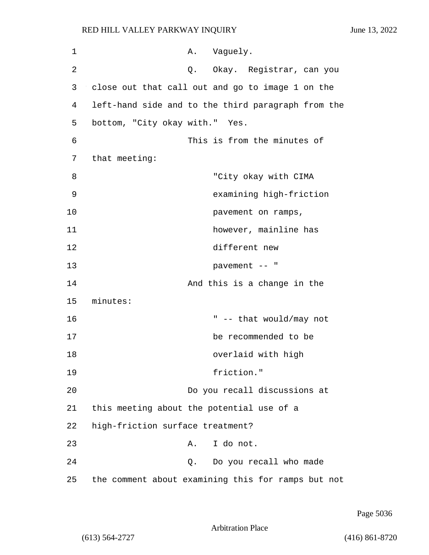| $\mathbf 1$ | A. Vaguely.                                        |
|-------------|----------------------------------------------------|
| 2           | Q. Okay. Registrar, can you                        |
| 3           | close out that call out and go to image 1 on the   |
| 4           | left-hand side and to the third paragraph from the |
| 5           | bottom, "City okay with." Yes.                     |
| 6           | This is from the minutes of                        |
| 7           | that meeting:                                      |
| 8           | "City okay with CIMA                               |
| 9           | examining high-friction                            |
| 10          | pavement on ramps,                                 |
| 11          | however, mainline has                              |
| 12          | different new                                      |
| 13          | pavement -- "                                      |
| 14          | And this is a change in the                        |
| 15          | minutes:                                           |
| 16          | " -- that would/may not                            |
| 17          | be recommended to be                               |
| 18          | overlaid with high                                 |
| 19          | friction."                                         |
| 20          | Do you recall discussions at                       |
| 21          | this meeting about the potential use of a          |
| 22          | high-friction surface treatment?                   |
| 23          | I do not.<br>Α.                                    |
| 24          | Do you recall who made<br>Q.                       |
| 25          | the comment about examining this for ramps but not |

Page 5036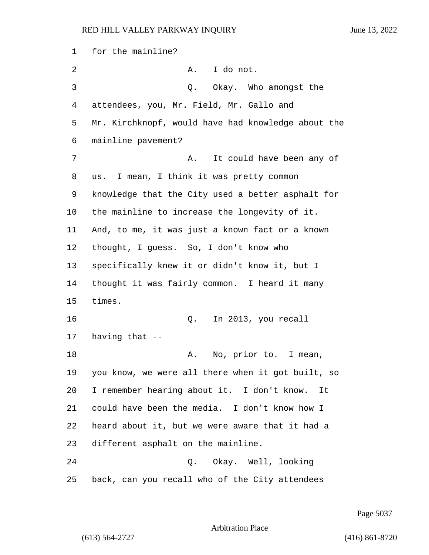| 1  | for the mainline?                                  |
|----|----------------------------------------------------|
| 2  | I do not.<br>А.                                    |
| 3  | Okay. Who amongst the<br>Q.                        |
| 4  | attendees, you, Mr. Field, Mr. Gallo and           |
| 5  | Mr. Kirchknopf, would have had knowledge about the |
| 6  | mainline pavement?                                 |
| 7  | It could have been any of<br>Α.                    |
| 8  | I mean, I think it was pretty common<br>us.        |
| 9  | knowledge that the City used a better asphalt for  |
| 10 | the mainline to increase the longevity of it.      |
| 11 | And, to me, it was just a known fact or a known    |
| 12 | thought, I guess. So, I don't know who             |
| 13 | specifically knew it or didn't know it, but I      |
| 14 | thought it was fairly common. I heard it many      |
| 15 | times.                                             |
| 16 | In 2013, you recall<br>Q.                          |
| 17 | having that --                                     |
| 18 | No, prior to. I mean,<br>Α.                        |
| 19 | you know, we were all there when it got built, so  |
| 20 | I remember hearing about it. I don't know.<br>It   |
| 21 | could have been the media. I don't know how I      |
| 22 | heard about it, but we were aware that it had a    |
| 23 | different asphalt on the mainline.                 |
| 24 | Q. Okay. Well, looking                             |
| 25 | back, can you recall who of the City attendees     |

Page 5037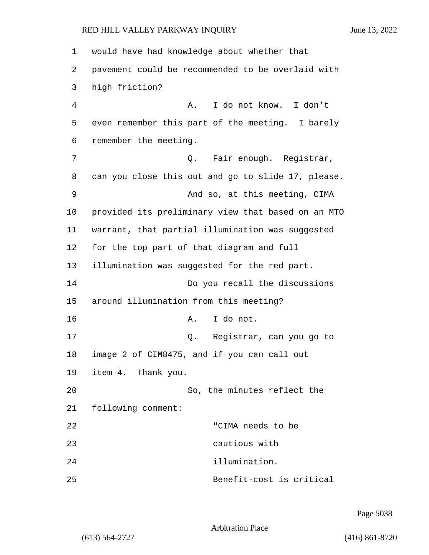| 1  | would have had knowledge about whether that        |
|----|----------------------------------------------------|
| 2  | pavement could be recommended to be overlaid with  |
| 3  | high friction?                                     |
| 4  | I do not know. I don't<br>Α.                       |
| 5  | even remember this part of the meeting. I barely   |
| 6  | remember the meeting.                              |
| 7  | Q. Fair enough. Registrar,                         |
| 8  | can you close this out and go to slide 17, please. |
| 9  | And so, at this meeting, CIMA                      |
| 10 | provided its preliminary view that based on an MTO |
| 11 | warrant, that partial illumination was suggested   |
| 12 | for the top part of that diagram and full          |
| 13 | illumination was suggested for the red part.       |
| 14 | Do you recall the discussions                      |
| 15 | around illumination from this meeting?             |
| 16 | I do not.<br>Α.                                    |
| 17 | Q. Registrar, can you go to                        |
| 18 | image 2 of CIM8475, and if you can call out        |
| 19 | item 4. Thank you.                                 |
| 20 | So, the minutes reflect the                        |
| 21 | following comment:                                 |
| 22 | "CIMA needs to be                                  |
| 23 | cautious with                                      |
| 24 | illumination.                                      |
| 25 | Benefit-cost is critical                           |

Page 5038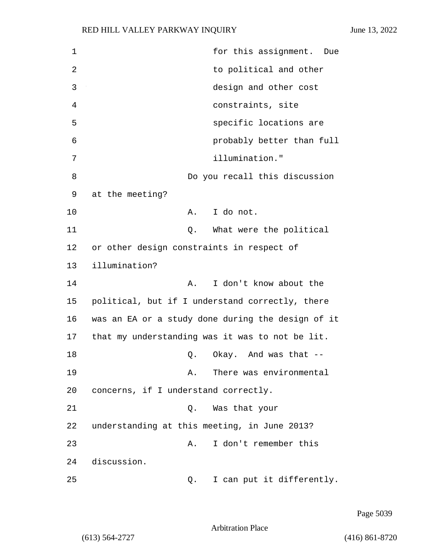| $\mathbf 1$ | for this assignment. Due                          |
|-------------|---------------------------------------------------|
| 2           | to political and other                            |
| 3           | design and other cost                             |
| 4           | constraints, site                                 |
| 5           | specific locations are                            |
| 6           | probably better than full                         |
| 7           | illumination."                                    |
| 8           | Do you recall this discussion                     |
| 9           | at the meeting?                                   |
| 10          | I do not.<br>A.                                   |
| 11          | What were the political<br>Q.                     |
| 12          | or other design constraints in respect of         |
| 13          | illumination?                                     |
| 14          | I don't know about the<br>Α.                      |
| 15          | political, but if I understand correctly, there   |
| 16          | was an EA or a study done during the design of it |
| 17          | that my understanding was it was to not be lit.   |
| 18          | Okay. And was that<br>Q.                          |
| 19          | There was environmental<br>A.                     |
| 20          | concerns, if I understand correctly.              |
| 21          | Was that your<br>Q.                               |
| 22          | understanding at this meeting, in June 2013?      |
| 23          | I don't remember this<br>Α.                       |
| 24          | discussion.                                       |
| 25          | I can put it differently.<br>Q.                   |

Page 5039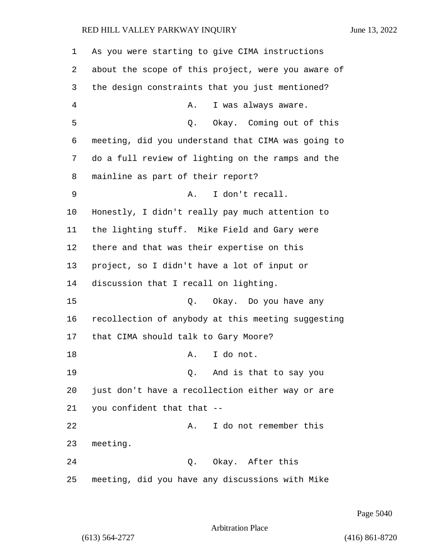| $\mathbf 1$ | As you were starting to give CIMA instructions     |
|-------------|----------------------------------------------------|
| 2           | about the scope of this project, were you aware of |
| 3           | the design constraints that you just mentioned?    |
| 4           | I was always aware.<br>Α.                          |
| 5           | Okay. Coming out of this<br>Q.                     |
| 6           | meeting, did you understand that CIMA was going to |
| 7           | do a full review of lighting on the ramps and the  |
| 8           | mainline as part of their report?                  |
| 9           | I don't recall.<br>Α.                              |
| 10          | Honestly, I didn't really pay much attention to    |
| 11          | the lighting stuff. Mike Field and Gary were       |
| 12          | there and that was their expertise on this         |
| 13          | project, so I didn't have a lot of input or        |
| 14          | discussion that I recall on lighting.              |
| 15          | Q. Okay. Do you have any                           |
| 16          | recollection of anybody at this meeting suggesting |
| 17          | that CIMA should talk to Gary Moore?               |
| 18          | I do not.<br>Α.                                    |
| 19          | Q. And is that to say you                          |
| 20          | just don't have a recollection either way or are   |
| 21          | you confident that that --                         |
| 22          | I do not remember this<br>Α.                       |
| 23          | meeting.                                           |
| 24          | Okay. After this<br>Q.                             |
| 25          | meeting, did you have any discussions with Mike    |

Page 5040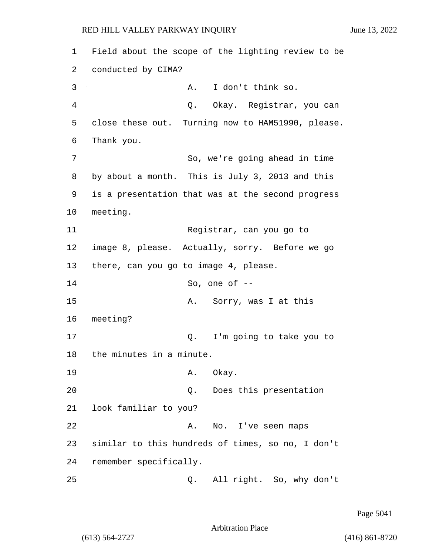1 Field about the scope of the lighting review to be 2 conducted by CIMA? 3 A. I don't think so. 4 Q. Okay. Registrar, you can 5 close these out. Turning now to HAM51990, please. 6 Thank you. 7 So, we're going ahead in time 8 by about a month. This is July 3, 2013 and this 9 is a presentation that was at the second progress 10 meeting. 11 Registrar, can you go to 12 image 8, please. Actually, sorry. Before we go 13 there, can you go to image 4, please. 14 So, one of -- 15 A. Sorry, was I at this 16 meeting? 17 Q. I'm going to take you to 18 the minutes in a minute. 19 A. Okay. 20 Q. Does this presentation 21 look familiar to you? 22 A. No. I've seen maps 23 similar to this hundreds of times, so no, I don't 24 remember specifically. 25 Q. All right. So, why don't

Page 5041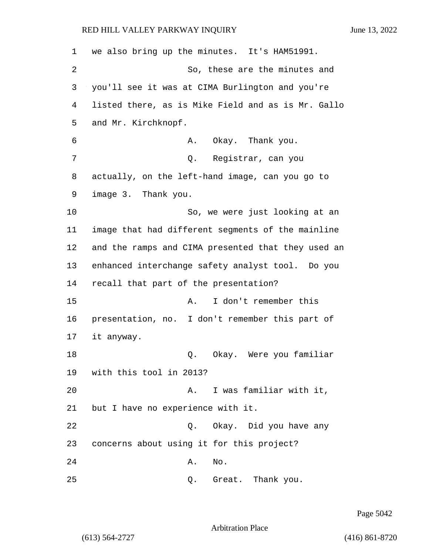1 we also bring up the minutes. It's HAM51991. 2 So, these are the minutes and 3 you'll see it was at CIMA Burlington and you're 4 listed there, as is Mike Field and as is Mr. Gallo 5 and Mr. Kirchknopf. 6 A. Okay. Thank you. 7 Q. Registrar, can you 8 actually, on the left-hand image, can you go to 9 image 3. Thank you. 10 So, we were just looking at an 11 image that had different segments of the mainline 12 and the ramps and CIMA presented that they used an 13 enhanced interchange safety analyst tool. Do you 14 recall that part of the presentation? 15 A. I don't remember this 16 presentation, no. I don't remember this part of 17 it anyway. 18 Q. Okay. Were you familiar 19 with this tool in 2013? 20 A. I was familiar with it, 21 but I have no experience with it. 22 Q. Okay. Did you have any 23 concerns about using it for this project? 24 A. No. 25 Q. Great. Thank you.

Page 5042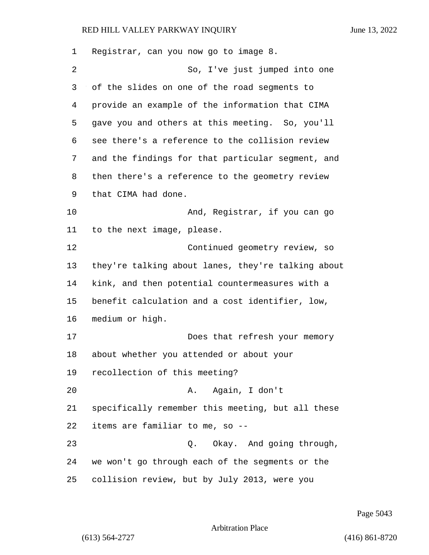Registrar, can you now go to image 8. 2 So, I've just jumped into one of the slides on one of the road segments to provide an example of the information that CIMA gave you and others at this meeting. So, you'll see there's a reference to the collision review and the findings for that particular segment, and then there's a reference to the geometry review that CIMA had done. 10 And, Registrar, if you can go to the next image, please. 12 Continued geometry review, so they're talking about lanes, they're talking about kink, and then potential countermeasures with a benefit calculation and a cost identifier, low, medium or high. 17 Does that refresh your memory about whether you attended or about your recollection of this meeting? 20 A. Again, I don't specifically remember this meeting, but all these items are familiar to me, so -- 23 Q. Okay. And going through, we won't go through each of the segments or the collision review, but by July 2013, were you

Page 5043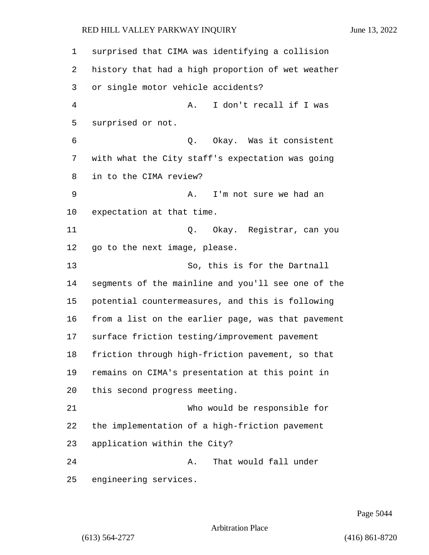| 1  | surprised that CIMA was identifying a collision    |
|----|----------------------------------------------------|
| 2  | history that had a high proportion of wet weather  |
| 3  | or single motor vehicle accidents?                 |
| 4  | I don't recall if I was<br>Α.                      |
| 5  | surprised or not.                                  |
| 6  | Q. Okay. Was it consistent                         |
| 7  | with what the City staff's expectation was going   |
| 8  | in to the CIMA review?                             |
| 9  | I'm not sure we had an<br>Α.                       |
| 10 | expectation at that time.                          |
| 11 | Q. Okay. Registrar, can you                        |
| 12 | go to the next image, please.                      |
| 13 | So, this is for the Dartnall                       |
| 14 | segments of the mainline and you'll see one of the |
| 15 | potential countermeasures, and this is following   |
| 16 | from a list on the earlier page, was that pavement |
| 17 | surface friction testing/improvement pavement      |
| 18 | friction through high-friction pavement, so that   |
| 19 | remains on CIMA's presentation at this point in    |
| 20 | this second progress meeting.                      |
| 21 | Who would be responsible for                       |
| 22 | the implementation of a high-friction pavement     |
| 23 | application within the City?                       |
| 24 | That would fall under<br>Α.                        |
| 25 | engineering services.                              |

Page 5044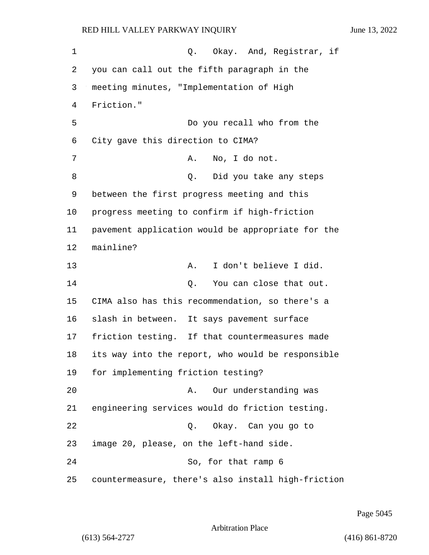1 C. Okay. And, Registrar, if you can call out the fifth paragraph in the meeting minutes, "Implementation of High Friction." 5 Do you recall who from the City gave this direction to CIMA? 7 A. No, I do not. 8 and 2. Did you take any steps between the first progress meeting and this progress meeting to confirm if high-friction pavement application would be appropriate for the mainline? 13 A. I don't believe I did. 14 C. You can close that out. CIMA also has this recommendation, so there's a slash in between. It says pavement surface friction testing. If that countermeasures made its way into the report, who would be responsible for implementing friction testing? 20 A. Our understanding was engineering services would do friction testing. 22 Q. Okay. Can you go to image 20, please, on the left-hand side. 24 So, for that ramp 6 countermeasure, there's also install high-friction

Page 5045

Arbitration Place

(613) 564-2727 (416) 861-8720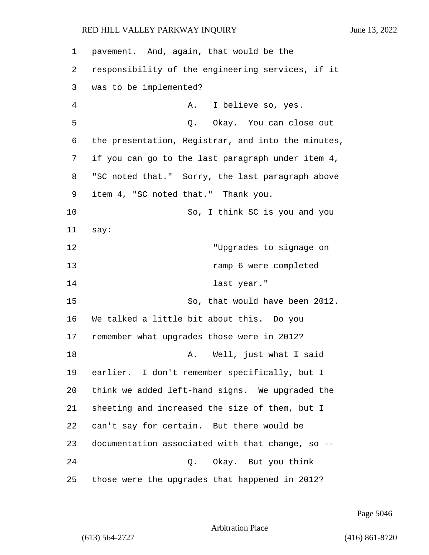| 1  | pavement. And, again, that would be the            |
|----|----------------------------------------------------|
| 2  | responsibility of the engineering services, if it  |
| 3  | was to be implemented?                             |
| 4  | I believe so, yes.<br>A.                           |
| 5  | Q. Okay. You can close out                         |
| 6  | the presentation, Registrar, and into the minutes, |
| 7  | if you can go to the last paragraph under item 4,  |
| 8  | "SC noted that." Sorry, the last paragraph above   |
| 9  | item 4, "SC noted that." Thank you.                |
| 10 | So, I think SC is you and you                      |
| 11 | say:                                               |
| 12 | "Upgrades to signage on                            |
| 13 | ramp 6 were completed                              |
| 14 | last year."                                        |
| 15 | So, that would have been 2012.                     |
| 16 | We talked a little bit about this. Do you          |
| 17 | remember what upgrades those were in 2012?         |
| 18 | Well, just what I said<br>Α.                       |
| 19 | earlier. I don't remember specifically, but I      |
| 20 | think we added left-hand signs. We upgraded the    |
| 21 | sheeting and increased the size of them, but I     |
| 22 | can't say for certain. But there would be          |
| 23 | documentation associated with that change, so --   |
| 24 | Okay. But you think<br>Q.                          |
| 25 | those were the upgrades that happened in 2012?     |

Page 5046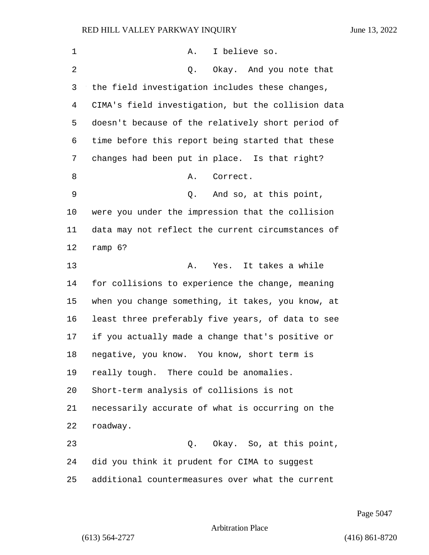| 1              | I believe so.<br>Α.                                |
|----------------|----------------------------------------------------|
| $\overline{2}$ | Okay. And you note that<br>Q.                      |
| 3              | the field investigation includes these changes,    |
| 4              | CIMA's field investigation, but the collision data |
| 5              | doesn't because of the relatively short period of  |
| 6              | time before this report being started that these   |
| 7              | changes had been put in place. Is that right?      |
| 8              | Α.<br>Correct.                                     |
| 9              | And so, at this point,<br>Q.                       |
| 10             | were you under the impression that the collision   |
| 11             | data may not reflect the current circumstances of  |
| 12             | ramp 6?                                            |
| 13             | Yes. It takes a while<br>A.                        |
| 14             | for collisions to experience the change, meaning   |
| 15             | when you change something, it takes, you know, at  |
| 16             | least three preferably five years, of data to see  |
| 17             | if you actually made a change that's positive or   |
| 18             | negative, you know. You know, short term is        |
| 19             | really tough. There could be anomalies.            |
| 20             | Short-term analysis of collisions is not           |
| 21             | necessarily accurate of what is occurring on the   |
| 22             | roadway.                                           |
| 23             | Q. Okay. So, at this point,                        |
| 24             | did you think it prudent for CIMA to suggest       |
| 25             | additional countermeasures over what the current   |

Page 5047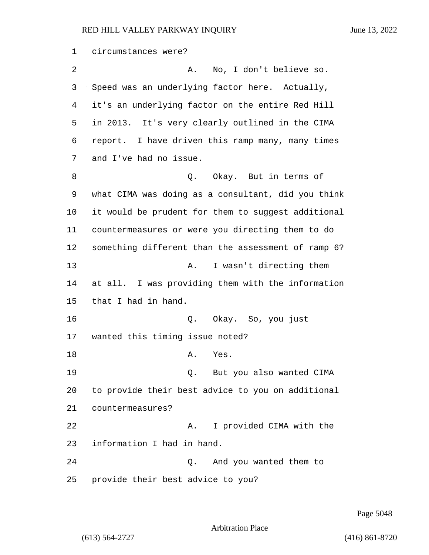circumstances were? 2 A. No, I don't believe so. Speed was an underlying factor here. Actually, it's an underlying factor on the entire Red Hill in 2013. It's very clearly outlined in the CIMA report. I have driven this ramp many, many times and I've had no issue. 8 a Q. Okay. But in terms of what CIMA was doing as a consultant, did you think it would be prudent for them to suggest additional countermeasures or were you directing them to do something different than the assessment of ramp 6? 13 A. I wasn't directing them at all. I was providing them with the information that I had in hand. 16 Q. Okay. So, you just wanted this timing issue noted? 18 A. Yes. 19 Q. But you also wanted CIMA to provide their best advice to you on additional countermeasures? 22 A. I provided CIMA with the information I had in hand. 24 Q. And you wanted them to provide their best advice to you?

Page 5048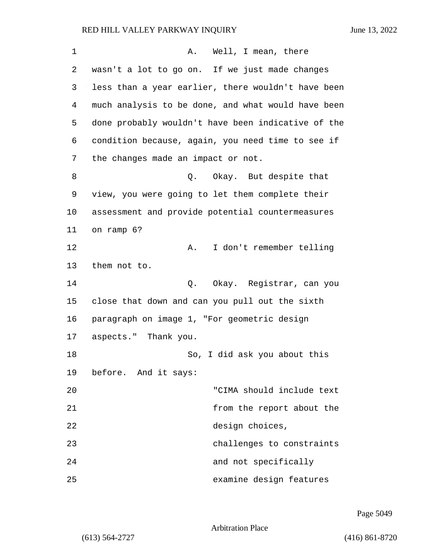| 1  | Well, I mean, there<br>Α.                          |
|----|----------------------------------------------------|
| 2  | wasn't a lot to go on. If we just made changes     |
| 3  | less than a year earlier, there wouldn't have been |
| 4  | much analysis to be done, and what would have been |
| 5  | done probably wouldn't have been indicative of the |
| 6  | condition because, again, you need time to see if  |
| 7  | the changes made an impact or not.                 |
| 8  | Q. Okay. But despite that                          |
| 9  | view, you were going to let them complete their    |
| 10 | assessment and provide potential countermeasures   |
| 11 | on ramp 6?                                         |
| 12 | I don't remember telling<br>Α.                     |
| 13 | them not to.                                       |
| 14 | Okay. Registrar, can you<br>Q.                     |
| 15 | close that down and can you pull out the sixth     |
| 16 | paragraph on image 1, "For geometric design        |
| 17 | aspects." Thank you.                               |
| 18 | So, I did ask you about this                       |
| 19 | before. And it says:                               |
| 20 | "CIMA should include text                          |
| 21 | from the report about the                          |
| 22 | design choices,                                    |
| 23 | challenges to constraints                          |
| 24 | and not specifically                               |
| 25 | examine design features                            |

Page 5049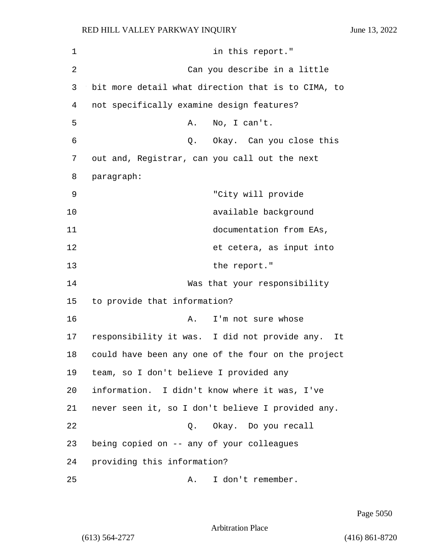| $\mathbf 1$    | in this report."                                    |
|----------------|-----------------------------------------------------|
| $\overline{2}$ | Can you describe in a little                        |
| 3              | bit more detail what direction that is to CIMA, to  |
| 4              | not specifically examine design features?           |
| 5              | No, I can't.<br>Α.                                  |
| 6              | Okay.  Can you close this<br>Q.                     |
| 7              | out and, Registrar, can you call out the next       |
| 8              | paragraph:                                          |
| 9              | "City will provide                                  |
| 10             | available background                                |
| 11             | documentation from EAs,                             |
| 12             | et cetera, as input into                            |
| 13             | the report."                                        |
| 14             | Was that your responsibility                        |
| 15             | to provide that information?                        |
| 16             | I'm not sure whose<br>Α.                            |
| 17             | responsibility it was. I did not provide any.<br>It |
| 18             | could have been any one of the four on the project  |
| 19             | team, so I don't believe I provided any             |
| 20             | information. I didn't know where it was, I've       |
| 21             | never seen it, so I don't believe I provided any.   |
| 22             | Q. Okay. Do you recall                              |
| 23             | being copied on -- any of your colleagues           |
| 24             | providing this information?                         |
| 25             | I don't remember.<br>Α.                             |

Page 5050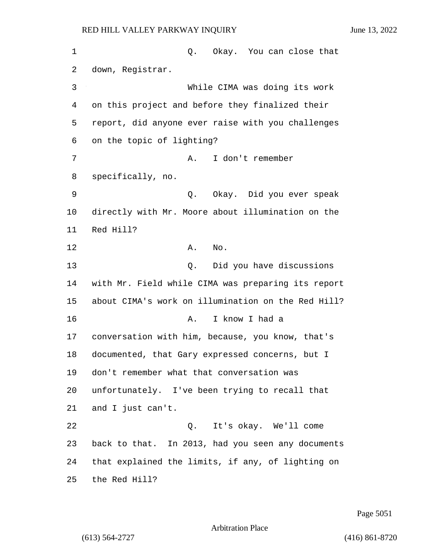1 Q. Okay. You can close that down, Registrar. 3 While CIMA was doing its work on this project and before they finalized their report, did anyone ever raise with you challenges on the topic of lighting? 7 A. I don't remember specifically, no. 9 Q. Okay. Did you ever speak directly with Mr. Moore about illumination on the Red Hill? 12 A. No. 13 Q. Did you have discussions with Mr. Field while CIMA was preparing its report about CIMA's work on illumination on the Red Hill? 16 A. I know I had a conversation with him, because, you know, that's documented, that Gary expressed concerns, but I don't remember what that conversation was unfortunately. I've been trying to recall that and I just can't. 22 Q. It's okay. We'll come back to that. In 2013, had you seen any documents that explained the limits, if any, of lighting on the Red Hill?

Page 5051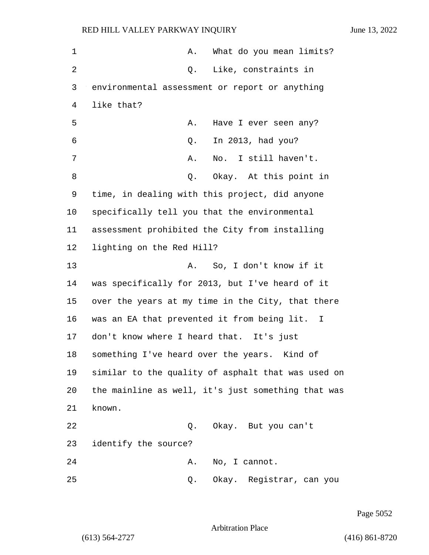| 1  | What do you mean limits?<br>Α.                              |
|----|-------------------------------------------------------------|
| 2  | Like, constraints in<br>Q.                                  |
| 3  | environmental assessment or report or anything              |
| 4  | like that?                                                  |
| 5  | Have I ever seen any?<br>Α.                                 |
| 6  | In 2013, had you?<br>Q.                                     |
| 7  | No. I still haven't.<br>Α.                                  |
| 8  | Okay. At this point in<br>Q.                                |
| 9  | time, in dealing with this project, did anyone              |
| 10 | specifically tell you that the environmental                |
| 11 | assessment prohibited the City from installing              |
| 12 | lighting on the Red Hill?                                   |
| 13 | So, I don't know if it<br>Α.                                |
| 14 | was specifically for 2013, but I've heard of it             |
| 15 | over the years at my time in the City, that there           |
| 16 | was an EA that prevented it from being lit.<br>$\mathbf{I}$ |
| 17 | don't know where I heard that. It's just                    |
| 18 | something I've heard over the years.<br>Kind of             |
| 19 | similar to the quality of asphalt that was used on          |
| 20 | the mainline as well, it's just something that was          |
| 21 | known.                                                      |
| 22 | Q. Okay. But you can't                                      |
| 23 | identify the source?                                        |
| 24 | No, I cannot.<br>Α.                                         |
| 25 | Okay. Registrar, can you<br>Q.                              |

Page 5052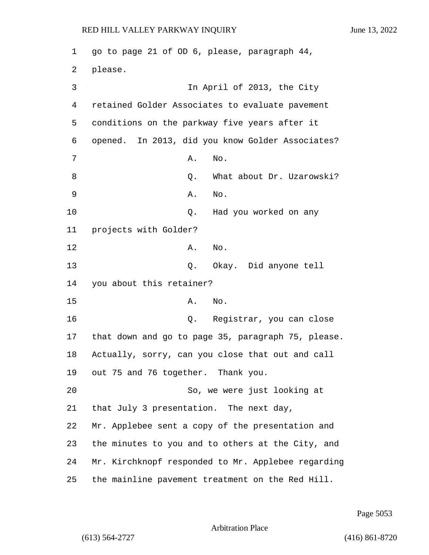1 go to page 21 of OD 6, please, paragraph 44, 2 please. 3 In April of 2013, the City 4 retained Golder Associates to evaluate pavement 5 conditions on the parkway five years after it 6 opened. In 2013, did you know Golder Associates? 7 **A.** No. 8 a. S. Mat about Dr. Uzarowski? 9 A. No. 10 Q. Had you worked on any 11 projects with Golder? 12 A. No. 13 Q. Okay. Did anyone tell 14 you about this retainer? 15 A. No. 16 Q. Registrar, you can close 17 that down and go to page 35, paragraph 75, please. 18 Actually, sorry, can you close that out and call 19 out 75 and 76 together. Thank you. 20 So, we were just looking at 21 that July 3 presentation. The next day, 22 Mr. Applebee sent a copy of the presentation and 23 the minutes to you and to others at the City, and 24 Mr. Kirchknopf responded to Mr. Applebee regarding 25 the mainline pavement treatment on the Red Hill.

Page 5053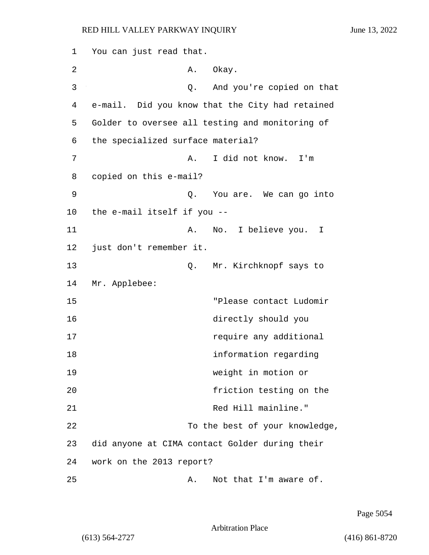| 1  | You can just read that.                         |  |
|----|-------------------------------------------------|--|
| 2  | Okay.<br>Α.                                     |  |
| 3  | And you're copied on that<br>Q.                 |  |
| 4  | e-mail. Did you know that the City had retained |  |
| 5  | Golder to oversee all testing and monitoring of |  |
| 6  | the specialized surface material?               |  |
| 7  | I did not know. I'm<br>Α.                       |  |
| 8  | copied on this e-mail?                          |  |
| 9  | Q. You are. We can go into                      |  |
| 10 | the e-mail itself if you --                     |  |
| 11 | No. I believe you. I<br>Α.                      |  |
| 12 | just don't remember it.                         |  |
| 13 | Mr. Kirchknopf says to<br>Q.                    |  |
| 14 | Mr. Applebee:                                   |  |
| 15 | "Please contact Ludomir                         |  |
| 16 | directly should you                             |  |
| 17 | require any additional                          |  |
| 18 | information regarding                           |  |
| 19 | weight in motion or                             |  |
| 20 | friction testing on the                         |  |
| 21 | Red Hill mainline."                             |  |
| 22 | To the best of your knowledge,                  |  |
| 23 | did anyone at CIMA contact Golder during their  |  |
| 24 | work on the 2013 report?                        |  |
| 25 | Not that I'm aware of.<br>Α.                    |  |

Page 5054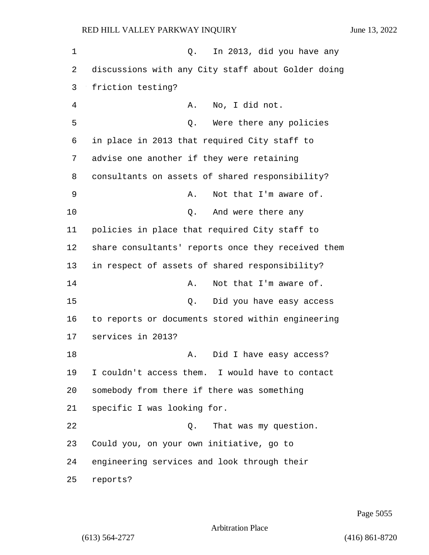1 and 1 Q. In 2013, did you have any 2 discussions with any City staff about Golder doing 3 friction testing? 4 A. No, I did not. 5 Q. Were there any policies 6 in place in 2013 that required City staff to 7 advise one another if they were retaining 8 consultants on assets of shared responsibility? 9 A. Not that I'm aware of. 10 Q. And were there any 11 policies in place that required City staff to 12 share consultants' reports once they received them 13 in respect of assets of shared responsibility? 14 A. Not that I'm aware of. 15 Q. Did you have easy access 16 to reports or documents stored within engineering 17 services in 2013? 18 A. Did I have easy access? 19 I couldn't access them. I would have to contact 20 somebody from there if there was something 21 specific I was looking for. 22 Q. That was my question. 23 Could you, on your own initiative, go to 24 engineering services and look through their 25 reports?

Page 5055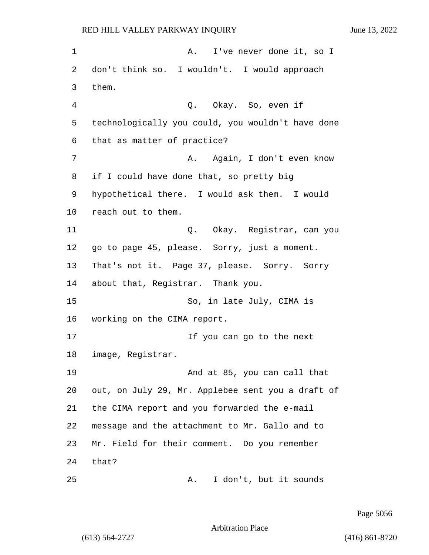1 A. I've never done it, so I 2 don't think so. I wouldn't. I would approach 3 them. 4 Q. Okay. So, even if 5 technologically you could, you wouldn't have done 6 that as matter of practice? 7 A. Again, I don't even know 8 if I could have done that, so pretty big 9 hypothetical there. I would ask them. I would 10 reach out to them. 11 Q. Okay. Registrar, can you 12 go to page 45, please. Sorry, just a moment. 13 That's not it. Page 37, please. Sorry. Sorry 14 about that, Registrar. Thank you. 15 So, in late July, CIMA is 16 working on the CIMA report. 17 If you can go to the next 18 image, Registrar. 19 And at 85, you can call that 20 out, on July 29, Mr. Applebee sent you a draft of 21 the CIMA report and you forwarded the e-mail 22 message and the attachment to Mr. Gallo and to 23 Mr. Field for their comment. Do you remember 24 that? 25 A. I don't, but it sounds

Page 5056

Arbitration Place

(613) 564-2727 (416) 861-8720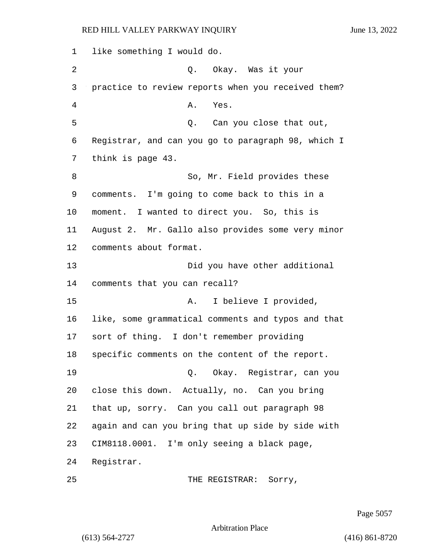like something I would do. 2 Q. Okay. Was it your practice to review reports when you received them? 4 A. Yes. 5 Q. Can you close that out, Registrar, and can you go to paragraph 98, which I think is page 43. 8 So, Mr. Field provides these comments. I'm going to come back to this in a moment. I wanted to direct you. So, this is August 2. Mr. Gallo also provides some very minor comments about format. 13 Did you have other additional comments that you can recall? 15 A. I believe I provided, like, some grammatical comments and typos and that sort of thing. I don't remember providing specific comments on the content of the report. 19 Q. Okay. Registrar, can you close this down. Actually, no. Can you bring that up, sorry. Can you call out paragraph 98 again and can you bring that up side by side with CIM8118.0001. I'm only seeing a black page, Registrar. 25 THE REGISTRAR: Sorry,

Page 5057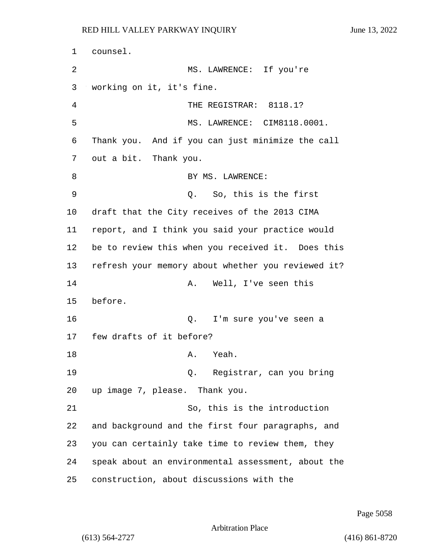1 counsel. 2 MS. LAWRENCE: If you're 3 working on it, it's fine. 4 THE REGISTRAR: 8118.1? 5 MS. LAWRENCE: CIM8118.0001. 6 Thank you. And if you can just minimize the call 7 out a bit. Thank you. 8 BY MS. LAWRENCE: 9 Q. So, this is the first 10 draft that the City receives of the 2013 CIMA 11 report, and I think you said your practice would 12 be to review this when you received it. Does this 13 refresh your memory about whether you reviewed it? 14 A. Well, I've seen this 15 before. 16 Q. I'm sure you've seen a 17 few drafts of it before? 18 A. Yeah. 19 Q. Registrar, can you bring 20 up image 7, please. Thank you. 21 So, this is the introduction 22 and background and the first four paragraphs, and 23 you can certainly take time to review them, they 24 speak about an environmental assessment, about the 25 construction, about discussions with the

Page 5058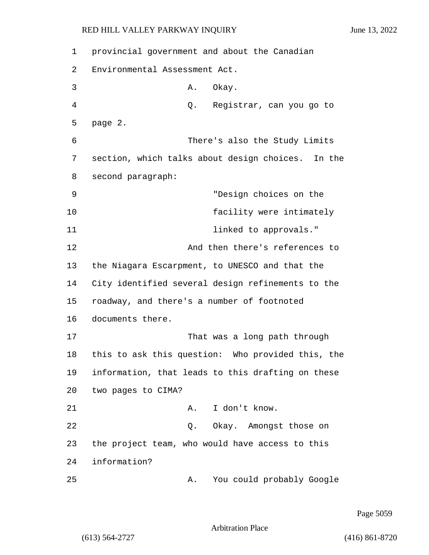| 1  | provincial government and about the Canadian      |
|----|---------------------------------------------------|
| 2  | Environmental Assessment Act.                     |
| 3  | Okay.<br>Α.                                       |
| 4  | Registrar, can you go to<br>Q.                    |
| 5  | page 2.                                           |
| 6  | There's also the Study Limits                     |
| 7  | section, which talks about design choices. In the |
| 8  | second paragraph:                                 |
| 9  | "Design choices on the                            |
| 10 | facility were intimately                          |
| 11 | linked to approvals."                             |
| 12 | And then there's references to                    |
| 13 | the Niagara Escarpment, to UNESCO and that the    |
| 14 | City identified several design refinements to the |
| 15 | roadway, and there's a number of footnoted        |
| 16 | documents there.                                  |
| 17 | That was a long path through                      |
| 18 | this to ask this question: Who provided this, the |
| 19 | information, that leads to this drafting on these |
| 20 | two pages to CIMA?                                |
| 21 | I don't know.<br>Α.                               |
| 22 | Okay. Amongst those on<br>Q.                      |
| 23 | the project team, who would have access to this   |
| 24 | information?                                      |
| 25 | You could probably Google<br>Α.                   |

Page 5059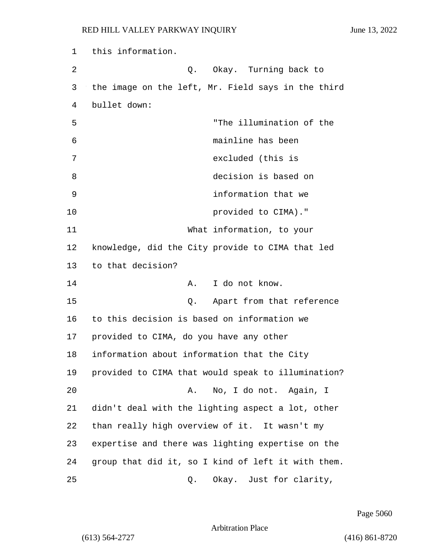| 1  | this information.                                  |
|----|----------------------------------------------------|
| 2  | Okay. Turning back to<br>Q.                        |
| 3  | the image on the left, Mr. Field says in the third |
| 4  | bullet down:                                       |
| 5  | "The illumination of the                           |
| 6  | mainline has been                                  |
| 7  | excluded (this is                                  |
| 8  | decision is based on                               |
| 9  | information that we                                |
| 10 | provided to CIMA)."                                |
| 11 | What information, to your                          |
| 12 | knowledge, did the City provide to CIMA that led   |
| 13 | to that decision?                                  |
| 14 | I do not know.<br>A.                               |
| 15 | Apart from that reference<br>Q.                    |
| 16 | to this decision is based on information we        |
| 17 | provided to CIMA, do you have any other            |
| 18 | information about information that the City        |
| 19 | provided to CIMA that would speak to illumination? |
| 20 | No, I do not. Again, I<br>Α.                       |
| 21 | didn't deal with the lighting aspect a lot, other  |
| 22 | than really high overview of it. It wasn't my      |
| 23 | expertise and there was lighting expertise on the  |
| 24 | group that did it, so I kind of left it with them. |
| 25 | Okay. Just for clarity,<br>Q.                      |

Page 5060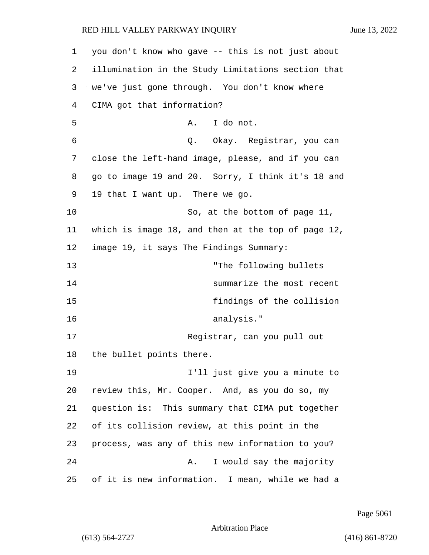| 1  | you don't know who gave -- this is not just about  |
|----|----------------------------------------------------|
| 2  | illumination in the Study Limitations section that |
| 3  | we've just gone through. You don't know where      |
| 4  | CIMA got that information?                         |
| 5  | A. I do not.                                       |
| 6  | Q. Okay. Registrar, you can                        |
| 7  | close the left-hand image, please, and if you can  |
| 8  | go to image 19 and 20. Sorry, I think it's 18 and  |
| 9  | 19 that I want up. There we go.                    |
| 10 | So, at the bottom of page 11,                      |
| 11 | which is image 18, and then at the top of page 12, |
| 12 | image 19, it says The Findings Summary:            |
| 13 | "The following bullets                             |
| 14 | summarize the most recent                          |
| 15 | findings of the collision                          |
| 16 | analysis."                                         |
| 17 | Registrar, can you pull out                        |
| 18 | the bullet points there.                           |
| 19 | I'll just give you a minute to                     |
| 20 | review this, Mr. Cooper. And, as you do so, my     |
| 21 | question is: This summary that CIMA put together   |
| 22 | of its collision review, at this point in the      |
| 23 | process, was any of this new information to you?   |
| 24 | I would say the majority<br>Α.                     |
| 25 | of it is new information. I mean, while we had a   |

Page 5061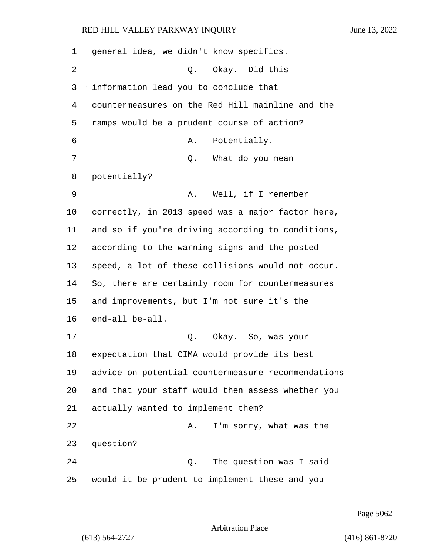| 1              | general idea, we didn't know specifics.            |
|----------------|----------------------------------------------------|
| $\overline{2}$ | Okay. Did this<br>Q.                               |
| 3              | information lead you to conclude that              |
| 4              | countermeasures on the Red Hill mainline and the   |
| 5              | ramps would be a prudent course of action?         |
| 6              | Potentially.<br>Α.                                 |
| 7              | What do you mean<br>Q.                             |
| 8              | potentially?                                       |
| 9              | Well, if I remember<br>Α.                          |
| 10             | correctly, in 2013 speed was a major factor here,  |
| 11             | and so if you're driving according to conditions,  |
| 12             | according to the warning signs and the posted      |
| 13             | speed, a lot of these collisions would not occur.  |
| 14             | So, there are certainly room for countermeasures   |
| 15             | and improvements, but I'm not sure it's the        |
| 16             | end-all be-all.                                    |
| 17             | Okay. So, was your<br>Q.                           |
| 18             | expectation that CIMA would provide its best       |
| 19             | advice on potential countermeasure recommendations |
| 20             | and that your staff would then assess whether you  |
| 21             | actually wanted to implement them?                 |
| 22             | I'm sorry, what was the<br>Α.                      |
| 23             | question?                                          |
| 24             | The question was I said<br>Q.                      |
| 25             | would it be prudent to implement these and you     |

Page 5062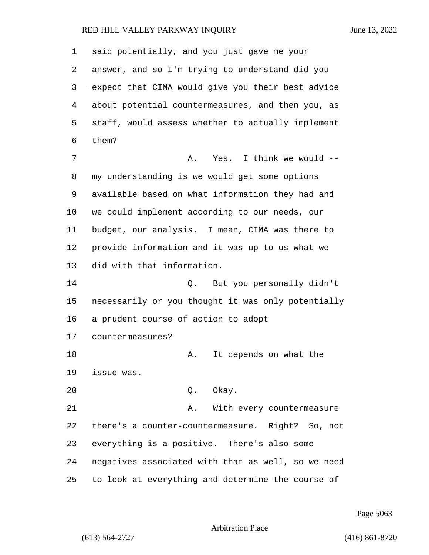said potentially, and you just gave me your answer, and so I'm trying to understand did you expect that CIMA would give you their best advice about potential countermeasures, and then you, as staff, would assess whether to actually implement them? 7 A. Yes. I think we would -- my understanding is we would get some options available based on what information they had and we could implement according to our needs, our budget, our analysis. I mean, CIMA was there to provide information and it was up to us what we did with that information. 14 Q. But you personally didn't necessarily or you thought it was only potentially a prudent course of action to adopt countermeasures? 18 A. It depends on what the issue was. 20 Q. Okay. 21 A. With every countermeasure there's a counter-countermeasure. Right? So, not everything is a positive. There's also some negatives associated with that as well, so we need to look at everything and determine the course of

Page 5063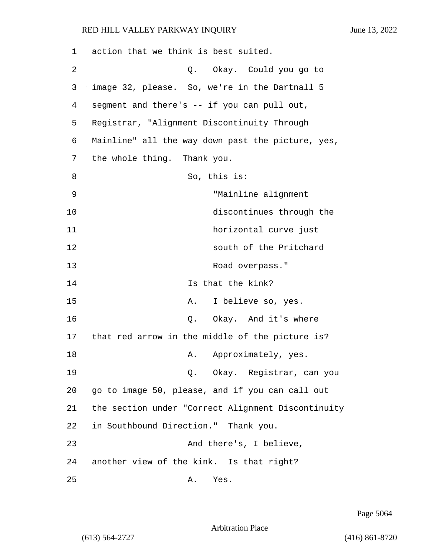| 1  | action that we think is best suited.               |
|----|----------------------------------------------------|
| 2  | Q. Okay. Could you go to                           |
| 3  | image 32, please. So, we're in the Dartnall 5      |
| 4  | segment and there's -- if you can pull out,        |
| 5  | Registrar, "Alignment Discontinuity Through        |
| 6  | Mainline" all the way down past the picture, yes,  |
| 7  | the whole thing. Thank you.                        |
| 8  | So, this is:                                       |
| 9  | "Mainline alignment                                |
| 10 | discontinues through the                           |
| 11 | horizontal curve just                              |
| 12 | south of the Pritchard                             |
| 13 | Road overpass."                                    |
| 14 | Is that the kink?                                  |
| 15 | I believe so, yes.<br>Α.                           |
| 16 | Okay. And it's where<br>Q.                         |
| 17 | that red arrow in the middle of the picture is?    |
| 18 | Approximately, yes.<br>Α.                          |
| 19 | Q. Okay. Registrar, can you                        |
| 20 | go to image 50, please, and if you can call out    |
| 21 | the section under "Correct Alignment Discontinuity |
| 22 | in Southbound Direction." Thank you.               |
| 23 | And there's, I believe,                            |
| 24 | another view of the kink. Is that right?           |
| 25 | Yes.<br>Α.                                         |

Page 5064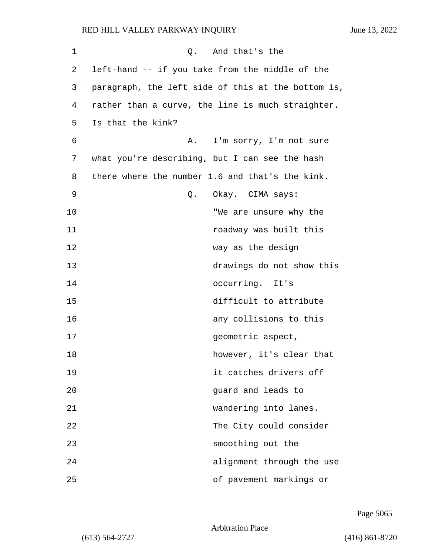RED HILL VALLEY PARKWAY INQUIRY June 13, 2022 1 and that's the 2 left-hand -- if you take from the middle of the 3 paragraph, the left side of this at the bottom is, 4 rather than a curve, the line is much straighter. 5 Is that the kink? 6 A. I'm sorry, I'm not sure 7 what you're describing, but I can see the hash 8 there where the number 1.6 and that's the kink. 9 Q. Okay. CIMA says: 10 TWE are unsure why the 11 **11** *roadway* was built this 12 way as the design 13 drawings do not show this 14 occurring. It's 15 difficult to attribute 16 any collisions to this 17 aspect, geometric aspect, 18 however, it's clear that 19 it catches drivers off 20 and leads to guard and leads to 21 wandering into lanes. 22 The City could consider

23 smoothing out the 24 alignment through the use

25 of pavement markings or

Page 5065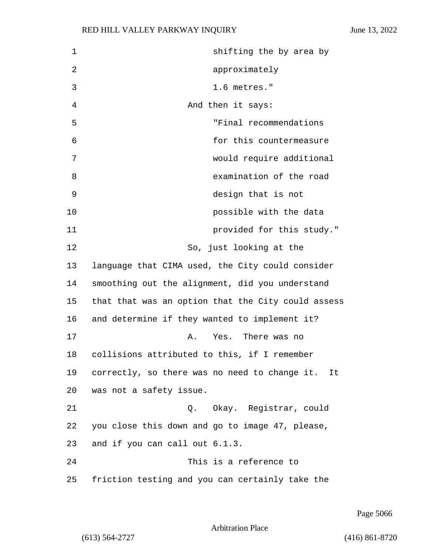| $\mathbf 1$ | shifting the by area by                            |
|-------------|----------------------------------------------------|
| 2           | approximately                                      |
| 3           | 1.6 metres."                                       |
| 4           | And then it says:                                  |
| 5           | "Final recommendations                             |
| 6           | for this countermeasure                            |
| 7           | would require additional                           |
| 8           | examination of the road                            |
| 9           | design that is not                                 |
| 10          | possible with the data                             |
| 11          | provided for this study."                          |
| 12          | So, just looking at the                            |
| 13          | language that CIMA used, the City could consider   |
| 14          | smoothing out the alignment, did you understand    |
| 15          | that that was an option that the City could assess |
| 16          | and determine if they wanted to implement it?      |
| 17          | Α.<br>Yes.<br>There was no                         |
| 18          | collisions attributed to this, if I remember       |
| 19          | correctly, so there was no need to change it. It   |
| 20          | was not a safety issue.                            |
| 21          | Q. Okay. Registrar, could                          |
| 22          | you close this down and go to image 47, please,    |
| 23          | and if you can call out 6.1.3.                     |
| 24          | This is a reference to                             |
| 25          | friction testing and you can certainly take the    |

Page 5066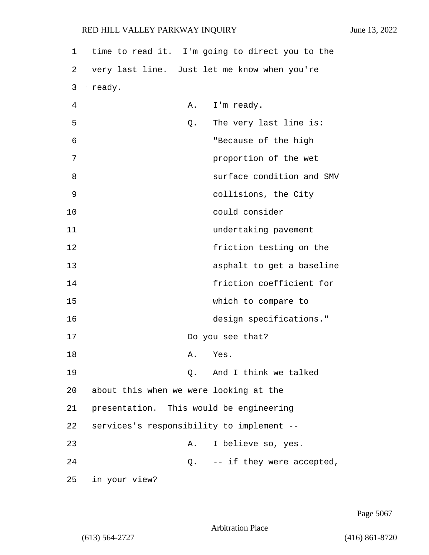| 1  |                                           |    | time to read it. I'm going to direct you to the |
|----|-------------------------------------------|----|-------------------------------------------------|
| 2  |                                           |    | very last line. Just let me know when you're    |
| 3  | ready.                                    |    |                                                 |
| 4  |                                           | Α. | I'm ready.                                      |
| 5  |                                           | Q. | The very last line is:                          |
| 6  |                                           |    | "Because of the high                            |
| 7  |                                           |    | proportion of the wet                           |
| 8  |                                           |    | surface condition and SMV                       |
| 9  |                                           |    | collisions, the City                            |
| 10 |                                           |    | could consider                                  |
| 11 |                                           |    | undertaking pavement                            |
| 12 |                                           |    | friction testing on the                         |
| 13 |                                           |    | asphalt to get a baseline                       |
| 14 |                                           |    | friction coefficient for                        |
| 15 |                                           |    | which to compare to                             |
| 16 |                                           |    | design specifications."                         |
| 17 |                                           |    | Do you see that?                                |
| 18 |                                           | Α. | Yes.                                            |
| 19 |                                           |    | Q. And I think we talked                        |
| 20 | about this when we were looking at the    |    |                                                 |
| 21 | presentation. This would be engineering   |    |                                                 |
| 22 | services's responsibility to implement -- |    |                                                 |
| 23 |                                           | Α. | I believe so, yes.                              |
| 24 |                                           |    | $Q.$ -- if they were accepted,                  |
| 25 | in your view?                             |    |                                                 |

Page 5067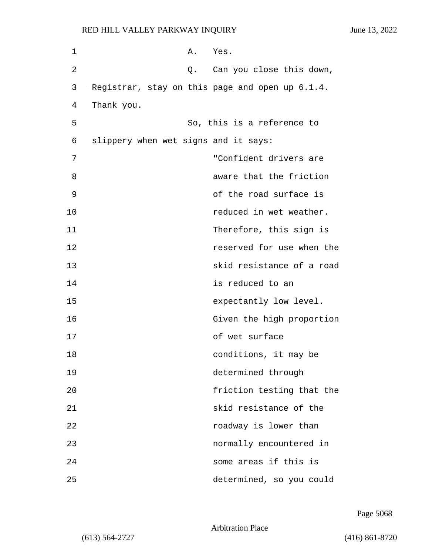| 1  |                                      | Α. | Yes.                                            |
|----|--------------------------------------|----|-------------------------------------------------|
| 2  |                                      |    | Q. Can you close this down,                     |
| 3  |                                      |    | Registrar, stay on this page and open up 6.1.4. |
| 4  | Thank you.                           |    |                                                 |
| 5  |                                      |    | So, this is a reference to                      |
| 6  | slippery when wet signs and it says: |    |                                                 |
| 7  |                                      |    | "Confident drivers are                          |
| 8  |                                      |    | aware that the friction                         |
| 9  |                                      |    | of the road surface is                          |
| 10 |                                      |    | reduced in wet weather.                         |
| 11 |                                      |    | Therefore, this sign is                         |
| 12 |                                      |    | reserved for use when the                       |
| 13 |                                      |    | skid resistance of a road                       |
| 14 |                                      |    | is reduced to an                                |
| 15 |                                      |    | expectantly low level.                          |
| 16 |                                      |    | Given the high proportion                       |
| 17 |                                      |    | of wet surface                                  |
| 18 |                                      |    | conditions, it may be                           |
| 19 |                                      |    | determined through                              |
| 20 |                                      |    | friction testing that the                       |
| 21 |                                      |    | skid resistance of the                          |
| 22 |                                      |    | roadway is lower than                           |
| 23 |                                      |    | normally encountered in                         |
| 24 |                                      |    | some areas if this is                           |
| 25 |                                      |    | determined, so you could                        |

Page 5068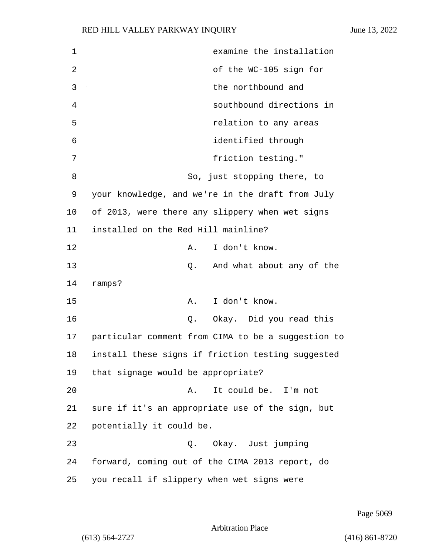1 examine the installation 2 of the WC-105 sign for 3 the northbound and 4 southbound directions in 5 relation to any areas 6 identified through 7 friction testing." 8 So, just stopping there, to 9 your knowledge, and we're in the draft from July 10 of 2013, were there any slippery when wet signs 11 installed on the Red Hill mainline? 12 A. I don't know. 13 Q. And what about any of the 14 ramps? 15 A. I don't know. 16 Q. Okay. Did you read this 17 particular comment from CIMA to be a suggestion to 18 install these signs if friction testing suggested 19 that signage would be appropriate? 20 A. It could be. I'm not 21 sure if it's an appropriate use of the sign, but 22 potentially it could be. 23 Q. Okay. Just jumping 24 forward, coming out of the CIMA 2013 report, do 25 you recall if slippery when wet signs were

Page 5069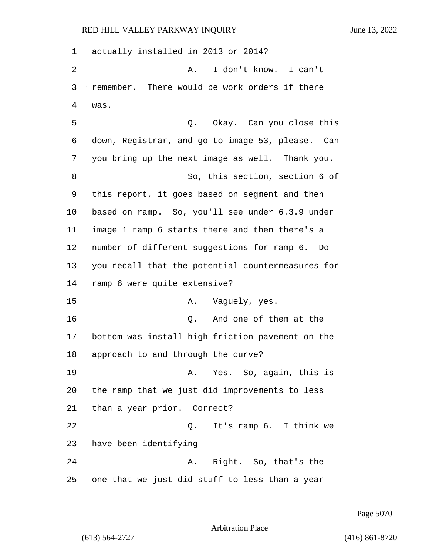actually installed in 2013 or 2014? 2 A. I don't know. I can't remember. There would be work orders if there 4 was. 5 Q. Okay. Can you close this down, Registrar, and go to image 53, please. Can you bring up the next image as well. Thank you. 8 So, this section, section 6 of this report, it goes based on segment and then based on ramp. So, you'll see under 6.3.9 under image 1 ramp 6 starts there and then there's a number of different suggestions for ramp 6. Do you recall that the potential countermeasures for ramp 6 were quite extensive? 15 A. Vaquely, yes. 16 Q. And one of them at the bottom was install high-friction pavement on the approach to and through the curve? 19 A. Yes. So, again, this is the ramp that we just did improvements to less than a year prior. Correct? 22 Q. It's ramp 6. I think we have been identifying -- 24 A. Right. So, that's the one that we just did stuff to less than a year

Page 5070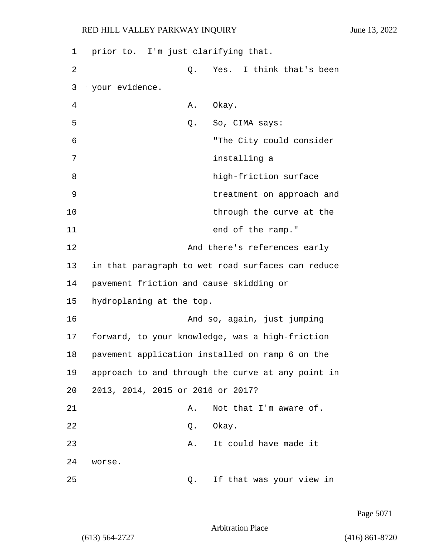| 1  | prior to. I'm just clarifying that.               |
|----|---------------------------------------------------|
| 2  | Yes. I think that's been<br>Q.                    |
| 3  | your evidence.                                    |
| 4  | Okay.<br>Α.                                       |
| 5  | So, CIMA says:<br>Q.                              |
| 6  | "The City could consider                          |
| 7  | installing a                                      |
| 8  | high-friction surface                             |
| 9  | treatment on approach and                         |
| 10 | through the curve at the                          |
| 11 | end of the ramp."                                 |
| 12 | And there's references early                      |
| 13 | in that paragraph to wet road surfaces can reduce |
| 14 | pavement friction and cause skidding or           |
| 15 | hydroplaning at the top.                          |
| 16 | And so, again, just jumping                       |
| 17 | forward, to your knowledge, was a high-friction   |
| 18 | pavement application installed on ramp 6 on the   |
| 19 | approach to and through the curve at any point in |
| 20 | 2013, 2014, 2015 or 2016 or 2017?                 |
| 21 | Not that I'm aware of.<br>Α.                      |
| 22 | Okay.<br>Q.                                       |
| 23 | It could have made it<br>Α.                       |
| 24 | worse.                                            |
| 25 | If that was your view in<br>Q.                    |

Page 5071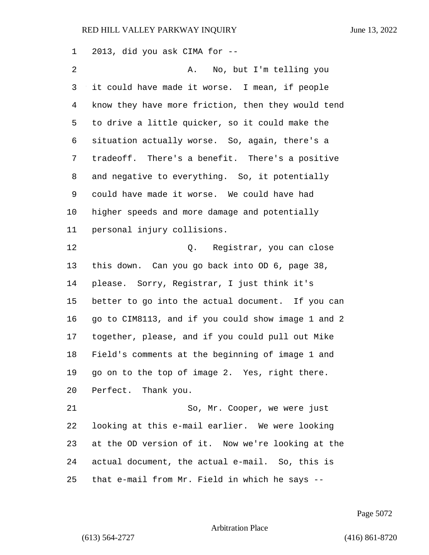2013, did you ask CIMA for -- 2 A. No, but I'm telling you it could have made it worse. I mean, if people know they have more friction, then they would tend to drive a little quicker, so it could make the situation actually worse. So, again, there's a tradeoff. There's a benefit. There's a positive and negative to everything. So, it potentially could have made it worse. We could have had higher speeds and more damage and potentially personal injury collisions. 12 and 12 Q. Reqistrar, you can close this down. Can you go back into OD 6, page 38, please. Sorry, Registrar, I just think it's better to go into the actual document. If you can go to CIM8113, and if you could show image 1 and 2 together, please, and if you could pull out Mike Field's comments at the beginning of image 1 and go on to the top of image 2. Yes, right there. Perfect. Thank you. 21 So, Mr. Cooper, we were just looking at this e-mail earlier. We were looking at the OD version of it. Now we're looking at the actual document, the actual e-mail. So, this is that e-mail from Mr. Field in which he says --

Page 5072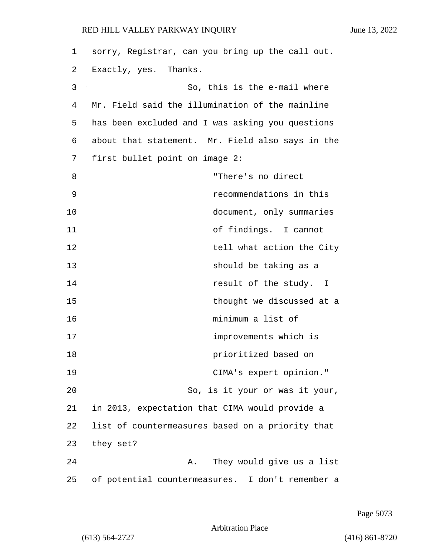| 1  | sorry, Registrar, can you bring up the call out. |
|----|--------------------------------------------------|
| 2  | Exactly, yes. Thanks.                            |
| 3  | So, this is the e-mail where                     |
| 4  | Mr. Field said the illumination of the mainline  |
| 5  | has been excluded and I was asking you questions |
| 6  | about that statement. Mr. Field also says in the |
| 7  | first bullet point on image 2:                   |
| 8  | "There's no direct                               |
| 9  | recommendations in this                          |
| 10 | document, only summaries                         |
| 11 | of findings. I cannot                            |
| 12 | tell what action the City                        |
| 13 | should be taking as a                            |
| 14 | result of the study. I                           |
| 15 | thought we discussed at a                        |
| 16 | minimum a list of                                |
| 17 | improvements which is                            |
| 18 | prioritized based on                             |
| 19 | CIMA's expert opinion."                          |
| 20 | So, is it your or was it your,                   |
| 21 | in 2013, expectation that CIMA would provide a   |
| 22 | list of countermeasures based on a priority that |
| 23 | they set?                                        |
| 24 | A. They would give us a list                     |
| 25 | of potential countermeasures. I don't remember a |

Page 5073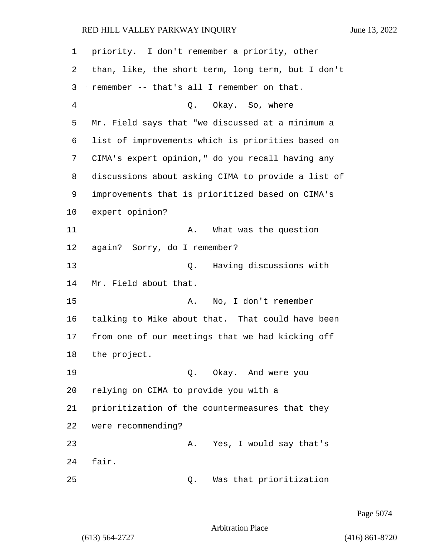| 1  | priority. I don't remember a priority, other       |
|----|----------------------------------------------------|
| 2  | than, like, the short term, long term, but I don't |
| 3  | remember -- that's all I remember on that.         |
| 4  | Q. Okay. So, where                                 |
| 5  | Mr. Field says that "we discussed at a minimum a   |
| 6  | list of improvements which is priorities based on  |
| 7  | CIMA's expert opinion," do you recall having any   |
| 8  | discussions about asking CIMA to provide a list of |
| 9  | improvements that is prioritized based on CIMA's   |
| 10 | expert opinion?                                    |
| 11 | What was the question<br>Α.                        |
| 12 | again? Sorry, do I remember?                       |
| 13 | Having discussions with<br>Q.                      |
| 14 | Mr. Field about that.                              |
| 15 | No, I don't remember<br>Α.                         |
| 16 | talking to Mike about that. That could have been   |
| 17 | from one of our meetings that we had kicking off   |
| 18 | the project.                                       |
| 19 | Q. Okay. And were you                              |
| 20 | relying on CIMA to provide you with a              |
| 21 | prioritization of the countermeasures that they    |
| 22 | were recommending?                                 |
| 23 | Yes, I would say that's<br>Α.                      |
| 24 | fair.                                              |
| 25 | Was that prioritization<br>Q.                      |

Page 5074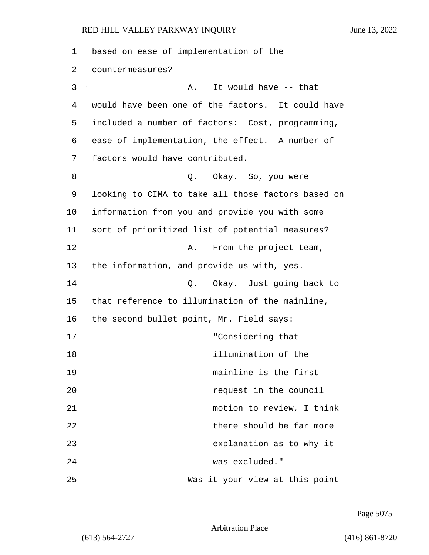1 based on ease of implementation of the 2 countermeasures? 3 A. It would have -- that 4 would have been one of the factors. It could have 5 included a number of factors: Cost, programming, 6 ease of implementation, the effect. A number of 7 factors would have contributed. 8 Q. Okay. So, you were 9 looking to CIMA to take all those factors based on 10 information from you and provide you with some 11 sort of prioritized list of potential measures? 12 A. From the project team, 13 the information, and provide us with, yes. 14 Q. Okay. Just going back to 15 that reference to illumination of the mainline, 16 the second bullet point, Mr. Field says: 17 "Considering that 18 illumination of the 19 mainline is the first 20 *request in the council* 21 motion to review, I think 22 there should be far more 23 explanation as to why it 24 was excluded." 25 Was it your view at this point

Page 5075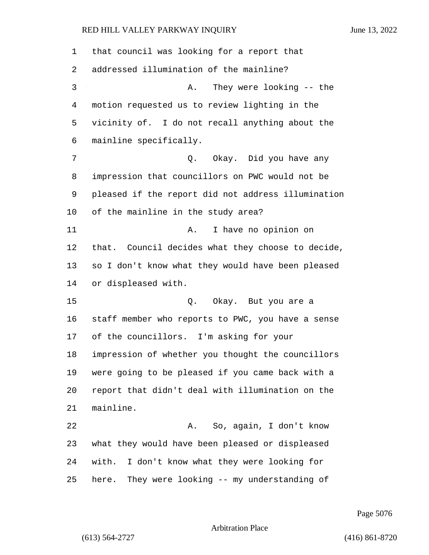that council was looking for a report that addressed illumination of the mainline? 3 A. They were looking -- the motion requested us to review lighting in the vicinity of. I do not recall anything about the mainline specifically. 7 0. Okay. Did you have any impression that councillors on PWC would not be pleased if the report did not address illumination of the mainline in the study area? 11 A. I have no opinion on that. Council decides what they choose to decide, so I don't know what they would have been pleased or displeased with. 15 Q. Okay. But you are a staff member who reports to PWC, you have a sense of the councillors. I'm asking for your impression of whether you thought the councillors were going to be pleased if you came back with a report that didn't deal with illumination on the mainline. 22 A. So, again, I don't know what they would have been pleased or displeased with. I don't know what they were looking for here. They were looking -- my understanding of

Page 5076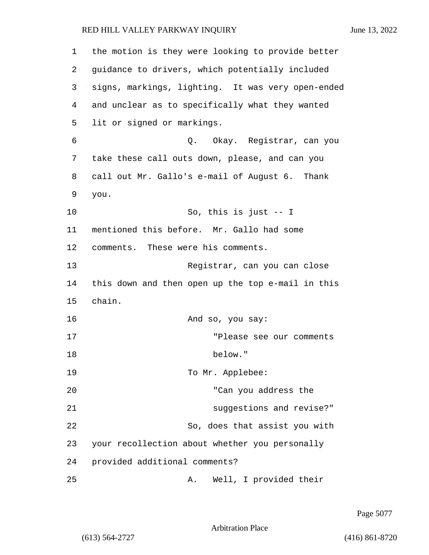1 the motion is they were looking to provide better 2 guidance to drivers, which potentially included 3 signs, markings, lighting. It was very open-ended 4 and unclear as to specifically what they wanted 5 lit or signed or markings. 6 Q. Okay. Registrar, can you 7 take these call outs down, please, and can you 8 call out Mr. Gallo's e-mail of August 6. Thank 9 you. 10 So, this is just -- I 11 mentioned this before. Mr. Gallo had some 12 comments. These were his comments. 13 Registrar, can you can close 14 this down and then open up the top e-mail in this 15 chain. 16 And so, you say: 17 "Please see our comments 18 below." 19 To Mr. Applebee: 20 "Can you address the 21 suggestions and revise?" 22 So, does that assist you with 23 your recollection about whether you personally 24 provided additional comments? 25 A. Well, I provided their

Page 5077

Arbitration Place

(613) 564-2727 (416) 861-8720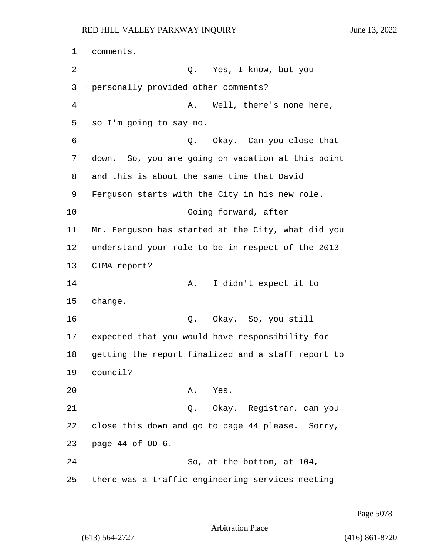1 comments. 2 Q. Yes, I know, but you 3 personally provided other comments? 4 A. Well, there's none here, 5 so I'm going to say no. 6 Q. Okay. Can you close that 7 down. So, you are going on vacation at this point 8 and this is about the same time that David 9 Ferguson starts with the City in his new role. 10 Going forward, after 11 Mr. Ferguson has started at the City, what did you 12 understand your role to be in respect of the 2013 13 CIMA report? 14 A. I didn't expect it to 15 change. 16 Q. Okay. So, you still 17 expected that you would have responsibility for 18 getting the report finalized and a staff report to 19 council? 20 A. Yes. 21 Q. Okay. Registrar, can you 22 close this down and go to page 44 please. Sorry, 23 page 44 of OD 6. 24 So, at the bottom, at 104, 25 there was a traffic engineering services meeting

Page 5078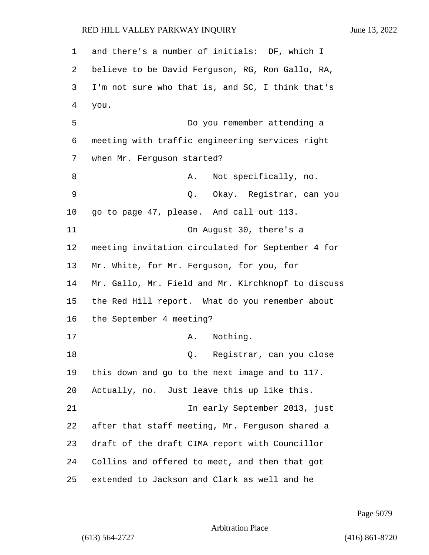and there's a number of initials: DF, which I believe to be David Ferguson, RG, Ron Gallo, RA, I'm not sure who that is, and SC, I think that's you. 5 Do you remember attending a meeting with traffic engineering services right when Mr. Ferguson started? 8 A. Not specifically, no. 9 Q. Okay. Registrar, can you go to page 47, please. And call out 113. 11 On August 30, there's a meeting invitation circulated for September 4 for Mr. White, for Mr. Ferguson, for you, for Mr. Gallo, Mr. Field and Mr. Kirchknopf to discuss the Red Hill report. What do you remember about the September 4 meeting? 17 A. Nothing. 18 Q. Registrar, can you close this down and go to the next image and to 117. Actually, no. Just leave this up like this. 21 In early September 2013, just after that staff meeting, Mr. Ferguson shared a draft of the draft CIMA report with Councillor Collins and offered to meet, and then that got extended to Jackson and Clark as well and he

Page 5079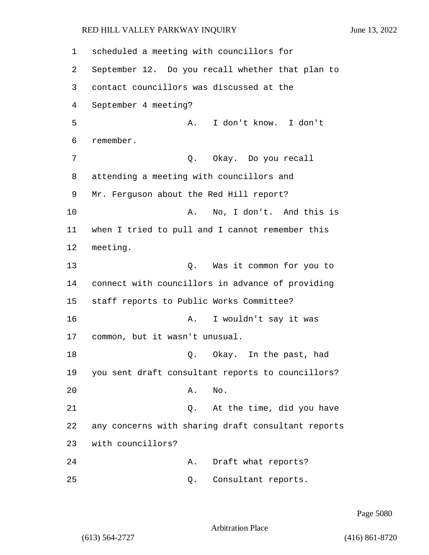1 scheduled a meeting with councillors for 2 September 12. Do you recall whether that plan to 3 contact councillors was discussed at the 4 September 4 meeting? 5 A. I don't know. I don't 6 remember. 7 C. Okay. Do you recall 8 attending a meeting with councillors and 9 Mr. Ferguson about the Red Hill report? 10 A. No, I don't. And this is 11 when I tried to pull and I cannot remember this 12 meeting. 13 Q. Was it common for you to 14 connect with councillors in advance of providing 15 staff reports to Public Works Committee? 16 A. I wouldn't say it was 17 common, but it wasn't unusual. 18 a. C. Okay. In the past, had 19 you sent draft consultant reports to councillors? 20 A. No. 21 Q. At the time, did you have 22 any concerns with sharing draft consultant reports 23 with councillors? 24 A. Draft what reports? 25 Q. Consultant reports.

Page 5080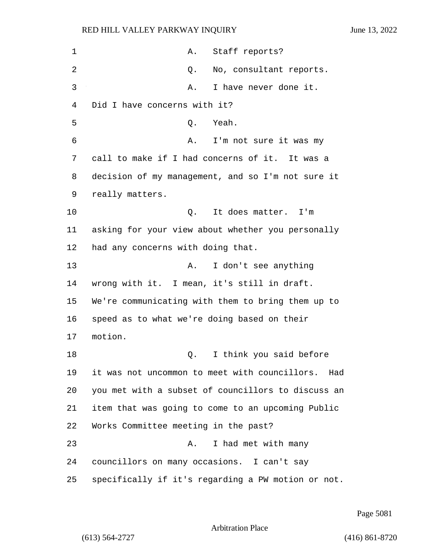| 1  | Staff reports?<br>Α.                               |
|----|----------------------------------------------------|
| 2  | No, consultant reports.<br>Q.                      |
| 3  | I have never done it.<br>Α.                        |
| 4  | Did I have concerns with it?                       |
| 5  | Yeah.<br>Q.                                        |
| 6  | Α.<br>I'm not sure it was my                       |
| 7  | call to make if I had concerns of it. It was a     |
| 8  | decision of my management, and so I'm not sure it  |
| 9  | really matters.                                    |
| 10 | It does matter.<br>Q.<br>I'm                       |
| 11 | asking for your view about whether you personally  |
| 12 | had any concerns with doing that.                  |
| 13 | I don't see anything<br>Α.                         |
| 14 | wrong with it. I mean, it's still in draft.        |
| 15 | We're communicating with them to bring them up to  |
| 16 | speed as to what we're doing based on their        |
| 17 | motion.                                            |
| 18 | I think you said before<br>Q.                      |
| 19 | it was not uncommon to meet with councillors. Had  |
| 20 | you met with a subset of councillors to discuss an |
| 21 | item that was going to come to an upcoming Public  |
| 22 | Works Committee meeting in the past?               |
| 23 | I had met with many<br>Α.                          |
| 24 | councillors on many occasions. I can't say         |
| 25 | specifically if it's regarding a PW motion or not. |

Page 5081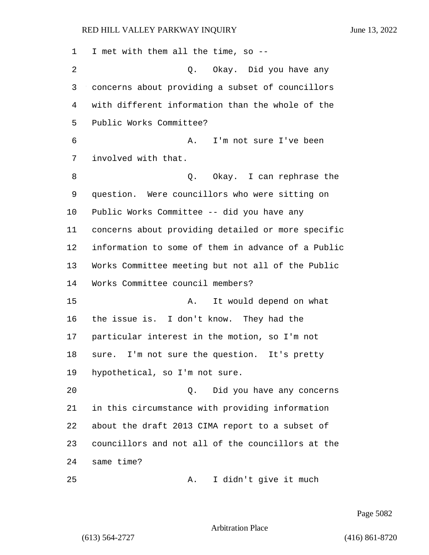I met with them all the time, so -- 2 Q. Okay. Did you have any concerns about providing a subset of councillors with different information than the whole of the Public Works Committee? 6 A. I'm not sure I've been involved with that. 8 a G. Okay. I can rephrase the question. Were councillors who were sitting on Public Works Committee -- did you have any concerns about providing detailed or more specific information to some of them in advance of a Public Works Committee meeting but not all of the Public Works Committee council members? 15 A. It would depend on what the issue is. I don't know. They had the particular interest in the motion, so I'm not sure. I'm not sure the question. It's pretty hypothetical, so I'm not sure. 20 Q. Did you have any concerns in this circumstance with providing information about the draft 2013 CIMA report to a subset of councillors and not all of the councillors at the same time? 25 A. I didn't give it much

Page 5082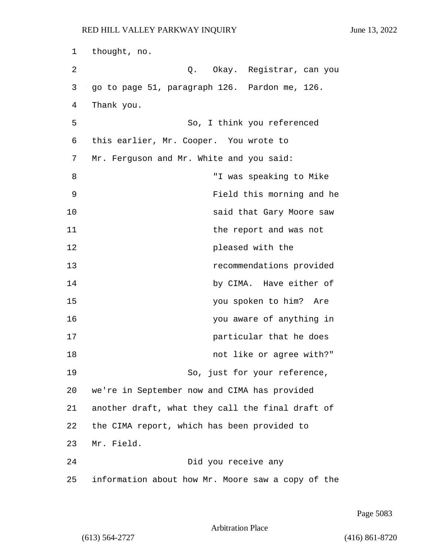| 1  | thought, no.                                      |
|----|---------------------------------------------------|
| 2  | Q. Okay. Registrar, can you                       |
| 3  | go to page 51, paragraph 126. Pardon me, 126.     |
| 4  | Thank you.                                        |
| 5  | So, I think you referenced                        |
| 6  | this earlier, Mr. Cooper. You wrote to            |
| 7  | Mr. Ferguson and Mr. White and you said:          |
| 8  | "I was speaking to Mike                           |
| 9  | Field this morning and he                         |
| 10 | said that Gary Moore saw                          |
| 11 | the report and was not                            |
| 12 | pleased with the                                  |
| 13 | recommendations provided                          |
| 14 | by CIMA. Have either of                           |
| 15 | you spoken to him? Are                            |
| 16 | you aware of anything in                          |
| 17 | particular that he does                           |
| 18 | not like or agree with?"                          |
| 19 | So, just for your reference,                      |
| 20 | we're in September now and CIMA has provided      |
| 21 | another draft, what they call the final draft of  |
| 22 | the CIMA report, which has been provided to       |
| 23 | Mr. Field.                                        |
| 24 | Did you receive any                               |
| 25 | information about how Mr. Moore saw a copy of the |

Page 5083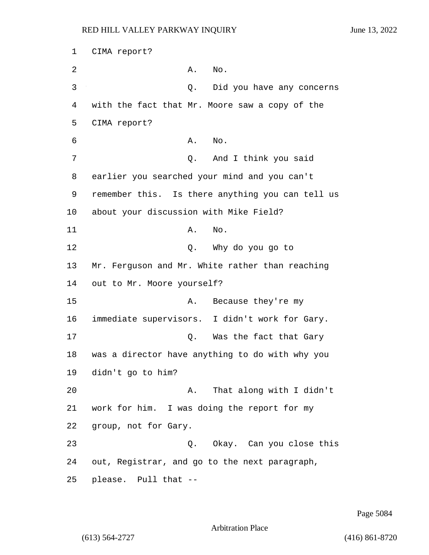1 CIMA report? 2 A. No. 3 Q. Did you have any concerns 4 with the fact that Mr. Moore saw a copy of the 5 CIMA report? 6 A. No. 7 Q. And I think you said 8 earlier you searched your mind and you can't 9 remember this. Is there anything you can tell us 10 about your discussion with Mike Field? 11 A. No. 12 Q. Why do you go to 13 Mr. Ferguson and Mr. White rather than reaching 14 out to Mr. Moore yourself? 15 A. Because they're my 16 immediate supervisors. I didn't work for Gary. 17 Q. Was the fact that Gary 18 was a director have anything to do with why you 19 didn't go to him? 20 A. That along with I didn't 21 work for him. I was doing the report for my 22 group, not for Gary. 23 Q. Okay. Can you close this 24 out, Registrar, and go to the next paragraph, 25 please. Pull that --

Page 5084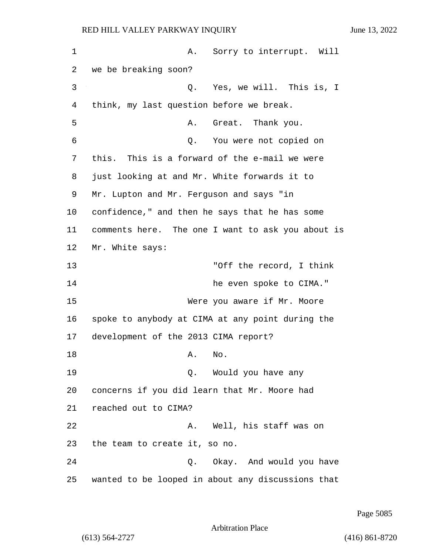| 1  | Sorry to interrupt. Will<br>Α.                    |
|----|---------------------------------------------------|
| 2  | we be breaking soon?                              |
| 3  | Q. Yes, we will. This is, I                       |
| 4  | think, my last question before we break.          |
| 5  | Great. Thank you.<br>Α.                           |
| 6  | Q. You were not copied on                         |
| 7  | this. This is a forward of the e-mail we were     |
| 8  | just looking at and Mr. White forwards it to      |
| 9  | Mr. Lupton and Mr. Ferguson and says "in          |
| 10 | confidence," and then he says that he has some    |
| 11 | comments here. The one I want to ask you about is |
| 12 | Mr. White says:                                   |
| 13 | "Off the record, I think                          |
| 14 | he even spoke to CIMA."                           |
| 15 | Were you aware if Mr. Moore                       |
| 16 | spoke to anybody at CIMA at any point during the  |
| 17 | development of the 2013 CIMA report?              |
| 18 | Α.<br>No.                                         |
| 19 | Would you have any<br>О.                          |
| 20 | concerns if you did learn that Mr. Moore had      |
| 21 | reached out to CIMA?                              |
| 22 | Well, his staff was on<br>Α.                      |
| 23 | the team to create it, so no.                     |
| 24 | Q. Okay. And would you have                       |
| 25 | wanted to be looped in about any discussions that |

Page 5085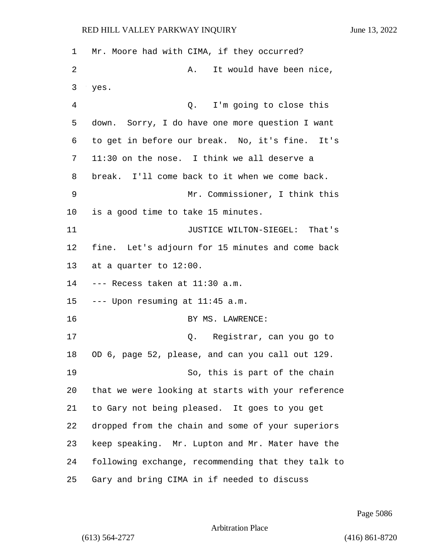| 1  | Mr. Moore had with CIMA, if they occurred?         |
|----|----------------------------------------------------|
| 2  | It would have been nice,<br>Α.                     |
| 3  | yes.                                               |
| 4  | I'm going to close this<br>Q.                      |
| 5  | down. Sorry, I do have one more question I want    |
| 6  | to get in before our break. No, it's fine. It's    |
| 7  | $11:30$ on the nose. I think we all deserve a      |
| 8  | break. I'll come back to it when we come back.     |
| 9  | Mr. Commissioner, I think this                     |
| 10 | is a good time to take 15 minutes.                 |
| 11 | JUSTICE WILTON-SIEGEL: That's                      |
| 12 | fine. Let's adjourn for 15 minutes and come back   |
| 13 | at a quarter to 12:00.                             |
| 14 | --- Recess taken at 11:30 a.m.                     |
| 15 | --- Upon resuming at 11:45 a.m.                    |
| 16 | BY MS. LAWRENCE:                                   |
| 17 | Q. Registrar, can you go to                        |
| 18 | OD 6, page 52, please, and can you call out 129.   |
| 19 | So, this is part of the chain                      |
| 20 | that we were looking at starts with your reference |
| 21 | to Gary not being pleased. It goes to you get      |
| 22 | dropped from the chain and some of your superiors  |
| 23 | keep speaking. Mr. Lupton and Mr. Mater have the   |
| 24 | following exchange, recommending that they talk to |
| 25 | Gary and bring CIMA in if needed to discuss        |

Page 5086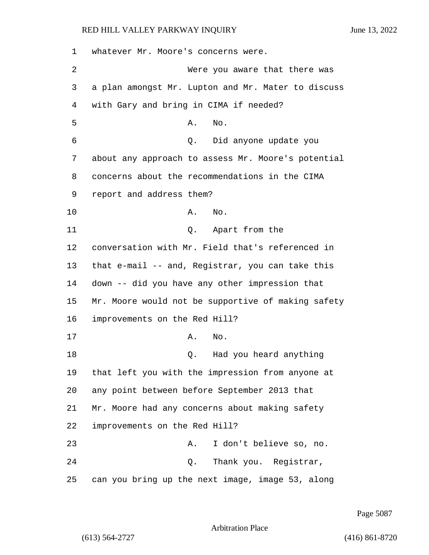| 1  | whatever Mr. Moore's concerns were.                |
|----|----------------------------------------------------|
| 2  | Were you aware that there was                      |
| 3  | a plan amongst Mr. Lupton and Mr. Mater to discuss |
| 4  | with Gary and bring in CIMA if needed?             |
| 5  | No.<br>Α.                                          |
| 6  | Q. Did anyone update you                           |
| 7  | about any approach to assess Mr. Moore's potential |
| 8  | concerns about the recommendations in the CIMA     |
| 9  | report and address them?                           |
| 10 | Α.<br>No.                                          |
| 11 | Q. Apart from the                                  |
| 12 | conversation with Mr. Field that's referenced in   |
| 13 | that e-mail -- and, Registrar, you can take this   |
| 14 | down -- did you have any other impression that     |
| 15 | Mr. Moore would not be supportive of making safety |
| 16 | improvements on the Red Hill?                      |
| 17 | No.<br>Α.                                          |
| 18 | Had you heard anything<br>Q.                       |
| 19 | that left you with the impression from anyone at   |
| 20 | any point between before September 2013 that       |
| 21 | Mr. Moore had any concerns about making safety     |
| 22 | improvements on the Red Hill?                      |
| 23 | I don't believe so, no.<br>Α.                      |
| 24 | Thank you. Registrar,<br>Q.                        |
| 25 | can you bring up the next image, image 53, along   |

Page 5087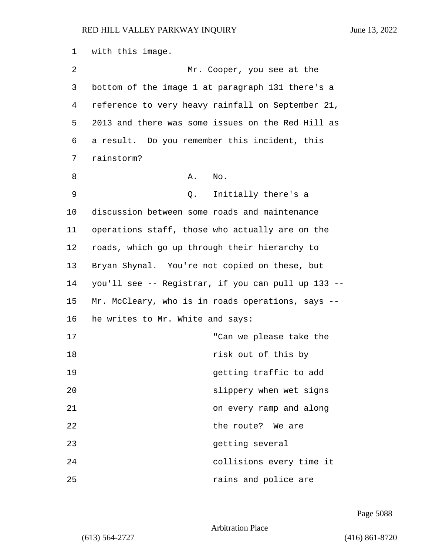1 with this image. 2 Mr. Cooper, you see at the 3 bottom of the image 1 at paragraph 131 there's a 4 reference to very heavy rainfall on September 21, 5 2013 and there was some issues on the Red Hill as 6 a result. Do you remember this incident, this 7 rainstorm? 8 A. No. 9 Q. Initially there's a 10 discussion between some roads and maintenance 11 operations staff, those who actually are on the 12 roads, which go up through their hierarchy to 13 Bryan Shynal. You're not copied on these, but 14 you'll see -- Registrar, if you can pull up 133 -- 15 Mr. McCleary, who is in roads operations, says -- 16 he writes to Mr. White and says: 17 The contract of the can we please take the 18 risk out of this by 19 getting traffic to add 20 slippery when wet signs 21 on every ramp and along 22 the route? We are 23 getting several 24 collisions every time it 25 *Parameter contracts rains* and police are

Page 5088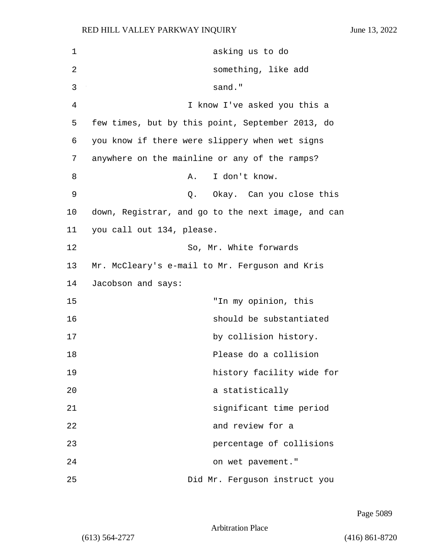| 1  | asking us to do                                    |
|----|----------------------------------------------------|
| 2  | something, like add                                |
| 3  | sand."                                             |
| 4  | I know I've asked you this a                       |
| 5  | few times, but by this point, September 2013, do   |
| 6  | you know if there were slippery when wet signs     |
| 7  | anywhere on the mainline or any of the ramps?      |
| 8  | I don't know.<br>Α.                                |
| 9  | Q. Okay. Can you close this                        |
| 10 | down, Registrar, and go to the next image, and can |
| 11 | you call out 134, please.                          |
| 12 | So, Mr. White forwards                             |
| 13 | Mr. McCleary's e-mail to Mr. Ferguson and Kris     |
| 14 | Jacobson and says:                                 |
| 15 | "In my opinion, this                               |
| 16 | should be substantiated                            |
| 17 | by collision history.                              |
| 18 | Please do a collision                              |
| 19 | history facility wide for                          |
| 20 | a statistically                                    |
| 21 | significant time period                            |
| 22 | and review for a                                   |
| 23 | percentage of collisions                           |
| 24 | on wet pavement."                                  |
| 25 | Did Mr. Ferguson instruct you                      |

Page 5089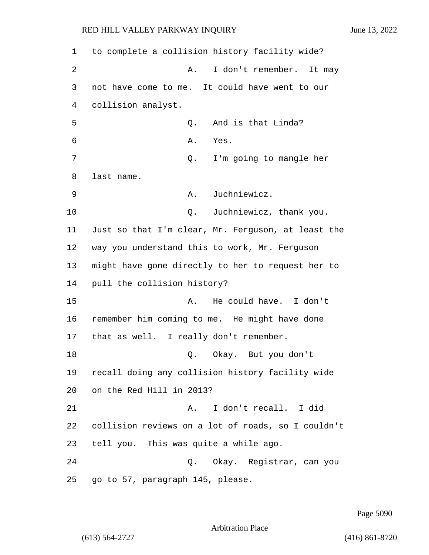to complete a collision history facility wide? 2 A. I don't remember. It may not have come to me. It could have went to our collision analyst. 5 Q. And is that Linda? 6 A. Yes. 7 C. I'm going to mangle her last name. 9 A. Juchniewicz.  $Q.$  Juchniewicz, thank you. Just so that I'm clear, Mr. Ferguson, at least the way you understand this to work, Mr. Ferguson might have gone directly to her to request her to pull the collision history? 15 A. He could have. I don't remember him coming to me. He might have done that as well. I really don't remember. 18 Q. Okay. But you don't recall doing any collision history facility wide on the Red Hill in 2013? 21 A. I don't recall. I did collision reviews on a lot of roads, so I couldn't tell you. This was quite a while ago. 24 Q. Okay. Registrar, can you go to 57, paragraph 145, please.

Page 5090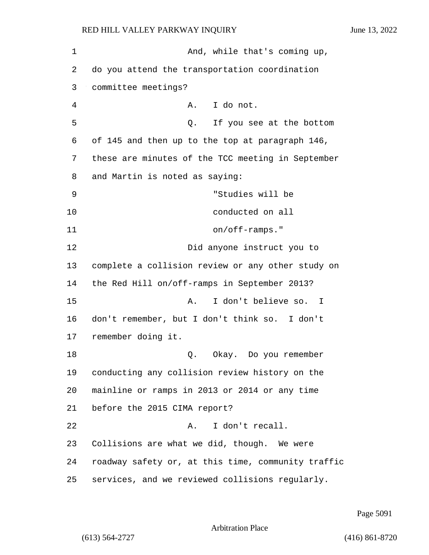1 And, while that's coming up, 2 do you attend the transportation coordination 3 committee meetings? 4 A. I do not. 5 Q. If you see at the bottom 6 of 145 and then up to the top at paragraph 146, 7 these are minutes of the TCC meeting in September 8 and Martin is noted as saying: 9 "Studies will be 10 conducted on all 11 on/off-ramps." 12 Did anyone instruct you to 13 complete a collision review or any other study on 14 the Red Hill on/off-ramps in September 2013? 15 A. I don't believe so. I 16 don't remember, but I don't think so. I don't 17 remember doing it. 18 Q. Okay. Do you remember 19 conducting any collision review history on the 20 mainline or ramps in 2013 or 2014 or any time 21 before the 2015 CIMA report? 22 A. I don't recall. 23 Collisions are what we did, though. We were 24 roadway safety or, at this time, community traffic 25 services, and we reviewed collisions regularly.

Page 5091

Arbitration Place

(613) 564-2727 (416) 861-8720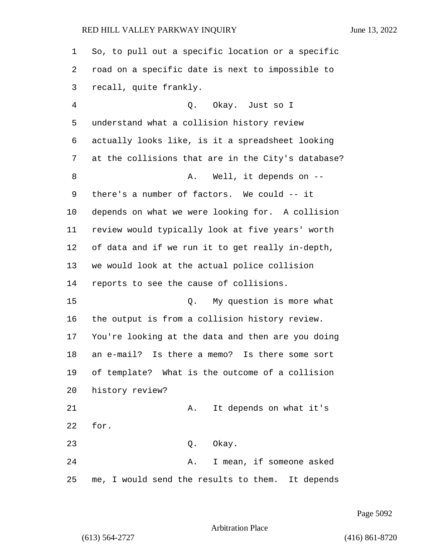| 1  | So, to pull out a specific location or a specific  |
|----|----------------------------------------------------|
| 2  | road on a specific date is next to impossible to   |
| 3  | recall, quite frankly.                             |
| 4  | Q. Okay. Just so I                                 |
| 5  | understand what a collision history review         |
| 6  | actually looks like, is it a spreadsheet looking   |
| 7  | at the collisions that are in the City's database? |
| 8  | Well, it depends on --<br>Α.                       |
| 9  | there's a number of factors. We could -- it        |
| 10 | depends on what we were looking for. A collision   |
| 11 | review would typically look at five years' worth   |
| 12 | of data and if we run it to get really in-depth,   |
| 13 | we would look at the actual police collision       |
| 14 | reports to see the cause of collisions.            |
| 15 | My question is more what<br>$Q$ .                  |
| 16 | the output is from a collision history review.     |
| 17 | You're looking at the data and then are you doing  |
| 18 | an e-mail? Is there a memo? Is there some sort     |
| 19 | of template? What is the outcome of a collision    |
| 20 | history review?                                    |
| 21 | It depends on what it's<br>Α.                      |
| 22 | for.                                               |
| 23 | Q. Okay.                                           |
| 24 | I mean, if someone asked<br>Α.                     |
| 25 | me, I would send the results to them. It depends   |

Page 5092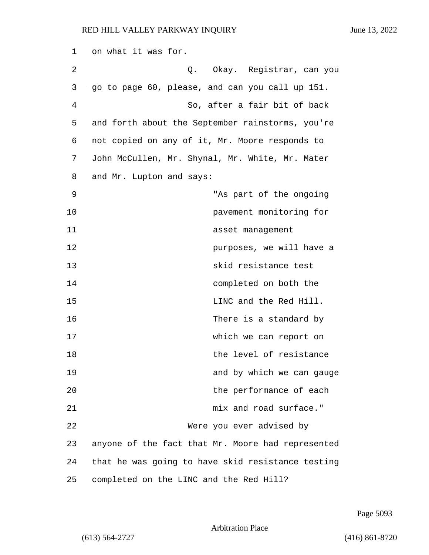| 1  | on what it was for.                               |
|----|---------------------------------------------------|
| 2  | Q. Okay. Registrar, can you                       |
| 3  | go to page 60, please, and can you call up 151.   |
| 4  | So, after a fair bit of back                      |
| 5  | and forth about the September rainstorms, you're  |
| 6  | not copied on any of it, Mr. Moore responds to    |
| 7  | John McCullen, Mr. Shynal, Mr. White, Mr. Mater   |
| 8  | and Mr. Lupton and says:                          |
| 9  | "As part of the ongoing                           |
| 10 | pavement monitoring for                           |
| 11 | asset management                                  |
| 12 | purposes, we will have a                          |
| 13 | skid resistance test                              |
| 14 | completed on both the                             |
| 15 | LINC and the Red Hill.                            |
| 16 | There is a standard by                            |
| 17 | which we can report on                            |
| 18 | the level of resistance                           |
| 19 | and by which we can gauge                         |
| 20 | the performance of each                           |
| 21 | mix and road surface."                            |
| 22 | Were you ever advised by                          |
| 23 | anyone of the fact that Mr. Moore had represented |
| 24 | that he was going to have skid resistance testing |
| 25 | completed on the LINC and the Red Hill?           |

Page 5093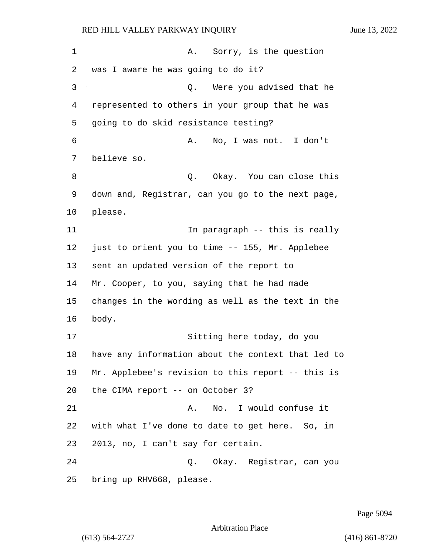1 A. Sorry, is the question 2 was I aware he was going to do it? 3 Q. Were you advised that he 4 represented to others in your group that he was 5 going to do skid resistance testing? 6 A. No, I was not. I don't 7 believe so. 8 a Q. Okay. You can close this 9 down and, Registrar, can you go to the next page, 10 please. 11 In paragraph -- this is really 12 just to orient you to time -- 155, Mr. Applebee 13 sent an updated version of the report to 14 Mr. Cooper, to you, saying that he had made 15 changes in the wording as well as the text in the 16 body. 17 Sitting here today, do you 18 have any information about the context that led to 19 Mr. Applebee's revision to this report -- this is 20 the CIMA report -- on October 3? 21 A. No. I would confuse it 22 with what I've done to date to get here. So, in 23 2013, no, I can't say for certain. 24 Q. Okay. Registrar, can you 25 bring up RHV668, please.

Page 5094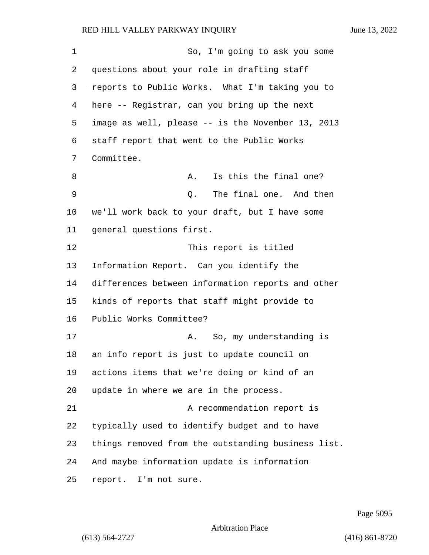| 1  | So, I'm going to ask you some                      |
|----|----------------------------------------------------|
| 2  | questions about your role in drafting staff        |
| 3  | reports to Public Works. What I'm taking you to    |
| 4  | here -- Registrar, can you bring up the next       |
| 5  | image as well, please -- is the November 13, 2013  |
| 6  | staff report that went to the Public Works         |
| 7  | Committee.                                         |
| 8  | Is this the final one?<br>Α.                       |
| 9  | The final one. And then<br>Q.                      |
| 10 | we'll work back to your draft, but I have some     |
| 11 | general questions first.                           |
| 12 | This report is titled                              |
| 13 | Information Report. Can you identify the           |
| 14 | differences between information reports and other  |
| 15 | kinds of reports that staff might provide to       |
| 16 | Public Works Committee?                            |
| 17 | So, my understanding is<br>Α.                      |
| 18 | an info report is just to update council on        |
| 19 | actions items that we're doing or kind of an       |
| 20 | update in where we are in the process.             |
| 21 | A recommendation report is                         |
| 22 | typically used to identify budget and to have      |
| 23 | things removed from the outstanding business list. |
| 24 | And maybe information update is information        |
| 25 | report. I'm not sure.                              |

Page 5095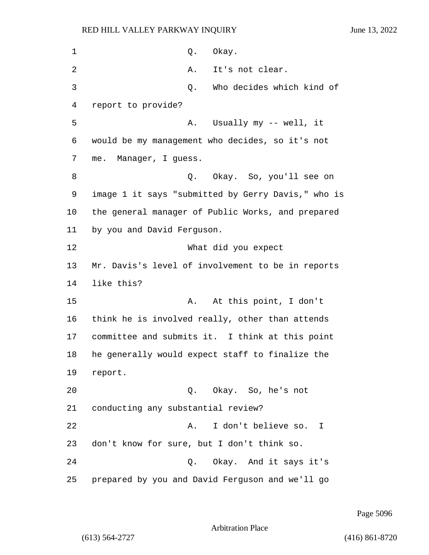| 1  | Q. Okay.                                           |
|----|----------------------------------------------------|
| 2  | It's not clear.<br>Α.                              |
| 3  | Who decides which kind of<br>Q.                    |
| 4  | report to provide?                                 |
| 5  | A. Usually my -- well, it                          |
| 6  | would be my management who decides, so it's not    |
| 7  | me. Manager, I guess.                              |
| 8  | Q. Okay. So, you'll see on                         |
| 9  | image 1 it says "submitted by Gerry Davis," who is |
| 10 | the general manager of Public Works, and prepared  |
| 11 | by you and David Ferguson.                         |
| 12 | What did you expect                                |
| 13 | Mr. Davis's level of involvement to be in reports  |
| 14 | like this?                                         |
| 15 | At this point, I don't<br>Α.                       |
| 16 | think he is involved really, other than attends    |
| 17 | committee and submits it. I think at this point    |
| 18 | he generally would expect staff to finalize the    |
| 19 | report.                                            |
| 20 | Q. Okay. So, he's not                              |
| 21 | conducting any substantial review?                 |
| 22 | I don't believe so.<br>Α.<br>I                     |
| 23 | don't know for sure, but I don't think so.         |
| 24 | Okay. And it says it's<br>$Q$ .                    |
| 25 | prepared by you and David Ferguson and we'll go    |

Page 5096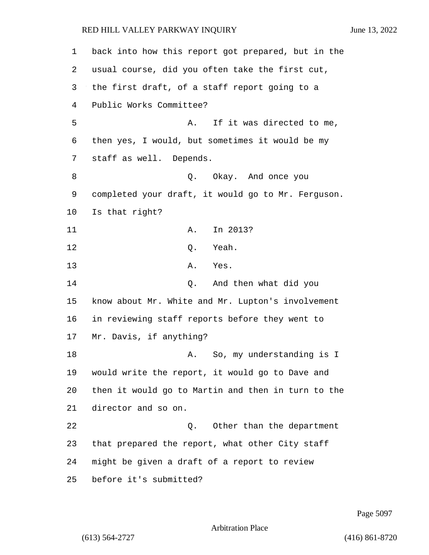back into how this report got prepared, but in the usual course, did you often take the first cut, the first draft, of a staff report going to a Public Works Committee? 5 A. If it was directed to me, then yes, I would, but sometimes it would be my staff as well. Depends. 8 a. S. Q. Okay. And once you completed your draft, it would go to Mr. Ferguson. Is that right? 11 A. In 2013? 12 Q. Yeah. 13 A. Yes. 14 Q. And then what did you know about Mr. White and Mr. Lupton's involvement in reviewing staff reports before they went to Mr. Davis, if anything? 18 A. So, my understanding is I would write the report, it would go to Dave and then it would go to Martin and then in turn to the director and so on. 22 Q. Other than the department

23 that prepared the report, what other City staff 24 might be given a draft of a report to review 25 before it's submitted?

Page 5097

Arbitration Place

(613) 564-2727 (416) 861-8720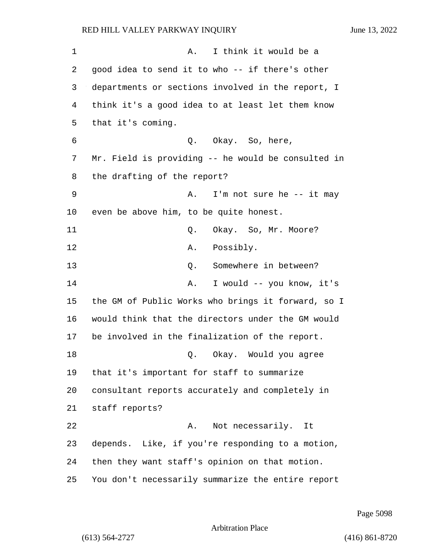1 A. I think it would be a good idea to send it to who -- if there's other departments or sections involved in the report, I think it's a good idea to at least let them know that it's coming. 6 Q. Okay. So, here, Mr. Field is providing -- he would be consulted in the drafting of the report? 9 A. I'm not sure he -- it may even be above him, to be quite honest. 11 Q. Okay. So, Mr. Moore? 12 A. Possibly. 13 C. Somewhere in between? 14 A. I would -- you know, it's the GM of Public Works who brings it forward, so I would think that the directors under the GM would be involved in the finalization of the report. 18 Q. Okay. Would you agree that it's important for staff to summarize consultant reports accurately and completely in staff reports? 22 A. Not necessarily. It depends. Like, if you're responding to a motion, then they want staff's opinion on that motion. You don't necessarily summarize the entire report

Page 5098

Arbitration Place

(613) 564-2727 (416) 861-8720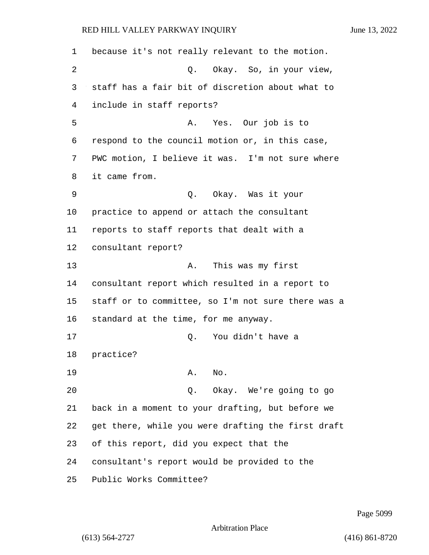because it's not really relevant to the motion. 2 Q. Okay. So, in your view, staff has a fair bit of discretion about what to include in staff reports? 5 A. Yes. Our job is to respond to the council motion or, in this case, PWC motion, I believe it was. I'm not sure where it came from. 9 Q. Okay. Was it your practice to append or attach the consultant reports to staff reports that dealt with a consultant report? 13 A. This was my first consultant report which resulted in a report to staff or to committee, so I'm not sure there was a standard at the time, for me anyway. 17 Q. You didn't have a practice? 19 A. No. 20 Q. Okay. We're going to go back in a moment to your drafting, but before we get there, while you were drafting the first draft of this report, did you expect that the consultant's report would be provided to the Public Works Committee?

Page 5099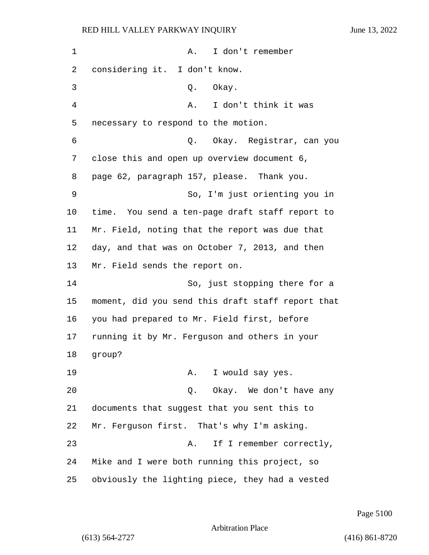1 A. I don't remember 2 considering it. I don't know. 3 Q. Okay. 4 A. I don't think it was 5 necessary to respond to the motion. 6 Q. Okay. Registrar, can you 7 close this and open up overview document 6, 8 page 62, paragraph 157, please. Thank you. 9 So, I'm just orienting you in 10 time. You send a ten-page draft staff report to 11 Mr. Field, noting that the report was due that 12 day, and that was on October 7, 2013, and then 13 Mr. Field sends the report on. 14 So, just stopping there for a 15 moment, did you send this draft staff report that 16 you had prepared to Mr. Field first, before 17 running it by Mr. Ferguson and others in your 18 group? 19 A. I would say yes. 20 Q. Okay. We don't have any 21 documents that suggest that you sent this to 22 Mr. Ferguson first. That's why I'm asking. 23 A. If I remember correctly, 24 Mike and I were both running this project, so 25 obviously the lighting piece, they had a vested

Page 5100

```
Arbitration Place
```
(613) 564-2727 (416) 861-8720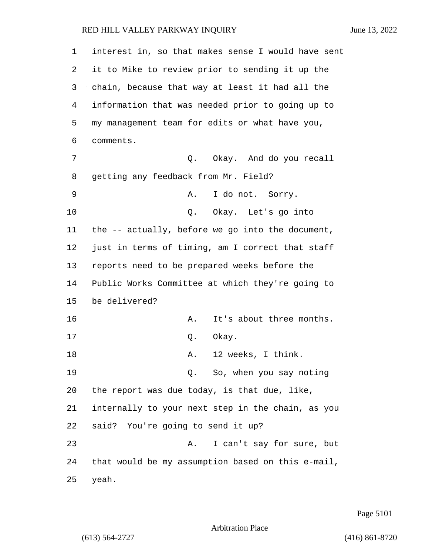| 1  | interest in, so that makes sense I would have sent |
|----|----------------------------------------------------|
| 2  | it to Mike to review prior to sending it up the    |
| 3  | chain, because that way at least it had all the    |
| 4  | information that was needed prior to going up to   |
| 5  | my management team for edits or what have you,     |
| 6  | comments.                                          |
| 7  | Okay. And do you recall<br>Q.                      |
| 8  | getting any feedback from Mr. Field?               |
| 9  | I do not. Sorry.<br>Α.                             |
| 10 | Okay. Let's go into<br>Q.                          |
| 11 | the -- actually, before we go into the document,   |
| 12 | just in terms of timing, am I correct that staff   |
| 13 | reports need to be prepared weeks before the       |
| 14 | Public Works Committee at which they're going to   |
| 15 | be delivered?                                      |
| 16 | It's about three months.<br>Α.                     |
| 17 | Okay.<br>Q.                                        |
| 18 | 12 weeks, I think.<br>Α.                           |
| 19 | Q. So, when you say noting                         |
| 20 | the report was due today, is that due, like,       |
| 21 | internally to your next step in the chain, as you  |
| 22 | said? You're going to send it up?                  |
| 23 | I can't say for sure, but<br>Α.                    |
| 24 | that would be my assumption based on this e-mail,  |
| 25 | yeah.                                              |

Page 5101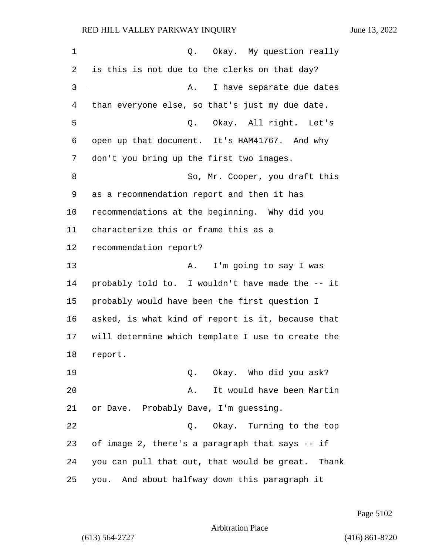| 1  | Okay.  My question really<br>Q.                   |
|----|---------------------------------------------------|
| 2  | is this is not due to the clerks on that day?     |
| 3  | I have separate due dates<br>Α.                   |
| 4  | than everyone else, so that's just my due date.   |
| 5  | Q. Okay. All right. Let's                         |
| 6  | open up that document. It's HAM41767. And why     |
| 7  | don't you bring up the first two images.          |
| 8  | So, Mr. Cooper, you draft this                    |
| 9  | as a recommendation report and then it has        |
| 10 | recommendations at the beginning. Why did you     |
| 11 | characterize this or frame this as a              |
| 12 | recommendation report?                            |
| 13 | A. I'm going to say I was                         |
| 14 | probably told to. I wouldn't have made the -- it  |
| 15 | probably would have been the first question I     |
| 16 | asked, is what kind of report is it, because that |
| 17 | will determine which template I use to create the |
| 18 | report.                                           |
| 19 | Q. Okay. Who did you ask?                         |
| 20 | It would have been Martin<br>Α.                   |
| 21 | or Dave. Probably Dave, I'm guessing.             |
| 22 | Okay. Turning to the top<br>Q.                    |
| 23 | of image 2, there's a paragraph that says -- if   |
| 24 | you can pull that out, that would be great. Thank |
| 25 | you. And about halfway down this paragraph it     |

Page 5102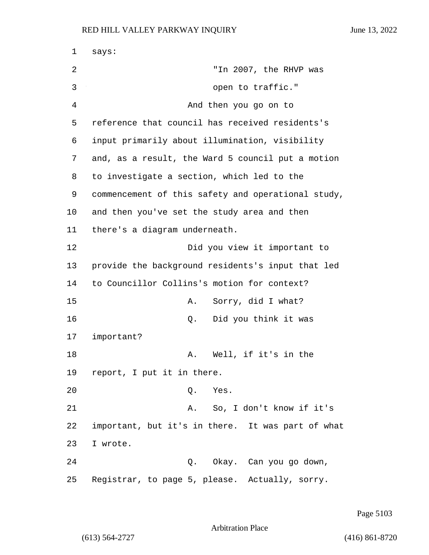1 says: 2 "In 2007, the RHVP was 3 open to traffic." 4 And then you go on to 5 reference that council has received residents's 6 input primarily about illumination, visibility 7 and, as a result, the Ward 5 council put a motion 8 to investigate a section, which led to the 9 commencement of this safety and operational study, 10 and then you've set the study area and then 11 there's a diagram underneath. 12 Did you view it important to 13 provide the background residents's input that led 14 to Councillor Collins's motion for context? 15 A. Sorry, did I what? 16 Q. Did you think it was 17 important? 18 A. Well, if it's in the 19 report, I put it in there. 20 Q. Yes. 21 A. So, I don't know if it's 22 important, but it's in there. It was part of what 23 I wrote. 24 Q. Okay. Can you go down, 25 Registrar, to page 5, please. Actually, sorry.

Page 5103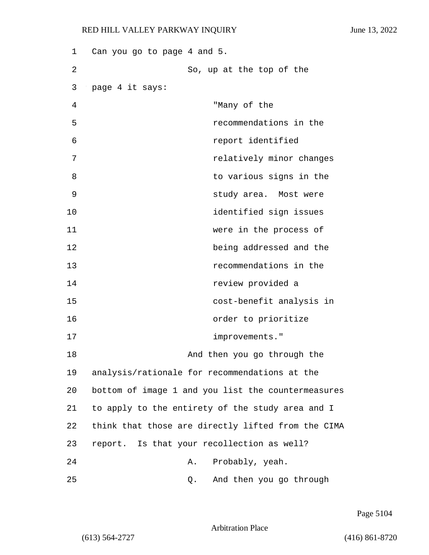1 Can you go to page 4 and 5. 2 So, up at the top of the 3 page 4 it says: 4 "Many of the 5 recommendations in the 6 report identified 7 relatively minor changes 8 and 8 to various signs in the 9 study area. Most were 10 identified sign issues 11 were in the process of 12 being addressed and the 13 recommendations in the 14 review provided a 15 cost-benefit analysis in 16 order to prioritize 17 improvements." 18 And then you go through the 19 analysis/rationale for recommendations at the 20 bottom of image 1 and you list the countermeasures 21 to apply to the entirety of the study area and I 22 think that those are directly lifted from the CIMA 23 report. Is that your recollection as well? 24 A. Probably, yeah. 25 Q. And then you go through

Page 5104

Arbitration Place

(613) 564-2727 (416) 861-8720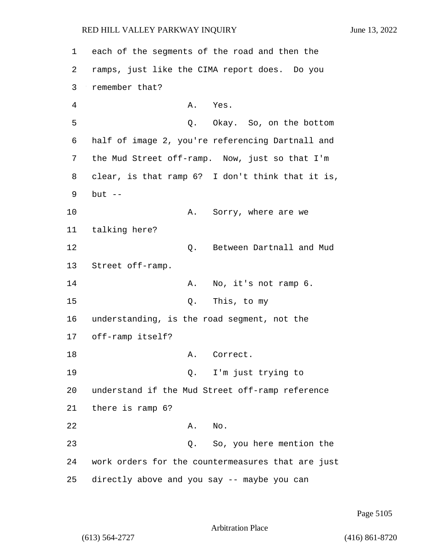| 1  | each of the segments of the road and then the     |
|----|---------------------------------------------------|
| 2  | ramps, just like the CIMA report does. Do you     |
| 3  | remember that?                                    |
| 4  | A.<br>Yes.                                        |
| 5  | Q. Okay. So, on the bottom                        |
| 6  | half of image 2, you're referencing Dartnall and  |
| 7  | the Mud Street off-ramp. Now, just so that I'm    |
| 8  | clear, is that ramp 6? I don't think that it is,  |
| 9  | but $--$                                          |
| 10 | Sorry, where are we<br>Α.                         |
| 11 | talking here?                                     |
| 12 | Between Dartnall and Mud<br>Q.                    |
| 13 | Street off-ramp.                                  |
| 14 | No, it's not ramp 6.<br>Α.                        |
| 15 | This, to my<br>Q.                                 |
| 16 | understanding, is the road segment, not the       |
| 17 | off-ramp itself?                                  |
| 18 | A. Correct.                                       |
| 19 | Q. I'm just trying to                             |
| 20 | understand if the Mud Street off-ramp reference   |
| 21 | there is ramp 6?                                  |
| 22 | Α.<br>No.                                         |
| 23 | So, you here mention the<br>Q.                    |
| 24 | work orders for the countermeasures that are just |
| 25 | directly above and you say -- maybe you can       |

Page 5105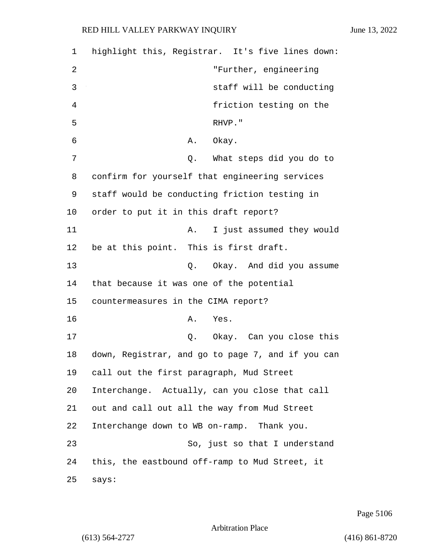1 highlight this, Registrar. It's five lines down: 2 "Further, engineering 3 staff will be conducting 4 friction testing on the 5 RHVP." 6 A. Okay. 7 Q. What steps did you do to 8 confirm for yourself that engineering services 9 staff would be conducting friction testing in 10 order to put it in this draft report? 11 A. I just assumed they would 12 be at this point. This is first draft. 13 C. Okay. And did you assume 14 that because it was one of the potential 15 countermeasures in the CIMA report? 16 A. Yes. 17 Q. Okay. Can you close this 18 down, Registrar, and go to page 7, and if you can 19 call out the first paragraph, Mud Street 20 Interchange. Actually, can you close that call 21 out and call out all the way from Mud Street 22 Interchange down to WB on-ramp. Thank you. 23 So, just so that I understand 24 this, the eastbound off-ramp to Mud Street, it 25 says:

Page 5106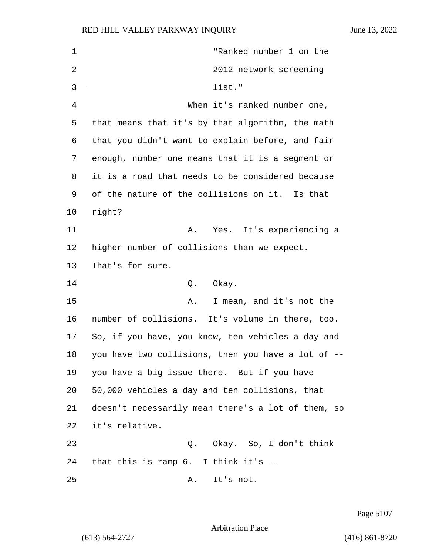| 1  | "Ranked number 1 on the                            |
|----|----------------------------------------------------|
| 2  | 2012 network screening                             |
| 3  | list."                                             |
| 4  | When it's ranked number one,                       |
| 5  | that means that it's by that algorithm, the math   |
| 6  | that you didn't want to explain before, and fair   |
| 7  | enough, number one means that it is a segment or   |
| 8  | it is a road that needs to be considered because   |
| 9  | of the nature of the collisions on it. Is that     |
| 10 | right?                                             |
| 11 | Yes. It's experiencing a<br>Α.                     |
| 12 | higher number of collisions than we expect.        |
| 13 | That's for sure.                                   |
| 14 | Okay.<br>Q.                                        |
| 15 | I mean, and it's not the<br>Α.                     |
| 16 | number of collisions. It's volume in there, too.   |
| 17 | So, if you have, you know, ten vehicles a day and  |
| 18 | you have two collisions, then you have a lot of -- |
| 19 | you have a big issue there. But if you have        |
| 20 | 50,000 vehicles a day and ten collisions, that     |
| 21 | doesn't necessarily mean there's a lot of them, so |
| 22 | it's relative.                                     |
| 23 | Q. Okay. So, I don't think                         |
| 24 | that this is ramp $6.$ I think it's $-$            |
| 25 | It's not.<br>Α.                                    |

Page 5107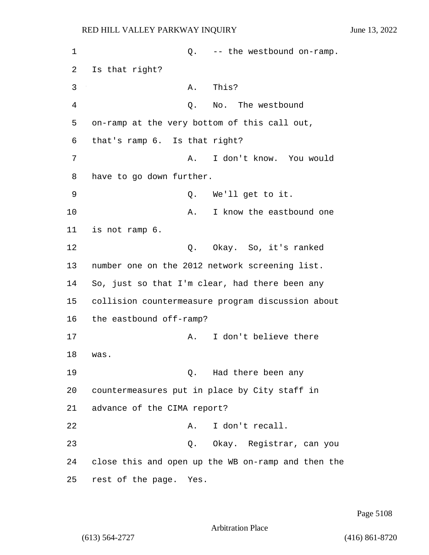1 and 0. -- the westbound on-ramp. 2 Is that right? 3 A. This? 4 Q. No. The westbound 5 on-ramp at the very bottom of this call out, 6 that's ramp 6. Is that right? 7 A. I don't know. You would 8 have to go down further. 9 Q. We'll get to it. 10 A. I know the eastbound one 11 is not ramp 6. 12 O. Okay. So, it's ranked 13 number one on the 2012 network screening list. 14 So, just so that I'm clear, had there been any 15 collision countermeasure program discussion about 16 the eastbound off-ramp? 17 A. I don't believe there 18 was. 19 Q. Had there been any 20 countermeasures put in place by City staff in 21 advance of the CIMA report? 22 A. I don't recall. 23 Q. Okay. Registrar, can you 24 close this and open up the WB on-ramp and then the 25 rest of the page. Yes.

Page 5108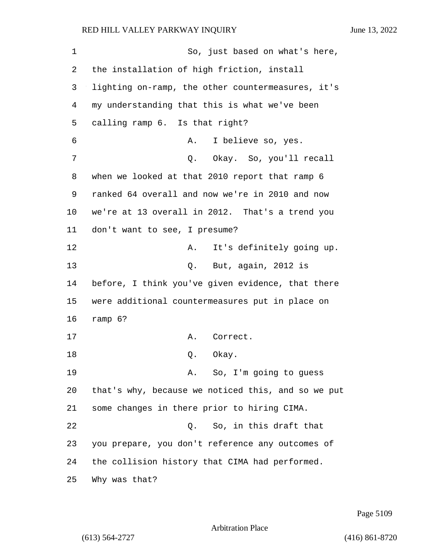| 1  | So, just based on what's here,                     |
|----|----------------------------------------------------|
| 2  | the installation of high friction, install         |
| 3  | lighting on-ramp, the other countermeasures, it's  |
| 4  | my understanding that this is what we've been      |
| 5  | calling ramp 6. Is that right?                     |
| 6  | I believe so, yes.<br>Α.                           |
| 7  | Q. Okay. So, you'll recall                         |
| 8  | when we looked at that 2010 report that ramp 6     |
| 9  | ranked 64 overall and now we're in 2010 and now    |
| 10 | we're at 13 overall in 2012. That's a trend you    |
| 11 | don't want to see, I presume?                      |
| 12 | It's definitely going up.<br>Α.                    |
| 13 | Q. But, again, 2012 is                             |
| 14 | before, I think you've given evidence, that there  |
| 15 | were additional countermeasures put in place on    |
| 16 | ramp 6?                                            |
| 17 | A. Correct.                                        |
| 18 | Okay.<br>Q.                                        |
| 19 | A. So, I'm going to guess                          |
| 20 | that's why, because we noticed this, and so we put |
| 21 | some changes in there prior to hiring CIMA.        |
| 22 | So, in this draft that<br>Q.                       |
| 23 | you prepare, you don't reference any outcomes of   |
| 24 | the collision history that CIMA had performed.     |
| 25 | Why was that?                                      |

Page 5109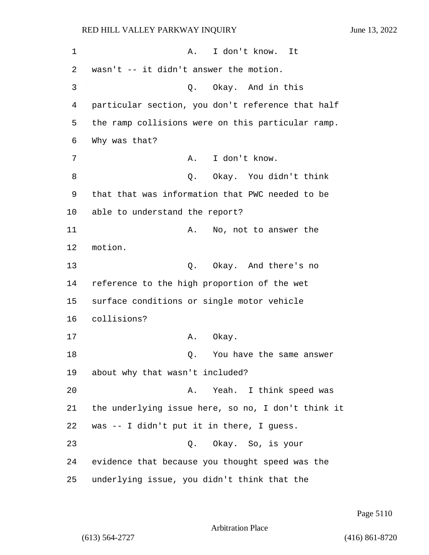| 1  | I don't know.<br>Α.<br>It                          |
|----|----------------------------------------------------|
| 2  | wasn't -- it didn't answer the motion.             |
| 3  | Okay. And in this<br>Q.                            |
| 4  | particular section, you don't reference that half  |
| 5  | the ramp collisions were on this particular ramp.  |
| 6  | Why was that?                                      |
| 7  | I don't know.<br>Α.                                |
| 8  | Okay. You didn't think<br>Q.                       |
| 9  | that that was information that PWC needed to be    |
| 10 | able to understand the report?                     |
| 11 | No, not to answer the<br>Α.                        |
| 12 | motion.                                            |
| 13 | Q. Okay. And there's no                            |
| 14 | reference to the high proportion of the wet        |
| 15 | surface conditions or single motor vehicle         |
| 16 | collisions?                                        |
| 17 | Okay.<br>Α.                                        |
| 18 | You have the same answer<br>Q.                     |
| 19 | about why that wasn't included?                    |
| 20 | Yeah. I think speed was<br>Α.                      |
| 21 | the underlying issue here, so no, I don't think it |
| 22 | was -- I didn't put it in there, I guess.          |
| 23 | Okay. So, is your<br>Q.                            |
| 24 | evidence that because you thought speed was the    |
| 25 | underlying issue, you didn't think that the        |

Page 5110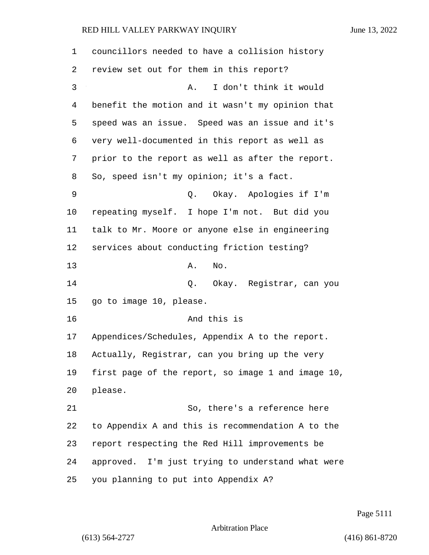| 1       | councillors needed to have a collision history     |
|---------|----------------------------------------------------|
| 2       | review set out for them in this report?            |
| 3       | I don't think it would<br>Α.                       |
| 4       | benefit the motion and it wasn't my opinion that   |
| 5       | speed was an issue. Speed was an issue and it's    |
| 6       | very well-documented in this report as well as     |
| 7       | prior to the report as well as after the report.   |
| 8       | So, speed isn't my opinion; it's a fact.           |
| 9       | Q. Okay. Apologies if I'm                          |
| $10 \,$ | repeating myself. I hope I'm not. But did you      |
| 11      | talk to Mr. Moore or anyone else in engineering    |
| 12      | services about conducting friction testing?        |
| 13      | No.<br>Α.                                          |
| 14      | Q. Okay. Registrar, can you                        |
| 15      | go to image 10, please.                            |
| 16      | And this is                                        |
| 17      | Appendices/Schedules, Appendix A to the report.    |
| 18      | Actually, Registrar, can you bring up the very     |
| 19      | first page of the report, so image 1 and image 10, |
| 20      | please.                                            |
| 21      | So, there's a reference here                       |
| 22      | to Appendix A and this is recommendation A to the  |
| 23      | report respecting the Red Hill improvements be     |
| 24      | approved. I'm just trying to understand what were  |
| 25      | you planning to put into Appendix A?               |

Page 5111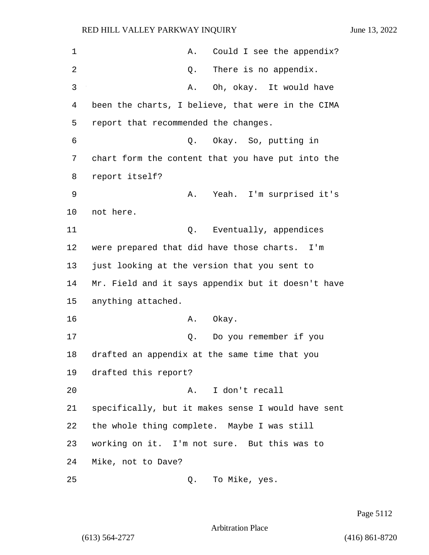1 A. Could I see the appendix? 2 2 Q. There is no appendix. 3 A. Oh, okay. It would have 4 been the charts, I believe, that were in the CIMA 5 report that recommended the changes. 6 Q. Okay. So, putting in 7 chart form the content that you have put into the 8 report itself? 9 A. Yeah. I'm surprised it's 10 not here. 11 Q. Eventually, appendices 12 were prepared that did have those charts. I'm 13 just looking at the version that you sent to 14 Mr. Field and it says appendix but it doesn't have 15 anything attached. 16 **A.** Okay. 17 Q. Do you remember if you 18 drafted an appendix at the same time that you 19 drafted this report? 20 A. I don't recall 21 specifically, but it makes sense I would have sent 22 the whole thing complete. Maybe I was still 23 working on it. I'm not sure. But this was to 24 Mike, not to Dave? 25 Q. To Mike, yes.

Page 5112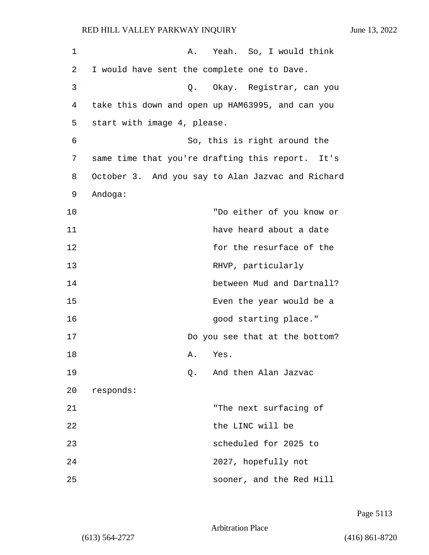| 1  | A. Yeah. So, I would think                        |
|----|---------------------------------------------------|
| 2  | I would have sent the complete one to Dave.       |
| 3  | Q. Okay. Registrar, can you                       |
| 4  | take this down and open up HAM63995, and can you  |
| 5  | start with image 4, please.                       |
| 6  | So, this is right around the                      |
| 7  | same time that you're drafting this report. It's  |
| 8  | October 3. And you say to Alan Jazvac and Richard |
| 9  | Andoga:                                           |
| 10 | "Do either of you know or                         |
| 11 | have heard about a date                           |
| 12 | for the resurface of the                          |
| 13 | RHVP, particularly                                |
| 14 | between Mud and Dartnall?                         |
| 15 | Even the year would be a                          |
| 16 | good starting place."                             |
| 17 | Do you see that at the bottom?                    |
| 18 | Yes.<br>Α.                                        |
| 19 | And then Alan Jazvac<br>Q.                        |
| 20 | responds:                                         |
| 21 | "The next surfacing of                            |
| 22 | the LINC will be                                  |
| 23 | scheduled for 2025 to                             |
| 24 | 2027, hopefully not                               |
| 25 | sooner, and the Red Hill                          |

Page 5113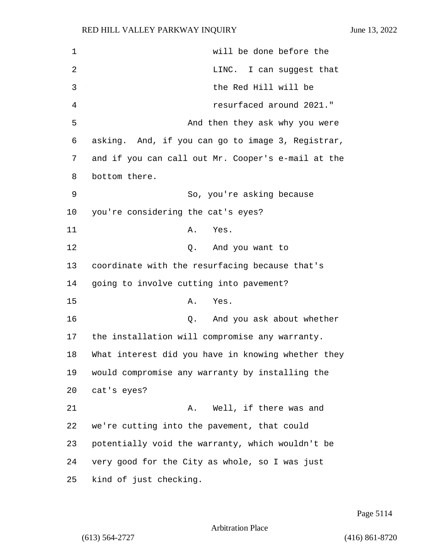| 1  | will be done before the                            |
|----|----------------------------------------------------|
| 2  | LINC. I can suggest that                           |
| 3  | the Red Hill will be                               |
| 4  | resurfaced around 2021."                           |
| 5  | And then they ask why you were                     |
| 6  | asking. And, if you can go to image 3, Registrar,  |
| 7  | and if you can call out Mr. Cooper's e-mail at the |
| 8  | bottom there.                                      |
| 9  | So, you're asking because                          |
| 10 | you're considering the cat's eyes?                 |
| 11 | Yes.<br>Α.                                         |
| 12 | And you want to<br>Q.                              |
| 13 | coordinate with the resurfacing because that's     |
| 14 | going to involve cutting into pavement?            |
| 15 | Α.<br>Yes.                                         |
| 16 | And you ask about whether<br>Q.                    |
| 17 | the installation will compromise any warranty.     |
| 18 | What interest did you have in knowing whether they |
| 19 | would compromise any warranty by installing the    |
| 20 | cat's eyes?                                        |
| 21 | Well, if there was and<br>Α.                       |
| 22 | we're cutting into the pavement, that could        |
| 23 | potentially void the warranty, which wouldn't be   |
| 24 | very good for the City as whole, so I was just     |
| 25 | kind of just checking.                             |

Page 5114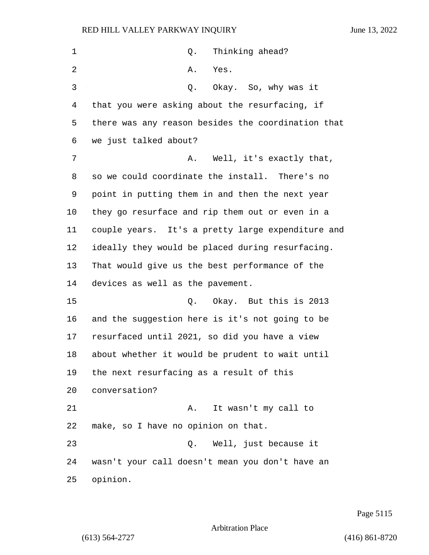| 1  | Thinking ahead?<br>Q.                              |
|----|----------------------------------------------------|
| 2  | Yes.<br>Α.                                         |
| 3  | Okay. So, why was it<br>Q.                         |
| 4  | that you were asking about the resurfacing, if     |
| 5  | there was any reason besides the coordination that |
| 6  | we just talked about?                              |
| 7  | Well, it's exactly that,<br>Α.                     |
| 8  | so we could coordinate the install. There's no     |
| 9  | point in putting them in and then the next year    |
| 10 | they go resurface and rip them out or even in a    |
| 11 | couple years. It's a pretty large expenditure and  |
| 12 | ideally they would be placed during resurfacing.   |
| 13 | That would give us the best performance of the     |
| 14 | devices as well as the pavement.                   |
| 15 | Okay. But this is 2013<br>Q.                       |
| 16 | and the suggestion here is it's not going to be    |
| 17 | resurfaced until 2021, so did you have a view      |
| 18 | about whether it would be prudent to wait until    |
| 19 | the next resurfacing as a result of this           |
| 20 | conversation?                                      |
| 21 | It wasn't my call to<br>Α.                         |
| 22 | make, so I have no opinion on that.                |
| 23 | Well, just because it<br>Q.                        |
| 24 | wasn't your call doesn't mean you don't have an    |
| 25 | opinion.                                           |

Page 5115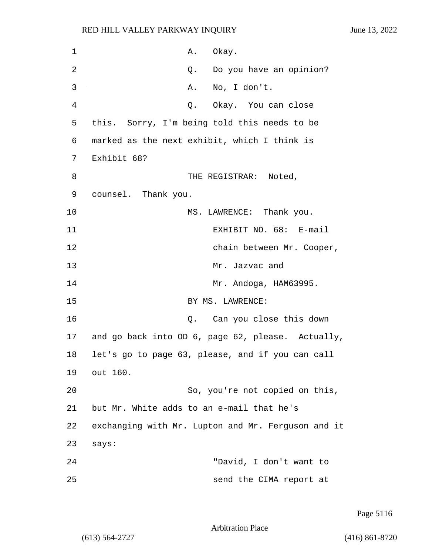| 1  | A. Okay.                                             |
|----|------------------------------------------------------|
| 2  | Q. Do you have an opinion?                           |
| 3  | No, I don't.<br>Α.                                   |
| 4  | Q. Okay. You can close                               |
| 5  | this. Sorry, I'm being told this needs to be         |
| 6  | marked as the next exhibit, which I think is         |
| 7  | Exhibit 68?                                          |
| 8  | THE REGISTRAR: Noted,                                |
| 9  | counsel. Thank you.                                  |
| 10 | MS. LAWRENCE: Thank you.                             |
| 11 | EXHIBIT NO. 68: E-mail                               |
| 12 | chain between Mr. Cooper,                            |
| 13 | Mr. Jazvac and                                       |
| 14 | Mr. Andoga, HAM63995.                                |
| 15 | BY MS. LAWRENCE:                                     |
| 16 | Q. Can you close this down                           |
|    | 17 and go back into OD 6, page 62, please. Actually, |
| 18 | let's go to page 63, please, and if you can call     |
| 19 | out 160.                                             |
| 20 | So, you're not copied on this,                       |
| 21 | but Mr. White adds to an e-mail that he's            |
| 22 | exchanging with Mr. Lupton and Mr. Ferguson and it   |
| 23 | says:                                                |
| 24 | "David, I don't want to                              |
| 25 | send the CIMA report at                              |

Page 5116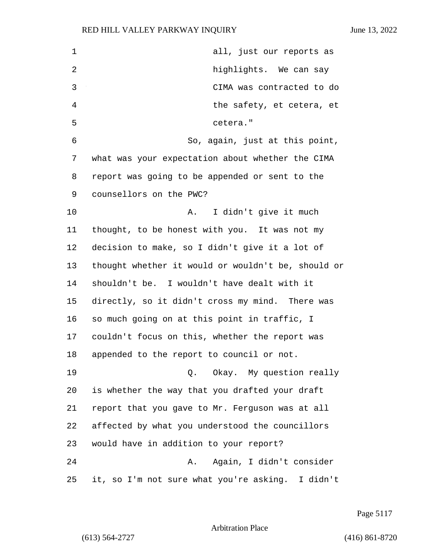| 1  | all, just our reports as                           |
|----|----------------------------------------------------|
| 2  | highlights. We can say                             |
| 3  | CIMA was contracted to do                          |
| 4  | the safety, et cetera, et                          |
| 5  | cetera."                                           |
| 6  | So, again, just at this point,                     |
| 7  | what was your expectation about whether the CIMA   |
| 8  | report was going to be appended or sent to the     |
| 9  | counsellors on the PWC?                            |
| 10 | I didn't give it much<br>Α.                        |
| 11 | thought, to be honest with you. It was not my      |
| 12 | decision to make, so I didn't give it a lot of     |
| 13 | thought whether it would or wouldn't be, should or |
| 14 | shouldn't be. I wouldn't have dealt with it        |
| 15 | directly, so it didn't cross my mind. There was    |
| 16 | so much going on at this point in traffic, I       |
| 17 | couldn't focus on this, whether the report was     |
| 18 | appended to the report to council or not.          |
| 19 | Q. Okay. My question really                        |
| 20 | is whether the way that you drafted your draft     |
| 21 | report that you gave to Mr. Ferguson was at all    |
| 22 | affected by what you understood the councillors    |
| 23 | would have in addition to your report?             |
| 24 | Again, I didn't consider<br>Α.                     |
| 25 | it, so I'm not sure what you're asking. I didn't   |

Page 5117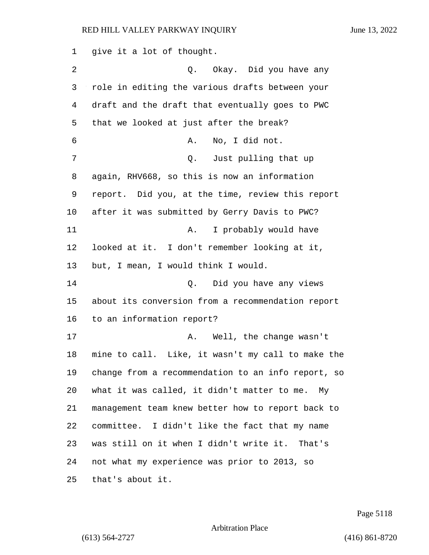give it a lot of thought. 2 Q. Okay. Did you have any role in editing the various drafts between your draft and the draft that eventually goes to PWC that we looked at just after the break? 6 A. No, I did not. 7 C. Just pulling that up again, RHV668, so this is now an information report. Did you, at the time, review this report after it was submitted by Gerry Davis to PWC? 11 A. I probably would have looked at it. I don't remember looking at it, but, I mean, I would think I would. 14 Q. Did you have any views about its conversion from a recommendation report to an information report? 17 A. Well, the change wasn't mine to call. Like, it wasn't my call to make the change from a recommendation to an info report, so what it was called, it didn't matter to me. My management team knew better how to report back to committee. I didn't like the fact that my name was still on it when I didn't write it. That's not what my experience was prior to 2013, so that's about it.

Page 5118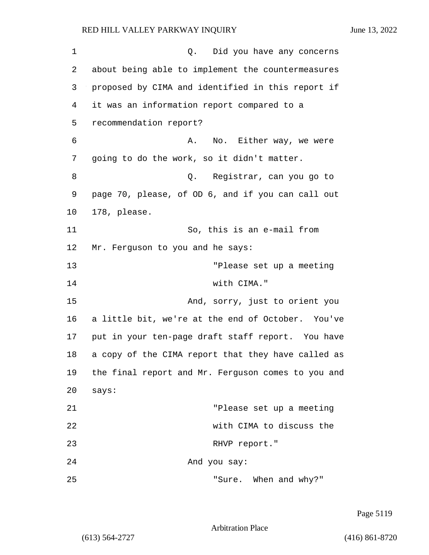| 1  | Q. Did you have any concerns                       |
|----|----------------------------------------------------|
| 2  | about being able to implement the countermeasures  |
| 3  | proposed by CIMA and identified in this report if  |
| 4  | it was an information report compared to a         |
| 5  | recommendation report?                             |
| 6  | No. Either way, we were<br>Α.                      |
| 7  | going to do the work, so it didn't matter.         |
| 8  | Registrar, can you go to<br>Q.                     |
| 9  | page 70, please, of OD 6, and if you can call out  |
| 10 | 178, please.                                       |
| 11 | So, this is an e-mail from                         |
| 12 | Mr. Ferguson to you and he says:                   |
| 13 | "Please set up a meeting                           |
| 14 | with CIMA."                                        |
| 15 | And, sorry, just to orient you                     |
| 16 | a little bit, we're at the end of October. You've  |
| 17 | put in your ten-page draft staff report. You have  |
| 18 | a copy of the CIMA report that they have called as |
| 19 | the final report and Mr. Ferguson comes to you and |
| 20 | says:                                              |
| 21 | "Please set up a meeting                           |
| 22 | with CIMA to discuss the                           |
| 23 | RHVP report."                                      |
| 24 | And you say:                                       |
| 25 | "Sure. When and why?"                              |

Page 5119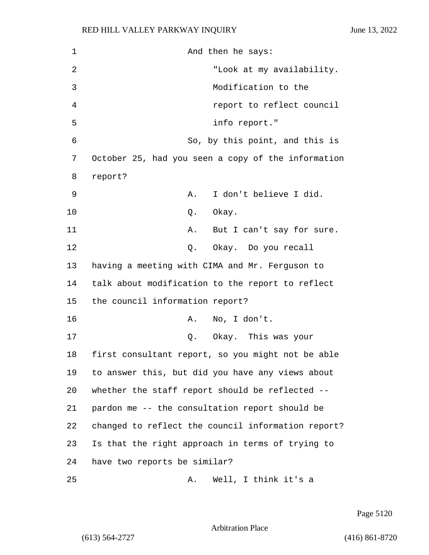1 And then he says: 2 "Look at my availability. 3 Modification to the 4 report to reflect council 5 info report." 6 So, by this point, and this is 7 October 25, had you seen a copy of the information 8 report? 9 A. I don't believe I did. 10 Q. Okay. 11 A. But I can't say for sure. 12 O. Okay. Do you recall 13 having a meeting with CIMA and Mr. Ferguson to 14 talk about modification to the report to reflect 15 the council information report? 16 A. No, I don't. 17 C. Okay. This was your 18 first consultant report, so you might not be able 19 to answer this, but did you have any views about 20 whether the staff report should be reflected -- 21 pardon me -- the consultation report should be 22 changed to reflect the council information report? 23 Is that the right approach in terms of trying to 24 have two reports be similar?

25 A. Well, I think it's a

Page 5120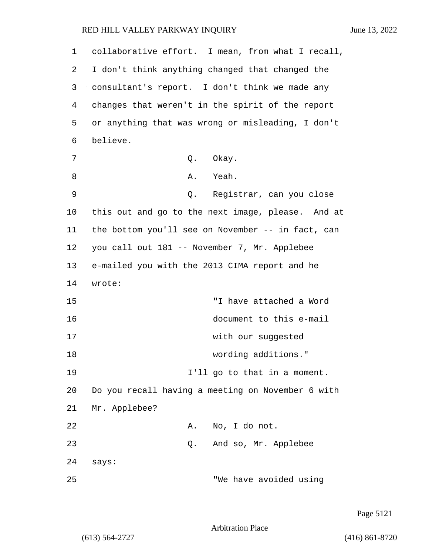1 collaborative effort. I mean, from what I recall, 2 I don't think anything changed that changed the 3 consultant's report. I don't think we made any 4 changes that weren't in the spirit of the report 5 or anything that was wrong or misleading, I don't 6 believe. 7 O. Okay. 8 A. Yeah. 9 Q. Registrar, can you close 10 this out and go to the next image, please. And at 11 the bottom you'll see on November -- in fact, can 12 you call out 181 -- November 7, Mr. Applebee 13 e-mailed you with the 2013 CIMA report and he 14 wrote: 15 "I have attached a Word 16 document to this e-mail 17 with our suggested 18 wording additions." 19 **I'll go to that in a moment.** 20 Do you recall having a meeting on November 6 with 21 Mr. Applebee? 22 A. No, I do not. 23 Q. And so, Mr. Applebee 24 says: 25 "We have avoided using

Page 5121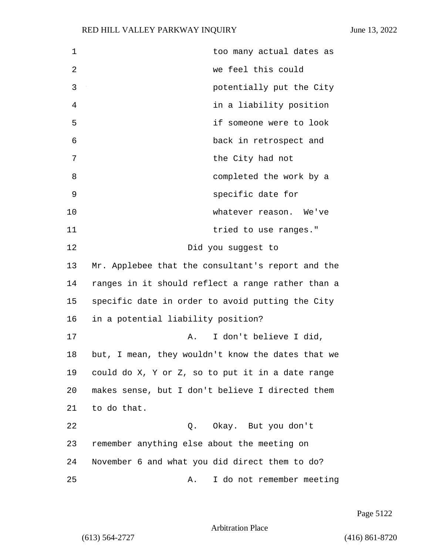| $\mathbf 1$ | too many actual dates as                          |
|-------------|---------------------------------------------------|
| 2           | we feel this could                                |
| 3           | potentially put the City                          |
| 4           | in a liability position                           |
| 5           | if someone were to look                           |
| 6           | back in retrospect and                            |
| 7           | the City had not                                  |
| 8           | completed the work by a                           |
| 9           | specific date for                                 |
| 10          | whatever reason. We've                            |
| 11          | tried to use ranges."                             |
| 12          | Did you suggest to                                |
| 13          | Mr. Applebee that the consultant's report and the |
| 14          | ranges in it should reflect a range rather than a |
| 15          | specific date in order to avoid putting the City  |
| 16          | in a potential liability position?                |
| 17          | I don't believe I did,<br>Α.                      |
| 18          | but, I mean, they wouldn't know the dates that we |
| 19          | could do X, Y or Z, so to put it in a date range  |
| 20          | makes sense, but I don't believe I directed them  |
| 21          | to do that.                                       |
| 22          | Q. Okay. But you don't                            |
| 23          | remember anything else about the meeting on       |
| 24          | November 6 and what you did direct them to do?    |
| 25          | I do not remember meeting<br>Α.                   |

Page 5122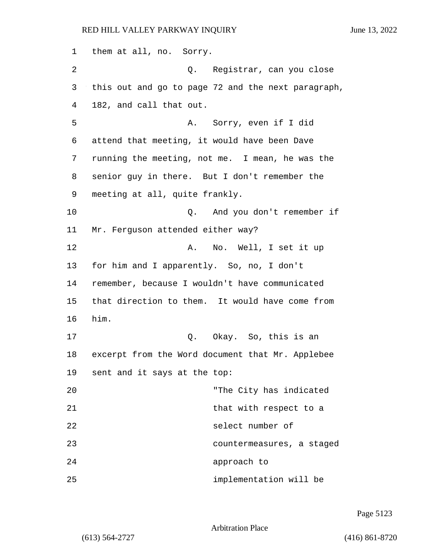1 them at all, no. Sorry. 2 Q. Registrar, can you close 3 this out and go to page 72 and the next paragraph, 4 182, and call that out. 5 A. Sorry, even if I did 6 attend that meeting, it would have been Dave 7 running the meeting, not me. I mean, he was the 8 senior guy in there. But I don't remember the 9 meeting at all, quite frankly. 10 Q. And you don't remember if 11 Mr. Ferguson attended either way? 12 A. No. Well, I set it up 13 for him and I apparently. So, no, I don't 14 remember, because I wouldn't have communicated 15 that direction to them. It would have come from 16 him. 17 C. Okay. So, this is an 18 excerpt from the Word document that Mr. Applebee 19 sent and it says at the top: 20 "The City has indicated 21 **that with respect to a** 22 select number of 23 countermeasures, a staged 24 approach to 25 implementation will be

Page 5123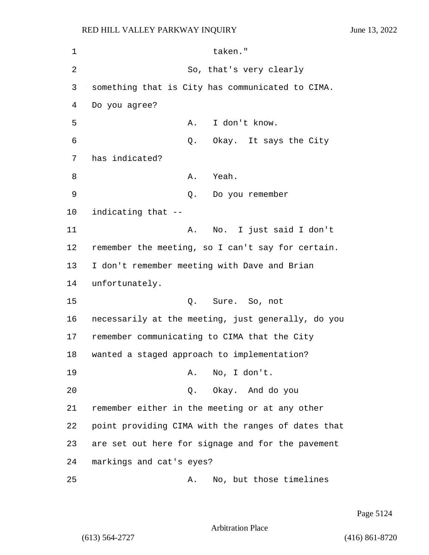1 taken." 2 So, that's very clearly 3 something that is City has communicated to CIMA. 4 Do you agree? 5 A. I don't know. 6 Q. Okay. It says the City 7 has indicated? 8 A. Yeah. 9 Q. Do you remember 10 indicating that -- 11 A. No. I just said I don't 12 remember the meeting, so I can't say for certain. 13 I don't remember meeting with Dave and Brian 14 unfortunately. 15 Q. Sure. So, not 16 necessarily at the meeting, just generally, do you 17 remember communicating to CIMA that the City 18 wanted a staged approach to implementation? 19 A. No, I don't. 20 Q. Okay. And do you 21 remember either in the meeting or at any other 22 point providing CIMA with the ranges of dates that 23 are set out here for signage and for the pavement 24 markings and cat's eyes? 25 A. No, but those timelines

Page 5124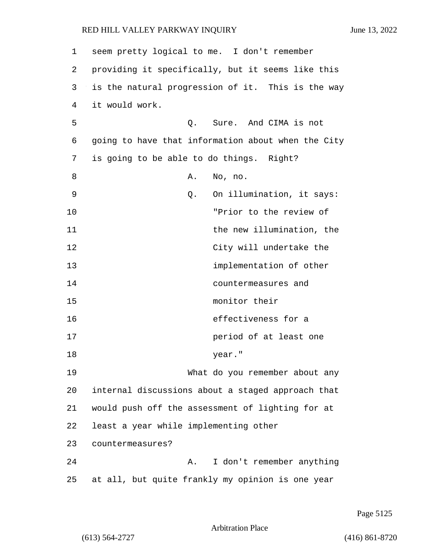| 1  | seem pretty logical to me. I don't remember        |
|----|----------------------------------------------------|
| 2  | providing it specifically, but it seems like this  |
| 3  | is the natural progression of it. This is the way  |
| 4  | it would work.                                     |
| 5  | Q. Sure. And CIMA is not                           |
| 6  | going to have that information about when the City |
| 7  | is going to be able to do things. Right?           |
| 8  | No, no.<br>Α.                                      |
| 9  | On illumination, it says:<br>Q.                    |
| 10 | "Prior to the review of                            |
| 11 | the new illumination, the                          |
| 12 | City will undertake the                            |
| 13 | implementation of other                            |
| 14 | countermeasures and                                |
| 15 | monitor their                                      |
| 16 | effectiveness for a                                |
| 17 | period of at least one                             |
| 18 | year."                                             |
| 19 | What do you remember about any                     |
| 20 | internal discussions about a staged approach that  |
| 21 | would push off the assessment of lighting for at   |
| 22 | least a year while implementing other              |
| 23 | countermeasures?                                   |
| 24 | I don't remember anything<br>Α.                    |
| 25 | at all, but quite frankly my opinion is one year   |

Page 5125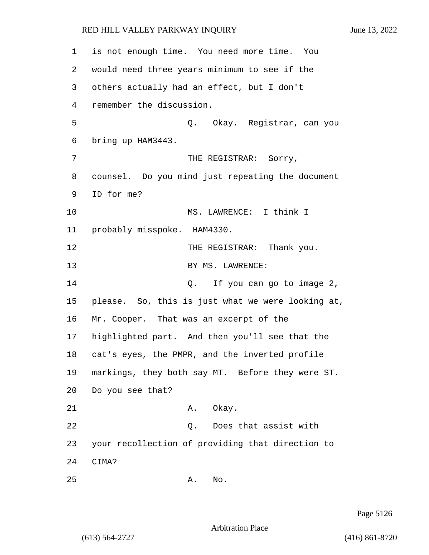1 is not enough time. You need more time. You 2 would need three years minimum to see if the 3 others actually had an effect, but I don't 4 remember the discussion. 5 Q. Okay. Registrar, can you 6 bring up HAM3443. 7 THE REGISTRAR: Sorry, 8 counsel. Do you mind just repeating the document 9 ID for me? 10 MS. LAWRENCE: I think I 11 probably misspoke. HAM4330. 12 THE REGISTRAR: Thank you. 13 BY MS. LAWRENCE: 14 Q. If you can go to image 2, 15 please. So, this is just what we were looking at, 16 Mr. Cooper. That was an excerpt of the 17 highlighted part. And then you'll see that the 18 cat's eyes, the PMPR, and the inverted profile 19 markings, they both say MT. Before they were ST. 20 Do you see that? 21 A. Okay. 22 Q. Does that assist with 23 your recollection of providing that direction to 24 CIMA? 25 A. No.

Page 5126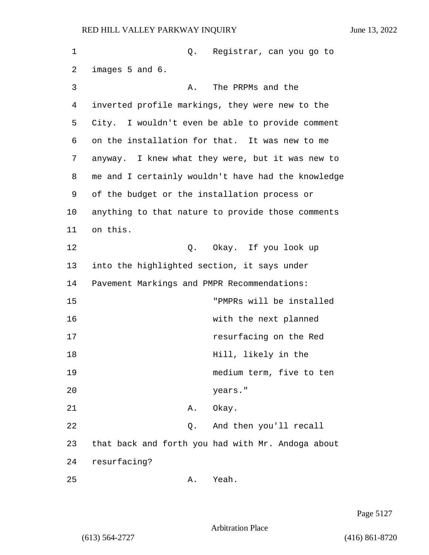1 Q. Registrar, can you go to 2 images 5 and 6. 3 A. The PRPMs and the 4 inverted profile markings, they were new to the 5 City. I wouldn't even be able to provide comment 6 on the installation for that. It was new to me 7 anyway. I knew what they were, but it was new to 8 me and I certainly wouldn't have had the knowledge 9 of the budget or the installation process or 10 anything to that nature to provide those comments 11 on this. 12 O. Okay. If you look up 13 into the highlighted section, it says under 14 Pavement Markings and PMPR Recommendations: 15 "PMPRs will be installed 16 with the next planned 17 resurfacing on the Red 18 **Hill**, likely in the 19 medium term, five to ten 20 years." 21 A. Okay. 22 Q. And then you'll recall 23 that back and forth you had with Mr. Andoga about 24 resurfacing? 25 A. Yeah.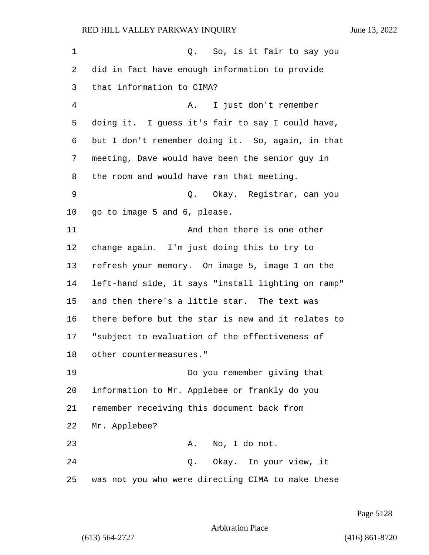1 C. So, is it fair to say you did in fact have enough information to provide that information to CIMA? 4 A. I just don't remember doing it. I guess it's fair to say I could have, but I don't remember doing it. So, again, in that meeting, Dave would have been the senior guy in the room and would have ran that meeting. 9 Q. Okay. Registrar, can you go to image 5 and 6, please. 11 And then there is one other change again. I'm just doing this to try to refresh your memory. On image 5, image 1 on the left-hand side, it says "install lighting on ramp" and then there's a little star. The text was there before but the star is new and it relates to "subject to evaluation of the effectiveness of other countermeasures." 19 Do you remember giving that information to Mr. Applebee or frankly do you remember receiving this document back from Mr. Applebee? 23 A. No, I do not. 24 Q. Okay. In your view, it was not you who were directing CIMA to make these

Page 5128

Arbitration Place

(613) 564-2727 (416) 861-8720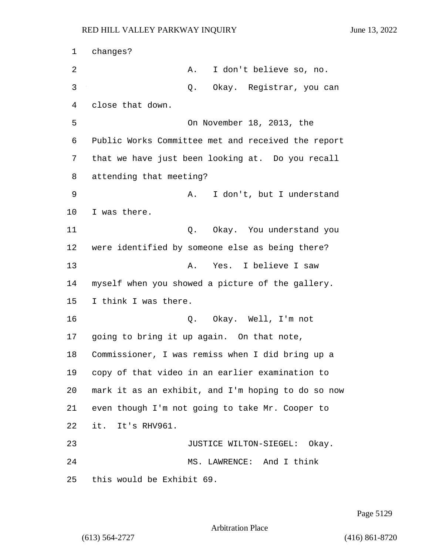1 changes? 2 A. I don't believe so, no. 3 Q. Okay. Registrar, you can close that down. 5 On November 18, 2013, the Public Works Committee met and received the report that we have just been looking at. Do you recall attending that meeting? 9 A. I don't, but I understand I was there. 11 Q. Okay. You understand you were identified by someone else as being there? 13 A. Yes. I believe I saw myself when you showed a picture of the gallery. I think I was there. 16 Q. Okay. Well, I'm not going to bring it up again. On that note, Commissioner, I was remiss when I did bring up a copy of that video in an earlier examination to mark it as an exhibit, and I'm hoping to do so now even though I'm not going to take Mr. Cooper to it. It's RHV961. **JUSTICE WILTON-SIEGEL:** Okay. 24 MS. LAWRENCE: And I think this would be Exhibit 69.

Page 5129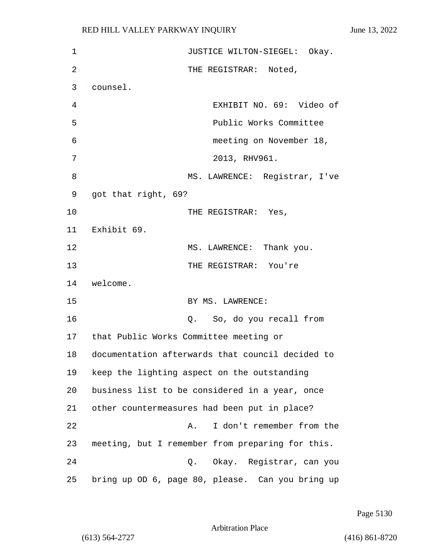| $\mathbf 1$ | JUSTICE WILTON-SIEGEL: Okay.                     |
|-------------|--------------------------------------------------|
| 2           | THE REGISTRAR: Noted,                            |
| 3           | counsel.                                         |
| 4           | EXHIBIT NO. 69: Video of                         |
| 5           | Public Works Committee                           |
| 6           | meeting on November 18,                          |
| 7           | 2013, RHV961.                                    |
| 8           | MS. LAWRENCE: Registrar, I've                    |
| 9           | got that right, 69?                              |
| 10          | THE REGISTRAR: Yes,                              |
| 11          | Exhibit 69.                                      |
| 12          | MS. LAWRENCE: Thank you.                         |
| 13          | THE REGISTRAR: You're                            |
| 14          | welcome.                                         |
| 15          | BY MS. LAWRENCE:                                 |
| 16          | Q. So, do you recall from                        |
| 17          | that Public Works Committee meeting or           |
| 18          | documentation afterwards that council decided to |
| 19          | keep the lighting aspect on the outstanding      |
| 20          | business list to be considered in a year, once   |
| 21          | other countermeasures had been put in place?     |
| 22          | I don't remember from the<br>Α.                  |
| 23          | meeting, but I remember from preparing for this. |
| 24          | Q. Okay. Registrar, can you                      |
| 25          | bring up OD 6, page 80, please. Can you bring up |

Page 5130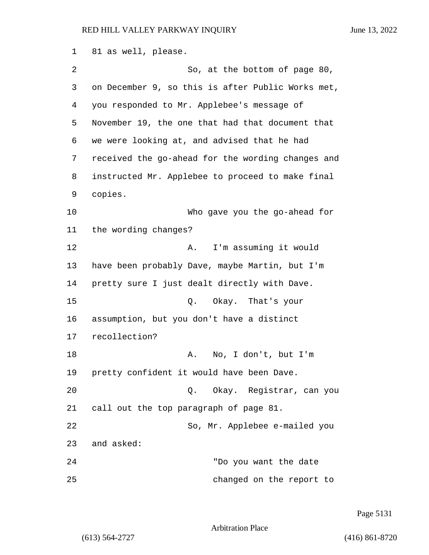1 81 as well, please. 2 So, at the bottom of page 80, 3 on December 9, so this is after Public Works met, 4 you responded to Mr. Applebee's message of 5 November 19, the one that had that document that 6 we were looking at, and advised that he had 7 received the go-ahead for the wording changes and 8 instructed Mr. Applebee to proceed to make final 9 copies. 10 Who gave you the go-ahead for 11 the wording changes? 12 A. I'm assuming it would 13 have been probably Dave, maybe Martin, but I'm 14 pretty sure I just dealt directly with Dave. 15 Q. Okay. That's your 16 assumption, but you don't have a distinct 17 recollection? 18 A. No, I don't, but I'm 19 pretty confident it would have been Dave. 20 Q. Okay. Registrar, can you 21 call out the top paragraph of page 81. 22 So, Mr. Applebee e-mailed you 23 and asked: 24 "Do you want the date 25 changed on the report to

Page 5131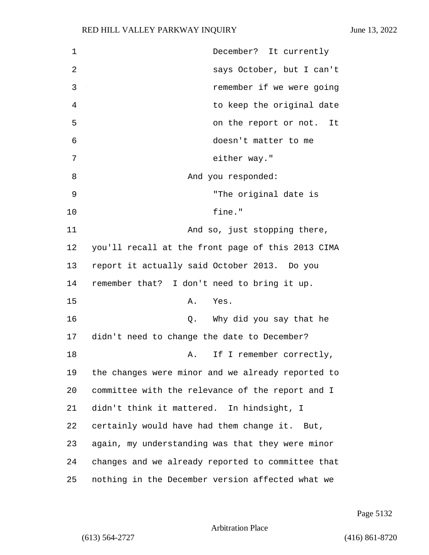| 1  | December? It currently                            |
|----|---------------------------------------------------|
| 2  | says October, but I can't                         |
| 3  | remember if we were going                         |
| 4  | to keep the original date                         |
| 5  | on the report or not.<br>It                       |
| 6  | doesn't matter to me                              |
| 7  | either way."                                      |
| 8  | And you responded:                                |
| 9  | "The original date is                             |
| 10 | fine."                                            |
| 11 | And so, just stopping there,                      |
| 12 | you'll recall at the front page of this 2013 CIMA |
| 13 | report it actually said October 2013. Do you      |
| 14 | remember that? I don't need to bring it up.       |
| 15 | Α.<br>Yes.                                        |
| 16 | Why did you say that he<br>Q.                     |
| 17 | didn't need to change the date to December?       |
| 18 | If I remember correctly,<br>Α.                    |
| 19 | the changes were minor and we already reported to |
| 20 | committee with the relevance of the report and I  |
| 21 | didn't think it mattered. In hindsight, I         |
| 22 | certainly would have had them change it. But,     |
| 23 | again, my understanding was that they were minor  |
| 24 | changes and we already reported to committee that |
| 25 | nothing in the December version affected what we  |

Page 5132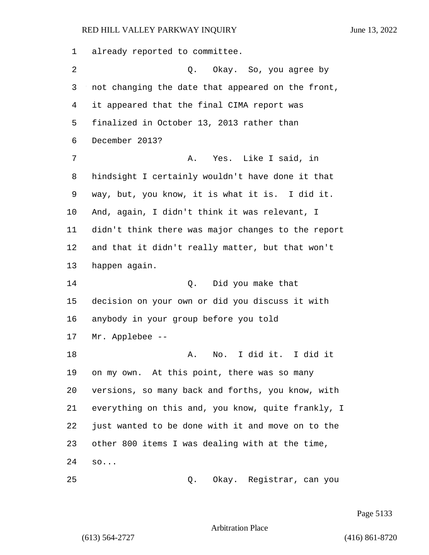already reported to committee. 2 Q. Okay. So, you agree by not changing the date that appeared on the front, it appeared that the final CIMA report was finalized in October 13, 2013 rather than December 2013? 7 A. Yes. Like I said, in hindsight I certainly wouldn't have done it that way, but, you know, it is what it is. I did it. And, again, I didn't think it was relevant, I didn't think there was major changes to the report and that it didn't really matter, but that won't happen again. 14 Q. Did you make that decision on your own or did you discuss it with anybody in your group before you told Mr. Applebee -- 18 A. No. I did it. I did it on my own. At this point, there was so many versions, so many back and forths, you know, with everything on this and, you know, quite frankly, I just wanted to be done with it and move on to the other 800 items I was dealing with at the time, so... 25 Q. Okay. Registrar, can you

Page 5133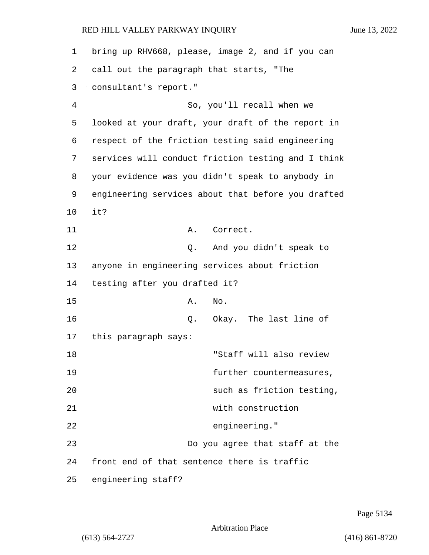1 bring up RHV668, please, image 2, and if you can 2 call out the paragraph that starts, "The 3 consultant's report." 4 So, you'll recall when we 5 looked at your draft, your draft of the report in 6 respect of the friction testing said engineering 7 services will conduct friction testing and I think 8 your evidence was you didn't speak to anybody in 9 engineering services about that before you drafted 10 it? 11 A. Correct. 12 O. And you didn't speak to 13 anyone in engineering services about friction 14 testing after you drafted it? 15 A. No. 16 Q. Okay. The last line of 17 this paragraph says: 18 "Staff will also review 19 further countermeasures, 20 such as friction testing, 21 with construction 22 engineering." 23 Do you agree that staff at the 24 front end of that sentence there is traffic 25 engineering staff?

Page 5134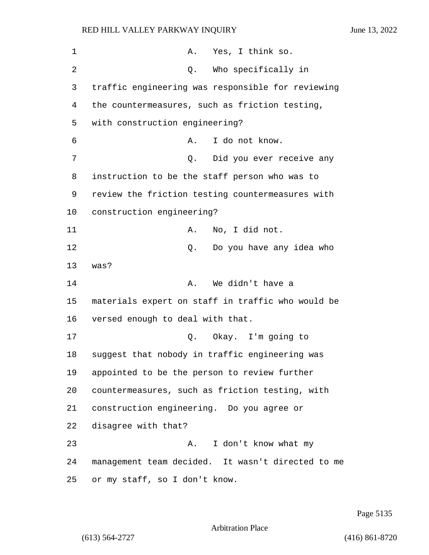| 1  | Yes, I think so.<br>Α.                            |
|----|---------------------------------------------------|
| 2  | Who specifically in<br>Q.                         |
| 3  | traffic engineering was responsible for reviewing |
| 4  | the countermeasures, such as friction testing,    |
| 5  | with construction engineering?                    |
| 6  | I do not know.<br>Α.                              |
| 7  | Did you ever receive any<br>Q.                    |
| 8  | instruction to be the staff person who was to     |
| 9  | review the friction testing countermeasures with  |
| 10 | construction engineering?                         |
| 11 | No, I did not.<br>Α.                              |
| 12 | Do you have any idea who<br>Q.                    |
| 13 | was?                                              |
| 14 | We didn't have a<br>Α.                            |
| 15 | materials expert on staff in traffic who would be |
| 16 | versed enough to deal with that.                  |
| 17 | Q. Okay. I'm going to                             |
| 18 | suggest that nobody in traffic engineering was    |
| 19 | appointed to be the person to review further      |
| 20 | countermeasures, such as friction testing, with   |
| 21 | construction engineering. Do you agree or         |
| 22 | disagree with that?                               |
| 23 | I don't know what my<br>Α.                        |
| 24 | management team decided. It wasn't directed to me |
| 25 | or my staff, so I don't know.                     |

Page 5135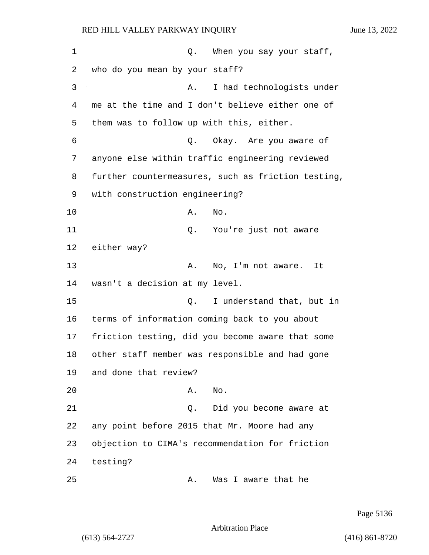1 and 1 Q. When you say your staff, 2 who do you mean by your staff? 3 A. I had technologists under 4 me at the time and I don't believe either one of 5 them was to follow up with this, either. 6 Q. Okay. Are you aware of 7 anyone else within traffic engineering reviewed 8 further countermeasures, such as friction testing, 9 with construction engineering? 10 A. No. 11 Q. You're just not aware 12 either way? 13 A. No, I'm not aware. It 14 wasn't a decision at my level. 15 Q. I understand that, but in 16 terms of information coming back to you about 17 friction testing, did you become aware that some 18 other staff member was responsible and had gone 19 and done that review? 20 A. No. 21 Q. Did you become aware at 22 any point before 2015 that Mr. Moore had any 23 objection to CIMA's recommendation for friction 24 testing?

25 A. Was I aware that he

Page 5136

Arbitration Place

(613) 564-2727 (416) 861-8720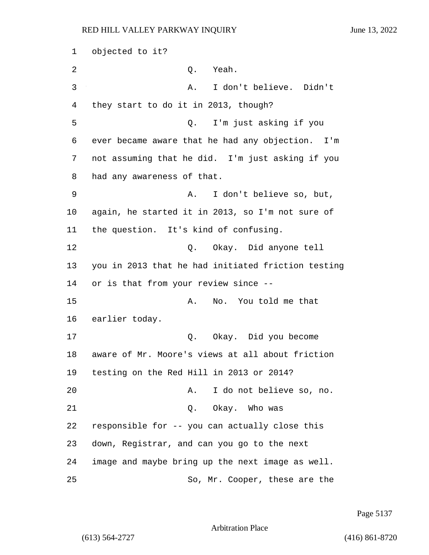1 objected to it? 2 Q. Yeah. 3 A. I don't believe. Didn't 4 they start to do it in 2013, though? 5 Q. I'm just asking if you 6 ever became aware that he had any objection. I'm 7 not assuming that he did. I'm just asking if you 8 had any awareness of that. 9 A. I don't believe so, but, 10 again, he started it in 2013, so I'm not sure of 11 the question. It's kind of confusing. 12 O. Okay. Did anyone tell 13 you in 2013 that he had initiated friction testing 14 or is that from your review since -- 15 A. No. You told me that 16 earlier today. 17 Q. Okay. Did you become 18 aware of Mr. Moore's views at all about friction 19 testing on the Red Hill in 2013 or 2014? 20 A. I do not believe so, no. 21 O. Okay. Who was 22 responsible for -- you can actually close this 23 down, Registrar, and can you go to the next 24 image and maybe bring up the next image as well. 25 So, Mr. Cooper, these are the

Page 5137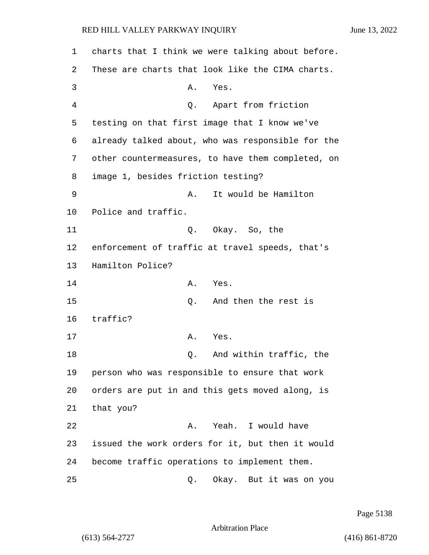1 charts that I think we were talking about before. 2 These are charts that look like the CIMA charts. 3 A. Yes. 4 Q. Apart from friction 5 testing on that first image that I know we've 6 already talked about, who was responsible for the 7 other countermeasures, to have them completed, on 8 image 1, besides friction testing? 9 A. It would be Hamilton 10 Police and traffic. 11 Q. Okay. So, the 12 enforcement of traffic at travel speeds, that's 13 Hamilton Police? 14 A. Yes. 15 Q. And then the rest is 16 traffic? 17 A. Yes. 18 and within traffic, the 19 person who was responsible to ensure that work 20 orders are put in and this gets moved along, is 21 that you? 22 A. Yeah. I would have 23 issued the work orders for it, but then it would 24 become traffic operations to implement them. 25 Q. Okay. But it was on you

Page 5138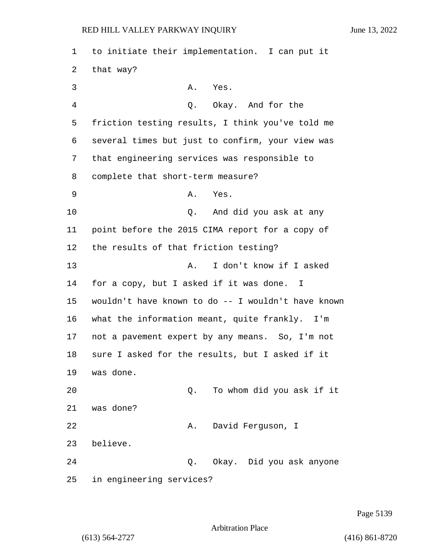| 1              | to initiate their implementation. I can put it     |
|----------------|----------------------------------------------------|
| 2              | that way?                                          |
| 3              | Α.<br>Yes.                                         |
| $\overline{4}$ | Q. Okay. And for the                               |
| 5              | friction testing results, I think you've told me   |
| 6              | several times but just to confirm, your view was   |
| 7              | that engineering services was responsible to       |
| 8              | complete that short-term measure?                  |
| 9              | Α.<br>Yes.                                         |
| 10             | And did you ask at any<br>Q.                       |
| 11             | point before the 2015 CIMA report for a copy of    |
| 12             | the results of that friction testing?              |
| 13             | I don't know if I asked<br>Α.                      |
| 14             | for a copy, but I asked if it was done. I          |
| 15             | wouldn't have known to do -- I wouldn't have known |
| 16             | what the information meant, quite frankly. I'm     |
| 17             | not a pavement expert by any means. So, I'm not    |
| 18             | sure I asked for the results, but I asked if it    |
| 19             | was done.                                          |
| 20             | To whom did you ask if it<br>Q.                    |
| 21             | was done?                                          |
| 22             | David Ferguson, I<br>Α.                            |
| 23             | believe.                                           |
| 24             | Okay. Did you ask anyone<br>Q.                     |
| 25             | in engineering services?                           |

Page 5139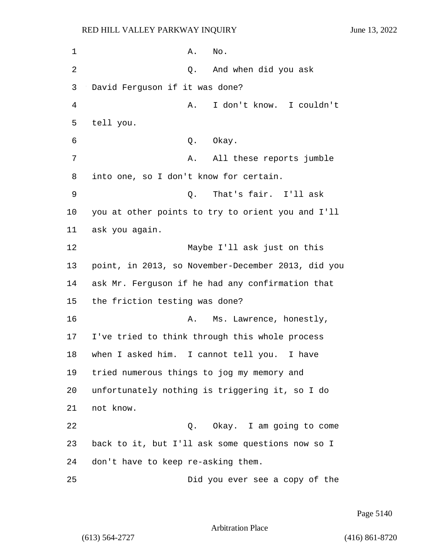1 **A.** No. 2 Q. And when did you ask 3 David Ferguson if it was done? 4 A. I don't know. I couldn't 5 tell you. 6 Q. Okay. 7 A. All these reports jumble 8 into one, so I don't know for certain. 9 Q. That's fair. I'll ask 10 you at other points to try to orient you and I'll 11 ask you again. 12 Maybe I'll ask just on this 13 point, in 2013, so November-December 2013, did you 14 ask Mr. Ferguson if he had any confirmation that 15 the friction testing was done? 16 A. Ms. Lawrence, honestly, 17 I've tried to think through this whole process 18 when I asked him. I cannot tell you. I have 19 tried numerous things to jog my memory and 20 unfortunately nothing is triggering it, so I do 21 not know. 22 Q. Okay. I am going to come 23 back to it, but I'll ask some questions now so I 24 don't have to keep re-asking them. 25 Did you ever see a copy of the

Page 5140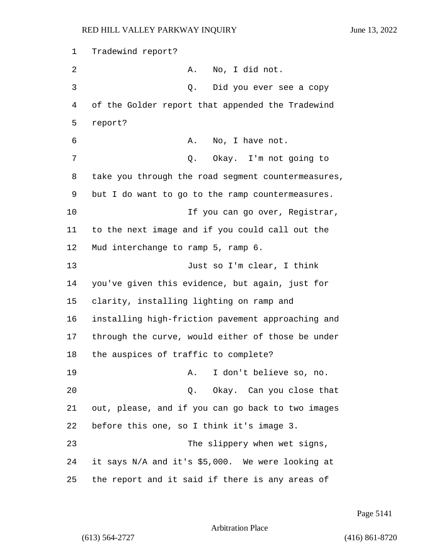1 Tradewind report? 2 A. No, I did not. 3 Q. Did you ever see a copy 4 of the Golder report that appended the Tradewind 5 report? 6 A. No, I have not. 7 Q. Okay. I'm not going to 8 take you through the road segment countermeasures, 9 but I do want to go to the ramp countermeasures. 10 10 If you can go over, Registrar, 11 to the next image and if you could call out the 12 Mud interchange to ramp 5, ramp 6. 13 Just so I'm clear, I think 14 you've given this evidence, but again, just for 15 clarity, installing lighting on ramp and 16 installing high-friction pavement approaching and 17 through the curve, would either of those be under 18 the auspices of traffic to complete? 19 A. I don't believe so, no. 20 Q. Okay. Can you close that 21 out, please, and if you can go back to two images 22 before this one, so I think it's image 3. 23 The slippery when wet signs, 24 it says N/A and it's \$5,000. We were looking at 25 the report and it said if there is any areas of

Page 5141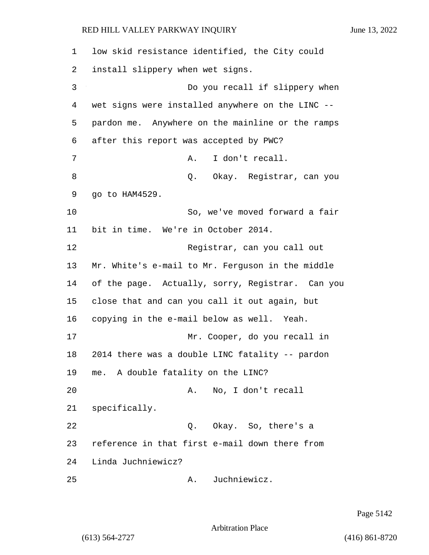| 1      | low skid resistance identified, the City could   |
|--------|--------------------------------------------------|
| 2      | install slippery when wet signs.                 |
| 3      | Do you recall if slippery when                   |
| 4      | wet signs were installed anywhere on the LINC -- |
| 5      | pardon me. Anywhere on the mainline or the ramps |
| 6      | after this report was accepted by PWC?           |
| 7      | I don't recall.<br>Α.                            |
| 8      | Okay. Registrar, can you<br>Q.                   |
| 9      | go to HAM4529.                                   |
| 10     | So, we've moved forward a fair                   |
| 11     | bit in time. We're in October 2014.              |
| 12     | Registrar, can you call out                      |
| 13     | Mr. White's e-mail to Mr. Ferguson in the middle |
| 14     | of the page. Actually, sorry, Registrar. Can you |
| 15     | close that and can you call it out again, but    |
| 16     | copying in the e-mail below as well. Yeah.       |
| 17     | Mr. Cooper, do you recall in                     |
| $18\,$ | 2014 there was a double LINC fatality -- pardon  |
| 19     | me. A double fatality on the LINC?               |
| 20     | No, I don't recall<br>Α.                         |
| 21     | specifically.                                    |
| 22     | Okay. So, there's a<br>Q.                        |
| 23     | reference in that first e-mail down there from   |
| 24     | Linda Juchniewicz?                               |
| 25     | Juchniewicz.<br>Α.                               |

Page 5142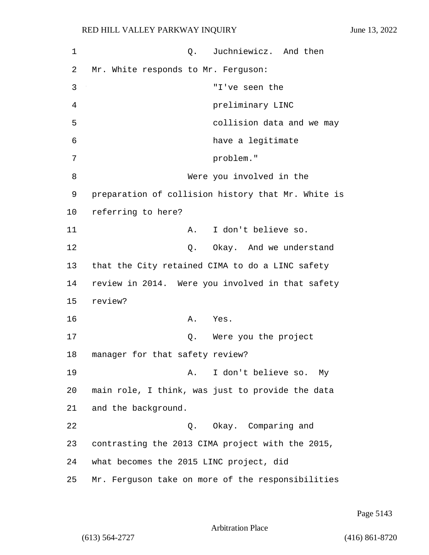| 1  | Juchniewicz. And then<br>Q.                        |
|----|----------------------------------------------------|
| 2  | Mr. White responds to Mr. Ferguson:                |
| 3  | "I've seen the                                     |
| 4  | preliminary LINC                                   |
| 5  | collision data and we may                          |
| 6  | have a legitimate                                  |
| 7  | problem."                                          |
| 8  | Were you involved in the                           |
| 9  | preparation of collision history that Mr. White is |
| 10 | referring to here?                                 |
| 11 | I don't believe so.<br>Α.                          |
| 12 | Q. Okay. And we understand                         |
| 13 | that the City retained CIMA to do a LINC safety    |
| 14 | review in 2014. Were you involved in that safety   |
| 15 | review?                                            |
| 16 | Α.<br>Yes.                                         |
| 17 | Q. Were you the project                            |
| 18 | manager for that safety review?                    |
| 19 | A. I don't believe so. My                          |
| 20 | main role, I think, was just to provide the data   |
| 21 | and the background.                                |
| 22 | Q. Okay. Comparing and                             |
| 23 | contrasting the 2013 CIMA project with the 2015,   |
| 24 | what becomes the 2015 LINC project, did            |
| 25 | Mr. Ferguson take on more of the responsibilities  |

Page 5143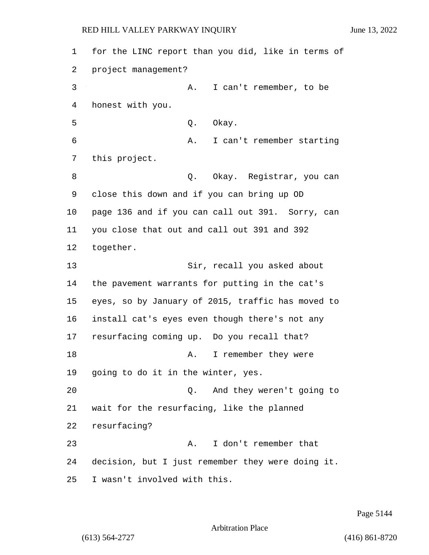for the LINC report than you did, like in terms of project management? 3 A. I can't remember, to be honest with you. 5 Q. Okay. 6 A. I can't remember starting this project. 8 Q. Okay. Registrar, you can close this down and if you can bring up OD page 136 and if you can call out 391. Sorry, can you close that out and call out 391 and 392 together. 13 Sir, recall you asked about the pavement warrants for putting in the cat's eyes, so by January of 2015, traffic has moved to install cat's eyes even though there's not any resurfacing coming up. Do you recall that? 18 A. I remember they were going to do it in the winter, yes. 20 Q. And they weren't going to wait for the resurfacing, like the planned resurfacing? 23 A. I don't remember that decision, but I just remember they were doing it. I wasn't involved with this.

Page 5144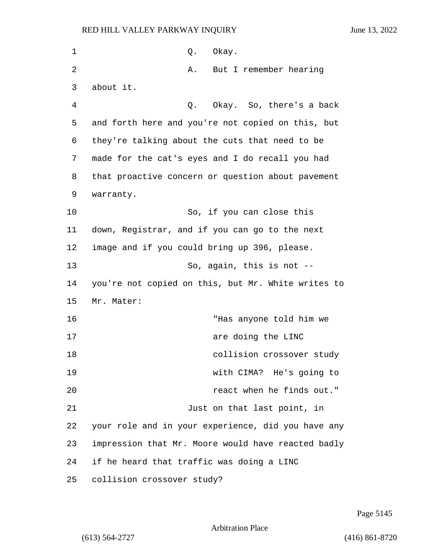| 1  | Okay.<br>Q.                                        |
|----|----------------------------------------------------|
| 2  | But I remember hearing<br>Α.                       |
| 3  | about it.                                          |
| 4  | Okay. So, there's a back<br>Q.                     |
| 5  | and forth here and you're not copied on this, but  |
| 6  | they're talking about the cuts that need to be     |
| 7  | made for the cat's eyes and I do recall you had    |
| 8  | that proactive concern or question about pavement  |
| 9  | warranty.                                          |
| 10 | So, if you can close this                          |
| 11 | down, Registrar, and if you can go to the next     |
| 12 | image and if you could bring up 396, please.       |
| 13 | So, again, this is not --                          |
| 14 | you're not copied on this, but Mr. White writes to |
| 15 | Mr. Mater:                                         |
| 16 | "Has anyone told him we                            |
| 17 | are doing the LINC                                 |
| 18 | collision crossover study                          |
| 19 | with CIMA? He's going to                           |
| 20 | react when he finds out."                          |
| 21 | Just on that last point, in                        |
| 22 | your role and in your experience, did you have any |
| 23 | impression that Mr. Moore would have reacted badly |
| 24 | if he heard that traffic was doing a LINC          |
| 25 | collision crossover study?                         |

Page 5145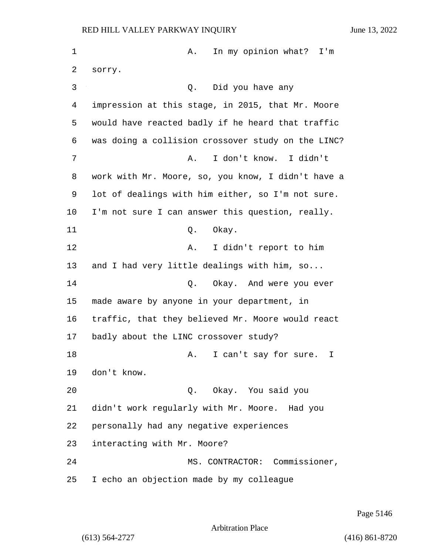1 A. In my opinion what? I'm 2 sorry. 3 Q. Did you have any 4 impression at this stage, in 2015, that Mr. Moore 5 would have reacted badly if he heard that traffic 6 was doing a collision crossover study on the LINC? 7 A. I don't know. I didn't 8 work with Mr. Moore, so, you know, I didn't have a 9 lot of dealings with him either, so I'm not sure. 10 I'm not sure I can answer this question, really. 11 Q. Okay. 12 A. I didn't report to him 13 and I had very little dealings with him, so... 14 Q. Okay. And were you ever 15 made aware by anyone in your department, in 16 traffic, that they believed Mr. Moore would react 17 badly about the LINC crossover study? 18 A. I can't say for sure. I 19 don't know. 20 Q. Okay. You said you 21 didn't work regularly with Mr. Moore. Had you 22 personally had any negative experiences 23 interacting with Mr. Moore? 24 MS. CONTRACTOR: Commissioner, 25 I echo an objection made by my colleague

Page 5146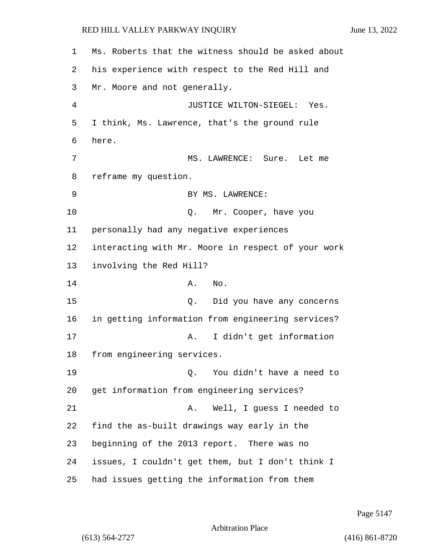Ms. Roberts that the witness should be asked about his experience with respect to the Red Hill and Mr. Moore and not generally. 4 JUSTICE WILTON-SIEGEL: Yes. I think, Ms. Lawrence, that's the ground rule 6 here. 7 MS. LAWRENCE: Sure. Let me reframe my question. 9 BY MS. LAWRENCE: 10 Q. Mr. Cooper, have you personally had any negative experiences interacting with Mr. Moore in respect of your work involving the Red Hill?  $\lambda$   $\lambda$   $\lambda$   $\lambda$ 15 Q. Did you have any concerns in getting information from engineering services? 17 A. I didn't get information from engineering services. 19 Q. You didn't have a need to get information from engineering services? 21 A. Well, I guess I needed to find the as-built drawings way early in the beginning of the 2013 report. There was no issues, I couldn't get them, but I don't think I had issues getting the information from them

Page 5147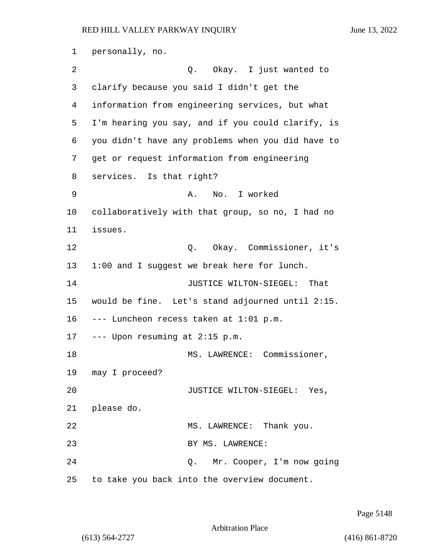personally, no. 2 Q. Okay. I just wanted to clarify because you said I didn't get the information from engineering services, but what I'm hearing you say, and if you could clarify, is you didn't have any problems when you did have to get or request information from engineering services. Is that right? 9 A. No. I worked collaboratively with that group, so no, I had no 11 issues. 12 Q. Okay. Commissioner, it's 1:00 and I suggest we break here for lunch. **JUSTICE WILTON-SIEGEL:** That would be fine. Let's stand adjourned until 2:15. --- Luncheon recess taken at 1:01 p.m. --- Upon resuming at 2:15 p.m. 18 MS. LAWRENCE: Commissioner, may I proceed? 20 JUSTICE WILTON-SIEGEL: Yes, please do. 22 MS. LAWRENCE: Thank you. 23 BY MS. LAWRENCE: 24 Q. Mr. Cooper, I'm now going to take you back into the overview document.

Page 5148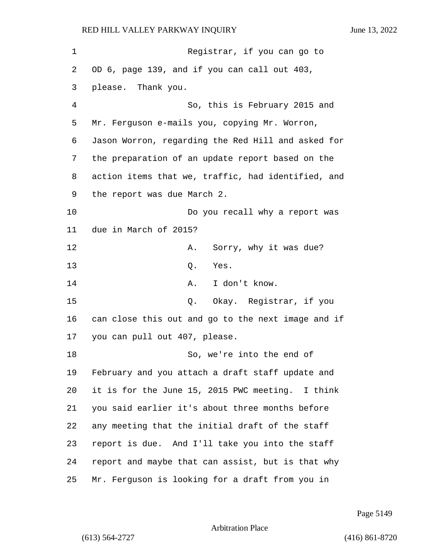| 1  | Registrar, if you can go to                        |
|----|----------------------------------------------------|
| 2  | OD 6, page 139, and if you can call out 403,       |
| 3  | please. Thank you.                                 |
| 4  | So, this is February 2015 and                      |
| 5  | Mr. Ferguson e-mails you, copying Mr. Worron,      |
| 6  | Jason Worron, regarding the Red Hill and asked for |
| 7  | the preparation of an update report based on the   |
| 8  | action items that we, traffic, had identified, and |
| 9  | the report was due March 2.                        |
| 10 | Do you recall why a report was                     |
| 11 | due in March of 2015?                              |
| 12 | Sorry, why it was due?<br>Α.                       |
| 13 | Q.<br>Yes.                                         |
| 14 | I don't know.<br>Α.                                |
| 15 | Okay. Registrar, if you<br>Q.                      |
| 16 | can close this out and go to the next image and if |
| 17 | you can pull out 407, please.                      |
| 18 | So, we're into the end of                          |
| 19 | February and you attach a draft staff update and   |
| 20 | it is for the June 15, 2015 PWC meeting. I think   |
| 21 | you said earlier it's about three months before    |
| 22 | any meeting that the initial draft of the staff    |
| 23 | report is due. And I'll take you into the staff    |
| 24 | report and maybe that can assist, but is that why  |
| 25 | Mr. Ferguson is looking for a draft from you in    |

Page 5149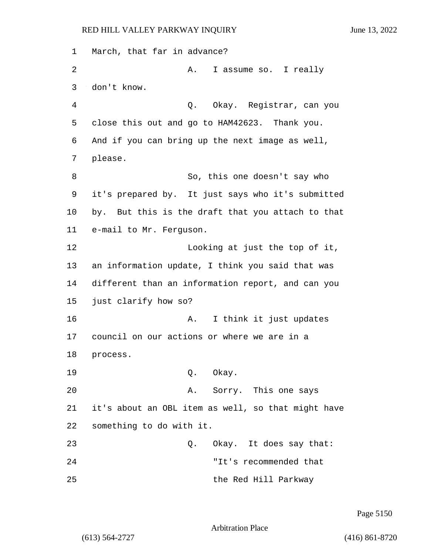1 March, that far in advance? 2 A. I assume so. I really 3 don't know. 4 Q. Okay. Registrar, can you 5 close this out and go to HAM42623. Thank you. 6 And if you can bring up the next image as well, 7 please. 8 So, this one doesn't say who 9 it's prepared by. It just says who it's submitted 10 by. But this is the draft that you attach to that 11 e-mail to Mr. Ferguson. 12 Looking at just the top of it, 13 an information update, I think you said that was 14 different than an information report, and can you 15 just clarify how so? 16 A. I think it just updates 17 council on our actions or where we are in a 18 process. 19 Q. Okay. 20 A. Sorry. This one says 21 it's about an OBL item as well, so that might have 22 something to do with it. 23 Q. Okay. It does say that: 24 TL's recommended that 25 the Red Hill Parkway

Page 5150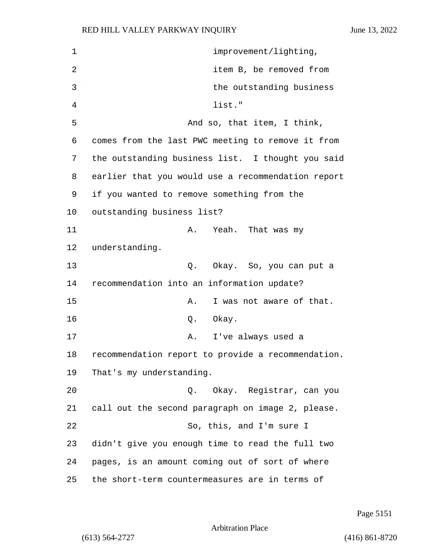| 1  | improvement/lighting,                              |
|----|----------------------------------------------------|
| 2  | item B, be removed from                            |
| 3  | the outstanding business                           |
| 4  | list."                                             |
| 5  | And so, that item, I think,                        |
| 6  | comes from the last PWC meeting to remove it from  |
| 7  | the outstanding business list. I thought you said  |
| 8  | earlier that you would use a recommendation report |
| 9  | if you wanted to remove something from the         |
| 10 | outstanding business list?                         |
| 11 | Yeah. That was my<br>Α.                            |
| 12 | understanding.                                     |
| 13 | Q. Okay. So, you can put a                         |
| 14 | recommendation into an information update?         |
| 15 | I was not aware of that.<br>Α.                     |
| 16 | Q. Okay.                                           |
| 17 | I've always used a<br>Α.                           |
| 18 | recommendation report to provide a recommendation. |
| 19 | That's my understanding.                           |
| 20 | Okay. Registrar, can you<br>Q.                     |
| 21 | call out the second paragraph on image 2, please.  |
| 22 | So, this, and I'm sure I                           |
| 23 | didn't give you enough time to read the full two   |
| 24 | pages, is an amount coming out of sort of where    |
| 25 | the short-term countermeasures are in terms of     |

Page 5151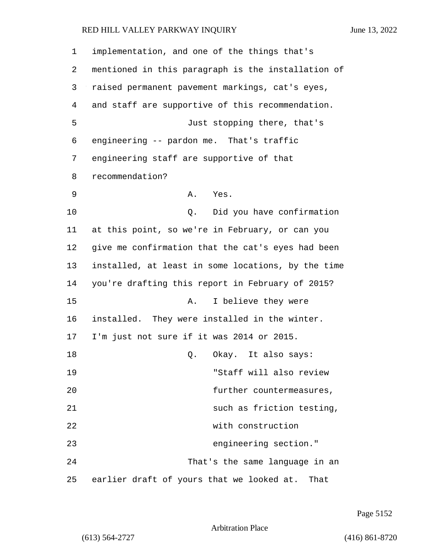| $\mathbf 1$ | implementation, and one of the things that's       |
|-------------|----------------------------------------------------|
| 2           | mentioned in this paragraph is the installation of |
| 3           | raised permanent pavement markings, cat's eyes,    |
| 4           | and staff are supportive of this recommendation.   |
| 5           | Just stopping there, that's                        |
| 6           | engineering -- pardon me. That's traffic           |
| 7           | engineering staff are supportive of that           |
| 8           | recommendation?                                    |
| 9           | Α.<br>Yes.                                         |
| 10          | Did you have confirmation<br>Q.                    |
| 11          | at this point, so we're in February, or can you    |
| 12          | give me confirmation that the cat's eyes had been  |
| 13          | installed, at least in some locations, by the time |
| 14          | you're drafting this report in February of 2015?   |
| 15          | I believe they were<br>Α.                          |
| 16          | installed. They were installed in the winter.      |
| 17          | I'm just not sure if it was 2014 or 2015.          |
| 18          | Okay. It also says:<br>Q.                          |
| 19          | "Staff will also review                            |
| 20          | further countermeasures,                           |
| 21          | such as friction testing,                          |
| 22          | with construction                                  |
| 23          | engineering section."                              |
| 24          | That's the same language in an                     |
| 25          | earlier draft of yours that we looked at. That     |

Page 5152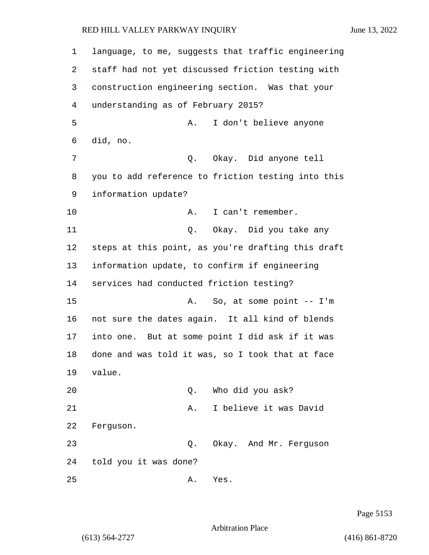| 1  | language, to me, suggests that traffic engineering |
|----|----------------------------------------------------|
| 2  | staff had not yet discussed friction testing with  |
| 3  | construction engineering section. Was that your    |
| 4  | understanding as of February 2015?                 |
| 5  | I don't believe anyone<br>Α.                       |
| 6  | did, no.                                           |
| 7  | Q. Okay. Did anyone tell                           |
| 8  | you to add reference to friction testing into this |
| 9  | information update?                                |
| 10 | I can't remember.<br>Α.                            |
| 11 | Q. Okay. Did you take any                          |
| 12 | steps at this point, as you're drafting this draft |
| 13 | information update, to confirm if engineering      |
| 14 | services had conducted friction testing?           |
| 15 | So, at some point $--I'm$<br>Α.                    |
| 16 | not sure the dates again. It all kind of blends    |
| 17 | into one. But at some point I did ask if it was    |
| 18 | done and was told it was, so I took that at face   |
| 19 | value.                                             |
| 20 | Who did you ask?<br>Q.                             |
| 21 | I believe it was David<br>Α.                       |
| 22 | Ferguson.                                          |
| 23 | Okay. And Mr. Ferguson<br>Q.                       |
| 24 | told you it was done?                              |
| 25 | Yes.<br>Α.                                         |

Page 5153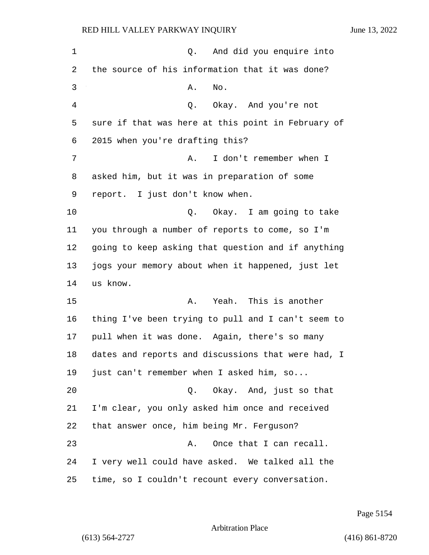1 and did you enquire into the source of his information that it was done? 3 A. No. 4 Q. Okay. And you're not sure if that was here at this point in February of 2015 when you're drafting this? 7 A. I don't remember when I asked him, but it was in preparation of some report. I just don't know when. 10 Q. Okay. I am going to take you through a number of reports to come, so I'm going to keep asking that question and if anything jogs your memory about when it happened, just let 14 us know. 15 A. Yeah. This is another thing I've been trying to pull and I can't seem to pull when it was done. Again, there's so many dates and reports and discussions that were had, I just can't remember when I asked him, so... 20 Q. Okay. And, just so that I'm clear, you only asked him once and received that answer once, him being Mr. Ferguson? 23 A. Once that I can recall. I very well could have asked. We talked all the time, so I couldn't recount every conversation.

Page 5154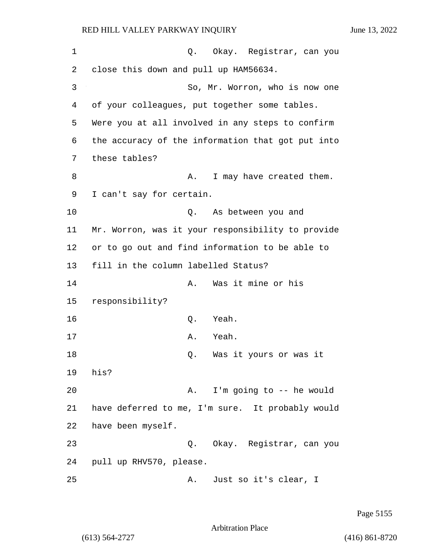| 1  | Q. Okay. Registrar, can you                       |
|----|---------------------------------------------------|
| 2  | close this down and pull up HAM56634.             |
| 3  | So, Mr. Worron, who is now one                    |
| 4  | of your colleagues, put together some tables.     |
| 5  | Were you at all involved in any steps to confirm  |
| 6  | the accuracy of the information that got put into |
| 7  | these tables?                                     |
| 8  | I may have created them.<br>Α.                    |
| 9  | I can't say for certain.                          |
| 10 | Q. As between you and                             |
| 11 | Mr. Worron, was it your responsibility to provide |
| 12 | or to go out and find information to be able to   |
| 13 | fill in the column labelled Status?               |
| 14 | Was it mine or his<br>Α.                          |
| 15 | responsibility?                                   |
| 16 | Yeah.<br>Q.                                       |
| 17 | Yeah.<br>Α.                                       |
| 18 | Was it yours or was it<br>Q.                      |
| 19 | his?                                              |
| 20 | I'm going to -- he would<br>Α.                    |
| 21 | have deferred to me, I'm sure. It probably would  |
| 22 | have been myself.                                 |
| 23 | Q. Okay. Registrar, can you                       |
| 24 | pull up RHV570, please.                           |
| 25 | Just so it's clear, I<br>Α.                       |

Page 5155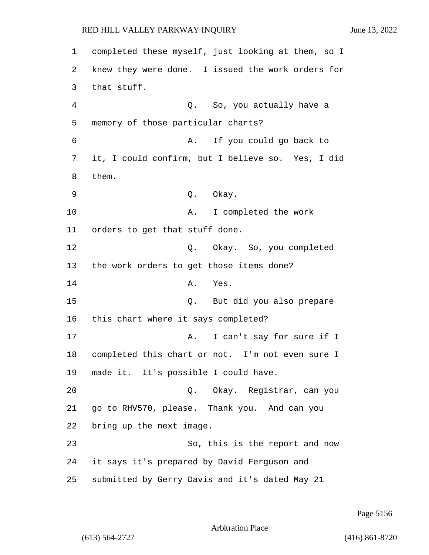1 completed these myself, just looking at them, so I 2 knew they were done. I issued the work orders for 3 that stuff. 4 Q. So, you actually have a 5 memory of those particular charts? 6 A. If you could go back to 7 it, I could confirm, but I believe so. Yes, I did 9 Q. Okay. 10 A. I completed the work 11 orders to get that stuff done. 12 C. Okay. So, you completed 13 the work orders to get those items done? 14 A. Yes. 15 Q. But did you also prepare 16 this chart where it says completed? 17 A. I can't say for sure if I 18 completed this chart or not. I'm not even sure I 19 made it. It's possible I could have. 20 Q. Okay. Registrar, can you

 go to RHV570, please. Thank you. And can you bring up the next image. 23 So, this is the report and now it says it's prepared by David Ferguson and

25 submitted by Gerry Davis and it's dated May 21

Page 5156

Arbitration Place

8 them.

(613) 564-2727 (416) 861-8720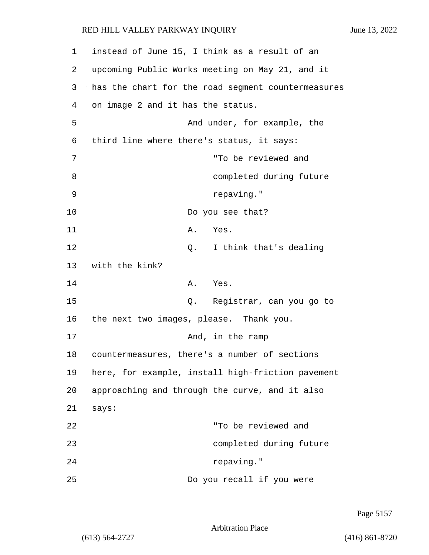1 instead of June 15, I think as a result of an 2 upcoming Public Works meeting on May 21, and it 3 has the chart for the road segment countermeasures 4 on image 2 and it has the status. 5 And under, for example, the 6 third line where there's status, it says: 7 "To be reviewed and 8 completed during future 9 repaving." 10 Do you see that? 11 A. Yes. 12 Q. I think that's dealing 13 with the kink? 14 A. Yes. 15 Q. Registrar, can you go to 16 the next two images, please. Thank you. 17 And, in the ramp 18 countermeasures, there's a number of sections 19 here, for example, install high-friction pavement 20 approaching and through the curve, and it also 21 says: 22 "To be reviewed and 23 completed during future 24 repaying." 25 Do you recall if you were

Page 5157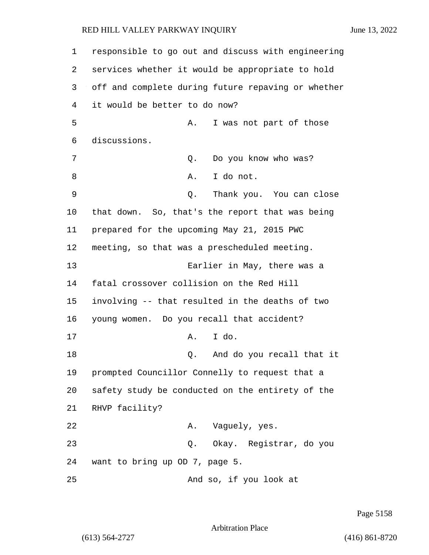responsible to go out and discuss with engineering services whether it would be appropriate to hold off and complete during future repaving or whether it would be better to do now? 5 A. I was not part of those discussions. 7 Q. Do you know who was? 8 A. I do not. 9 Q. Thank you. You can close that down. So, that's the report that was being prepared for the upcoming May 21, 2015 PWC meeting, so that was a prescheduled meeting. 13 Earlier in May, there was a fatal crossover collision on the Red Hill

15 involving -- that resulted in the deaths of two

16 young women. Do you recall that accident?

17 A. I do.

18 Q. And do you recall that it 19 prompted Councillor Connelly to request that a 20 safety study be conducted on the entirety of the 21 RHVP facility? 22 A. Vaguely, yes. 23 Q. Okay. Registrar, do you

24 want to bring up OD 7, page 5.

25 And so, if you look at

Page 5158

Arbitration Place

(613) 564-2727 (416) 861-8720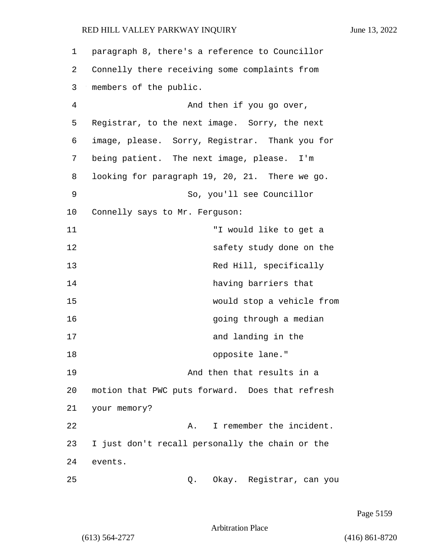| 1  | paragraph 8, there's a reference to Councillor  |
|----|-------------------------------------------------|
| 2  | Connelly there receiving some complaints from   |
| 3  | members of the public.                          |
| 4  | And then if you go over,                        |
| 5  | Registrar, to the next image. Sorry, the next   |
| 6  | image, please. Sorry, Registrar. Thank you for  |
| 7  | being patient. The next image, please. I'm      |
| 8  | looking for paragraph 19, 20, 21. There we go.  |
| 9  | So, you'll see Councillor                       |
| 10 | Connelly says to Mr. Ferguson:                  |
| 11 | "I would like to get a                          |
| 12 | safety study done on the                        |
| 13 | Red Hill, specifically                          |
| 14 | having barriers that                            |
| 15 | would stop a vehicle from                       |
| 16 | going through a median                          |
| 17 | and landing in the                              |
| 18 | opposite lane."                                 |
| 19 | And then that results in a                      |
| 20 | motion that PWC puts forward. Does that refresh |
| 21 | your memory?                                    |
| 22 | I remember the incident.<br>Α.                  |
| 23 | I just don't recall personally the chain or the |
| 24 | events.                                         |
| 25 | Okay. Registrar, can you<br>Q.                  |

Page 5159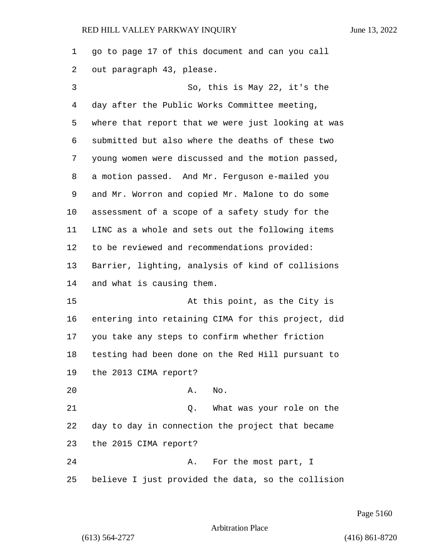| 1  | go to page 17 of this document and can you call    |
|----|----------------------------------------------------|
| 2  | out paragraph 43, please.                          |
| 3  | So, this is May 22, it's the                       |
| 4  | day after the Public Works Committee meeting,      |
| 5  | where that report that we were just looking at was |
| 6  | submitted but also where the deaths of these two   |
| 7  | young women were discussed and the motion passed,  |
| 8  | a motion passed. And Mr. Ferguson e-mailed you     |
| 9  | and Mr. Worron and copied Mr. Malone to do some    |
| 10 | assessment of a scope of a safety study for the    |
| 11 | LINC as a whole and sets out the following items   |
| 12 | to be reviewed and recommendations provided:       |
| 13 | Barrier, lighting, analysis of kind of collisions  |
| 14 | and what is causing them.                          |
| 15 | At this point, as the City is                      |
| 16 | entering into retaining CIMA for this project, did |
| 17 | you take any steps to confirm whether friction     |
| 18 | testing had been done on the Red Hill pursuant to  |
| 19 | the 2013 CIMA report?                              |
| 20 | Α.<br>No.                                          |
| 21 | What was your role on the<br>Q.                    |
| 22 | day to day in connection the project that became   |
| 23 | the 2015 CIMA report?                              |
| 24 | For the most part, I<br>Α.                         |
| 25 | believe I just provided the data, so the collision |

Page 5160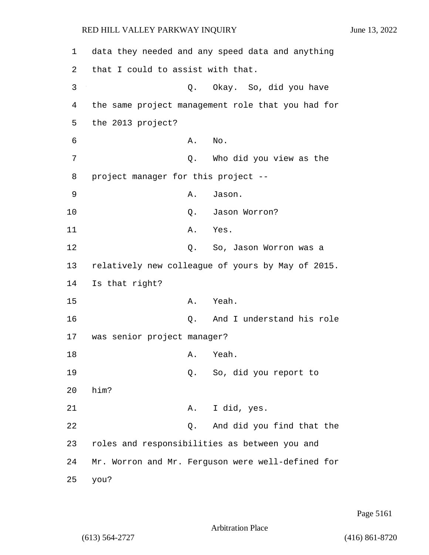| 1  | data they needed and any speed data and anything  |
|----|---------------------------------------------------|
| 2  | that I could to assist with that.                 |
| 3  | Okay. So, did you have<br>Q.                      |
| 4  | the same project management role that you had for |
| 5  | the 2013 project?                                 |
| 6  | No.<br>Α.                                         |
| 7  | Who did you view as the<br>Q.                     |
| 8  | project manager for this project --               |
| 9  | Jason.<br>Α.                                      |
| 10 | Jason Worron?<br>Q.                               |
| 11 | Yes.<br>Α.                                        |
| 12 | Q.<br>So, Jason Worron was a                      |
| 13 | relatively new colleague of yours by May of 2015. |
| 14 | Is that right?                                    |
| 15 | Yeah.<br>Α.                                       |
| 16 | And I understand his role<br>Q.                   |
| 17 | was senior project manager?                       |
| 18 | Yeah.<br>Α.                                       |
| 19 | So, did you report to<br>$Q$ .                    |
| 20 | him?                                              |
| 21 | I did, yes.<br>Α.                                 |
| 22 | And did you find that the<br>$Q$ .                |
| 23 | roles and responsibilities as between you and     |
| 24 | Mr. Worron and Mr. Ferguson were well-defined for |
| 25 | you?                                              |

Page 5161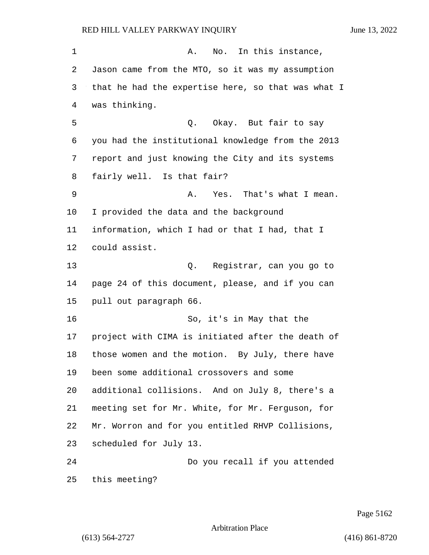1 A. No. In this instance. Jason came from the MTO, so it was my assumption that he had the expertise here, so that was what I was thinking. 5 Q. Okay. But fair to say you had the institutional knowledge from the 2013 report and just knowing the City and its systems fairly well. Is that fair? 9 A. Yes. That's what I mean. I provided the data and the background information, which I had or that I had, that I could assist. 13 Q. Registrar, can you go to page 24 of this document, please, and if you can pull out paragraph 66. 16 So, it's in May that the project with CIMA is initiated after the death of those women and the motion. By July, there have been some additional crossovers and some additional collisions. And on July 8, there's a meeting set for Mr. White, for Mr. Ferguson, for Mr. Worron and for you entitled RHVP Collisions, scheduled for July 13. 24 Do you recall if you attended this meeting?

Page 5162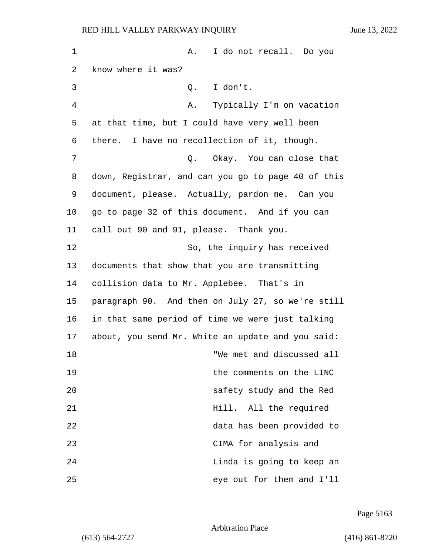| 1  | I do not recall. Do you<br>Α.                      |
|----|----------------------------------------------------|
| 2  | know where it was?                                 |
| 3  | $Q.$ I don't.                                      |
| 4  | Typically I'm on vacation<br>Α.                    |
| 5  | at that time, but I could have very well been      |
| 6  | there. I have no recollection of it, though.       |
| 7  | Q. Okay. You can close that                        |
| 8  | down, Registrar, and can you go to page 40 of this |
| 9  | document, please. Actually, pardon me. Can you     |
| 10 | go to page 32 of this document. And if you can     |
| 11 | call out 90 and 91, please. Thank you.             |
| 12 | So, the inquiry has received                       |
| 13 | documents that show that you are transmitting      |
| 14 | collision data to Mr. Applebee. That's in          |
| 15 | paragraph 90. And then on July 27, so we're still  |
| 16 | in that same period of time we were just talking   |
| 17 | about, you send Mr. White an update and you said:  |
| 18 | "We met and discussed all                          |
| 19 | the comments on the LINC                           |
| 20 | safety study and the Red                           |
| 21 | Hill. All the required                             |
| 22 | data has been provided to                          |
| 23 | CIMA for analysis and                              |
| 24 | Linda is going to keep an                          |
| 25 | eye out for them and I'll                          |

Page 5163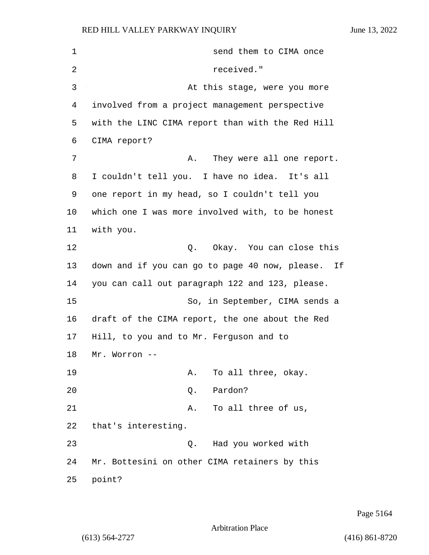| 1  | send them to CIMA once                            |
|----|---------------------------------------------------|
| 2  | received."                                        |
| 3  | At this stage, were you more                      |
| 4  | involved from a project management perspective    |
| 5  | with the LINC CIMA report than with the Red Hill  |
| 6  | CIMA report?                                      |
| 7  | They were all one report.<br>Α.                   |
| 8  | I couldn't tell you. I have no idea. It's all     |
| 9  | one report in my head, so I couldn't tell you     |
| 10 | which one I was more involved with, to be honest  |
| 11 | with you.                                         |
| 12 | Q. Okay. You can close this                       |
| 13 | down and if you can go to page 40 now, please. If |
| 14 | you can call out paragraph 122 and 123, please.   |
| 15 | So, in September, CIMA sends a                    |
| 16 | draft of the CIMA report, the one about the Red   |
| 17 | Hill, to you and to Mr. Ferguson and to           |
| 18 | Mr. Worron --                                     |
| 19 | To all three, okay.<br>Α.                         |
| 20 | Pardon?<br>Q.                                     |
| 21 | To all three of us,<br>Α.                         |
| 22 | that's interesting.                               |
| 23 | Had you worked with<br>Q.                         |
| 24 | Mr. Bottesini on other CIMA retainers by this     |
| 25 | point?                                            |

Page 5164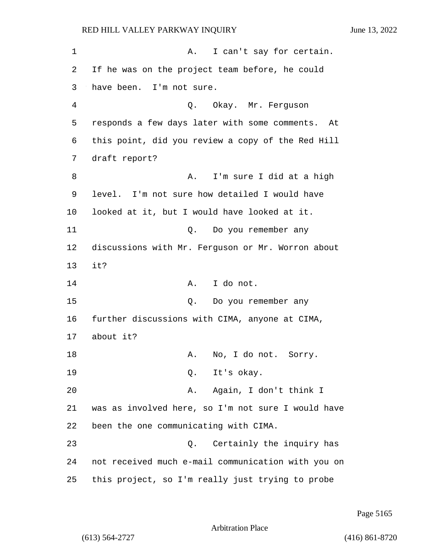1 A. I can't say for certain. 2 If he was on the project team before, he could 3 have been. I'm not sure. 4 Q. Okay. Mr. Ferguson 5 responds a few days later with some comments. At 6 this point, did you review a copy of the Red Hill 7 draft report? 8 A. I'm sure I did at a high 9 level. I'm not sure how detailed I would have 10 looked at it, but I would have looked at it. 11 Q. Do you remember any 12 discussions with Mr. Ferguson or Mr. Worron about 13 it? 14 A. I do not. 15 Q. Do you remember any 16 further discussions with CIMA, anyone at CIMA, 17 about it? 18 A. No, I do not. Sorry. 19 Q. It's okay. 20 A. Again, I don't think I 21 was as involved here, so I'm not sure I would have 22 been the one communicating with CIMA. 23 Q. Certainly the inquiry has 24 not received much e-mail communication with you on 25 this project, so I'm really just trying to probe

Page 5165

Arbitration Place

(613) 564-2727 (416) 861-8720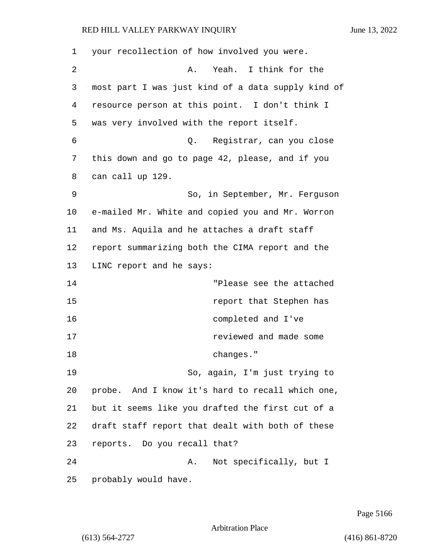| 1  | your recollection of how involved you were.        |
|----|----------------------------------------------------|
| 2  | Yeah. I think for the<br>Α.                        |
| 3  | most part I was just kind of a data supply kind of |
| 4  | resource person at this point. I don't think I     |
| 5  | was very involved with the report itself.          |
| 6  | Registrar, can you close<br>Q.                     |
| 7  | this down and go to page 42, please, and if you    |
| 8  | can call up 129.                                   |
| 9  | So, in September, Mr. Ferguson                     |
| 10 | e-mailed Mr. White and copied you and Mr. Worron   |
| 11 | and Ms. Aquila and he attaches a draft staff       |
| 12 | report summarizing both the CIMA report and the    |
| 13 | LINC report and he says:                           |
| 14 | "Please see the attached                           |
| 15 | report that Stephen has                            |
| 16 | completed and I've                                 |
| 17 | reviewed and made some                             |
| 18 | changes."                                          |
| 19 | So, again, I'm just trying to                      |
| 20 | probe. And I know it's hard to recall which one,   |
| 21 | but it seems like you drafted the first cut of a   |
| 22 | draft staff report that dealt with both of these   |
| 23 | reports. Do you recall that?                       |
| 24 | Not specifically, but I<br>Α.                      |
| 25 | probably would have.                               |

Page 5166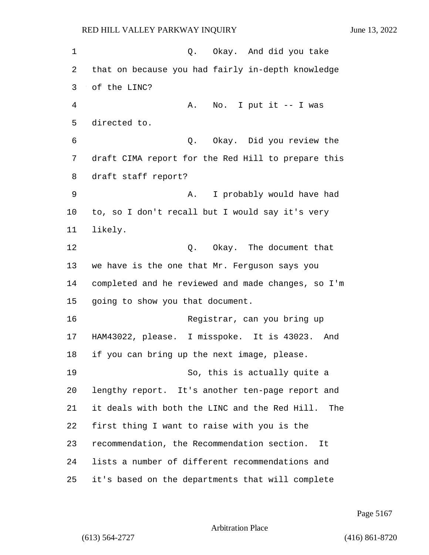1 0. Okay. And did you take that on because you had fairly in-depth knowledge of the LINC? 4 A. No. I put it -- I was directed to. 6 Q. Okay. Did you review the draft CIMA report for the Red Hill to prepare this draft staff report? 9 A. I probably would have had to, so I don't recall but I would say it's very likely. 12 C. Okay. The document that we have is the one that Mr. Ferguson says you completed and he reviewed and made changes, so I'm going to show you that document. 16 Registrar, can you bring up HAM43022, please. I misspoke. It is 43023. And if you can bring up the next image, please. 19 So, this is actually quite a lengthy report. It's another ten-page report and it deals with both the LINC and the Red Hill. The first thing I want to raise with you is the recommendation, the Recommendation section. It lists a number of different recommendations and it's based on the departments that will complete

Page 5167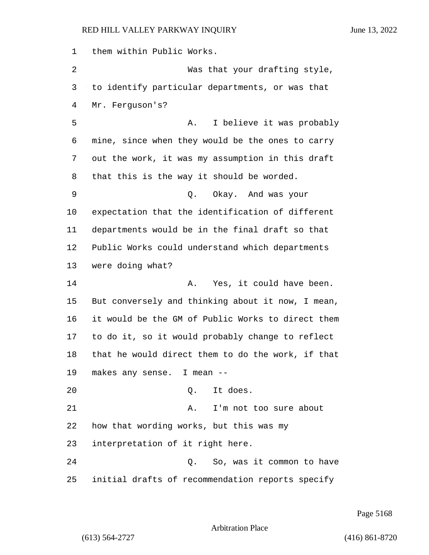them within Public Works. 2 Was that your drafting style, to identify particular departments, or was that Mr. Ferguson's? 5 A. I believe it was probably mine, since when they would be the ones to carry out the work, it was my assumption in this draft that this is the way it should be worded. 9 Q. Okay. And was your expectation that the identification of different departments would be in the final draft so that Public Works could understand which departments were doing what? **A.** Yes, it could have been. But conversely and thinking about it now, I mean, it would be the GM of Public Works to direct them to do it, so it would probably change to reflect that he would direct them to do the work, if that makes any sense. I mean -- 20 Q. It does. 21 A. I'm not too sure about how that wording works, but this was my interpretation of it right here. 24 Q. So, was it common to have initial drafts of recommendation reports specify

Page 5168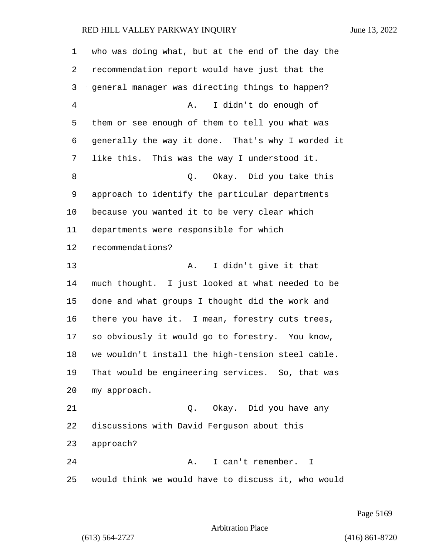who was doing what, but at the end of the day the recommendation report would have just that the general manager was directing things to happen? 4 A. I didn't do enough of them or see enough of them to tell you what was generally the way it done. That's why I worded it like this. This was the way I understood it. 8 a Q. Okay. Did you take this approach to identify the particular departments because you wanted it to be very clear which departments were responsible for which recommendations? 13 A. I didn't give it that much thought. I just looked at what needed to be done and what groups I thought did the work and there you have it. I mean, forestry cuts trees, so obviously it would go to forestry. You know, we wouldn't install the high-tension steel cable. That would be engineering services. So, that was my approach. 21 Q. Okay. Did you have any discussions with David Ferguson about this approach? 24 A. I can't remember. I would think we would have to discuss it, who would

Page 5169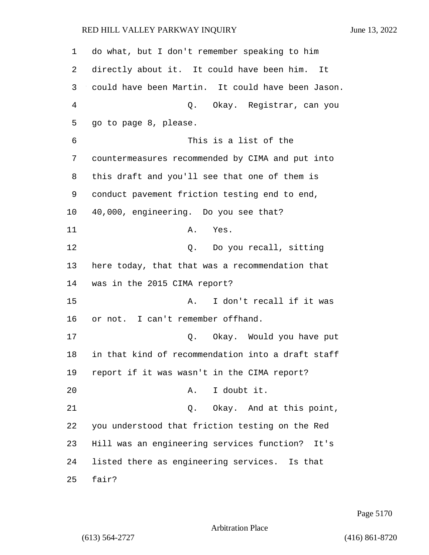do what, but I don't remember speaking to him directly about it. It could have been him. It could have been Martin. It could have been Jason. 4 Q. Okay. Registrar, can you go to page 8, please. 6 This is a list of the countermeasures recommended by CIMA and put into this draft and you'll see that one of them is conduct pavement friction testing end to end, 40,000, engineering. Do you see that? 11 A. Yes. 12 O. Do you recall, sitting here today, that that was a recommendation that was in the 2015 CIMA report? 15 A. I don't recall if it was or not. I can't remember offhand. 17 and 17 Q. Okay. Would you have put in that kind of recommendation into a draft staff report if it was wasn't in the CIMA report? 20 A. I doubt it. 21 Q. Okay. And at this point, you understood that friction testing on the Red Hill was an engineering services function? It's listed there as engineering services. Is that 25 fair?

Page 5170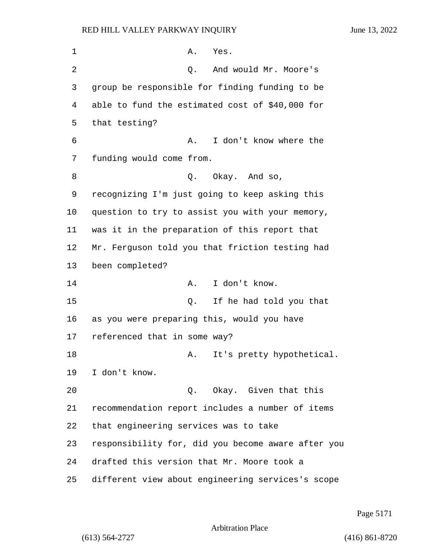| 1  | Α.<br>Yes.                                         |
|----|----------------------------------------------------|
| 2  | And would Mr. Moore's<br>Q.                        |
| 3  | group be responsible for finding funding to be     |
| 4  | able to fund the estimated cost of \$40,000 for    |
| 5  | that testing?                                      |
| 6  | I don't know where the<br>Α.                       |
| 7  | funding would come from.                           |
| 8  | Q. Okay. And so,                                   |
| 9  | recognizing I'm just going to keep asking this     |
| 10 | question to try to assist you with your memory,    |
| 11 | was it in the preparation of this report that      |
| 12 | Mr. Ferguson told you that friction testing had    |
| 13 | been completed?                                    |
| 14 | I don't know.<br>Α.                                |
| 15 | If he had told you that<br>Q.                      |
| 16 | as you were preparing this, would you have         |
| 17 | referenced that in some way?                       |
| 18 | It's pretty hypothetical.<br>Α.                    |
| 19 | I don't know.                                      |
| 20 | Okay. Given that this<br>$Q$ .                     |
| 21 | recommendation report includes a number of items   |
| 22 | that engineering services was to take              |
| 23 | responsibility for, did you become aware after you |
| 24 | drafted this version that Mr. Moore took a         |
| 25 | different view about engineering services's scope  |

Page 5171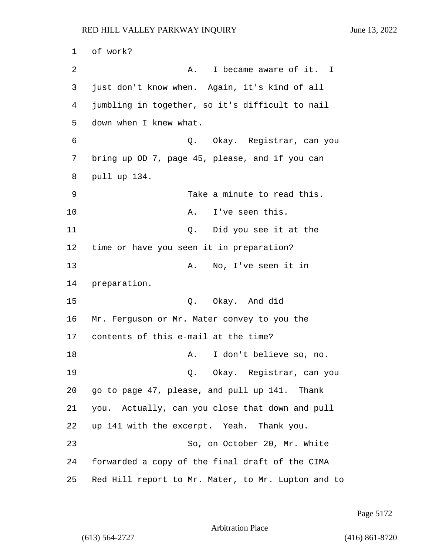1 of work? 2 A. I became aware of it. I 3 just don't know when. Again, it's kind of all 4 jumbling in together, so it's difficult to nail 5 down when I knew what. 6 Q. Okay. Registrar, can you 7 bring up OD 7, page 45, please, and if you can 8 pull up 134. 9 Take a minute to read this. 10 A. I've seen this. 11 Q. Did you see it at the 12 time or have you seen it in preparation? 13 A. No, I've seen it in 14 preparation. 15 Q. Okay. And did 16 Mr. Ferguson or Mr. Mater convey to you the 17 contents of this e-mail at the time? 18 A. I don't believe so, no. 19 Q. Okay. Registrar, can you 20 go to page 47, please, and pull up 141. Thank 21 you. Actually, can you close that down and pull 22 up 141 with the excerpt. Yeah. Thank you. 23 So, on October 20, Mr. White 24 forwarded a copy of the final draft of the CIMA 25 Red Hill report to Mr. Mater, to Mr. Lupton and to

Page 5172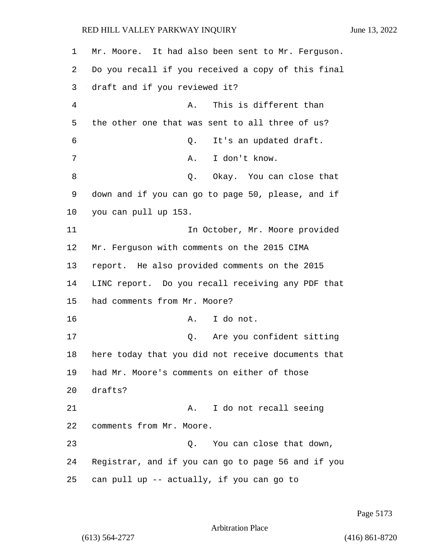1 Mr. Moore. It had also been sent to Mr. Ferguson. 2 Do you recall if you received a copy of this final 3 draft and if you reviewed it? 4 A. This is different than 5 the other one that was sent to all three of us? 6 Q. It's an updated draft. 7 A. I don't know. 8 a q. Q. Okay. You can close that 9 down and if you can go to page 50, please, and if 10 you can pull up 153. 11 In October, Mr. Moore provided 12 Mr. Ferguson with comments on the 2015 CIMA 13 report. He also provided comments on the 2015 14 LINC report. Do you recall receiving any PDF that 15 had comments from Mr. Moore? 16 A. I do not. 17 Q. Are you confident sitting 18 here today that you did not receive documents that 19 had Mr. Moore's comments on either of those 20 drafts? 21 A. I do not recall seeing 22 comments from Mr. Moore. 23 Q. You can close that down, 24 Registrar, and if you can go to page 56 and if you 25 can pull up -- actually, if you can go to

Page 5173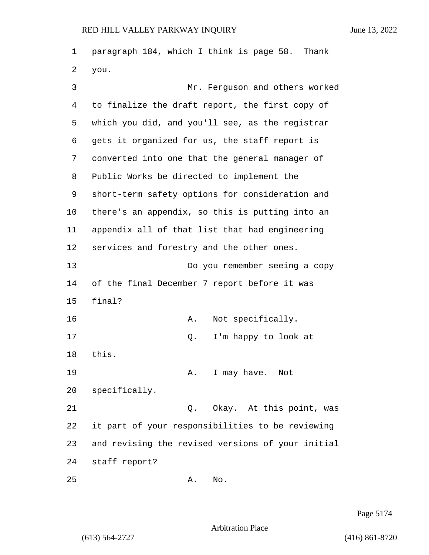paragraph 184, which I think is page 58. Thank you.

3 Mr. Ferguson and others worked to finalize the draft report, the first copy of which you did, and you'll see, as the registrar gets it organized for us, the staff report is converted into one that the general manager of Public Works be directed to implement the short-term safety options for consideration and there's an appendix, so this is putting into an appendix all of that list that had engineering services and forestry and the other ones. 13 Do you remember seeing a copy of the final December 7 report before it was final? 16 A. Not specifically. 17 Q. I'm happy to look at this. 19 A. I may have. Not specifically. 21 Q. Okay. At this point, was it part of your responsibilities to be reviewing and revising the revised versions of your initial staff report? 25 A. No.

Page 5174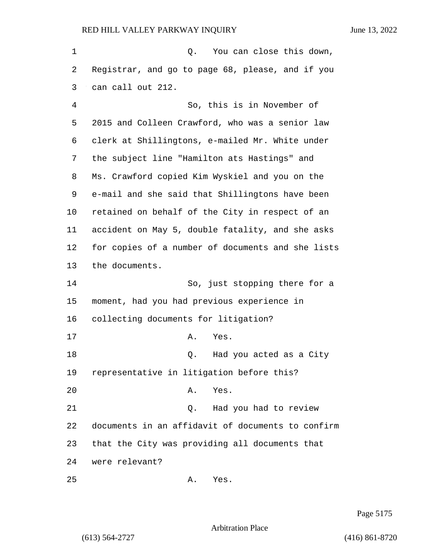1 and 0. You can close this down, Registrar, and go to page 68, please, and if you can call out 212. 4 So, this is in November of 2015 and Colleen Crawford, who was a senior law clerk at Shillingtons, e-mailed Mr. White under the subject line "Hamilton ats Hastings" and Ms. Crawford copied Kim Wyskiel and you on the e-mail and she said that Shillingtons have been retained on behalf of the City in respect of an accident on May 5, double fatality, and she asks for copies of a number of documents and she lists the documents. 14 So, just stopping there for a moment, had you had previous experience in collecting documents for litigation? 17 A. Yes. 18 Q. Had you acted as a City representative in litigation before this? 20 A. Yes. 21 Q. Had you had to review documents in an affidavit of documents to confirm that the City was providing all documents that were relevant? 25 A. Yes.

Page 5175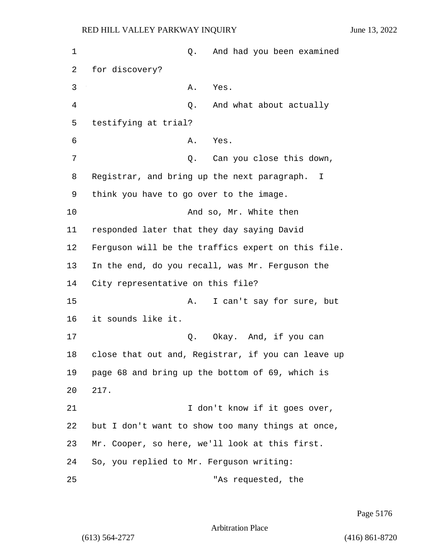| $\mathbf 1$ | And had you been examined<br>Q.                    |
|-------------|----------------------------------------------------|
| 2           | for discovery?                                     |
| 3           | Yes.<br>Α.                                         |
| 4           | And what about actually<br>Q.                      |
| 5           | testifying at trial?                               |
| 6           | Α.<br>Yes.                                         |
| 7           | Can you close this down,<br>Q.                     |
| 8           | Registrar, and bring up the next paragraph.<br>T.  |
| 9           | think you have to go over to the image.            |
| 10          | And so, Mr. White then                             |
| 11          | responded later that they day saying David         |
| 12          | Ferguson will be the traffics expert on this file. |
| 13          | In the end, do you recall, was Mr. Ferguson the    |
| 14          | City representative on this file?                  |
| 15          | I can't say for sure, but<br>Α.                    |
| 16          | it sounds like it.                                 |
| 17          | Okay. And, if you can<br>Q.                        |
| 18          | close that out and, Registrar, if you can leave up |
| 19          | page 68 and bring up the bottom of 69, which is    |
| 20          | 217.                                               |
| 21          | I don't know if it goes over,                      |
| 22          | but I don't want to show too many things at once,  |
| 23          | Mr. Cooper, so here, we'll look at this first.     |
| 24          | So, you replied to Mr. Ferguson writing:           |
| 25          | "As requested, the                                 |

Page 5176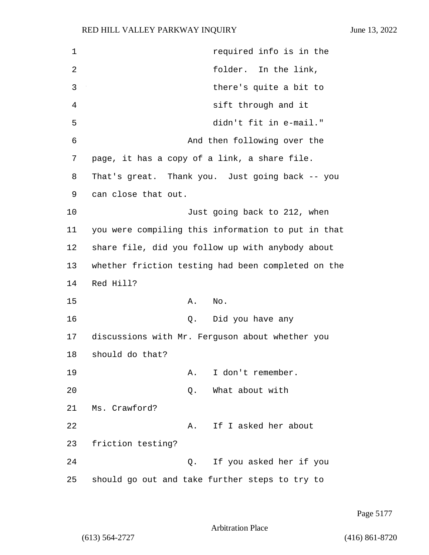1 required info is in the 2 folder. In the link, 3 there's quite a bit to 4 sift through and it 5 didn't fit in e-mail." 6 And then following over the 7 page, it has a copy of a link, a share file. 8 That's great. Thank you. Just going back -- you 9 can close that out. 10 Just going back to 212, when 11 you were compiling this information to put in that 12 share file, did you follow up with anybody about 13 whether friction testing had been completed on the 14 Red Hill? 15 A. No. 16 Q. Did you have any 17 discussions with Mr. Ferguson about whether you 18 should do that? 19 A. I don't remember. 20 Q. What about with 21 Ms. Crawford? 22 A. If I asked her about 23 friction testing? 24 Q. If you asked her if you 25 should go out and take further steps to try to

Page 5177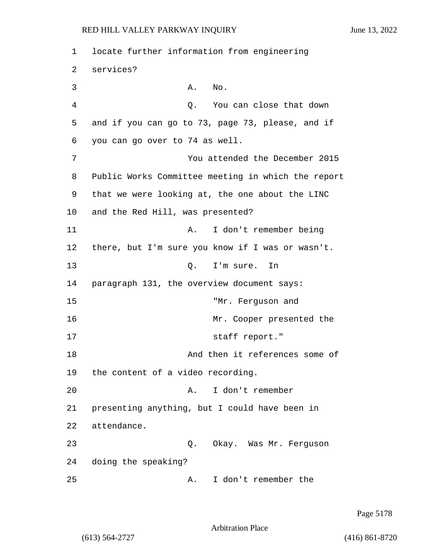| 1  | locate further information from engineering        |
|----|----------------------------------------------------|
| 2  | services?                                          |
| 3  | No.<br>Α.                                          |
| 4  | You can close that down<br>Q.                      |
| 5  | and if you can go to 73, page 73, please, and if   |
| 6  | you can go over to 74 as well.                     |
| 7  | You attended the December 2015                     |
| 8  | Public Works Committee meeting in which the report |
| 9  | that we were looking at, the one about the LINC    |
| 10 | and the Red Hill, was presented?                   |
| 11 | I don't remember being<br>Α.                       |
| 12 | there, but I'm sure you know if I was or wasn't.   |
| 13 | I'm sure.<br>Q.<br>In                              |
| 14 | paragraph 131, the overview document says:         |
| 15 | "Mr. Ferguson and                                  |
| 16 | Mr. Cooper presented the                           |
| 17 | staff report."                                     |
| 18 | And then it references some of                     |
| 19 | the content of a video recording.                  |
| 20 | I don't remember<br>Α.                             |
| 21 | presenting anything, but I could have been in      |
| 22 | attendance.                                        |
| 23 | Okay. Was Mr. Ferguson<br>Q.                       |
| 24 | doing the speaking?                                |
| 25 | I don't remember the<br>Α.                         |

Page 5178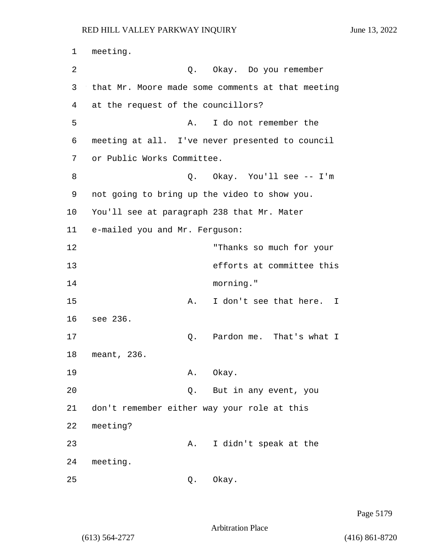1 meeting. 2 Q. Okay. Do you remember 3 that Mr. Moore made some comments at that meeting 4 at the request of the councillors? 5 A. I do not remember the 6 meeting at all. I've never presented to council 7 or Public Works Committee. 8 Q. Okay. You'll see -- I'm 9 not going to bring up the video to show you. 10 You'll see at paragraph 238 that Mr. Mater 11 e-mailed you and Mr. Ferguson: 12 "Thanks so much for your 13 efforts at committee this 14 morning." 15 A. I don't see that here. I 16 see 236. 17 C. Pardon me. That's what I 18 meant, 236. 19 A. Okay. 20 Q. But in any event, you 21 don't remember either way your role at this 22 meeting? 23 A. I didn't speak at the 24 meeting. 25 Q. Okay.

Page 5179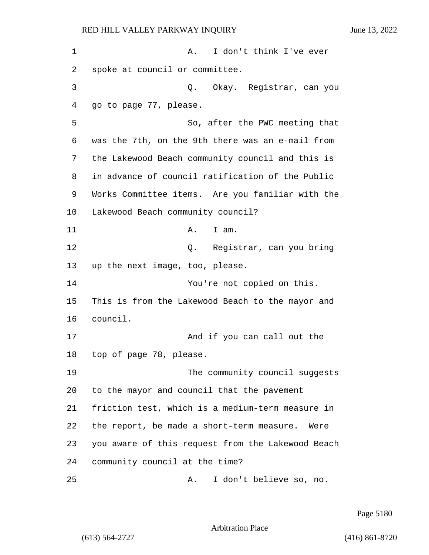| 1  | I don't think I've ever<br>Α.                     |
|----|---------------------------------------------------|
| 2  | spoke at council or committee.                    |
| 3  | Q. Okay. Registrar, can you                       |
| 4  | go to page 77, please.                            |
| 5  | So, after the PWC meeting that                    |
| 6  | was the 7th, on the 9th there was an e-mail from  |
| 7  | the Lakewood Beach community council and this is  |
| 8  | in advance of council ratification of the Public  |
| 9  | Works Committee items. Are you familiar with the  |
| 10 | Lakewood Beach community council?                 |
| 11 | I am.<br>Α.                                       |
| 12 | Registrar, can you bring<br>Q.                    |
| 13 | up the next image, too, please.                   |
| 14 | You're not copied on this.                        |
| 15 | This is from the Lakewood Beach to the mayor and  |
| 16 | council.                                          |
| 17 | And if you can call out the                       |
| 18 | top of page 78, please.                           |
| 19 | The community council suggests                    |
| 20 | to the mayor and council that the pavement        |
| 21 | friction test, which is a medium-term measure in  |
| 22 | the report, be made a short-term measure. Were    |
| 23 | you aware of this request from the Lakewood Beach |
| 24 | community council at the time?                    |
| 25 | I don't believe so, no.<br>Α.                     |

Page 5180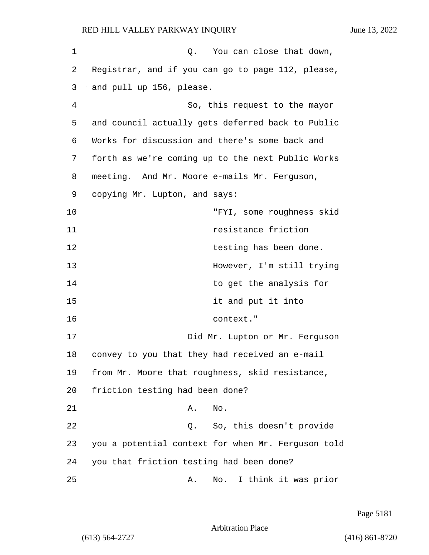| 1  | You can close that down,<br>Q.                     |
|----|----------------------------------------------------|
| 2  | Registrar, and if you can go to page 112, please,  |
| 3  | and pull up 156, please.                           |
| 4  | So, this request to the mayor                      |
| 5  | and council actually gets deferred back to Public  |
| 6  | Works for discussion and there's some back and     |
| 7  | forth as we're coming up to the next Public Works  |
| 8  | meeting. And Mr. Moore e-mails Mr. Ferguson,       |
| 9  | copying Mr. Lupton, and says:                      |
| 10 | "FYI, some roughness skid                          |
| 11 | resistance friction                                |
| 12 | testing has been done.                             |
| 13 | However, I'm still trying                          |
| 14 | to get the analysis for                            |
| 15 | it and put it into                                 |
| 16 | context."                                          |
| 17 | Did Mr. Lupton or Mr. Ferguson                     |
| 18 | convey to you that they had received an e-mail     |
| 19 | from Mr. Moore that roughness, skid resistance,    |
| 20 | friction testing had been done?                    |
| 21 | No.<br>Α.                                          |
| 22 | So, this doesn't provide<br>Q.                     |
| 23 | you a potential context for when Mr. Ferguson told |
| 24 | you that friction testing had been done?           |
| 25 | I think it was prior<br>No.<br>Α.                  |

Page 5181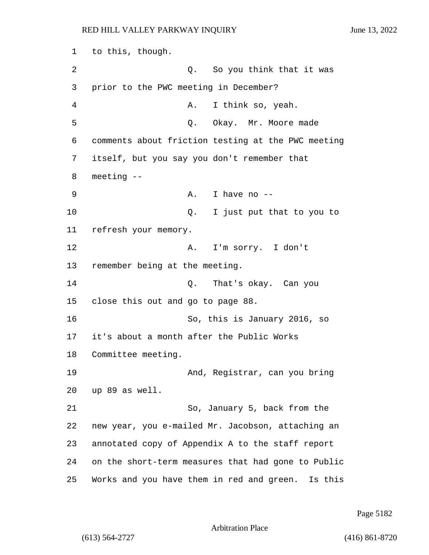1 to this, though. 2 Q. So you think that it was 3 prior to the PWC meeting in December? 4 A. I think so, yeah. 5 Q. Okay. Mr. Moore made 6 comments about friction testing at the PWC meeting 7 itself, but you say you don't remember that 8 meeting -- 9 A. I have no --10 Q. I just put that to you to 11 refresh your memory. 12 A. I'm sorry. I don't 13 remember being at the meeting. 14 Q. That's okay. Can you 15 close this out and go to page 88. 16 So, this is January 2016, so 17 it's about a month after the Public Works 18 Committee meeting. 19 And, Registrar, can you bring 20 up 89 as well. 21 So, January 5, back from the 22 new year, you e-mailed Mr. Jacobson, attaching an 23 annotated copy of Appendix A to the staff report 24 on the short-term measures that had gone to Public 25 Works and you have them in red and green. Is this

Page 5182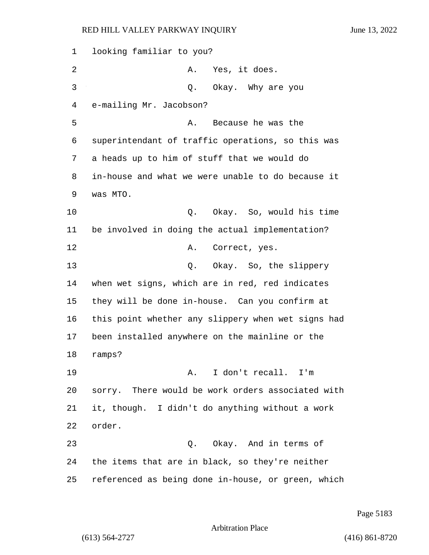1 looking familiar to you? 2 A. Yes, it does. 3 Q. Okay. Why are you 4 e-mailing Mr. Jacobson? 5 A. Because he was the 6 superintendant of traffic operations, so this was 7 a heads up to him of stuff that we would do 8 in-house and what we were unable to do because it 9 was MTO. 10 Q. Okay. So, would his time 11 be involved in doing the actual implementation? 12 A. Correct, yes. 13 Q. Okay. So, the slippery 14 when wet signs, which are in red, red indicates 15 they will be done in-house. Can you confirm at 16 this point whether any slippery when wet signs had 17 been installed anywhere on the mainline or the 18 ramps? 19 A. I don't recall. I'm 20 sorry. There would be work orders associated with 21 it, though. I didn't do anything without a work 22 order. 23 Q. Okay. And in terms of 24 the items that are in black, so they're neither 25 referenced as being done in-house, or green, which

Page 5183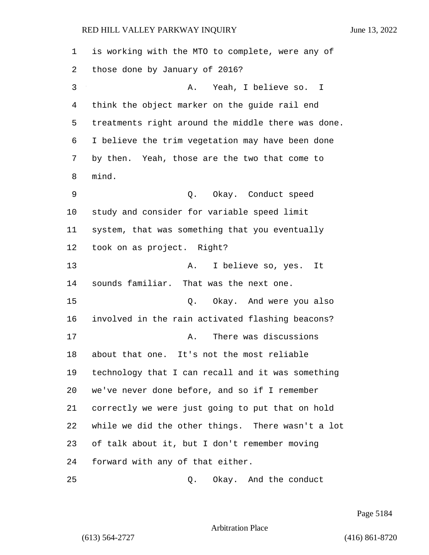is working with the MTO to complete, were any of those done by January of 2016? 3 A. Yeah, I believe so. I think the object marker on the guide rail end treatments right around the middle there was done. I believe the trim vegetation may have been done by then. Yeah, those are the two that come to mind. 9 Q. Okay. Conduct speed study and consider for variable speed limit system, that was something that you eventually took on as project. Right? 13 A. I believe so, yes. It sounds familiar. That was the next one. 15 C. Okay. And were you also involved in the rain activated flashing beacons? 17 A. There was discussions about that one. It's not the most reliable technology that I can recall and it was something we've never done before, and so if I remember correctly we were just going to put that on hold while we did the other things. There wasn't a lot of talk about it, but I don't remember moving forward with any of that either. 25 Q. Okay. And the conduct

Page 5184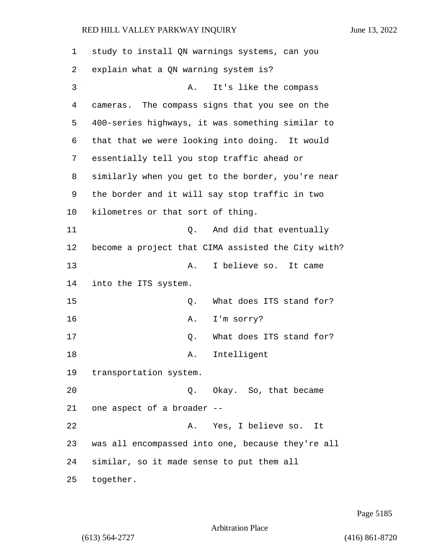| 1  | study to install QN warnings systems, can you      |
|----|----------------------------------------------------|
| 2  | explain what a QN warning system is?               |
| 3  | It's like the compass<br>Α.                        |
| 4  | cameras. The compass signs that you see on the     |
| 5  | 400-series highways, it was something similar to   |
| 6  | that that we were looking into doing. It would     |
| 7  | essentially tell you stop traffic ahead or         |
| 8  | similarly when you get to the border, you're near  |
| 9  | the border and it will say stop traffic in two     |
| 10 | kilometres or that sort of thing.                  |
| 11 | And did that eventually<br>Q.                      |
| 12 | become a project that CIMA assisted the City with? |
| 13 | I believe so. It came<br>Α.                        |
| 14 | into the ITS system.                               |
| 15 | What does ITS stand for?<br>Q.                     |
| 16 | I'm sorry?<br>Α.                                   |
| 17 | What does ITS stand for?<br>Q.                     |
| 18 | Intelligent<br>Α.                                  |
| 19 | transportation system.                             |
| 20 | Okay. So, that became<br>Q.                        |
| 21 | one aspect of a broader --                         |
| 22 | Yes, I believe so.<br>It<br>Α.                     |
| 23 | was all encompassed into one, because they're all  |
| 24 | similar, so it made sense to put them all          |
| 25 | together.                                          |

Page 5185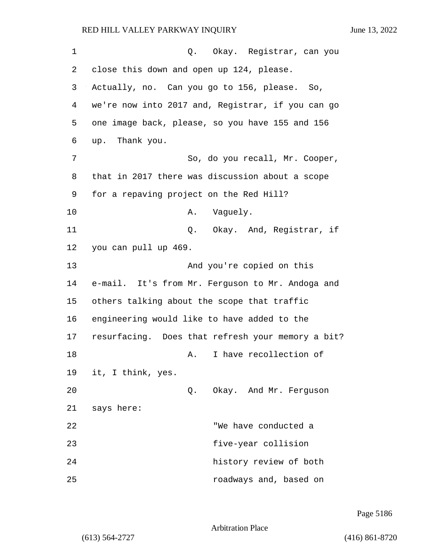1 Q. Okay. Registrar, can you 2 close this down and open up 124, please. 3 Actually, no. Can you go to 156, please. So, 4 we're now into 2017 and, Registrar, if you can go 5 one image back, please, so you have 155 and 156 6 up. Thank you. 7 So, do you recall, Mr. Cooper, 8 that in 2017 there was discussion about a scope 9 for a repaving project on the Red Hill? 10 A. Vaguely. 11 Q. Okay. And, Registrar, if 12 you can pull up 469. 13 And you're copied on this 14 e-mail. It's from Mr. Ferguson to Mr. Andoga and 15 others talking about the scope that traffic 16 engineering would like to have added to the 17 resurfacing. Does that refresh your memory a bit? 18 A. I have recollection of 19 it, I think, yes. 20 Q. Okay. And Mr. Ferguson 21 says here: 22 "We have conducted a 23 five-year collision 24 history review of both 25 roadways and, based on

Page 5186

Arbitration Place

(613) 564-2727 (416) 861-8720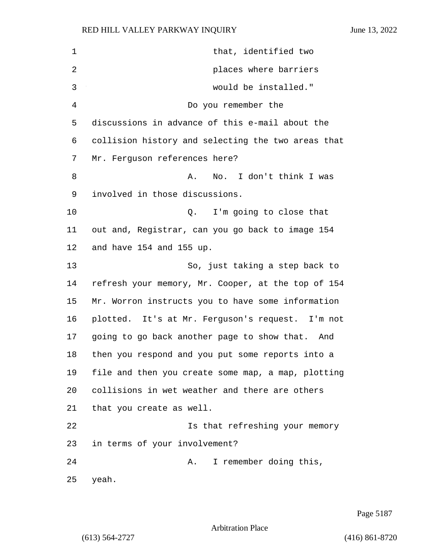1 that, identified two 2 places where barriers 3 would be installed." 4 Do you remember the discussions in advance of this e-mail about the collision history and selecting the two areas that Mr. Ferguson references here? 8 A. No. I don't think I was involved in those discussions. 10 10 Q. I'm going to close that out and, Registrar, can you go back to image 154 and have 154 and 155 up. 13 So, just taking a step back to refresh your memory, Mr. Cooper, at the top of 154 Mr. Worron instructs you to have some information plotted. It's at Mr. Ferguson's request. I'm not going to go back another page to show that. And then you respond and you put some reports into a file and then you create some map, a map, plotting collisions in wet weather and there are others that you create as well. **Is that refreshing your memory**  in terms of your involvement? 24 A. I remember doing this, 25 yeah.

Page 5187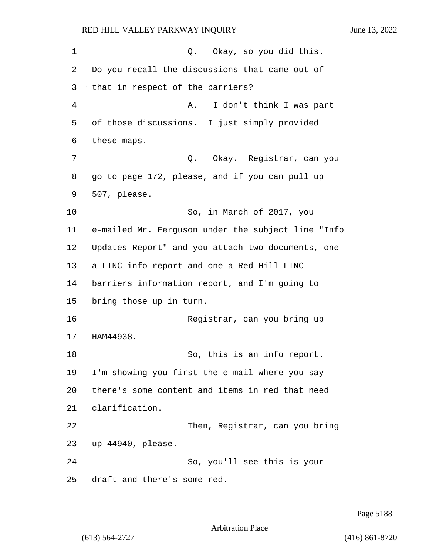1 O. Okay, so you did this. Do you recall the discussions that came out of that in respect of the barriers? 4 A. I don't think I was part of those discussions. I just simply provided these maps. 7 Q. Okay. Registrar, can you go to page 172, please, and if you can pull up 507, please. 10 So, in March of 2017, you e-mailed Mr. Ferguson under the subject line "Info Updates Report" and you attach two documents, one a LINC info report and one a Red Hill LINC barriers information report, and I'm going to bring those up in turn. 16 Registrar, can you bring up HAM44938. 18 So, this is an info report. I'm showing you first the e-mail where you say there's some content and items in red that need clarification. 22 Then, Registrar, can you bring up 44940, please. 24 So, you'll see this is your draft and there's some red.

Page 5188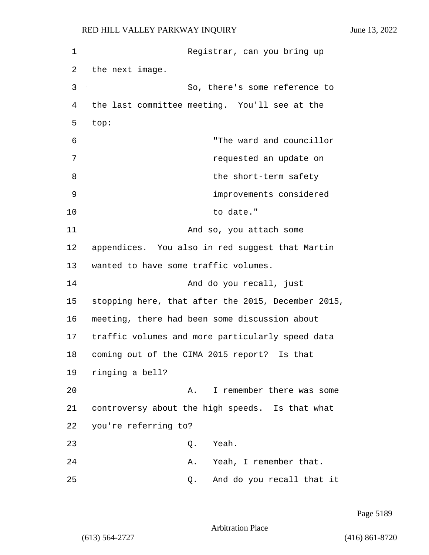| 1  | Registrar, can you bring up                        |
|----|----------------------------------------------------|
| 2  | the next image.                                    |
| 3  | So, there's some reference to                      |
| 4  | the last committee meeting. You'll see at the      |
| 5  | top:                                               |
| 6  | "The ward and councillor                           |
| 7  | requested an update on                             |
| 8  | the short-term safety                              |
| 9  | improvements considered                            |
| 10 | to date."                                          |
| 11 | And so, you attach some                            |
| 12 | appendices. You also in red suggest that Martin    |
| 13 | wanted to have some traffic volumes.               |
| 14 | And do you recall, just                            |
| 15 | stopping here, that after the 2015, December 2015, |
| 16 | meeting, there had been some discussion about      |
| 17 | traffic volumes and more particularly speed data   |
| 18 | coming out of the CIMA 2015 report? Is that        |
| 19 | ringing a bell?                                    |
| 20 | I remember there was some<br>Α.                    |
| 21 | controversy about the high speeds. Is that what    |
| 22 | you're referring to?                               |
| 23 | Yeah.<br>Q.                                        |
| 24 | Yeah, I remember that.<br>Α.                       |
| 25 | And do you recall that it<br>Q.                    |

Page 5189

Arbitration Place

(613) 564-2727 (416) 861-8720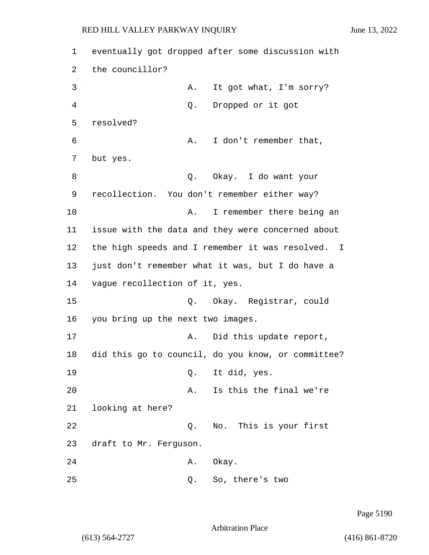| 1  |                                   |    | eventually got dropped after some discussion with  |
|----|-----------------------------------|----|----------------------------------------------------|
| 2  | the councillor?                   |    |                                                    |
| 3  |                                   | Α. | It got what, I'm sorry?                            |
| 4  |                                   | Q. | Dropped or it got                                  |
| 5  | resolved?                         |    |                                                    |
| 6  |                                   | Α. | I don't remember that,                             |
| 7  | but yes.                          |    |                                                    |
| 8  |                                   | Q. | Okay. I do want your                               |
| 9  |                                   |    | recollection. You don't remember either way?       |
| 10 |                                   | Α. | I remember there being an                          |
| 11 |                                   |    | issue with the data and they were concerned about  |
| 12 |                                   |    | the high speeds and I remember it was resolved. I  |
| 13 |                                   |    | just don't remember what it was, but I do have a   |
| 14 | vague recollection of it, yes.    |    |                                                    |
| 15 |                                   | Q. | Okay. Registrar, could                             |
| 16 | you bring up the next two images. |    |                                                    |
| 17 |                                   | Α. | Did this update report,                            |
| 18 |                                   |    | did this go to council, do you know, or committee? |
| 19 |                                   |    | Q. It did, yes.                                    |
| 20 |                                   | Α. | Is this the final we're                            |
| 21 | looking at here?                  |    |                                                    |
| 22 |                                   | Q. | No. This is your first                             |
| 23 | draft to Mr. Ferguson.            |    |                                                    |
| 24 |                                   |    | A. Okay.                                           |
| 25 |                                   | Q. | So, there's two                                    |

Page 5190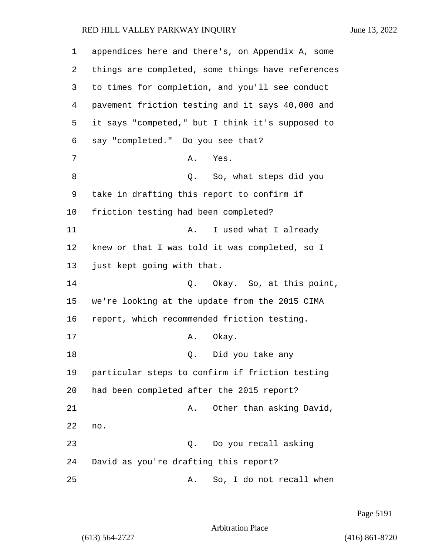appendices here and there's, on Appendix A, some things are completed, some things have references to times for completion, and you'll see conduct pavement friction testing and it says 40,000 and it says "competed," but I think it's supposed to say "completed." Do you see that? 7 A. Yes. 8 a Q. So, what steps did you take in drafting this report to confirm if friction testing had been completed? 11 A. I used what I already knew or that I was told it was completed, so I just kept going with that.

14 Q. Okay. So, at this point, 15 we're looking at the update from the 2015 CIMA 16 report, which recommended friction testing. 17 A. Okay. 18 Q. Did you take any 19 particular steps to confirm if friction testing 20 had been completed after the 2015 report? 21 A. Other than asking David, 22 no. 23 Q. Do you recall asking 24 David as you're drafting this report? 25 A. So, I do not recall when

Page 5191

Arbitration Place

(613) 564-2727 (416) 861-8720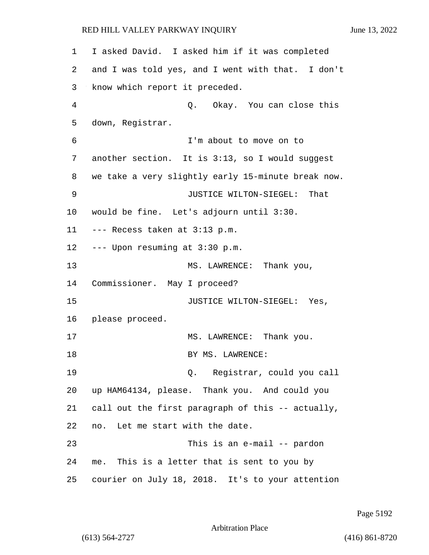| 1  | I asked David. I asked him if it was completed     |
|----|----------------------------------------------------|
| 2  | and I was told yes, and I went with that. I don't  |
| 3  | know which report it preceded.                     |
| 4  | Q. Okay. You can close this                        |
| 5  | down, Registrar.                                   |
| 6  | I'm about to move on to                            |
| 7  | another section. It is 3:13, so I would suggest    |
| 8  | we take a very slightly early 15-minute break now. |
| 9  | JUSTICE WILTON-SIEGEL: That                        |
| 10 | would be fine. Let's adjourn until 3:30.           |
| 11 | --- Recess taken at 3:13 p.m.                      |
| 12 | --- Upon resuming at 3:30 p.m.                     |
| 13 | MS. LAWRENCE: Thank you,                           |
| 14 | Commissioner. May I proceed?                       |
| 15 | JUSTICE WILTON-SIEGEL: Yes,                        |
| 16 | please proceed.                                    |
| 17 | MS. LAWRENCE: Thank you.                           |
| 18 | BY MS. LAWRENCE:                                   |
| 19 | Q. Registrar, could you call                       |
| 20 | up HAM64134, please. Thank you. And could you      |
| 21 | call out the first paragraph of this -- actually,  |
| 22 | no. Let me start with the date.                    |
| 23 | This is an e-mail -- pardon                        |
| 24 | me. This is a letter that is sent to you by        |
| 25 | courier on July 18, 2018. It's to your attention   |

Page 5192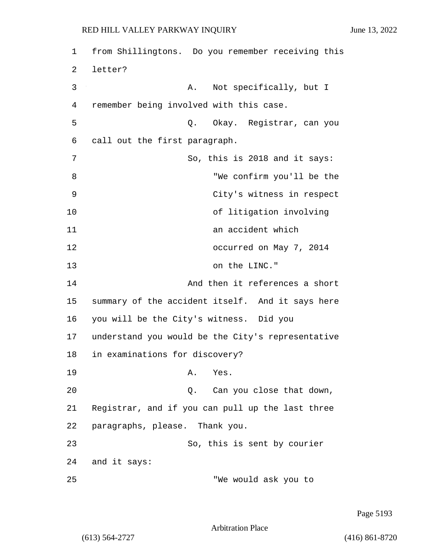| $\mathbf 1$ | from Shillingtons. Do you remember receiving this |
|-------------|---------------------------------------------------|
| 2           | letter?                                           |
| 3           | Not specifically, but I<br>Α.                     |
| 4           | remember being involved with this case.           |
| 5           | Q. Okay. Registrar, can you                       |
| 6           | call out the first paragraph.                     |
| 7           | So, this is 2018 and it says:                     |
| 8           | "We confirm you'll be the                         |
| 9           | City's witness in respect                         |
| 10          | of litigation involving                           |
| 11          | an accident which                                 |
| 12          | occurred on May 7, 2014                           |
| 13          | on the LINC."                                     |
| 14          | And then it references a short                    |
| 15          | summary of the accident itself. And it says here  |
| 16          | you will be the City's witness. Did you           |
| 17          | understand you would be the City's representative |
| 18          | in examinations for discovery?                    |
| 19          | Yes.<br>Α.                                        |
| 20          | Can you close that down,<br>Q.                    |
| 21          | Registrar, and if you can pull up the last three  |
| 22          | paragraphs, please. Thank you.                    |
| 23          | So, this is sent by courier                       |
| 24          | and it says:                                      |
| 25          | "We would ask you to                              |

Page 5193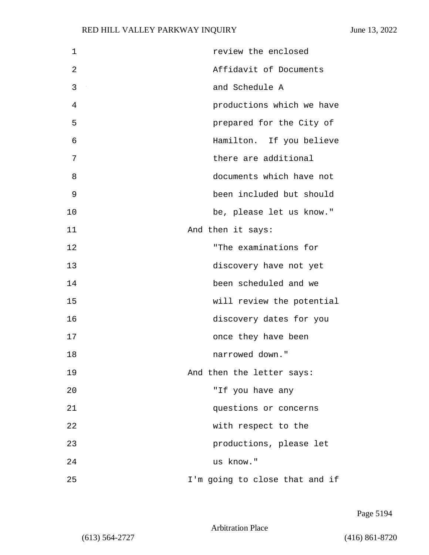| 1  | review the enclosed            |
|----|--------------------------------|
| 2  | Affidavit of Documents         |
| 3  | and Schedule A                 |
| 4  | productions which we have      |
| 5  | prepared for the City of       |
| 6  | Hamilton. If you believe       |
| 7  | there are additional           |
| 8  | documents which have not       |
| 9  | been included but should       |
| 10 | be, please let us know."       |
| 11 | And then it says:              |
| 12 | "The examinations for          |
| 13 | discovery have not yet         |
| 14 | been scheduled and we          |
| 15 | will review the potential      |
| 16 | discovery dates for you        |
| 17 | once they have been            |
| 18 | narrowed down."                |
| 19 | And then the letter says:      |
| 20 | "If you have any               |
| 21 | questions or concerns          |
| 22 | with respect to the            |
| 23 | productions, please let        |
| 24 | us know."                      |
| 25 | I'm going to close that and if |

Page 5194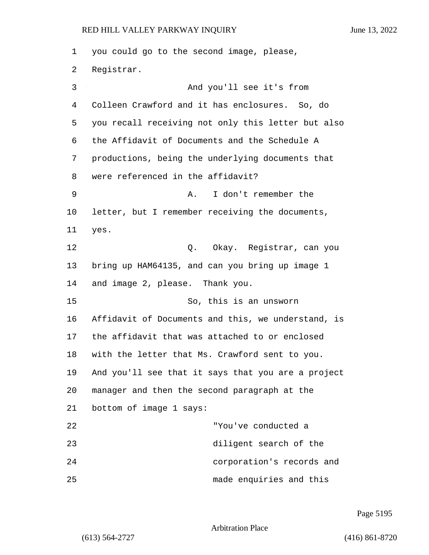you could go to the second image, please, Registrar. 3 And you'll see it's from Colleen Crawford and it has enclosures. So, do you recall receiving not only this letter but also the Affidavit of Documents and the Schedule A productions, being the underlying documents that were referenced in the affidavit? 9 A. I don't remember the letter, but I remember receiving the documents, 11 yes. 12 Q. Okay. Registrar, can you bring up HAM64135, and can you bring up image 1 and image 2, please. Thank you. 15 So, this is an unsworn Affidavit of Documents and this, we understand, is the affidavit that was attached to or enclosed with the letter that Ms. Crawford sent to you. And you'll see that it says that you are a project manager and then the second paragraph at the bottom of image 1 says: 22 "You've conducted a 23 diligent search of the 24 corporation's records and 25 made enquiries and this

Page 5195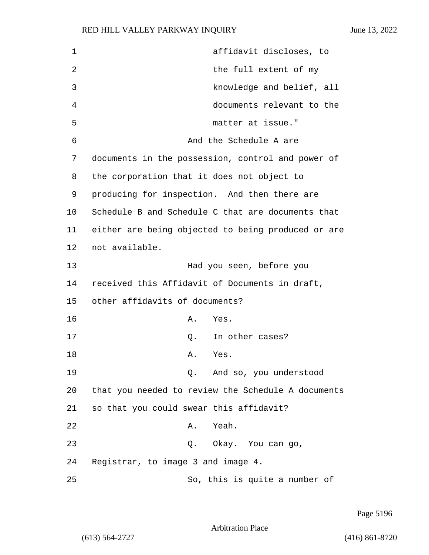| 1  | affidavit discloses, to                            |
|----|----------------------------------------------------|
| 2  | the full extent of my                              |
| 3  | knowledge and belief, all                          |
| 4  | documents relevant to the                          |
| 5  | matter at issue."                                  |
| 6  | And the Schedule A are                             |
| 7  | documents in the possession, control and power of  |
| 8  | the corporation that it does not object to         |
| 9  | producing for inspection. And then there are       |
| 10 | Schedule B and Schedule C that are documents that  |
| 11 | either are being objected to being produced or are |
| 12 | not available.                                     |
| 13 | Had you seen, before you                           |
| 14 | received this Affidavit of Documents in draft,     |
| 15 | other affidavits of documents?                     |
| 16 | Yes.<br>Α.                                         |
| 17 | In other cases?<br>Q.                              |
| 18 | Yes.<br>Α.                                         |
| 19 | Q. And so, you understood                          |
| 20 | that you needed to review the Schedule A documents |
| 21 | so that you could swear this affidavit?            |
| 22 | A. Yeah.                                           |
| 23 | Q. Okay. You can go,                               |
| 24 | Registrar, to image 3 and image 4.                 |
| 25 | So, this is quite a number of                      |

Page 5196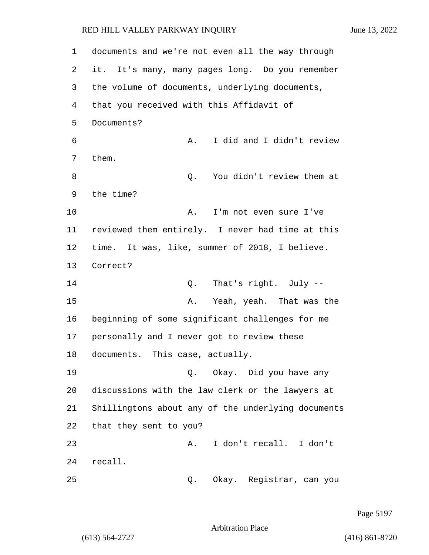1 documents and we're not even all the way through 2 it. It's many, many pages long. Do you remember 3 the volume of documents, underlying documents, 4 that you received with this Affidavit of 5 Documents? 6 A. I did and I didn't review 7 them. 8 and 1 Q. You didn't review them at 9 the time? 10 A. I'm not even sure I've 11 reviewed them entirely. I never had time at this 12 time. It was, like, summer of 2018, I believe. 13 Correct? 14 Q. That's right. July -- 15 A. Yeah, yeah. That was the 16 beginning of some significant challenges for me 17 personally and I never got to review these 18 documents. This case, actually. 19 Q. Okay. Did you have any 20 discussions with the law clerk or the lawyers at 21 Shillingtons about any of the underlying documents 22 that they sent to you? 23 A. I don't recall. I don't 24 recall. 25 Q. Okay. Registrar, can you

Page 5197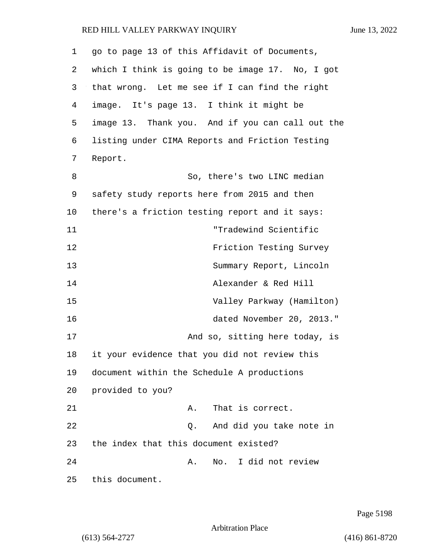| 1  | go to page 13 of this Affidavit of Documents,    |
|----|--------------------------------------------------|
| 2  | which I think is going to be image 17. No, I got |
| 3  | that wrong. Let me see if I can find the right   |
| 4  | image. It's page 13. I think it might be         |
| 5  | image 13. Thank you. And if you can call out the |
| 6  | listing under CIMA Reports and Friction Testing  |
| 7  | Report.                                          |
| 8  | So, there's two LINC median                      |
| 9  | safety study reports here from 2015 and then     |
| 10 | there's a friction testing report and it says:   |
| 11 | "Tradewind Scientific                            |
| 12 | Friction Testing Survey                          |
| 13 | Summary Report, Lincoln                          |
| 14 | Alexander & Red Hill                             |
| 15 | Valley Parkway (Hamilton)                        |
| 16 | dated November 20, 2013."                        |
| 17 | And so, sitting here today, is                   |
| 18 | it your evidence that you did not review this    |
| 19 | document within the Schedule A productions       |
| 20 | provided to you?                                 |
| 21 | That is correct.<br>Α.                           |
| 22 | And did you take note in<br>Q.                   |
| 23 | the index that this document existed?            |
| 24 | I did not review<br>Α.<br>No.                    |
| 25 | this document.                                   |

Page 5198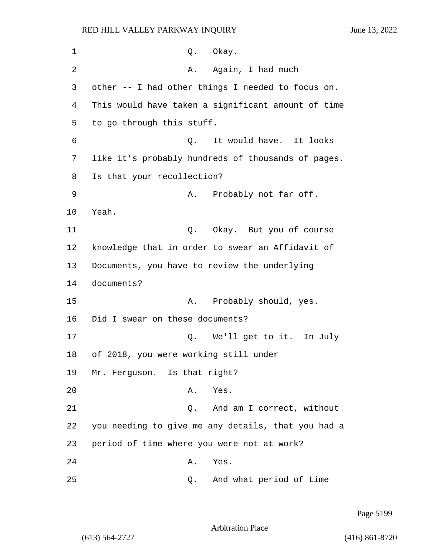| 1  | Okay.<br>Q.                                        |
|----|----------------------------------------------------|
| 2  | Again, I had much<br>Α.                            |
| 3  | other -- I had other things I needed to focus on.  |
| 4  | This would have taken a significant amount of time |
| 5  | to go through this stuff.                          |
| 6  | It would have. It looks<br>Q.                      |
| 7  | like it's probably hundreds of thousands of pages. |
| 8  | Is that your recollection?                         |
| 9  | Probably not far off.<br>Α.                        |
| 10 | Yeah.                                              |
| 11 | Q. Okay. But you of course                         |
| 12 | knowledge that in order to swear an Affidavit of   |
| 13 | Documents, you have to review the underlying       |
| 14 | documents?                                         |
| 15 | Probably should, yes.<br>Α.                        |
| 16 | Did I swear on these documents?                    |
| 17 | Q. We'll get to it. In July                        |
| 18 | of 2018, you were working still under              |
| 19 | Mr. Ferguson. Is that right?                       |
| 20 | Α.<br>Yes.                                         |
| 21 | And am I correct, without<br>Q.                    |
| 22 | you needing to give me any details, that you had a |
| 23 | period of time where you were not at work?         |
| 24 | Yes.<br>Α.                                         |
| 25 | And what period of time<br>Q.                      |

Page 5199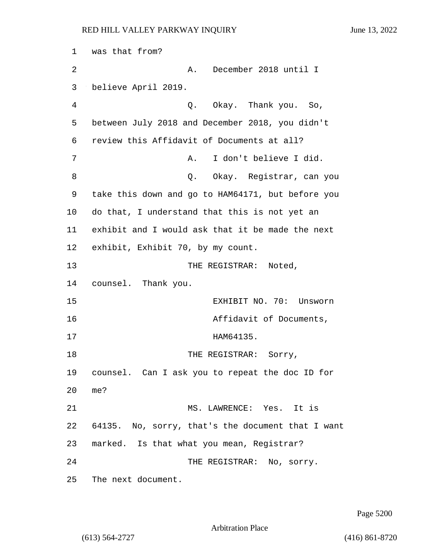1 was that from? 2 A. December 2018 until I 3 believe April 2019. 4 Q. Okay. Thank you. So, 5 between July 2018 and December 2018, you didn't 6 review this Affidavit of Documents at all? 7 A. I don't believe I did. 8 Q. Okay. Registrar, can you 9 take this down and go to HAM64171, but before you 10 do that, I understand that this is not yet an 11 exhibit and I would ask that it be made the next 12 exhibit, Exhibit 70, by my count. 13 THE REGISTRAR: Noted, 14 counsel. Thank you. 15 EXHIBIT NO. 70: Unsworn 16 **Affidavit of Documents,** 17 **HAM64135.** 18 THE REGISTRAR: Sorry, 19 counsel. Can I ask you to repeat the doc ID for 20 me? 21 MS. LAWRENCE: Yes. It is 22 64135. No, sorry, that's the document that I want 23 marked. Is that what you mean, Registrar? 24 THE REGISTRAR: No, sorry. 25 The next document.

Page 5200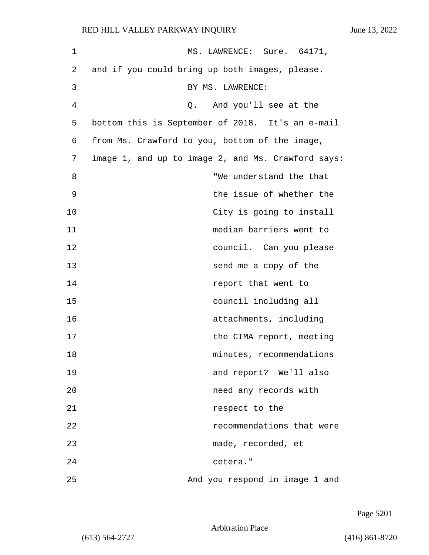| 1  | MS. LAWRENCE: Sure. 64171,                         |
|----|----------------------------------------------------|
| 2  | and if you could bring up both images, please.     |
| 3  | BY MS. LAWRENCE:                                   |
| 4  | And you'll see at the<br>Q.                        |
| 5  | bottom this is September of 2018. It's an e-mail   |
| 6  | from Ms. Crawford to you, bottom of the image,     |
| 7  | image 1, and up to image 2, and Ms. Crawford says: |
| 8  | "We understand the that                            |
| 9  | the issue of whether the                           |
| 10 | City is going to install                           |
| 11 | median barriers went to                            |
| 12 | council. Can you please                            |
| 13 | send me a copy of the                              |
| 14 | report that went to                                |
| 15 | council including all                              |
| 16 | attachments, including                             |
| 17 | the CIMA report, meeting                           |
| 18 | minutes, recommendations                           |
| 19 | and report? We'll also                             |
| 20 | need any records with                              |
| 21 | respect to the                                     |
| 22 | recommendations that were                          |
| 23 | made, recorded, et                                 |
| 24 | cetera."                                           |
| 25 | And you respond in image 1 and                     |

Page 5201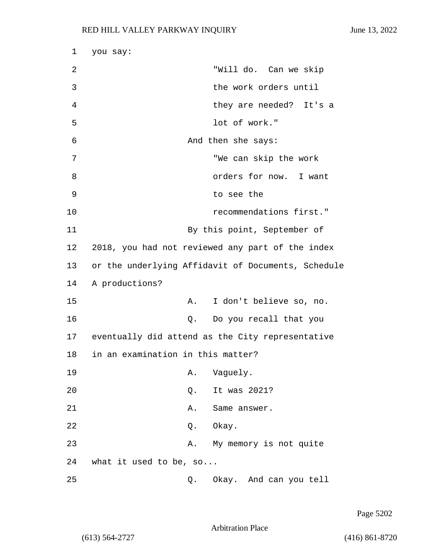| 1              | you say:                                           |  |
|----------------|----------------------------------------------------|--|
| $\overline{2}$ | "Will do. Can we skip                              |  |
| 3              | the work orders until                              |  |
| 4              | they are needed? It's a                            |  |
| 5              | lot of work."                                      |  |
| 6              | And then she says:                                 |  |
| 7              | "We can skip the work                              |  |
| 8              | orders for now. I want                             |  |
| 9              | to see the                                         |  |
| 10             | recommendations first."                            |  |
| 11             | By this point, September of                        |  |
| 12             | 2018, you had not reviewed any part of the index   |  |
| 13             | or the underlying Affidavit of Documents, Schedule |  |
| 14             | A productions?                                     |  |
| 15             | I don't believe so, no.<br>Α.                      |  |
| 16             | Do you recall that you<br>Q.                       |  |
| 17             | eventually did attend as the City representative   |  |
| 18             | in an examination in this matter?                  |  |
| 19             | Vaguely.<br>Α.                                     |  |
| 20             | It was 2021?<br>Q.                                 |  |
| 21             | Same answer.<br>Α.                                 |  |
| 22             | Okay.<br>Q.                                        |  |
| 23             | My memory is not quite<br>Α.                       |  |
| 24             | what it used to be, so                             |  |
| 25             | Q.<br>Okay. And can you tell                       |  |

Page 5202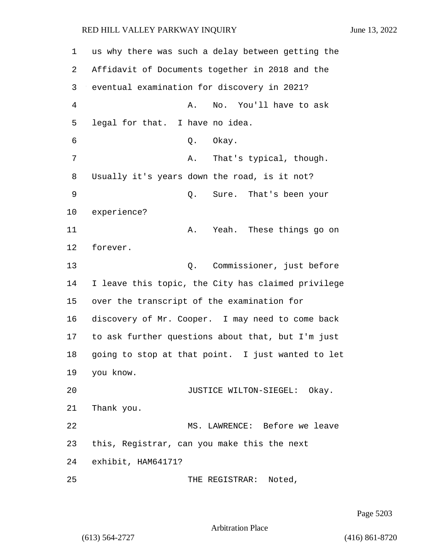1 us why there was such a delay between getting the 2 Affidavit of Documents together in 2018 and the 3 eventual examination for discovery in 2021? 4 A. No. You'll have to ask 5 legal for that. I have no idea. 6 Q. Okay. 7 A. That's typical, though. 8 Usually it's years down the road, is it not? 9 Q. Sure. That's been your 10 experience? 11 A. Yeah. These things go on 12 forever. 13 Q. Commissioner, just before 14 I leave this topic, the City has claimed privilege 15 over the transcript of the examination for 16 discovery of Mr. Cooper. I may need to come back 17 to ask further questions about that, but I'm just 18 going to stop at that point. I just wanted to let 19 you know. 20 JUSTICE WILTON-SIEGEL: Okay. 21 Thank you. 22 MS. LAWRENCE: Before we leave 23 this, Registrar, can you make this the next 24 exhibit, HAM64171? 25 THE REGISTRAR: Noted,

Page 5203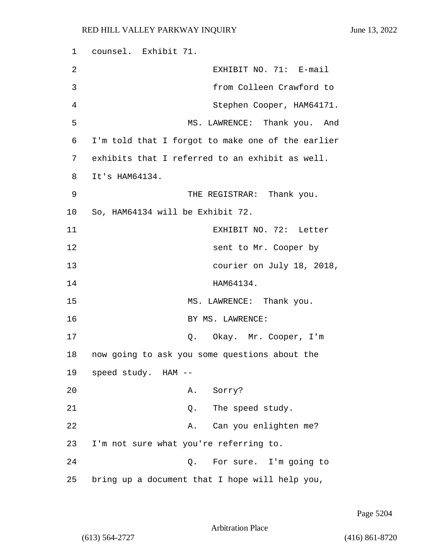| $\mathbf 1$ | counsel. Exhibit 71.                              |
|-------------|---------------------------------------------------|
| 2           | EXHIBIT NO. 71: E-mail                            |
| 3           | from Colleen Crawford to                          |
| 4           | Stephen Cooper, HAM64171.                         |
| 5           | MS. LAWRENCE: Thank you. And                      |
| 6           | I'm told that I forgot to make one of the earlier |
| 7           | exhibits that I referred to an exhibit as well.   |
| 8           | It's HAM64134.                                    |
| 9           | THE REGISTRAR: Thank you.                         |
| 10          | So, HAM64134 will be Exhibit 72.                  |
| 11          | EXHIBIT NO. 72: Letter                            |
| 12          | sent to Mr. Cooper by                             |
| 13          | courier on July 18, 2018,                         |
| 14          | HAM64134.                                         |
| 15          | MS. LAWRENCE: Thank you.                          |
| 16          | BY MS. LAWRENCE:                                  |
| 17          | Q. Okay. Mr. Cooper, I'm                          |
| 18          | now going to ask you some questions about the     |
|             | 19 speed study. HAM --                            |
| 20          | A. Sorry?                                         |
| 21          | Q. The speed study.                               |
| 22          | A. Can you enlighten me?                          |
| 23          | I'm not sure what you're referring to.            |
| 24          | For sure. I'm going to<br>Q.                      |
| 25          | bring up a document that I hope will help you,    |

Page 5204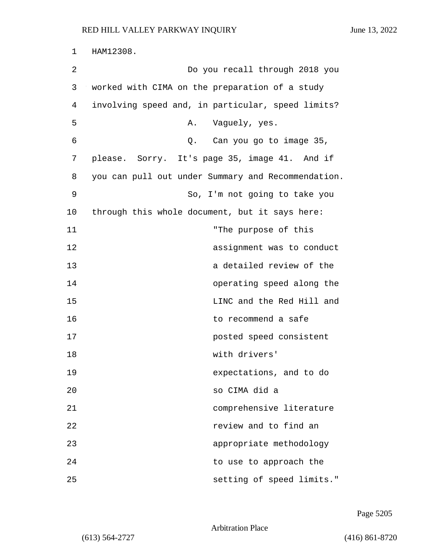1 HAM12308. 2 Do you recall through 2018 you 3 worked with CIMA on the preparation of a study 4 involving speed and, in particular, speed limits? 5 A. Vaguely, yes. 6 Q. Can you go to image 35, 7 please. Sorry. It's page 35, image 41. And if 8 you can pull out under Summary and Recommendation. 9 So, I'm not going to take you 10 through this whole document, but it says here: 11 The purpose of this 12 assignment was to conduct 13 a detailed review of the 14 operating speed along the 15 LINC and the Red Hill and 16 to recommend a safe 17 posted speed consistent 18 with drivers' 19 expectations, and to do 20 so CIMA did a 21 comprehensive literature 22 review and to find an 23 appropriate methodology 24 **to use to approach the** 25 setting of speed limits."

Page 5205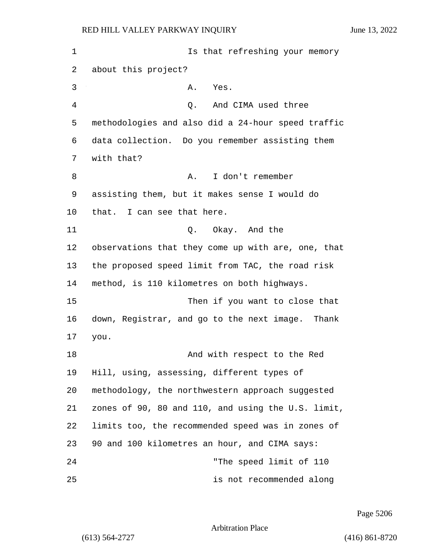1 Is that refreshing your memory about this project? 3 A. Yes. 4 Q. And CIMA used three methodologies and also did a 24-hour speed traffic data collection. Do you remember assisting them with that? 8 A. I don't remember assisting them, but it makes sense I would do that. I can see that here. 11 Q. Okay. And the observations that they come up with are, one, that the proposed speed limit from TAC, the road risk method, is 110 kilometres on both highways. 15 Then if you want to close that down, Registrar, and go to the next image. Thank 17 you. 18 And with respect to the Red Hill, using, assessing, different types of methodology, the northwestern approach suggested zones of 90, 80 and 110, and using the U.S. limit, limits too, the recommended speed was in zones of 90 and 100 kilometres an hour, and CIMA says: 24 "The speed limit of 110

25 is not recommended along

Page 5206

Arbitration Place

(613) 564-2727 (416) 861-8720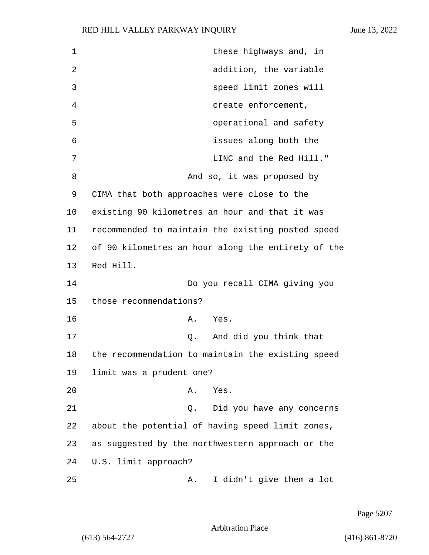| 1  | these highways and, in                             |
|----|----------------------------------------------------|
| 2  | addition, the variable                             |
| 3  | speed limit zones will                             |
| 4  | create enforcement,                                |
| 5  | operational and safety                             |
| 6  | issues along both the                              |
| 7  | LINC and the Red Hill."                            |
| 8  | And so, it was proposed by                         |
| 9  | CIMA that both approaches were close to the        |
| 10 | existing 90 kilometres an hour and that it was     |
| 11 | recommended to maintain the existing posted speed  |
| 12 | of 90 kilometres an hour along the entirety of the |
| 13 | Red Hill.                                          |
| 14 | Do you recall CIMA giving you                      |
| 15 | those recommendations?                             |
| 16 | Α.<br>Yes.                                         |
| 17 | And did you think that<br>Q.                       |
| 18 | the recommendation to maintain the existing speed  |
| 19 | limit was a prudent one?                           |
| 20 | Α.<br>Yes.                                         |
| 21 | Did you have any concerns<br>Q.                    |
| 22 | about the potential of having speed limit zones,   |
| 23 | as suggested by the northwestern approach or the   |
| 24 | U.S. limit approach?                               |
| 25 | I didn't give them a lot<br>Α.                     |

Page 5207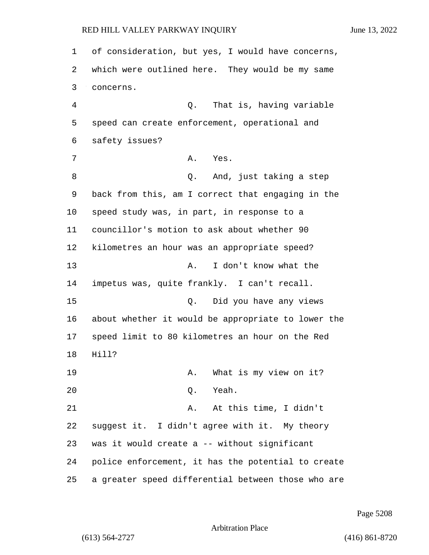of consideration, but yes, I would have concerns, which were outlined here. They would be my same concerns. 4 Q. That is, having variable speed can create enforcement, operational and safety issues? 7 A. Yes. 8 and, just taking a step back from this, am I correct that engaging in the speed study was, in part, in response to a councillor's motion to ask about whether 90 kilometres an hour was an appropriate speed? 13 A. I don't know what the impetus was, quite frankly. I can't recall. 15 Q. Did you have any views about whether it would be appropriate to lower the speed limit to 80 kilometres an hour on the Red 18 Hill? 19 A. What is my view on it? 20 Q. Yeah. 21 A. At this time, I didn't suggest it. I didn't agree with it. My theory was it would create a -- without significant police enforcement, it has the potential to create a greater speed differential between those who are

Page 5208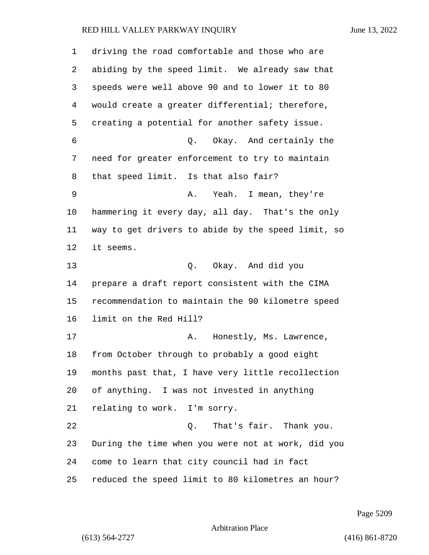| 1      | driving the road comfortable and those who are     |
|--------|----------------------------------------------------|
| 2      | abiding by the speed limit. We already saw that    |
| 3      | speeds were well above 90 and to lower it to 80    |
| 4      | would create a greater differential; therefore,    |
| 5      | creating a potential for another safety issue.     |
| 6      | Q. Okay. And certainly the                         |
| 7      | need for greater enforcement to try to maintain    |
| 8      | that speed limit. Is that also fair?               |
| 9      | A. Yeah. I mean, they're                           |
| 10     | hammering it every day, all day. That's the only   |
| 11     | way to get drivers to abide by the speed limit, so |
| 12     | it seems.                                          |
| 13     | Q. Okay. And did you                               |
| 14     | prepare a draft report consistent with the CIMA    |
| 15     | recommendation to maintain the 90 kilometre speed  |
| 16     | limit on the Red Hill?                             |
| 17     | Honestly, Ms. Lawrence,<br>Α.                      |
| $18\,$ | from October through to probably a good eight      |
| 19     | months past that, I have very little recollection  |
| 20     | of anything. I was not invested in anything        |
| 21     | relating to work. I'm sorry.                       |
| 22     | That's fair. Thank you.<br>Q.                      |
| 23     | During the time when you were not at work, did you |
| 24     | come to learn that city council had in fact        |
| 25     | reduced the speed limit to 80 kilometres an hour?  |

Page 5209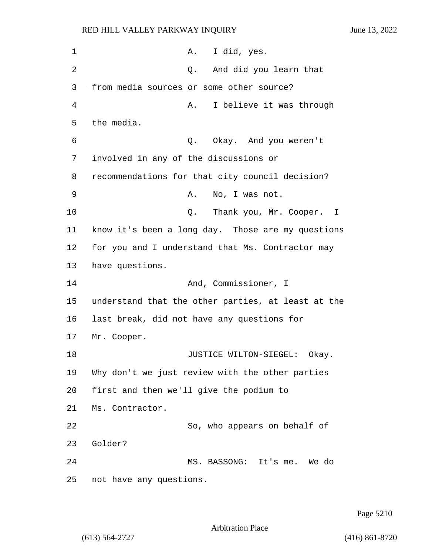| 1              | I did, yes.<br>Α.                                  |
|----------------|----------------------------------------------------|
| $\overline{2}$ | And did you learn that<br>Q.                       |
| 3              | from media sources or some other source?           |
| 4              | I believe it was through<br>Α.                     |
| 5              | the media.                                         |
| 6              | Q. Okay. And you weren't                           |
| 7              | involved in any of the discussions or              |
| 8              | recommendations for that city council decision?    |
| 9              | No, I was not.<br>Α.                               |
| 10             | Q.<br>Thank you, Mr. Cooper. I                     |
| 11             | know it's been a long day. Those are my questions  |
| 12             | for you and I understand that Ms. Contractor may   |
| 13             | have questions.                                    |
| 14             | And, Commissioner, I                               |
| 15             | understand that the other parties, at least at the |
| 16             | last break, did not have any questions for         |
| 17             | Mr. Cooper.                                        |
| 18             | JUSTICE WILTON-SIEGEL:<br>Okay.                    |
| 19             | Why don't we just review with the other parties    |
| 20             | first and then we'll give the podium to            |
| 21             | Ms. Contractor.                                    |
| 22             | So, who appears on behalf of                       |
| 23             | Golder?                                            |
| 24             | MS. BASSONG: It's me. We do                        |
| 25             | not have any questions.                            |

Page 5210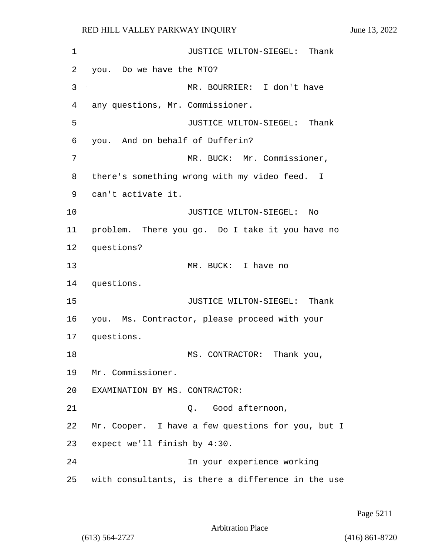| 1  | JUSTICE WILTON-SIEGEL: Thank                       |
|----|----------------------------------------------------|
| 2  | you. Do we have the MTO?                           |
| 3  | MR. BOURRIER: I don't have                         |
| 4  | any questions, Mr. Commissioner.                   |
| 5  | JUSTICE WILTON-SIEGEL: Thank                       |
| 6  | you. And on behalf of Dufferin?                    |
| 7  | MR. BUCK: Mr. Commissioner,                        |
| 8  | there's something wrong with my video feed. I      |
| 9  | can't activate it.                                 |
| 10 | JUSTICE WILTON-SIEGEL:<br>Nο                       |
| 11 | problem. There you go. Do I take it you have no    |
| 12 | questions?                                         |
| 13 | MR. BUCK: I have no                                |
| 14 | questions.                                         |
| 15 | JUSTICE WILTON-SIEGEL: Thank                       |
| 16 | you. Ms. Contractor, please proceed with your      |
| 17 | questions.                                         |
| 18 | MS. CONTRACTOR:<br>Thank you,                      |
| 19 | Mr. Commissioner.                                  |
| 20 | EXAMINATION BY MS. CONTRACTOR:                     |
| 21 | Q. Good afternoon,                                 |
| 22 | Mr. Cooper. I have a few questions for you, but I  |
| 23 | expect we'll finish by 4:30.                       |
| 24 | In your experience working                         |
| 25 | with consultants, is there a difference in the use |

Page 5211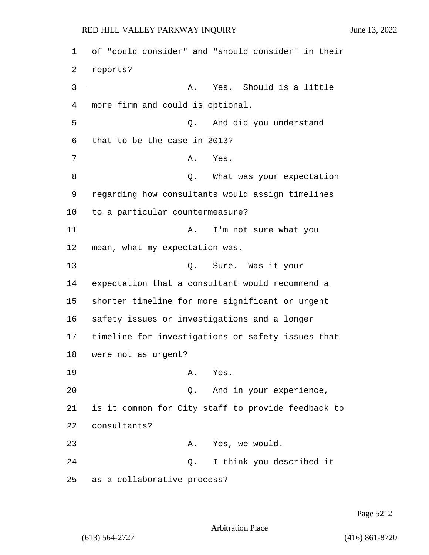1 of "could consider" and "should consider" in their 2 reports? 3 A. Yes. Should is a little 4 more firm and could is optional. 5 Q. And did you understand 6 that to be the case in 2013? 7 A. Yes. 8 and 9. What was your expectation 9 regarding how consultants would assign timelines 10 to a particular countermeasure? 11 A. I'm not sure what you 12 mean, what my expectation was. 13 Q. Sure. Was it your 14 expectation that a consultant would recommend a 15 shorter timeline for more significant or urgent 16 safety issues or investigations and a longer 17 timeline for investigations or safety issues that 18 were not as urgent? 19 A. Yes. 20 Q. And in your experience, 21 is it common for City staff to provide feedback to 22 consultants? 23 A. Yes, we would. 24 Q. I think you described it 25 as a collaborative process?

Page 5212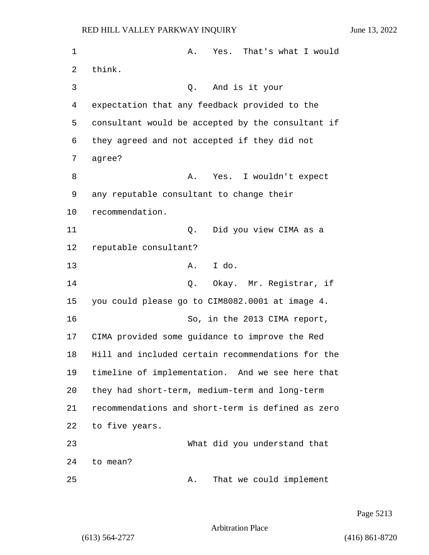| 1  | That's what I would<br>Yes.<br>Α.                 |
|----|---------------------------------------------------|
| 2  | think.                                            |
| 3  | And is it your<br>Q.                              |
| 4  | expectation that any feedback provided to the     |
| 5  | consultant would be accepted by the consultant if |
| 6  | they agreed and not accepted if they did not      |
| 7  | agree?                                            |
| 8  | I wouldn't expect<br>Α.<br>Yes.                   |
| 9  | any reputable consultant to change their          |
| 10 | recommendation.                                   |
| 11 | Did you view CIMA as a<br>Q.                      |
| 12 | reputable consultant?                             |
| 13 | I do.<br>Α.                                       |
| 14 | Okay. Mr. Registrar, if<br>Q.                     |
| 15 | you could please go to CIM8082.0001 at image 4.   |
| 16 | So, in the 2013 CIMA report,                      |
| 17 | CIMA provided some guidance to improve the Red    |
| 18 | Hill and included certain recommendations for the |
| 19 | timeline of implementation. And we see here that  |
| 20 | they had short-term, medium-term and long-term    |
| 21 | recommendations and short-term is defined as zero |
| 22 | to five years.                                    |
| 23 | What did you understand that                      |
| 24 | to mean?                                          |
| 25 | That we could implement<br>Α.                     |

Page 5213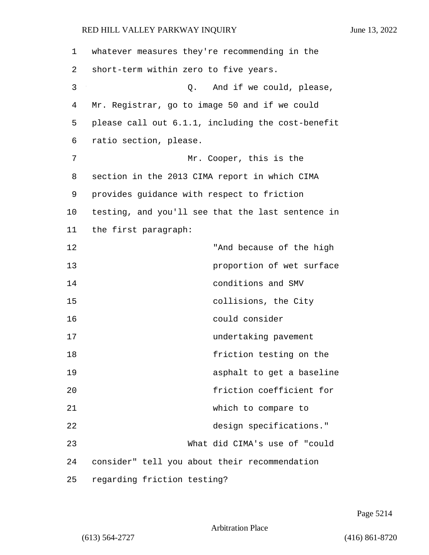| 1  | whatever measures they're recommending in the     |
|----|---------------------------------------------------|
| 2  | short-term within zero to five years.             |
| 3  | And if we could, please,<br>Q.                    |
| 4  | Mr. Registrar, go to image 50 and if we could     |
| 5  | please call out 6.1.1, including the cost-benefit |
| 6  | ratio section, please.                            |
| 7  | Mr. Cooper, this is the                           |
| 8  | section in the 2013 CIMA report in which CIMA     |
| 9  | provides guidance with respect to friction        |
| 10 | testing, and you'll see that the last sentence in |
| 11 | the first paragraph:                              |
| 12 | "And because of the high                          |
| 13 | proportion of wet surface                         |
| 14 | conditions and SMV                                |
| 15 | collisions, the City                              |
| 16 | could consider                                    |
| 17 | undertaking pavement                              |
| 18 | friction testing on the                           |
| 19 | asphalt to get a baseline                         |
| 20 | friction coefficient for                          |
| 21 | which to compare to                               |
| 22 | design specifications."                           |
| 23 | What did CIMA's use of "could                     |
| 24 | consider" tell you about their recommendation     |
| 25 | regarding friction testing?                       |

Page 5214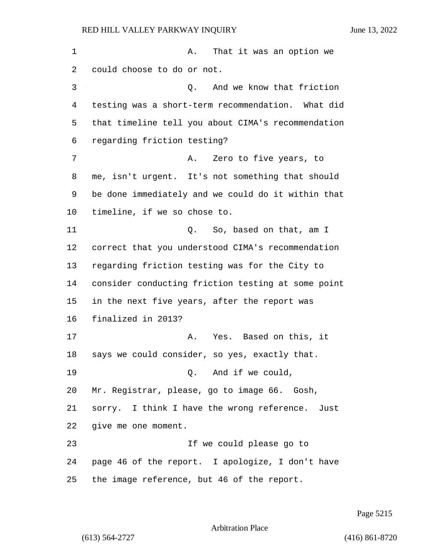1 A. That it was an option we could choose to do or not. 3 Q. And we know that friction testing was a short-term recommendation. What did that timeline tell you about CIMA's recommendation regarding friction testing? 7 A. Zero to five years, to me, isn't urgent. It's not something that should be done immediately and we could do it within that timeline, if we so chose to.  $Q.$  So, based on that, am I correct that you understood CIMA's recommendation regarding friction testing was for the City to consider conducting friction testing at some point in the next five years, after the report was finalized in 2013? 17 A. Yes. Based on this, it says we could consider, so yes, exactly that. 19 Q. And if we could, Mr. Registrar, please, go to image 66. Gosh, sorry. I think I have the wrong reference. Just give me one moment. 23 If we could please go to page 46 of the report. I apologize, I don't have the image reference, but 46 of the report.

Page 5215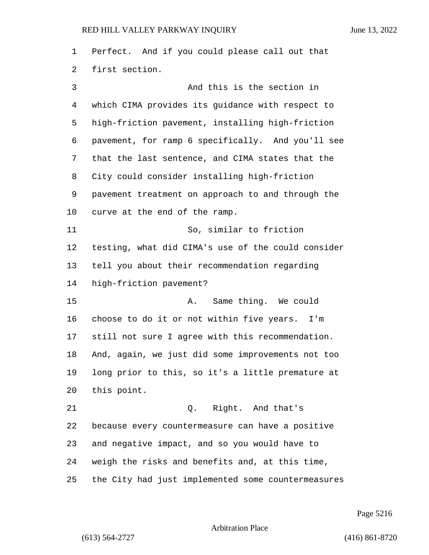| 1  | Perfect. And if you could please call out that     |
|----|----------------------------------------------------|
| 2  | first section.                                     |
| 3  | And this is the section in                         |
| 4  | which CIMA provides its guidance with respect to   |
| 5  | high-friction pavement, installing high-friction   |
| 6  | pavement, for ramp 6 specifically. And you'll see  |
| 7  | that the last sentence, and CIMA states that the   |
| 8  | City could consider installing high-friction       |
| 9  | pavement treatment on approach to and through the  |
| 10 | curve at the end of the ramp.                      |
| 11 | So, similar to friction                            |
| 12 | testing, what did CIMA's use of the could consider |
| 13 | tell you about their recommendation regarding      |
| 14 | high-friction pavement?                            |
| 15 | Same thing. We could<br>Α.                         |
| 16 | choose to do it or not within five years. I'm      |
| 17 | still not sure I agree with this recommendation.   |
| 18 | And, again, we just did some improvements not too  |
| 19 | long prior to this, so it's a little premature at  |
| 20 | this point.                                        |
| 21 | Q. Right. And that's                               |
| 22 | because every countermeasure can have a positive   |
| 23 | and negative impact, and so you would have to      |
| 24 | weigh the risks and benefits and, at this time,    |
| 25 | the City had just implemented some countermeasures |

Page 5216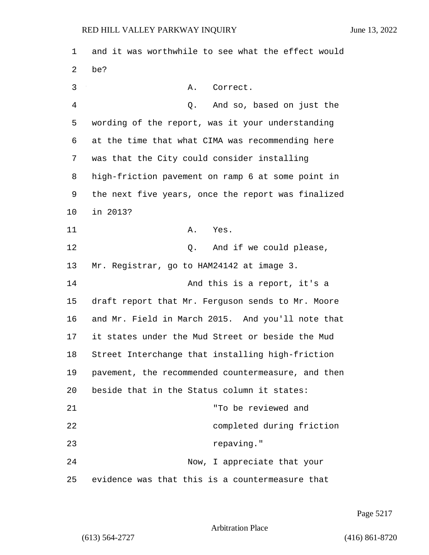1 and it was worthwhile to see what the effect would 2 be? 3 A. Correct. 4 Q. And so, based on just the 5 wording of the report, was it your understanding 6 at the time that what CIMA was recommending here 7 was that the City could consider installing 8 high-friction pavement on ramp 6 at some point in 9 the next five years, once the report was finalized 10 in 2013? 11 A. Yes. 12 O. And if we could please, 13 Mr. Registrar, go to HAM24142 at image 3. 14 **And this is a report, it's a** 14 15 draft report that Mr. Ferguson sends to Mr. Moore 16 and Mr. Field in March 2015. And you'll note that 17 it states under the Mud Street or beside the Mud 18 Street Interchange that installing high-friction 19 pavement, the recommended countermeasure, and then 20 beside that in the Status column it states: 21 "To be reviewed and 22 completed during friction 23 repaying." 24 Now, I appreciate that your 25 evidence was that this is a countermeasure that

Page 5217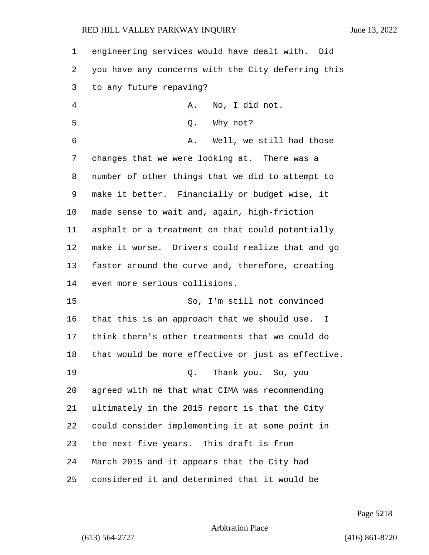| $\mathbf 1$ | engineering services would have dealt with. Did    |
|-------------|----------------------------------------------------|
| 2           | you have any concerns with the City deferring this |
| 3           | to any future repaving?                            |
| 4           | No, I did not.<br>Α.                               |
| 5           | Q. Why not?                                        |
| 6           | Well, we still had those<br>Α.                     |
| 7           | changes that we were looking at. There was a       |
| 8           | number of other things that we did to attempt to   |
| 9           | make it better. Financially or budget wise, it     |
| 10          | made sense to wait and, again, high-friction       |
| 11          | asphalt or a treatment on that could potentially   |
| 12          | make it worse. Drivers could realize that and go   |
| 13          | faster around the curve and, therefore, creating   |
| 14          | even more serious collisions.                      |
| 15          | So, I'm still not convinced                        |
| 16          | that this is an approach that we should use. I     |
| 17          | think there's other treatments that we could do    |
| 18          | that would be more effective or just as effective. |
| 19          | Q. Thank you. So, you                              |
| 20          | agreed with me that what CIMA was recommending     |
| 21          | ultimately in the 2015 report is that the City     |
| 22          | could consider implementing it at some point in    |
| 23          | the next five years. This draft is from            |
| 24          | March 2015 and it appears that the City had        |
| 25          | considered it and determined that it would be      |

Page 5218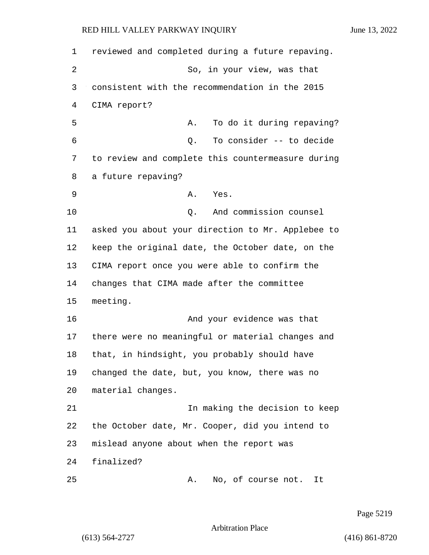reviewed and completed during a future repaving. 2 So, in your view, was that consistent with the recommendation in the 2015 CIMA report? 5 A. To do it during repaving? 6 Q. To consider -- to decide to review and complete this countermeasure during a future repaving? 9 A. Yes. 10 Q. And commission counsel asked you about your direction to Mr. Applebee to keep the original date, the October date, on the CIMA report once you were able to confirm the changes that CIMA made after the committee 15 meeting. 16 And your evidence was that there were no meaningful or material changes and that, in hindsight, you probably should have changed the date, but, you know, there was no material changes. 21 In making the decision to keep the October date, Mr. Cooper, did you intend to mislead anyone about when the report was finalized? 25 A. No, of course not. It

Page 5219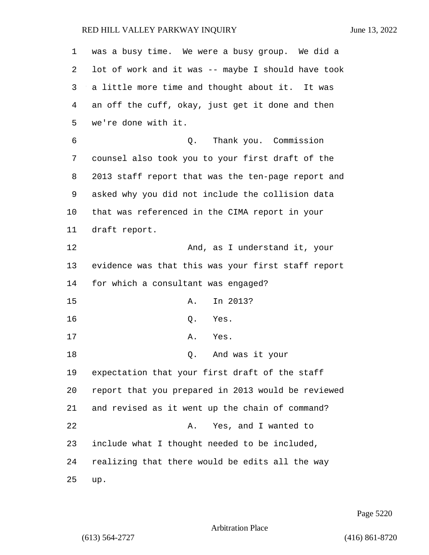| 1  | was a busy time. We were a busy group. We did a    |
|----|----------------------------------------------------|
| 2  | lot of work and it was -- maybe I should have took |
| 3  | a little more time and thought about it. It was    |
| 4  | an off the cuff, okay, just get it done and then   |
| 5  | we're done with it.                                |
| 6  | Q. Thank you. Commission                           |
| 7  | counsel also took you to your first draft of the   |
| 8  | 2013 staff report that was the ten-page report and |
| 9  | asked why you did not include the collision data   |
| 10 | that was referenced in the CIMA report in your     |
| 11 | draft report.                                      |
| 12 | And, as I understand it, your                      |
| 13 | evidence was that this was your first staff report |
| 14 | for which a consultant was engaged?                |
| 15 | In 2013?<br>Α.                                     |
| 16 | Yes.<br>Q.                                         |
| 17 | Yes.<br>Α.                                         |
| 18 | And was it your<br>Q.                              |
| 19 | expectation that your first draft of the staff     |
| 20 | report that you prepared in 2013 would be reviewed |
| 21 | and revised as it went up the chain of command?    |
| 22 | Yes, and I wanted to<br>Α.                         |
| 23 | include what I thought needed to be included,      |
| 24 | realizing that there would be edits all the way    |
| 25 | up.                                                |

Page 5220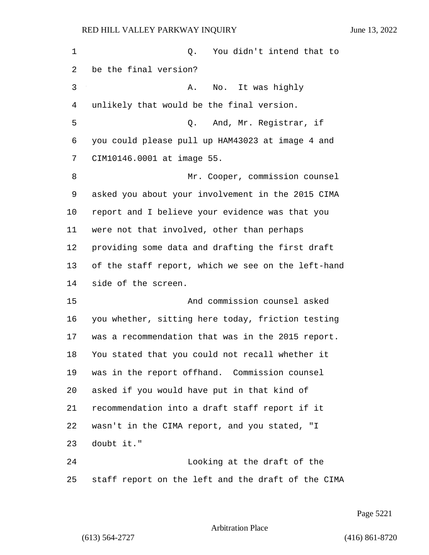1 Q. You didn't intend that to be the final version? 3 A. No. It was highly unlikely that would be the final version. 5 Q. And, Mr. Registrar, if you could please pull up HAM43023 at image 4 and CIM10146.0001 at image 55. 8 Mr. Cooper, commission counsel asked you about your involvement in the 2015 CIMA report and I believe your evidence was that you were not that involved, other than perhaps providing some data and drafting the first draft of the staff report, which we see on the left-hand side of the screen. 15 And commission counsel asked you whether, sitting here today, friction testing was a recommendation that was in the 2015 report. You stated that you could not recall whether it was in the report offhand. Commission counsel asked if you would have put in that kind of recommendation into a draft staff report if it wasn't in the CIMA report, and you stated, "I doubt it." 24 Looking at the draft of the staff report on the left and the draft of the CIMA

Page 5221

Arbitration Place

(613) 564-2727 (416) 861-8720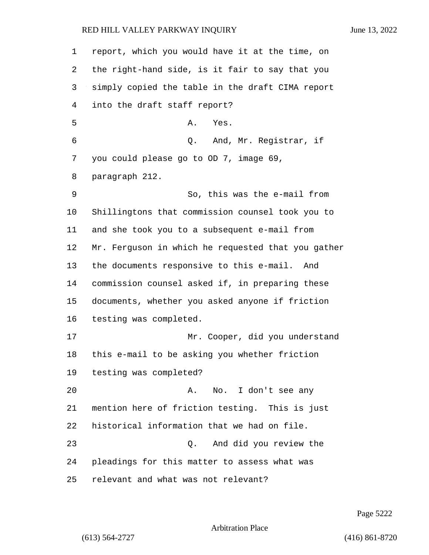| $\mathbf{1}$ | report, which you would have it at the time, on    |
|--------------|----------------------------------------------------|
| 2            | the right-hand side, is it fair to say that you    |
| 3            | simply copied the table in the draft CIMA report   |
| 4            | into the draft staff report?                       |
| 5            | Α.<br>Yes.                                         |
| 6            | Q. And, Mr. Registrar, if                          |
| 7            | you could please go to OD 7, image 69,             |
| 8            | paragraph 212.                                     |
| 9            | So, this was the e-mail from                       |
| $10 \,$      | Shillingtons that commission counsel took you to   |
| 11           | and she took you to a subsequent e-mail from       |
| 12           | Mr. Ferguson in which he requested that you gather |
| 13           | the documents responsive to this e-mail. And       |
| 14           | commission counsel asked if, in preparing these    |
| 15           | documents, whether you asked anyone if friction    |
| 16           | testing was completed.                             |
| 17           | Mr. Cooper, did you understand                     |
| 18           | this e-mail to be asking you whether friction      |
| 19           | testing was completed?                             |
| 20           | No. I don't see any<br>Α.                          |
| 21           | mention here of friction testing. This is just     |
| 22           | historical information that we had on file.        |
| 23           | And did you review the<br>Q.                       |
| 24           | pleadings for this matter to assess what was       |
| 25           | relevant and what was not relevant?                |

Page 5222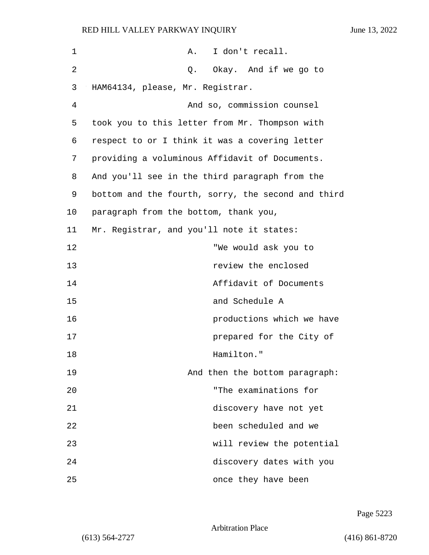| 1  | I don't recall.<br>Α.                              |
|----|----------------------------------------------------|
| 2  | Okay. And if we go to<br>Q.                        |
| 3  | HAM64134, please, Mr. Registrar.                   |
| 4  | And so, commission counsel                         |
| 5  | took you to this letter from Mr. Thompson with     |
| 6  | respect to or I think it was a covering letter     |
| 7  | providing a voluminous Affidavit of Documents.     |
| 8  | And you'll see in the third paragraph from the     |
| 9  | bottom and the fourth, sorry, the second and third |
| 10 | paragraph from the bottom, thank you,              |
| 11 | Mr. Registrar, and you'll note it states:          |
| 12 | "We would ask you to                               |
| 13 | review the enclosed                                |
| 14 | Affidavit of Documents                             |
| 15 | and Schedule A                                     |
| 16 | productions which we have                          |
| 17 | prepared for the City of                           |
| 18 | Hamilton."                                         |
| 19 | And then the bottom paragraph:                     |
| 20 | "The examinations for                              |
| 21 | discovery have not yet                             |
| 22 | been scheduled and we                              |
| 23 | will review the potential                          |
| 24 | discovery dates with you                           |
| 25 | once they have been                                |

Page 5223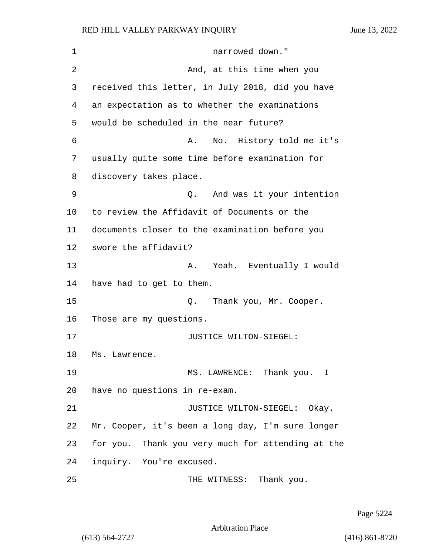| 1  | narrowed down."                                   |  |
|----|---------------------------------------------------|--|
| 2  | And, at this time when you                        |  |
| 3  | received this letter, in July 2018, did you have  |  |
| 4  | an expectation as to whether the examinations     |  |
| 5  | would be scheduled in the near future?            |  |
| 6  | No. History told me it's<br>Α.                    |  |
| 7  | usually quite some time before examination for    |  |
| 8  | discovery takes place.                            |  |
| 9  | Q. And was it your intention                      |  |
| 10 | to review the Affidavit of Documents or the       |  |
| 11 | documents closer to the examination before you    |  |
| 12 | swore the affidavit?                              |  |
| 13 | A. Yeah. Eventually I would                       |  |
| 14 | have had to get to them.                          |  |
| 15 | Thank you, Mr. Cooper.<br>Q.                      |  |
| 16 | Those are my questions.                           |  |
| 17 | JUSTICE WILTON-SIEGEL:                            |  |
| 18 | Ms. Lawrence.                                     |  |
| 19 | MS. LAWRENCE: Thank you. I                        |  |
| 20 | have no questions in re-exam.                     |  |
| 21 | JUSTICE WILTON-SIEGEL: Okay.                      |  |
| 22 | Mr. Cooper, it's been a long day, I'm sure longer |  |
| 23 | for you. Thank you very much for attending at the |  |
| 24 | inquiry. You're excused.                          |  |
| 25 | THE WITNESS: Thank you.                           |  |

Page 5224